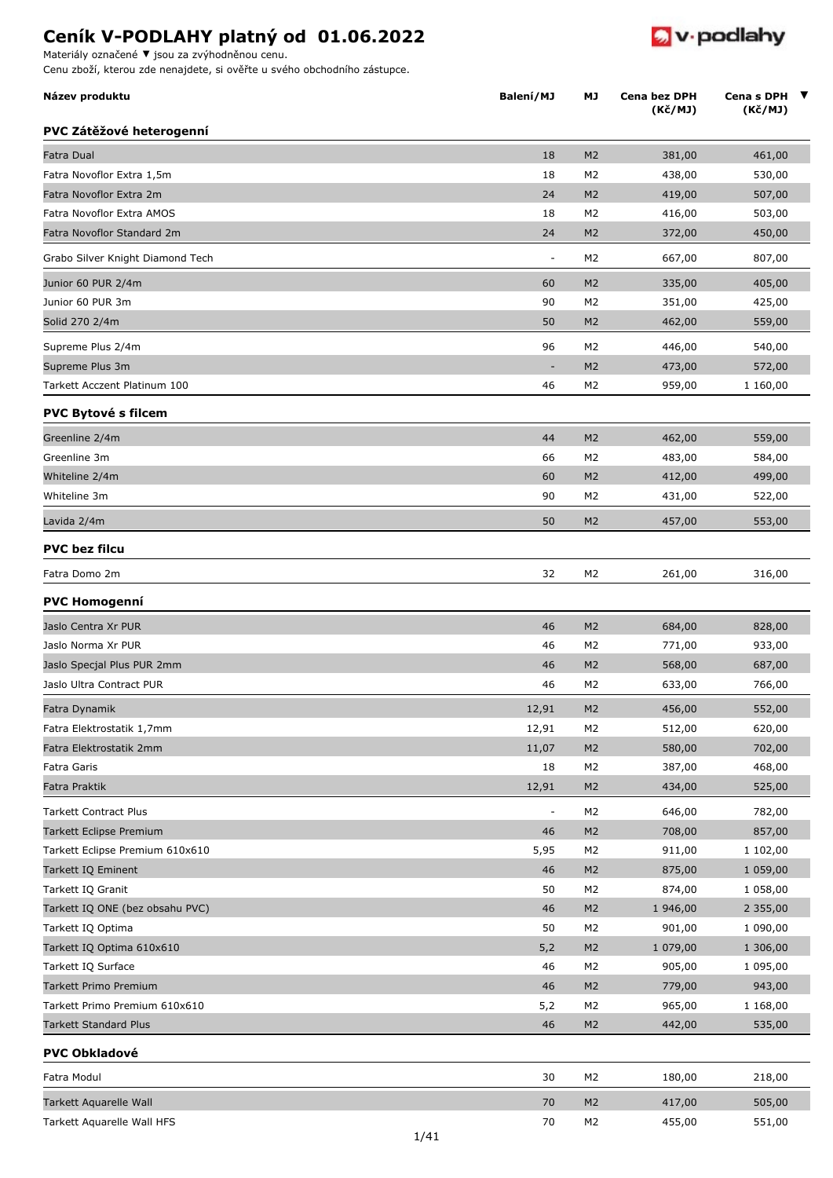**Název produktu MJ Cena bez DPH**

Materiály označené **▼** jsou za zvýhodněnou cenu.

**PVC** 

**PVC** 

**PVC bez filcu**

**PVC Homogenní**

**PVC Obkladové**

Cenu zboží, kterou zde nenajdete, si ověřte u svého obchodního zástupce.

| PVC Zátěžové heterogenní         |                          |                |          |          |
|----------------------------------|--------------------------|----------------|----------|----------|
| Fatra Dual                       | 18                       | M <sub>2</sub> | 381,00   | 461,00   |
| Fatra Novoflor Extra 1,5m        | 18                       | M <sub>2</sub> | 438,00   | 530,00   |
| Fatra Novoflor Extra 2m          | 24                       | M <sub>2</sub> | 419,00   | 507,00   |
| Fatra Novoflor Extra AMOS        | 18                       | M <sub>2</sub> | 416,00   | 503,00   |
| Fatra Novoflor Standard 2m       | 24                       | M <sub>2</sub> | 372,00   | 450,00   |
| Grabo Silver Knight Diamond Tech | $\overline{a}$           | M2             | 667,00   | 807,00   |
| Junior 60 PUR 2/4m               | 60                       | M <sub>2</sub> | 335,00   | 405,00   |
| Junior 60 PUR 3m                 | 90                       | M <sub>2</sub> | 351,00   | 425,00   |
| Solid 270 2/4m                   | 50                       | M <sub>2</sub> | 462,00   | 559,00   |
| Supreme Plus 2/4m                | 96                       | M <sub>2</sub> | 446,00   | 540,00   |
| Supreme Plus 3m                  |                          | M <sub>2</sub> | 473,00   | 572,00   |
| Tarkett Acczent Platinum 100     | 46                       | M2             | 959,00   | 1 160,00 |
| PVC Bytové s filcem              |                          |                |          |          |
| Greenline 2/4m                   | 44                       | M <sub>2</sub> | 462,00   | 559,00   |
| Greenline 3m                     | 66                       | M2             | 483,00   | 584,00   |
| Whiteline 2/4m                   | 60                       | M <sub>2</sub> | 412,00   | 499,00   |
| Whiteline 3m                     | 90                       | M <sub>2</sub> | 431,00   | 522,00   |
| Lavida 2/4m                      | 50                       | M <sub>2</sub> | 457,00   | 553,00   |
| <b>PVC bez filcu</b>             |                          |                |          |          |
| Fatra Domo 2m                    | 32                       | M <sub>2</sub> | 261,00   | 316,00   |
| PVC Homogenní                    |                          |                |          |          |
| Jaslo Centra Xr PUR              | 46                       | M <sub>2</sub> | 684,00   | 828,00   |
| Jaslo Norma Xr PUR               | 46                       | M2             | 771,00   | 933,00   |
| Jaslo Specjal Plus PUR 2mm       | 46                       | M <sub>2</sub> | 568,00   | 687,00   |
| Jaslo Ultra Contract PUR         | 46                       | M2             | 633,00   | 766,00   |
| Fatra Dynamik                    | 12,91                    | M <sub>2</sub> | 456,00   | 552,00   |
| Fatra Elektrostatik 1,7mm        | 12,91                    | M2             | 512,00   | 620,00   |
| Fatra Elektrostatik 2mm          | 11,07                    | M <sub>2</sub> | 580,00   | 702,00   |
| Fatra Garis                      | 18                       | M2             | 387,00   | 468,00   |
| Fatra Praktik                    | 12,91                    | M <sub>2</sub> | 434,00   | 525,00   |
| <b>Tarkett Contract Plus</b>     | $\overline{\phantom{a}}$ | M <sub>2</sub> | 646,00   | 782,00   |
| <b>Tarkett Eclipse Premium</b>   | 46                       | M <sub>2</sub> | 708,00   | 857,00   |
| Tarkett Eclipse Premium 610x610  | 5,95                     | M <sub>2</sub> | 911,00   | 1 102,00 |
| Tarkett IQ Eminent               | 46                       | M <sub>2</sub> | 875,00   | 1 059,00 |
| Tarkett IQ Granit                | 50                       | M <sub>2</sub> | 874,00   | 1 058,00 |
| Tarkett IQ ONE (bez obsahu PVC)  | 46                       | M <sub>2</sub> | 1 946,00 | 2 355,00 |
| Tarkett IQ Optima                | 50                       | M <sub>2</sub> | 901,00   | 1 090,00 |
| Tarkett IQ Optima 610x610        | 5,2                      | M <sub>2</sub> | 1 079,00 | 1 306,00 |
| Tarkett IQ Surface               | 46                       | M <sub>2</sub> | 905,00   | 1 095,00 |
| Tarkett Primo Premium            | 46                       | M <sub>2</sub> | 779,00   | 943,00   |
| Tarkett Primo Premium 610x610    | 5,2                      | M <sub>2</sub> | 965,00   | 1 168,00 |
| <b>Tarkett Standard Plus</b>     | 46                       | M <sub>2</sub> | 442,00   | 535,00   |
| <b>PVC Obkladové</b>             |                          |                |          |          |
| Fatra Modul                      | 30                       | M <sub>2</sub> | 180,00   | 218,00   |
| Tarkett Aquarelle Wall           | 70                       | M <sub>2</sub> | 417,00   | 505,00   |
| Tarkett Aquarelle Wall HFS       | 70                       | M2             | 455,00   | 551,00   |

**(Kč/MJ)**

**Balaenish** Cenas DPH ▼

 $\bullet$  v podlahy

**Cena s DPH (Kč/MJ)**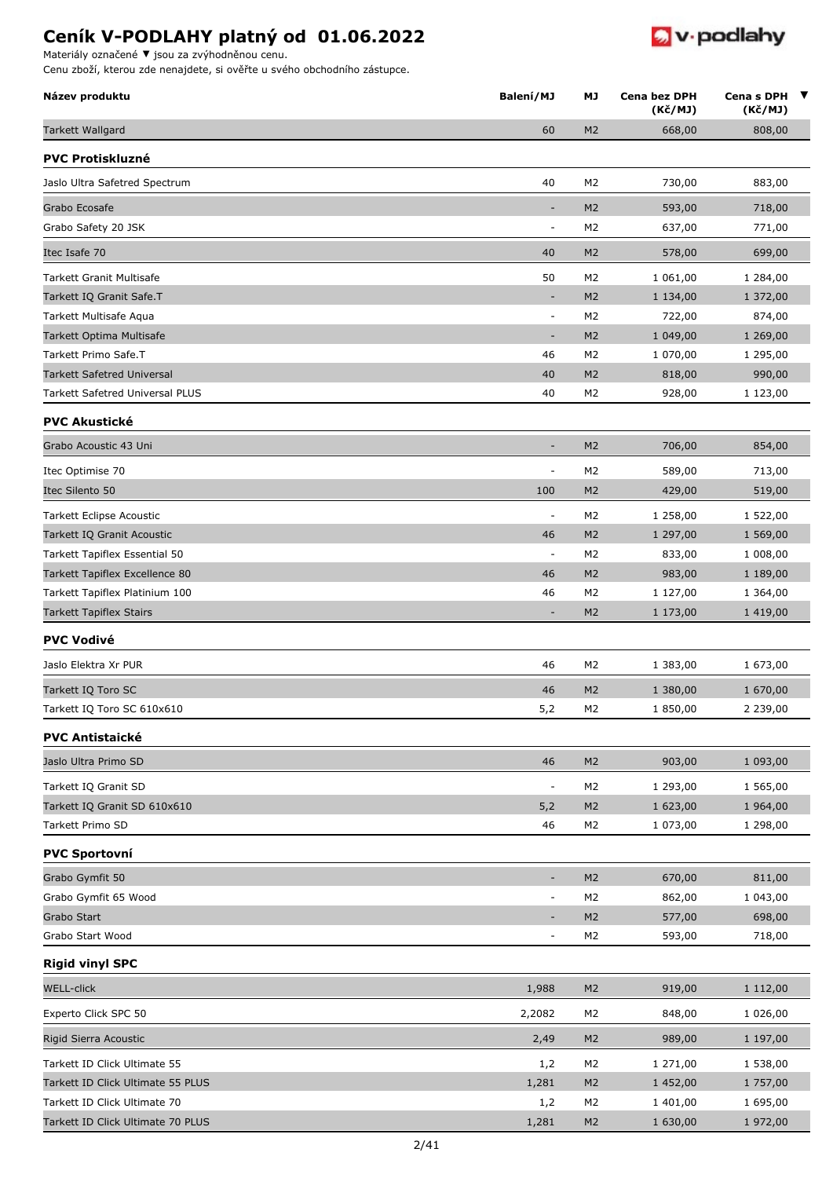Materiály označené ▼ jsou za zvýhodněnou

| materialy označene v jsou za zvyhodnenou čenu.<br>Cenu zboží, kterou zde nenajdete, si ověřte u svého obchodního zástupce. |                          |                |                         |                            |
|----------------------------------------------------------------------------------------------------------------------------|--------------------------|----------------|-------------------------|----------------------------|
| Název produktu                                                                                                             | Balení/MJ                | <b>MJ</b>      | Cena bez DPH<br>(Kč/MJ) | Cena s DPH<br>▼<br>(Kč/MJ) |
| <b>Tarkett Wallgard</b>                                                                                                    | 60                       | M <sub>2</sub> | 668,00                  | 808,00                     |
| <b>PVC Protiskluzné</b>                                                                                                    |                          |                |                         |                            |
| Jaslo Ultra Safetred Spectrum                                                                                              | 40                       | M <sub>2</sub> | 730,00                  | 883,00                     |
| Grabo Ecosafe                                                                                                              | $\overline{\phantom{a}}$ | M <sub>2</sub> | 593,00                  | 718,00                     |
| Grabo Safety 20 JSK                                                                                                        | $\blacksquare$           | M2             | 637,00                  | 771,00                     |
| Itec Isafe 70                                                                                                              | 40                       | M <sub>2</sub> | 578,00                  | 699,00                     |
| Tarkett Granit Multisafe                                                                                                   | 50                       | M <sub>2</sub> | 1 061,00                | 1 284,00                   |
| Tarkett IQ Granit Safe.T                                                                                                   | $\overline{\phantom{a}}$ | M <sub>2</sub> | 1 134,00                | 1 372,00                   |
| Tarkett Multisafe Aqua                                                                                                     | $\overline{\phantom{a}}$ | M <sub>2</sub> | 722,00                  | 874,00                     |
| Tarkett Optima Multisafe                                                                                                   | $\overline{\phantom{a}}$ | M <sub>2</sub> | 1 049,00                | 1 269,00                   |
| Tarkett Primo Safe.T                                                                                                       | 46                       | M <sub>2</sub> | 1 070,00                | 1 295,00                   |
| <b>Tarkett Safetred Universal</b>                                                                                          | 40                       | M <sub>2</sub> | 818,00                  | 990,00                     |
| Tarkett Safetred Universal PLUS                                                                                            | 40                       | M <sub>2</sub> | 928,00                  | 1 123,00                   |
| <b>PVC Akustické</b>                                                                                                       |                          |                |                         |                            |
| Grabo Acoustic 43 Uni                                                                                                      | ٠                        | M <sub>2</sub> | 706,00                  | 854,00                     |
| Itec Optimise 70                                                                                                           | ÷                        | M <sub>2</sub> | 589,00                  | 713,00                     |
| Itec Silento 50                                                                                                            | 100                      | M <sub>2</sub> | 429,00                  | 519,00                     |
| Tarkett Eclipse Acoustic                                                                                                   | $\overline{\phantom{a}}$ | M <sub>2</sub> | 1 258,00                | 1 522,00                   |
| Tarkett IQ Granit Acoustic                                                                                                 | 46                       | M <sub>2</sub> | 1 297,00                | 1 569,00                   |
| Tarkett Tapiflex Essential 50                                                                                              | $\overline{\phantom{a}}$ | M <sub>2</sub> | 833,00                  | 1 008,00                   |
| Tarkett Tapiflex Excellence 80                                                                                             | 46                       | M <sub>2</sub> | 983,00                  | 1 189,00                   |
| Tarkett Tapiflex Platinium 100                                                                                             | 46                       | M <sub>2</sub> | 1 127,00                | 1 364,00                   |
| <b>Tarkett Tapiflex Stairs</b>                                                                                             | $\overline{\phantom{a}}$ | M <sub>2</sub> | 1 173,00                | 1 419,00                   |
| <b>PVC Vodivé</b>                                                                                                          |                          |                |                         |                            |
| Jaslo Elektra Xr PUR                                                                                                       | 46                       | M <sub>2</sub> | 1 383,00                | 1 673,00                   |
| Tarkett IQ Toro SC                                                                                                         | 46                       | M <sub>2</sub> | 1 380,00                | 1 670,00                   |
| Tarkett IQ Toro SC 610x610                                                                                                 | 5,2                      | M <sub>2</sub> | 1850,00                 | 2 239,00                   |
| <b>PVC Antistaické</b>                                                                                                     |                          |                |                         |                            |
| Jaslo Ultra Primo SD                                                                                                       | 46                       | M <sub>2</sub> | 903,00                  | 1 093,00                   |
| Tarkett IQ Granit SD                                                                                                       | $\overline{\phantom{a}}$ | M <sub>2</sub> | 1 293,00                | 1 565,00                   |
| Tarkett IQ Granit SD 610x610                                                                                               | 5,2                      | M <sub>2</sub> | 1 623,00                | 1 964,00                   |
| Tarkett Primo SD                                                                                                           | 46                       | M <sub>2</sub> | 1 073,00                | 1 298,00                   |
| <b>PVC Sportovní</b>                                                                                                       |                          |                |                         |                            |
| Grabo Gymfit 50                                                                                                            | $\sim$                   | M <sub>2</sub> | 670,00                  | 811,00                     |
| Grabo Gymfit 65 Wood                                                                                                       | $\overline{\phantom{a}}$ | M <sub>2</sub> | 862,00                  | 1 043,00                   |
| Grabo Start                                                                                                                | $\overline{\phantom{a}}$ | M <sub>2</sub> | 577,00                  | 698,00                     |
| Grabo Start Wood                                                                                                           | $\blacksquare$           | M <sub>2</sub> | 593,00                  | 718,00                     |
| <b>Rigid vinyl SPC</b>                                                                                                     |                          |                |                         |                            |
| <b>WELL-click</b>                                                                                                          | 1,988                    | M <sub>2</sub> | 919,00                  | 1 112,00                   |
| Experto Click SPC 50                                                                                                       | 2,2082                   | M <sub>2</sub> | 848,00                  | 1 026,00                   |
| Rigid Sierra Acoustic                                                                                                      | 2,49                     | M <sub>2</sub> | 989,00                  | 1 197,00                   |
| Tarkett ID Click Ultimate 55                                                                                               | 1,2                      | M <sub>2</sub> | 1 271,00                | 1 538,00                   |

**D** v podlahy

Tarkett ID Click Ultimate 55 PLUS 1,281 M2 1 452,00 1 757,00 Tarkett ID Click Ultimate 70 1 695,00 1 695,00 1 695,00 1 695,00 1 695,00 1 695,00 Tarkett ID Click Ultimate 70 PLUS 1,281 M2 1 630,00 1 972,00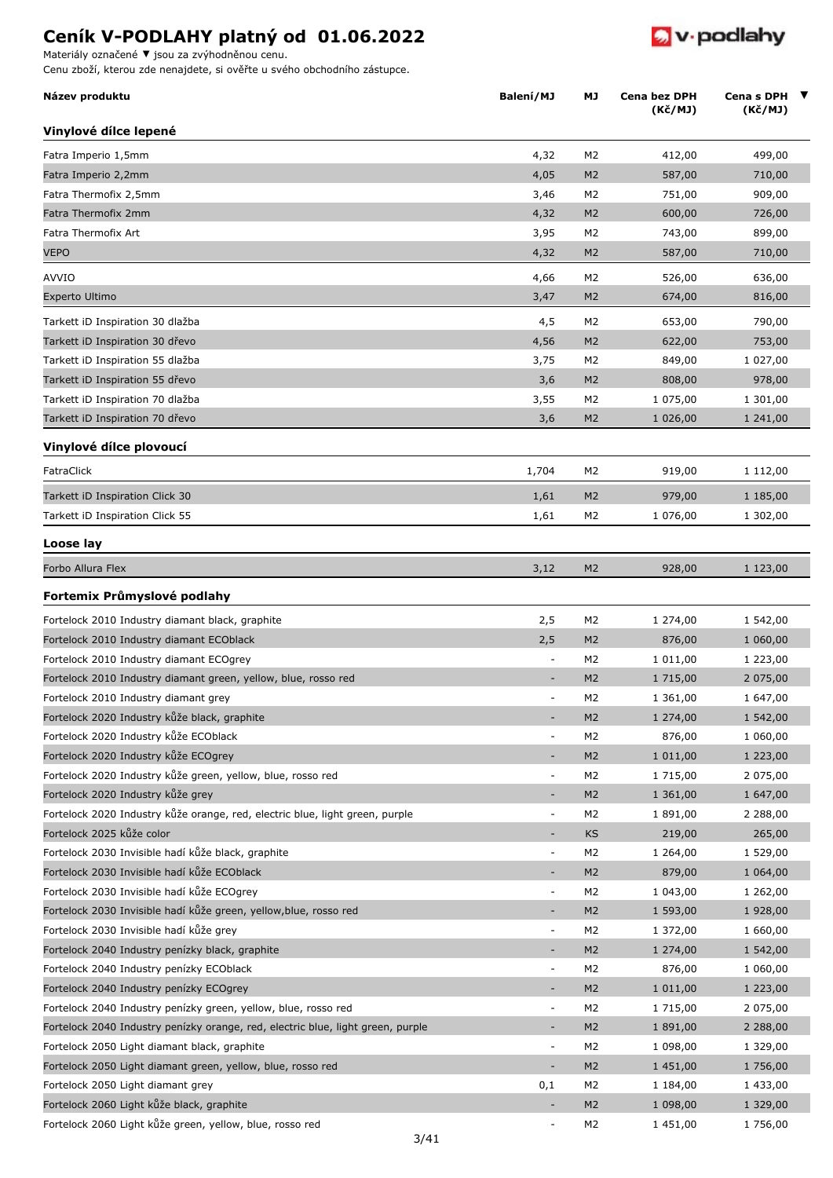Materiály označené **▼** jsou za zvýhodněnou cenu.

Cenu zboží, kterou zde nenajdete, si ověřte u svého obchodního zástupce.

| Název produktu                                                                  | Balení/MJ                | МJ             | Cena bez DPH<br>(Kč/MJ) | Cena s DPH ▼<br>(Kč/MJ) |
|---------------------------------------------------------------------------------|--------------------------|----------------|-------------------------|-------------------------|
| Vinylové dílce lepené                                                           |                          |                |                         |                         |
| Fatra Imperio 1,5mm                                                             | 4,32                     | M2             | 412,00                  | 499,00                  |
| Fatra Imperio 2,2mm                                                             | 4,05                     | M <sub>2</sub> | 587,00                  | 710,00                  |
| Fatra Thermofix 2,5mm                                                           | 3,46                     | M <sub>2</sub> | 751,00                  | 909,00                  |
| Fatra Thermofix 2mm                                                             | 4,32                     | M <sub>2</sub> | 600,00                  | 726,00                  |
| Fatra Thermofix Art                                                             | 3,95                     | M2             | 743,00                  | 899,00                  |
| <b>VEPO</b>                                                                     | 4,32                     | M <sub>2</sub> | 587,00                  | 710,00                  |
| AVVIO                                                                           | 4,66                     | M2             | 526,00                  | 636,00                  |
| Experto Ultimo                                                                  | 3,47                     | M <sub>2</sub> | 674,00                  | 816,00                  |
| Tarkett iD Inspiration 30 dlažba                                                | 4,5                      | M <sub>2</sub> | 653,00                  | 790,00                  |
| Tarkett iD Inspiration 30 dřevo                                                 | 4,56                     | M <sub>2</sub> | 622,00                  | 753,00                  |
| Tarkett iD Inspiration 55 dlažba                                                | 3,75                     | M2             | 849,00                  | 1 027,00                |
| Tarkett iD Inspiration 55 dřevo                                                 | 3,6                      | M <sub>2</sub> | 808,00                  | 978,00                  |
| Tarkett iD Inspiration 70 dlažba                                                | 3,55                     | M2             | 1 075,00                | 1 301,00                |
| Tarkett iD Inspiration 70 dřevo                                                 | 3,6                      | M <sub>2</sub> | 1 026,00                | 1 241,00                |
| Vinylové dílce plovoucí                                                         |                          |                |                         |                         |
| FatraClick                                                                      | 1,704                    | M2             | 919,00                  | 1 112,00                |
| Tarkett iD Inspiration Click 30                                                 | 1,61                     | M <sub>2</sub> | 979,00                  | 1 185,00                |
| Tarkett iD Inspiration Click 55                                                 | 1,61                     | M <sub>2</sub> | 1 076,00                | 1 302,00                |
| Loose lay                                                                       |                          |                |                         |                         |
| Forbo Allura Flex                                                               | 3,12                     | M <sub>2</sub> | 928,00                  | 1 123,00                |
| Fortemix Průmyslové podlahy                                                     |                          |                |                         |                         |
| Fortelock 2010 Industry diamant black, graphite                                 | 2,5                      | M <sub>2</sub> | 1 274,00                | 1 542,00                |
| Fortelock 2010 Industry diamant ECOblack                                        | 2,5                      | M <sub>2</sub> | 876,00                  | 1 060,00                |
| Fortelock 2010 Industry diamant ECOgrey                                         | $\overline{\phantom{a}}$ | M2             | 1 011,00                | 1 223,00                |
| Fortelock 2010 Industry diamant green, yellow, blue, rosso red                  | $\blacksquare$           | M <sub>2</sub> | 1 715,00                | 2 075,00                |
| Fortelock 2010 Industry diamant grey                                            | $\overline{\phantom{a}}$ | M <sub>2</sub> | 1 361,00                | 1 647,00                |
| Fortelock 2020 Industry kůže black, graphite                                    |                          | M <sub>2</sub> | 1 274,00                | 1 542,00                |
| Fortelock 2020 Industry kůže ECOblack                                           | ÷                        | M <sub>2</sub> | 876,00                  | 1 060,00                |
| Fortelock 2020 Industry kůže ECOgrey                                            | $\overline{\phantom{a}}$ | M <sub>2</sub> | 1 011,00                | 1 223,00                |
| Fortelock 2020 Industry kůže green, yellow, blue, rosso red                     | $\blacksquare$           | M <sub>2</sub> | 1 715,00                | 2 075,00                |
| Fortelock 2020 Industry kůže grey                                               | ÷,                       | M <sub>2</sub> | 1 361,00                | 1 647,00                |
| Fortelock 2020 Industry kůže orange, red, electric blue, light green, purple    | $\blacksquare$           | M2             | 1891,00                 | 2 2 8 8 , 0 0           |
| Fortelock 2025 kůže color                                                       | ÷                        | <b>KS</b>      | 219,00                  | 265,00                  |
| Fortelock 2030 Invisible hadí kůže black, graphite                              | $\overline{\phantom{a}}$ | M2             | 1 264,00                | 1 529,00                |
| Fortelock 2030 Invisible hadí kůže ECOblack                                     | ÷,                       | M <sub>2</sub> | 879,00                  | 1 064,00                |
| Fortelock 2030 Invisible hadí kůže ECOgrey                                      | $\blacksquare$           | M2             | 1 043,00                | 1 262,00                |
| Fortelock 2030 Invisible hadí kůže green, yellow,blue, rosso red                | ÷,                       | M <sub>2</sub> | 1 593,00                | 1 928,00                |
| Fortelock 2030 Invisible hadí kůže grey                                         | ÷                        | M2             | 1 372,00                | 1 660,00                |
| Fortelock 2040 Industry penízky black, graphite                                 | $\overline{\phantom{a}}$ | M <sub>2</sub> | 1 274,00                | 1 542,00                |
| Fortelock 2040 Industry penízky ECOblack                                        | $\overline{\phantom{a}}$ | M2             | 876,00                  | 1 060,00                |
| Fortelock 2040 Industry penízky ECOgrey                                         | ÷                        | M <sub>2</sub> | 1 011,00                | 1 223,00                |
| Fortelock 2040 Industry penízky green, yellow, blue, rosso red                  |                          |                |                         |                         |
|                                                                                 | $\equiv$                 | M2             | 1 715,00                | 2 075,00                |
| Fortelock 2040 Industry penízky orange, red, electric blue, light green, purple | $\blacksquare$           | M <sub>2</sub> | 1 891,00                | 2 2 8 8 , 0 0           |
| Fortelock 2050 Light diamant black, graphite                                    | $\overline{\phantom{a}}$ | M2             | 1 098,00                | 1 329,00                |
| Fortelock 2050 Light diamant green, yellow, blue, rosso red                     | $\blacksquare$           | M <sub>2</sub> | 1 451,00                | 1756,00                 |
| Fortelock 2050 Light diamant grey                                               | 0,1                      | M <sub>2</sub> | 1 184,00                | 1 433,00                |
| Fortelock 2060 Light kůže black, graphite                                       | L.                       | M <sub>2</sub> | 1 098,00                | 1 329,00                |
| Fortelock 2060 Light kůže green, yellow, blue, rosso red                        | ÷,                       | M2             | 1 451,00                | 1756,00                 |

 $\bullet$  v podlahy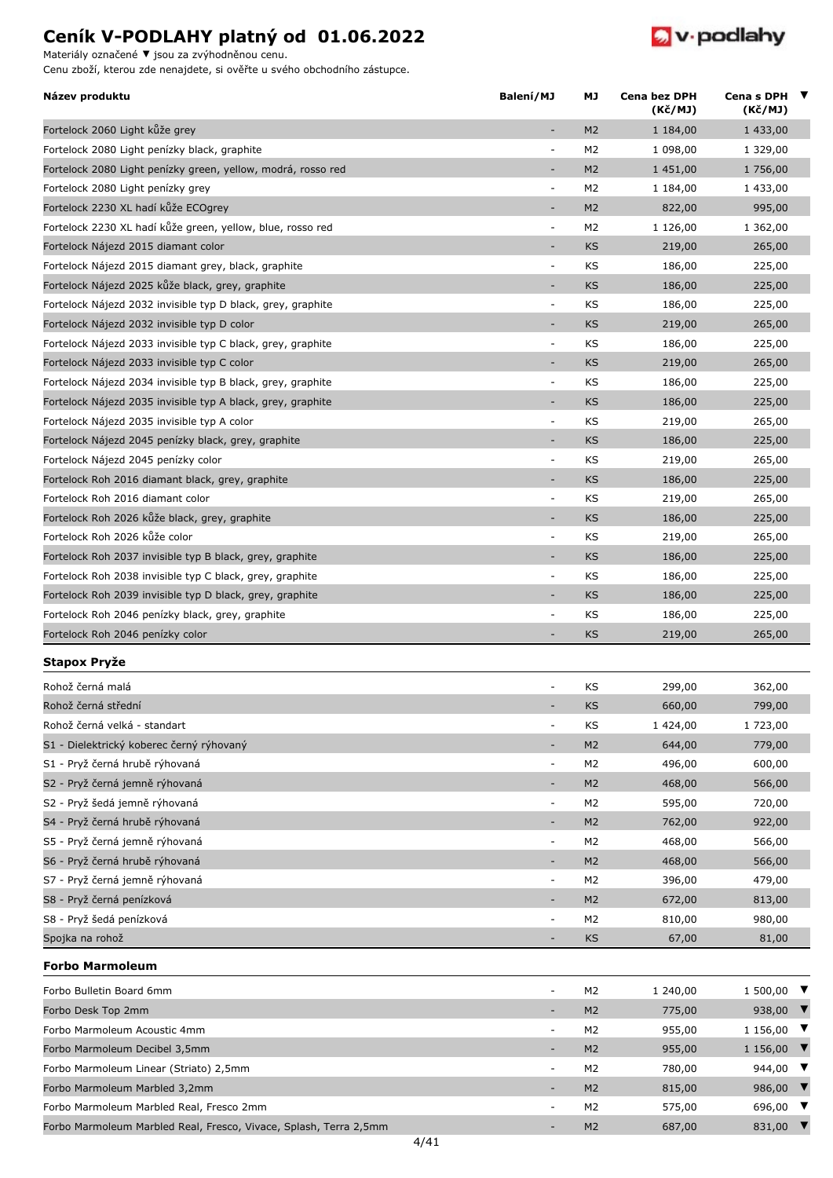Materiály označené **▼** jsou za zvýhodněnou cenu.

Cenu zboží, kterou zde nenajdete, si ověřte u svého obchodního zástupce.



| Název produktu                                               | Balení/MJ                | МJ             | Cena bez DPH<br>(Kč/MJ) | Cena s DPH $\blacktriangledown$<br>(Kč/MJ) |
|--------------------------------------------------------------|--------------------------|----------------|-------------------------|--------------------------------------------|
| Fortelock 2060 Light kůže grey                               | ٠                        | M <sub>2</sub> | 1 184,00                | 1 433,00                                   |
| Fortelock 2080 Light penízky black, graphite                 | $\overline{\phantom{a}}$ | M <sub>2</sub> | 1 098,00                | 1 329,00                                   |
| Fortelock 2080 Light penízky green, yellow, modrá, rosso red | ٠                        | M <sub>2</sub> | 1 451,00                | 1 756,00                                   |
| Fortelock 2080 Light penízky grey                            | $\overline{\phantom{a}}$ | M <sub>2</sub> | 1 184,00                | 1 433,00                                   |
| Fortelock 2230 XL hadí kůže ECOgrey                          | ٠                        | M <sub>2</sub> | 822,00                  | 995,00                                     |
| Fortelock 2230 XL hadí kůže green, yellow, blue, rosso red   | $\overline{\phantom{a}}$ | M <sub>2</sub> | 1 126,00                | 1 362,00                                   |
| Fortelock Nájezd 2015 diamant color                          | ٠                        | <b>KS</b>      | 219,00                  | 265,00                                     |
| Fortelock Nájezd 2015 diamant grey, black, graphite          | $\overline{\phantom{a}}$ | KS             | 186,00                  | 225,00                                     |
| Fortelock Nájezd 2025 kůže black, grey, graphite             | ٠                        | <b>KS</b>      | 186,00                  | 225,00                                     |
| Fortelock Nájezd 2032 invisible typ D black, grey, graphite  | $\overline{\phantom{a}}$ | KS             | 186,00                  | 225,00                                     |
| Fortelock Nájezd 2032 invisible typ D color                  | ÷,                       | <b>KS</b>      | 219,00                  | 265,00                                     |
| Fortelock Nájezd 2033 invisible typ C black, grey, graphite  | $\overline{\phantom{a}}$ | KS             | 186,00                  | 225,00                                     |
| Fortelock Nájezd 2033 invisible typ C color                  | $\overline{\phantom{m}}$ | <b>KS</b>      | 219,00                  | 265,00                                     |
| Fortelock Nájezd 2034 invisible typ B black, grey, graphite  | ÷                        | KS             | 186,00                  | 225,00                                     |
| Fortelock Nájezd 2035 invisible typ A black, grey, graphite  | $\overline{\phantom{a}}$ | KS             | 186,00                  | 225,00                                     |
| Fortelock Nájezd 2035 invisible typ A color                  | $\bar{\phantom{a}}$      | KS             | 219,00                  | 265,00                                     |
| Fortelock Nájezd 2045 penízky black, grey, graphite          | $\overline{a}$           | <b>KS</b>      | 186,00                  | 225,00                                     |
| Fortelock Nájezd 2045 penízky color                          | $\overline{\phantom{a}}$ | KS             | 219,00                  | 265,00                                     |
| Fortelock Roh 2016 diamant black, grey, graphite             | ÷,                       | <b>KS</b>      | 186,00                  | 225,00                                     |
| Fortelock Roh 2016 diamant color                             | ÷,                       | KS             | 219,00                  | 265,00                                     |
| Fortelock Roh 2026 kůže black, grey, graphite                | ÷                        | <b>KS</b>      | 186,00                  | 225,00                                     |
| Fortelock Roh 2026 kůže color                                | $\overline{\phantom{a}}$ | KS             | 219,00                  | 265,00                                     |
| Fortelock Roh 2037 invisible typ B black, grey, graphite     | $\overline{\phantom{a}}$ | <b>KS</b>      | 186,00                  | 225,00                                     |
| Fortelock Roh 2038 invisible typ C black, grey, graphite     | $\overline{\phantom{a}}$ | KS             | 186,00                  | 225,00                                     |
| Fortelock Roh 2039 invisible typ D black, grey, graphite     | ٠                        | <b>KS</b>      | 186,00                  | 225,00                                     |
| Fortelock Roh 2046 penízky black, grey, graphite             | ÷,                       | KS             | 186,00                  | 225,00                                     |
| Fortelock Roh 2046 penízky color                             |                          | KS             | 219,00                  | 265,00                                     |
| Stapox Pryže                                                 |                          |                |                         |                                            |
| Rohož černá malá                                             | $\overline{\phantom{a}}$ | KS             | 299,00                  | 362,00                                     |
| Rohož černá střední                                          |                          | KS             | 660,00                  | 799,00                                     |
| Rohož černá velká - standart                                 | $\overline{\phantom{a}}$ | ΚS             | 1 424,00                | 1 723,00                                   |
| S1 - Dielektrický koberec černý rýhovaný                     | ٠                        | M <sub>2</sub> | 644,00                  | 779,00                                     |
| S1 - Pryž černá hrubě rýhovaná                               | $\overline{\phantom{a}}$ | M2             | 496,00                  | 600,00                                     |
| S2 - Pryž černá jemně rýhovaná                               | $\overline{\phantom{a}}$ | M <sub>2</sub> | 468,00                  | 566,00                                     |
| S2 - Pryž šedá jemně rýhovaná                                | $\overline{\phantom{a}}$ | M2             | 595,00                  | 720,00                                     |
| S4 - Pryž černá hrubě rýhovaná                               |                          | M <sub>2</sub> | 762,00                  | 922,00                                     |
| S5 - Pryž černá jemně rýhovaná                               | $\overline{\phantom{a}}$ | M <sub>2</sub> | 468,00                  | 566,00                                     |
| S6 - Pryž černá hrubě rýhovaná                               | ÷,                       | M <sub>2</sub> | 468,00                  | 566,00                                     |
| S7 - Pryž černá jemně rýhovaná                               | $\overline{\phantom{a}}$ | M2             | 396,00                  | 479,00                                     |
| S8 - Pryž černá penízková                                    | $\overline{\phantom{m}}$ | M <sub>2</sub> | 672,00                  | 813,00                                     |
| S8 - Pryž šedá penízková                                     | ÷                        | M2             | 810,00                  | 980,00                                     |
| Spojka na rohož                                              | ٠                        | <b>KS</b>      | 67,00                   | 81,00                                      |
| <b>Forbo Marmoleum</b>                                       |                          |                |                         |                                            |
| Forbo Bulletin Board 6mm                                     | $\overline{a}$           | M <sub>2</sub> | 1 240,00                | 1 500,00                                   |
| Forbo Desk Top 2mm                                           | $\overline{\phantom{a}}$ | M <sub>2</sub> | 775,00                  | 938,00 $\blacktriangledown$                |
| Forbo Marmoleum Acoustic 4mm                                 | $\overline{\phantom{a}}$ | M <sub>2</sub> | 955,00                  | 1 1 56,00 $\blacktriangledown$             |
| Forbo Marmoleum Decibel 3,5mm                                | ٠                        | M <sub>2</sub> | 955,00                  | 1 1 56,00 $\blacktriangledown$             |

Forbo Marmoleum Linear (Striato) 2,5mm - M2 780,00 944,00 ▼ Forbo Marmoleum Marbled 3,2mm - Mathematic Market Communication of Mathematic Mathematic Market Structure Mathematic Mathematic Mathematic Mathematic Mathematic Mathematic Mathematic Mathematic Mathematic Mathematic Mathem Forbo Marmoleum Marbled Real, Fresco 2mm - M2 575,00 696,00 ▼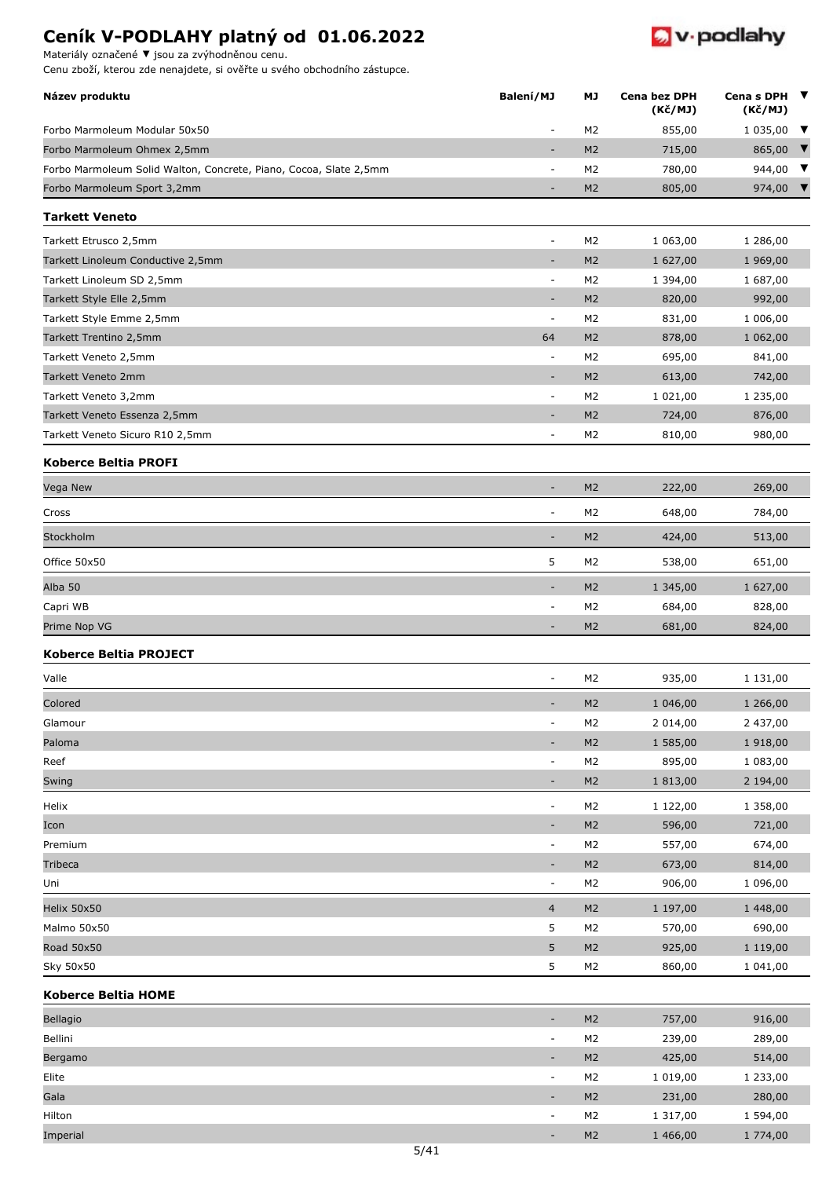Materiály označené **▼** jsou za zvýhodněnou cenu.



| Název produktu                                                    | Balení/MJ                | МJ             | <b>Cena bez DPH</b> | Cena s DPH | ▼ |
|-------------------------------------------------------------------|--------------------------|----------------|---------------------|------------|---|
|                                                                   |                          |                | (Kč/MJ)             | (Kč/MJ)    |   |
| Forbo Marmoleum Modular 50x50                                     | $\sim$                   | M <sub>2</sub> | 855,00              | 1 035,00   | ▼ |
| Forbo Marmoleum Ohmex 2,5mm                                       | $\overline{\phantom{a}}$ | M <sub>2</sub> | 715,00              | 865,00     | V |
| Forbo Marmoleum Solid Walton, Concrete, Piano, Cocoa, Slate 2,5mm | $\overline{\phantom{a}}$ | M <sub>2</sub> | 780,00              | 944,00     | ▼ |
| Forbo Marmoleum Sport 3,2mm                                       | ٠                        | M <sub>2</sub> | 805,00              | 974,00     |   |
| <b>Tarkett Veneto</b>                                             |                          |                |                     |            |   |
| Tarkett Etrusco 2,5mm                                             | $\overline{\phantom{a}}$ | M <sub>2</sub> | 1 063,00            | 1 286,00   |   |
| Tarkett Linoleum Conductive 2,5mm                                 | ٠                        | M <sub>2</sub> | 1 627,00            | 1 969,00   |   |
| Tarkett Linoleum SD 2,5mm                                         | $\blacksquare$           | M <sub>2</sub> | 1 394,00            | 1 687,00   |   |
| Tarkett Style Elle 2,5mm                                          | $\overline{\phantom{a}}$ | M <sub>2</sub> | 820,00              | 992,00     |   |
| Tarkett Style Emme 2,5mm                                          | $\overline{\phantom{a}}$ | M <sub>2</sub> | 831,00              | 1 006,00   |   |
| Tarkett Trentino 2,5mm                                            | 64                       | M <sub>2</sub> | 878,00              | 1 062,00   |   |
| Tarkett Veneto 2,5mm                                              | $\overline{\phantom{a}}$ | M <sub>2</sub> | 695,00              | 841,00     |   |
| Tarkett Veneto 2mm                                                | $\overline{\phantom{a}}$ | M <sub>2</sub> | 613,00              | 742,00     |   |
| Tarkett Veneto 3,2mm                                              | $\blacksquare$           | M <sub>2</sub> | 1 021,00            | 1 235,00   |   |
| Tarkett Veneto Essenza 2,5mm                                      | ٠                        | M <sub>2</sub> | 724,00              | 876,00     |   |
| Tarkett Veneto Sicuro R10 2,5mm                                   | ÷                        | M <sub>2</sub> | 810,00              | 980,00     |   |
| <b>Koberce Beltia PROFI</b>                                       |                          |                |                     |            |   |
| Vega New                                                          | ٠                        | M <sub>2</sub> | 222,00              | 269,00     |   |
| Cross                                                             | $\overline{\phantom{a}}$ | M <sub>2</sub> | 648,00              | 784,00     |   |
| Stockholm                                                         | ۰                        | M <sub>2</sub> | 424,00              | 513,00     |   |
| Office 50x50                                                      | 5                        | M <sub>2</sub> | 538,00              | 651,00     |   |
| Alba 50                                                           | ٠                        | M <sub>2</sub> | 1 345,00            | 1 627,00   |   |
| Capri WB                                                          | $\overline{\phantom{a}}$ | M <sub>2</sub> | 684,00              | 828,00     |   |
| Prime Nop VG                                                      | $\overline{\phantom{a}}$ | M <sub>2</sub> | 681,00              | 824,00     |   |
| Koberce Beltia PROJECT                                            |                          |                |                     |            |   |
| Valle                                                             | L,                       | M <sub>2</sub> | 935,00              | 1 131,00   |   |
| Colored                                                           |                          | M <sub>2</sub> | 1 046,00            | 1 266,00   |   |
| Glamour                                                           | $\overline{\phantom{a}}$ | M <sub>2</sub> | 2 014,00            | 2 437,00   |   |
| Paloma                                                            | $\overline{\phantom{a}}$ | M <sub>2</sub> | 1 585,00            | 1918,00    |   |
| Reef                                                              | $\blacksquare$           | M <sub>2</sub> | 895,00              | 1 083,00   |   |
| Swing                                                             | $\overline{\phantom{a}}$ | M <sub>2</sub> | 1813,00             | 2 194,00   |   |
| Helix                                                             | $\overline{\phantom{a}}$ | M <sub>2</sub> | 1 122,00            | 1 358,00   |   |
| Icon                                                              | ٠                        | M <sub>2</sub> | 596,00              | 721,00     |   |
| Premium                                                           | $\blacksquare$           | M <sub>2</sub> | 557,00              | 674,00     |   |
| Tribeca                                                           | ÷                        | M <sub>2</sub> | 673,00              | 814,00     |   |
| Uni                                                               | $\overline{\phantom{a}}$ | M <sub>2</sub> | 906,00              | 1 096,00   |   |
| Helix 50x50                                                       | $\overline{4}$           | M <sub>2</sub> | 1 197,00            | 1 448,00   |   |
| Malmo 50x50                                                       | 5                        | M <sub>2</sub> | 570,00              | 690,00     |   |
| Road 50x50                                                        | 5                        | M <sub>2</sub> | 925,00              | 1 119,00   |   |
| Sky 50x50                                                         | 5                        | M <sub>2</sub> | 860,00              | 1 041,00   |   |
| <b>Koberce Beltia HOME</b>                                        |                          |                |                     |            |   |
| Bellagio                                                          | ٠                        | M <sub>2</sub> | 757,00              | 916,00     |   |
| Bellini                                                           | $\overline{\phantom{a}}$ | M <sub>2</sub> | 239,00              | 289,00     |   |
| Bergamo                                                           | ٠                        | M <sub>2</sub> | 425,00              | 514,00     |   |
| Elite                                                             | $\overline{\phantom{a}}$ | M <sub>2</sub> | 1 0 1 9 , 0 0       | 1 233,00   |   |
| Gala                                                              | $\overline{\phantom{a}}$ | M <sub>2</sub> | 231,00              | 280,00     |   |
| Hilton                                                            | $\overline{\phantom{a}}$ | M <sub>2</sub> | 1 317,00            | 1 594,00   |   |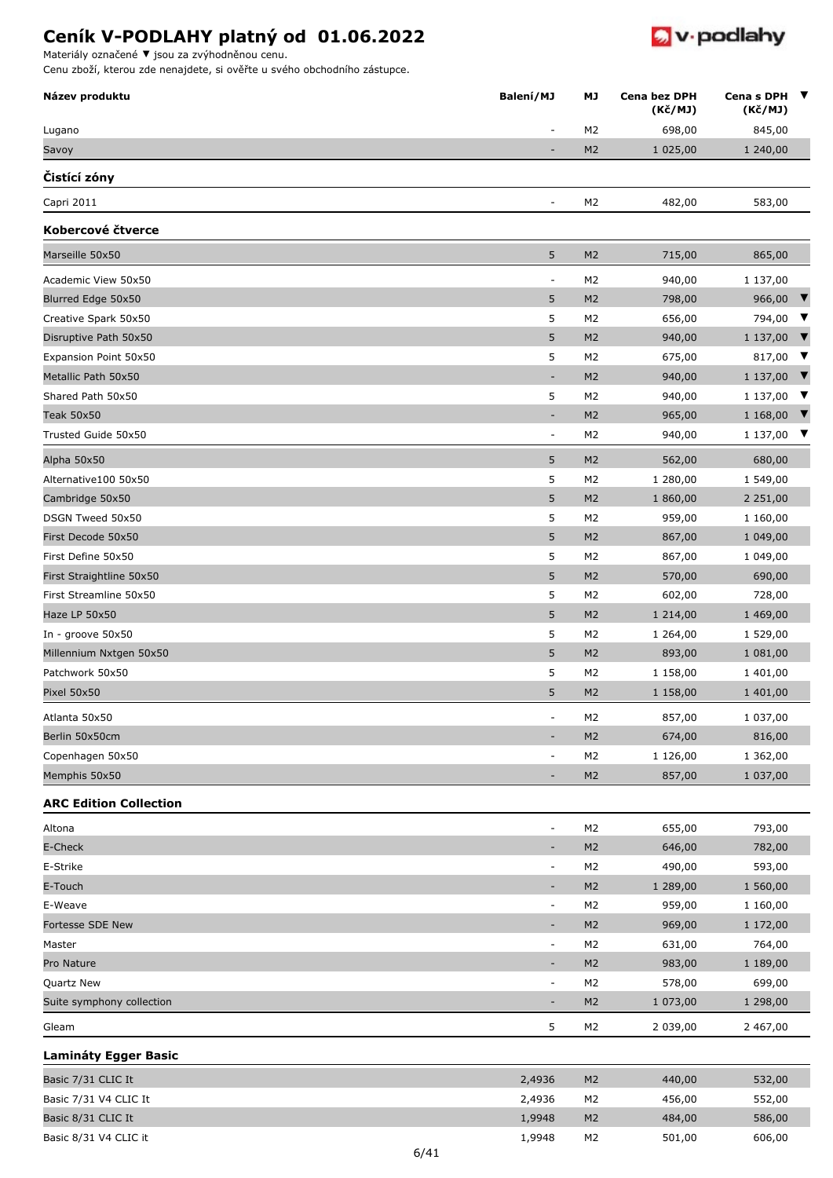

Materiály označené **▼** jsou za zvýhodněnou cenu.

| Název produktu                              | Balení/MJ                | МJ                               | Cena bez DPH<br>(K <sub>C</sub> /MJ) | Cena s DPH ▼<br>(Kč/MJ)         |  |
|---------------------------------------------|--------------------------|----------------------------------|--------------------------------------|---------------------------------|--|
| Lugano                                      |                          | M <sub>2</sub>                   | 698,00                               | 845,00                          |  |
| Savoy                                       | $\overline{a}$           | M <sub>2</sub>                   | 1 025,00                             | 1 240,00                        |  |
| Čistící zóny                                |                          |                                  |                                      |                                 |  |
| Capri 2011                                  | $\overline{a}$           | M <sub>2</sub>                   | 482,00                               | 583,00                          |  |
| Kobercové čtverce                           |                          |                                  |                                      |                                 |  |
| Marseille 50x50                             | 5                        | M <sub>2</sub>                   | 715,00                               | 865,00                          |  |
| Academic View 50x50                         | $\overline{a}$           | M <sub>2</sub>                   | 940,00                               | 1 137,00                        |  |
| Blurred Edge 50x50                          | 5                        | M <sub>2</sub>                   | 798,00                               | 966,00 $\blacktriangledown$     |  |
| Creative Spark 50x50                        | 5                        | M <sub>2</sub>                   | 656,00                               | 794,00 ▼                        |  |
| Disruptive Path 50x50                       | 5                        | M <sub>2</sub>                   | 940,00                               | 1 1 3 7,00 $\blacktriangledown$ |  |
| Expansion Point 50x50                       | 5                        | M <sub>2</sub>                   | 675,00                               | 817,00 $\blacktriangledown$     |  |
| Metallic Path 50x50                         | $\overline{\phantom{a}}$ | M <sub>2</sub>                   | 940,00                               | 1 1 3 7,00 $\blacktriangledown$ |  |
| Shared Path 50x50                           | 5                        | M <sub>2</sub>                   | 940,00                               | 1 137,00 $\blacktriangledown$   |  |
| <b>Teak 50x50</b>                           | $\overline{\phantom{a}}$ | M <sub>2</sub>                   | 965,00                               | 1 168,00 $\blacktriangledown$   |  |
| Trusted Guide 50x50                         | $\overline{\phantom{a}}$ | M <sub>2</sub>                   | 940,00                               | 1 137,00 $\blacktriangledown$   |  |
| Alpha 50x50                                 | 5                        | M <sub>2</sub>                   | 562,00                               | 680,00                          |  |
| Alternative100 50x50                        | 5                        | M <sub>2</sub>                   | 1 280,00                             | 1 549,00                        |  |
| Cambridge 50x50                             | 5                        | M <sub>2</sub>                   | 1 860,00                             | 2 2 5 1 , 0 0                   |  |
| DSGN Tweed 50x50                            | 5                        | M <sub>2</sub>                   | 959,00                               | 1 160,00                        |  |
| First Decode 50x50                          | 5                        | M <sub>2</sub>                   | 867,00                               | 1 049,00                        |  |
| First Define 50x50                          | 5                        | M <sub>2</sub>                   | 867,00                               | 1 049,00                        |  |
| First Straightline 50x50                    | 5                        | M <sub>2</sub>                   | 570,00                               | 690,00                          |  |
| First Streamline 50x50                      | 5                        | M <sub>2</sub>                   | 602,00                               | 728,00                          |  |
| Haze LP 50x50                               | 5                        | M <sub>2</sub>                   | 1 2 1 4 , 0 0                        | 1 469,00                        |  |
| In - groove 50x50                           | 5                        | M <sub>2</sub>                   | 1 264,00                             | 1 529,00                        |  |
| Millennium Nxtgen 50x50                     | 5                        | M <sub>2</sub>                   | 893,00                               | 1 081,00                        |  |
| Patchwork 50x50                             | 5                        | M <sub>2</sub>                   | 1 158,00                             | 1 401,00                        |  |
| Pixel 50x50                                 | 5                        | M <sub>2</sub>                   | 1 158,00                             | 1 401,00                        |  |
| Atlanta 50x50                               |                          | M <sub>2</sub>                   | 857,00                               | 1 037,00                        |  |
| Berlin 50x50cm                              |                          | M <sub>2</sub>                   | 674,00                               | 816,00                          |  |
| Copenhagen 50x50                            | $\overline{a}$           | M <sub>2</sub>                   | 1 126,00                             | 1 362,00                        |  |
| Memphis 50x50                               |                          | M <sub>2</sub>                   | 857,00                               | 1 037,00                        |  |
| <b>ARC Edition Collection</b>               |                          |                                  |                                      |                                 |  |
| Altona                                      | $\overline{\phantom{a}}$ | M <sub>2</sub>                   | 655,00                               | 793,00                          |  |
| E-Check                                     | $\overline{\phantom{a}}$ | M <sub>2</sub>                   | 646,00                               | 782,00                          |  |
| E-Strike                                    | $\overline{\phantom{a}}$ | M <sub>2</sub>                   | 490,00                               | 593,00                          |  |
| E-Touch                                     | $\overline{\phantom{a}}$ | M <sub>2</sub>                   | 1 289,00                             | 1 560,00                        |  |
| E-Weave                                     | $\overline{\phantom{a}}$ | M <sub>2</sub>                   | 959,00                               | 1 160,00                        |  |
| Fortesse SDE New                            | $\overline{\phantom{a}}$ | M <sub>2</sub>                   | 969,00                               | 1 172,00                        |  |
| Master                                      | $\blacksquare$           | M <sub>2</sub>                   | 631,00                               | 764,00                          |  |
| Pro Nature                                  | $\overline{a}$           | M <sub>2</sub>                   | 983,00                               | 1 189,00                        |  |
| Quartz New                                  | $\overline{\phantom{a}}$ | M <sub>2</sub>                   | 578,00                               | 699,00                          |  |
| Suite symphony collection                   |                          | M <sub>2</sub>                   | 1 073,00                             | 1 298,00                        |  |
| Gleam                                       | 5                        | M <sub>2</sub>                   | 2 039,00                             | 2 467,00                        |  |
| <b>Lamináty Egger Basic</b>                 |                          |                                  |                                      |                                 |  |
|                                             |                          |                                  |                                      |                                 |  |
| Basic 7/31 CLIC It                          | 2,4936                   | M <sub>2</sub>                   | 440,00                               | 532,00                          |  |
| Basic 7/31 V4 CLIC It<br>Basic 8/31 CLIC It | 2,4936<br>1,9948         | M <sub>2</sub><br>M <sub>2</sub> | 456,00<br>484,00                     | 552,00<br>586,00                |  |
| Basic 8/31 V4 CLIC it                       | 1,9948                   | M <sub>2</sub>                   | 501,00                               | 606,00                          |  |
|                                             |                          |                                  |                                      |                                 |  |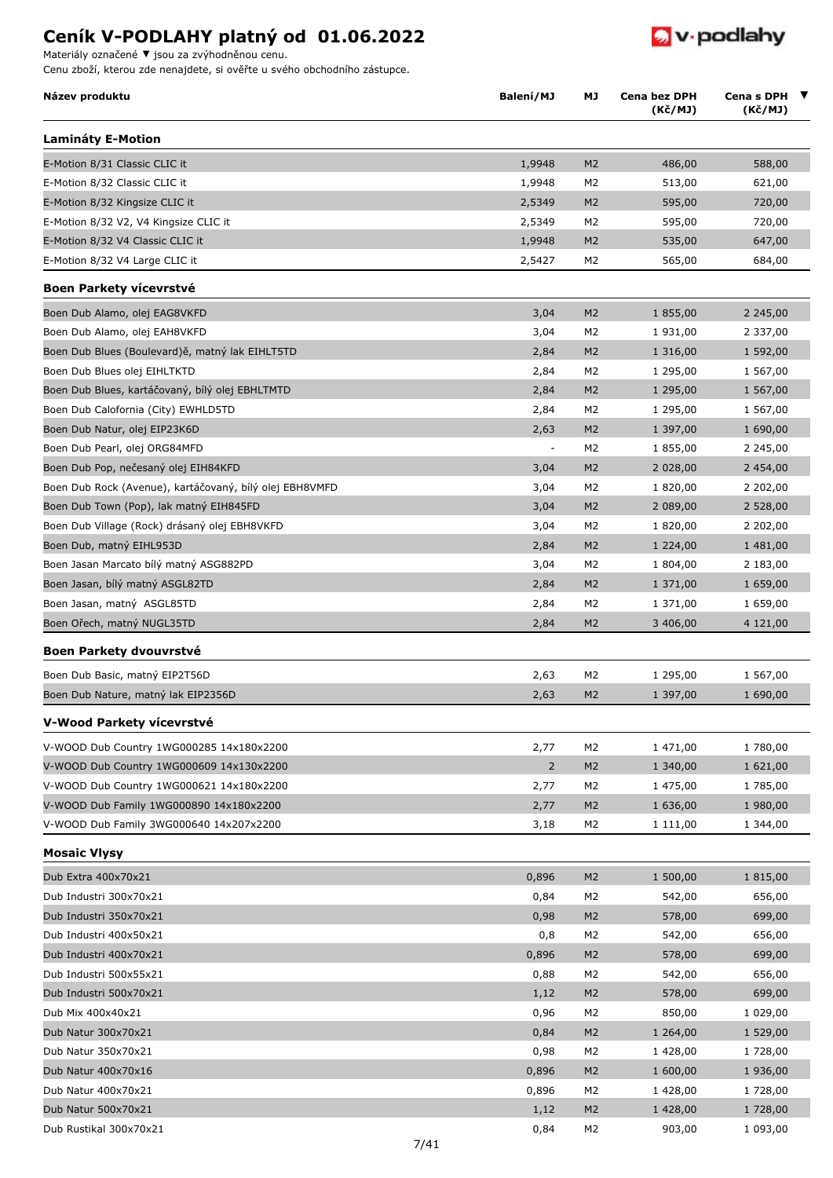Materiály označené **▼** jsou za zvýhodněnou cenu.

Cenu zboží, kterou zde nenajdete, si ověřte u svého obchodního zástupce.

| Název produktu                                          | Balení/MJ      | МJ             | Cena bez DPH<br>(Kč/MJ) | Cena s DPH<br>(Kč/MJ) | ▼ |
|---------------------------------------------------------|----------------|----------------|-------------------------|-----------------------|---|
| <b>Lamináty E-Motion</b>                                |                |                |                         |                       |   |
| E-Motion 8/31 Classic CLIC it                           | 1,9948         | M <sub>2</sub> | 486,00                  | 588,00                |   |
| E-Motion 8/32 Classic CLIC it                           | 1,9948         | M2             | 513,00                  | 621,00                |   |
| E-Motion 8/32 Kingsize CLIC it                          | 2,5349         | M <sub>2</sub> | 595,00                  | 720,00                |   |
| E-Motion 8/32 V2, V4 Kingsize CLIC it                   | 2,5349         | M <sub>2</sub> | 595,00                  | 720,00                |   |
| E-Motion 8/32 V4 Classic CLIC it                        | 1,9948         | M <sub>2</sub> | 535,00                  | 647,00                |   |
| E-Motion 8/32 V4 Large CLIC it                          | 2,5427         | M2             | 565,00                  | 684,00                |   |
| <b>Boen Parkety vícevrstvé</b>                          |                |                |                         |                       |   |
| Boen Dub Alamo, olej EAG8VKFD                           | 3,04           | M <sub>2</sub> | 1 855,00                | 2 2 4 5 , 0 0         |   |
| Boen Dub Alamo, olej EAH8VKFD                           | 3,04           | M <sub>2</sub> | 1 931,00                | 2 337,00              |   |
| Boen Dub Blues (Boulevard)ě, matný lak EIHLT5TD         | 2,84           | M <sub>2</sub> | 1 316,00                | 1 592,00              |   |
| Boen Dub Blues olej EIHLTKTD                            | 2,84           | M <sub>2</sub> | 1 295,00                | 1 567,00              |   |
| Boen Dub Blues, kartáčovaný, bílý olej EBHLTMTD         | 2,84           | M <sub>2</sub> | 1 295,00                | 1 567,00              |   |
| Boen Dub Calofornia (City) EWHLD5TD                     | 2,84           | M2             | 1 295,00                | 1 567,00              |   |
| Boen Dub Natur, olej EIP23K6D                           | 2,63           | M <sub>2</sub> | 1 397,00                | 1 690,00              |   |
| Boen Dub Pearl, olej ORG84MFD                           | $\pm$          | M <sub>2</sub> | 1 855,00                | 2 245,00              |   |
| Boen Dub Pop, nečesaný olej EIH84KFD                    | 3,04           | M <sub>2</sub> | 2 028,00                | 2 454,00              |   |
| Boen Dub Rock (Avenue), kartáčovaný, bílý olej EBH8VMFD | 3,04           | M <sub>2</sub> | 1 820,00                | 2 202,00              |   |
| Boen Dub Town (Pop), lak matný EIH845FD                 | 3,04           | M <sub>2</sub> | 2 089,00                | 2 528,00              |   |
| Boen Dub Village (Rock) drásaný olej EBH8VKFD           | 3,04           | M <sub>2</sub> | 1 820,00                | 2 202,00              |   |
| Boen Dub, matný EIHL953D                                | 2,84           | M <sub>2</sub> | 1 2 2 4 , 0 0           | 1 481,00              |   |
| Boen Jasan Marcato bílý matný ASG882PD                  | 3,04           | M2             | 1 804,00                | 2 183,00              |   |
| Boen Jasan, bílý matný ASGL82TD                         | 2,84           | M <sub>2</sub> | 1 371,00                | 1 659,00              |   |
| Boen Jasan, matný ASGL85TD                              | 2,84           | M <sub>2</sub> | 1 371,00                | 1 659,00              |   |
| Boen Ořech, matný NUGL35TD                              | 2,84           | M <sub>2</sub> | 3 406,00                | 4 121,00              |   |
| Boen Parkety dvouvrstvé                                 |                |                |                         |                       |   |
| Boen Dub Basic, matný EIP2T56D                          | 2,63           | M <sub>2</sub> | 1 295,00                | 1 567,00              |   |
| Boen Dub Nature, matný lak EIP2356D                     | 2,63           | M <sub>2</sub> | 1 397,00                | 1 690,00              |   |
| V-Wood Parkety vícevrstvé                               |                |                |                         |                       |   |
| V-WOOD Dub Country 1WG000285 14x180x2200                | 2,77           | M <sub>2</sub> | 1 471,00                | 1 780,00              |   |
| V-WOOD Dub Country 1WG000609 14x130x2200                | $\overline{2}$ | M <sub>2</sub> | 1 340,00                | 1 621,00              |   |
| V-WOOD Dub Country 1WG000621 14x180x2200                | 2,77           | M <sub>2</sub> | 1 475,00                | 1 785,00              |   |
| V-WOOD Dub Family 1WG000890 14x180x2200                 | 2,77           | M <sub>2</sub> | 1 636,00                | 1 980,00              |   |
| V-WOOD Dub Family 3WG000640 14x207x2200                 | 3,18           | M2             | 1 111,00                | 1 344,00              |   |
| <b>Mosaic Vlysy</b>                                     |                |                |                         |                       |   |
| Dub Extra 400x70x21                                     | 0,896          | M <sub>2</sub> | 1 500,00                | 1 815,00              |   |
| Dub Industri 300x70x21                                  | 0,84           | M <sub>2</sub> | 542,00                  | 656,00                |   |
| Dub Industri 350x70x21                                  | 0,98           | M <sub>2</sub> | 578,00                  | 699,00                |   |
| Dub Industri 400x50x21                                  | 0,8            | M2             | 542,00                  | 656,00                |   |
| Dub Industri 400x70x21                                  | 0,896          | M <sub>2</sub> | 578,00                  | 699,00                |   |
| Dub Industri 500x55x21                                  | 0,88           | M <sub>2</sub> | 542,00                  | 656,00                |   |
| Dub Industri 500x70x21                                  | 1,12           | M <sub>2</sub> | 578,00                  | 699,00                |   |
| Dub Mix 400x40x21                                       | 0,96           | M <sub>2</sub> | 850,00                  | 1 029,00              |   |
| Dub Natur 300x70x21                                     | 0,84           | M <sub>2</sub> | 1 264,00                | 1 529,00              |   |
| Dub Natur 350x70x21                                     | 0,98           | M2             | 1428,00                 | 1 728,00              |   |
| Dub Natur 400x70x16                                     | 0,896          | M <sub>2</sub> | 1 600,00                | 1 936,00              |   |
| Dub Natur 400x70x21                                     | 0,896          | M <sub>2</sub> | 1 428,00                | 1 728,00              |   |
| Dub Natur 500x70x21                                     | 1,12           | M <sub>2</sub> | 1 428,00                | 1 728,00              |   |
| Dub Rustikal 300x70x21                                  | 0,84           | M <sub>2</sub> | 903,00                  | 1 093,00              |   |

 $\bullet$  v podlahy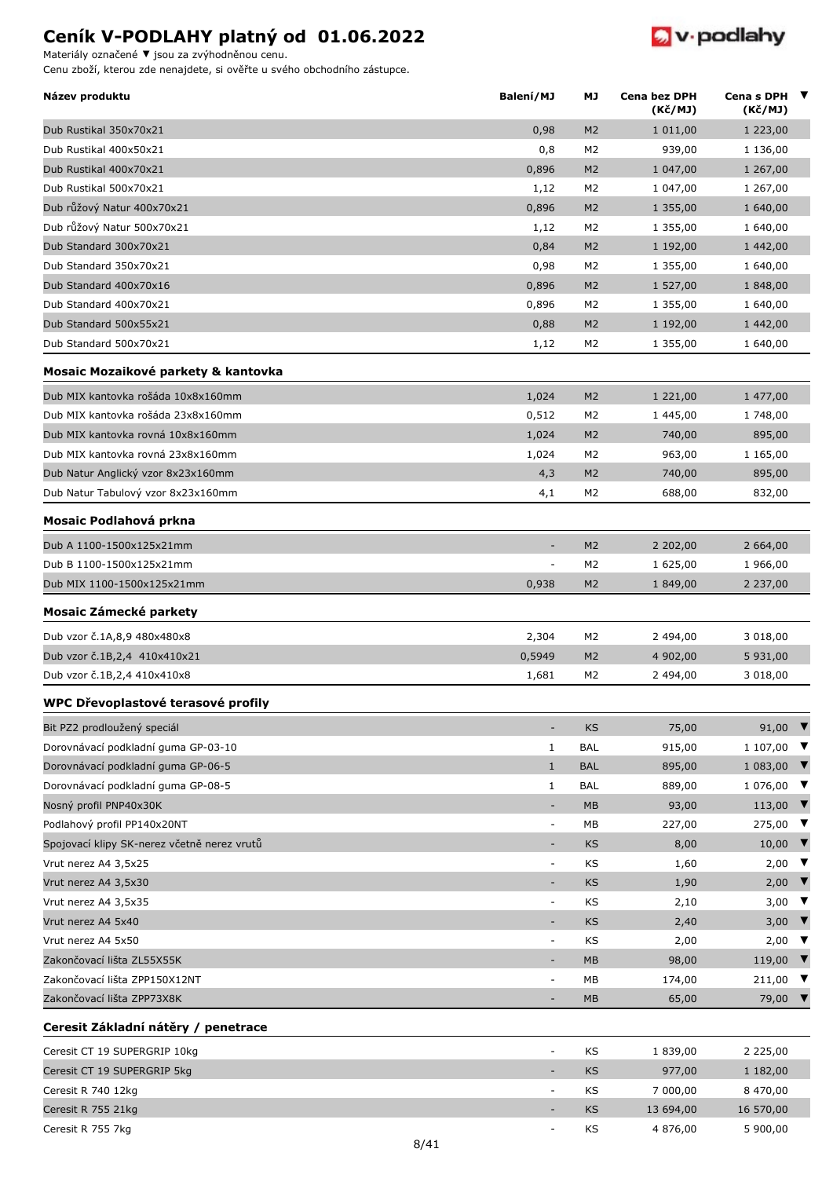Cenu zboží, kterou zde nenajdete, si ověřte u svého obchodního zástupce. Materiály označené **▼** jsou za zvýhodněnou cenu.

**D** v podlahy

| Název produktu                              | Balení/MJ                | МJ             | Cena bez DPH<br>(Kč/MJ) | Cena s DPH $\blacktriangledown$<br>(Kč/MJ) |
|---------------------------------------------|--------------------------|----------------|-------------------------|--------------------------------------------|
| Dub Rustikal 350x70x21                      | 0,98                     | M <sub>2</sub> | 1 011,00                | 1 223,00                                   |
| Dub Rustikal 400x50x21                      | 0,8                      | M <sub>2</sub> | 939,00                  | 1 136,00                                   |
| Dub Rustikal 400x70x21                      | 0,896                    | M <sub>2</sub> | 1 047,00                | 1 267,00                                   |
| Dub Rustikal 500x70x21                      | 1,12                     | M <sub>2</sub> | 1 047,00                | 1 267,00                                   |
| Dub růžový Natur 400x70x21                  | 0,896                    | M <sub>2</sub> | 1 355,00                | 1 640,00                                   |
| Dub růžový Natur 500x70x21                  | 1,12                     | M <sub>2</sub> | 1 355,00                | 1 640,00                                   |
| Dub Standard 300x70x21                      | 0,84                     | M <sub>2</sub> | 1 192,00                | 1 442,00                                   |
| Dub Standard 350x70x21                      | 0,98                     | M <sub>2</sub> | 1 355,00                | 1 640,00                                   |
| Dub Standard 400x70x16                      | 0,896                    | M <sub>2</sub> | 1 527,00                | 1 848,00                                   |
| Dub Standard 400x70x21                      | 0,896                    | M <sub>2</sub> | 1 355,00                | 1 640,00                                   |
| Dub Standard 500x55x21                      | 0,88                     | M <sub>2</sub> | 1 192,00                | 1 442,00                                   |
| Dub Standard 500x70x21                      | 1,12                     | M <sub>2</sub> | 1 355,00                | 1 640,00                                   |
| Mosaic Mozaikové parkety & kantovka         |                          |                |                         |                                            |
| Dub MIX kantovka rošáda 10x8x160mm          | 1,024                    | M <sub>2</sub> | 1 221,00                | 1 477,00                                   |
| Dub MIX kantovka rošáda 23x8x160mm          | 0,512                    | M <sub>2</sub> | 1 445,00                | 1 748,00                                   |
| Dub MIX kantovka rovná 10x8x160mm           | 1,024                    | M <sub>2</sub> | 740,00                  | 895,00                                     |
| Dub MIX kantovka rovná 23x8x160mm           | 1,024                    | M <sub>2</sub> | 963,00                  | 1 165,00                                   |
| Dub Natur Anglický vzor 8x23x160mm          | 4,3                      | M <sub>2</sub> | 740,00                  | 895,00                                     |
| Dub Natur Tabulový vzor 8x23x160mm          | 4,1                      | M <sub>2</sub> | 688,00                  | 832,00                                     |
| Mosaic Podlahová prkna                      |                          |                |                         |                                            |
| Dub A 1100-1500x125x21mm                    | $\overline{\phantom{a}}$ | M <sub>2</sub> | 2 202,00                | 2 664,00                                   |
| Dub B 1100-1500x125x21mm                    |                          | M2             | 1 625,00                | 1 966,00                                   |
| Dub MIX 1100-1500x125x21mm                  | 0,938                    | M <sub>2</sub> | 1 849,00                | 2 237,00                                   |
| Mosaic Zámecké parkety                      |                          |                |                         |                                            |
| Dub vzor č.1A,8,9 480x480x8                 | 2,304                    | M <sub>2</sub> | 2 494,00                | 3 018,00                                   |
| Dub vzor č.1B,2,4 410x410x21                | 0,5949                   | M <sub>2</sub> | 4 902,00                | 5 931,00                                   |
| Dub vzor č.1B,2,4 410x410x8                 | 1,681                    | M <sub>2</sub> | 2 494,00                | 3 018,00                                   |
| WPC Dřevoplastové terasové profily          |                          |                |                         |                                            |
| Bit PZ2 prodloužený speciál                 |                          | KS             | 75,00                   | 91,00 $\blacktriangledown$                 |
| Dorovnávací podkladní guma GP-03-10         | $\mathbf{1}$             | <b>BAL</b>     | 915,00                  | 1 107,00<br>$\blacksquare$                 |
| Dorovnávací podkladní guma GP-06-5          | $\mathbf{1}$             | <b>BAL</b>     | 895,00                  | 1 083,00 $\blacktriangledown$              |
| Dorovnávací podkladní guma GP-08-5          | $\mathbf{1}$             | <b>BAL</b>     | 889,00                  | $1076,00$ $\blacktriangledown$             |
| Nosný profil PNP40x30K                      | $\overline{\phantom{a}}$ | MB             | 93,00                   | 113,00 $\blacktriangledown$                |
| Podlahový profil PP140x20NT                 | $\overline{\phantom{a}}$ | МB             | 227,00                  | 275,00 ▼                                   |
| Spojovací klipy SK-nerez včetně nerez vrutů |                          | <b>KS</b>      | 8,00                    | 10,00 $\blacktriangledown$                 |
| Vrut nerez A4 3,5x25                        | $\overline{\phantom{a}}$ | KS             | 1,60                    | 2,00 ▼                                     |
| Vrut nerez A4 3,5x30                        | $\overline{\phantom{a}}$ | KS             | 1,90                    | 2,00 $\blacktriangledown$                  |
| Vrut nerez A4 3,5x35                        | $\overline{\phantom{a}}$ | KS             | 2,10                    | 3,00<br>$\blacksquare$                     |
| Vrut nerez A4 5x40                          | $\overline{a}$           | KS             | 2,40                    | 3,00 $\blacktriangledown$                  |
| Vrut nerez A4 5x50                          | $\overline{\phantom{a}}$ | KS             | 2,00                    | $2,00$ ▼                                   |
| Zakončovací lišta ZL55X55K                  |                          | MB             | 98,00                   | 119,00 $\blacktriangledown$                |
| Zakončovací lišta ZPP150X12NT               | $\overline{\phantom{a}}$ | МB             | 174,00                  | 211,00 $\blacktriangledown$                |
| Zakončovací lišta ZPP73X8K                  | $\overline{\phantom{a}}$ | <b>MB</b>      | 65,00                   | 79,00 $\blacktriangledown$                 |
| Ceresit Základní nátěry / penetrace         |                          |                |                         |                                            |
| Ceresit CT 19 SUPERGRIP 10kg                | $\overline{\phantom{a}}$ | KS             | 1 839,00                | 2 2 2 5 , 0 0                              |
| Ceresit CT 19 SUPERGRIP 5kg                 |                          | KS             | 977,00                  | 1 182,00                                   |
| Ceresit R 740 12kg                          | $\overline{\phantom{a}}$ | KS             | 7 000,00                | 8 470,00                                   |
| Ceresit R 755 21kg                          |                          | <b>KS</b>      | 13 694,00               | 16 570,00                                  |
| Ceresit R 755 7kg                           |                          | KS             | 4 876,00                | 5 900,00                                   |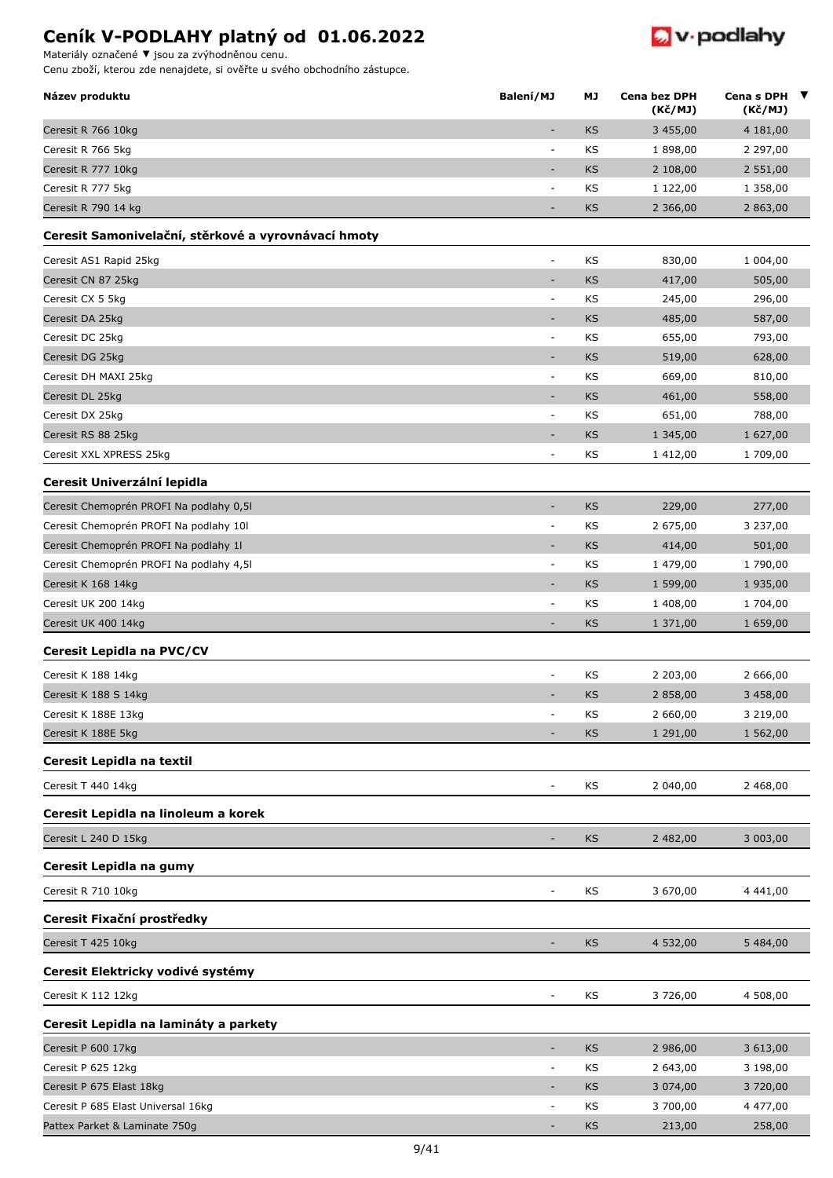Materiály označené **▼** jsou za zvýhodněnou cenu.

Cenu zboží, kterou zde nenajdete, si ověřte u svého obchodního zástupce.

| Název produktu                                      | Balení/MJ                | МJ | Cena bez DPH<br>(K <sub>C</sub> /MJ) | Cena s DPH ▼<br>(Kč/MJ) |  |
|-----------------------------------------------------|--------------------------|----|--------------------------------------|-------------------------|--|
| Ceresit R 766 10kg                                  | ٠                        | KS | 3 455,00                             | 4 181,00                |  |
| Ceresit R 766 5kg                                   | $\overline{\phantom{a}}$ | KS | 1 898,00                             | 2 297,00                |  |
| Ceresit R 777 10kg                                  |                          | KS | 2 108,00                             | 2 551,00                |  |
| Ceresit R 777 5kg                                   | $\overline{\phantom{a}}$ | KS | 1 122,00                             | 1 358,00                |  |
| Ceresit R 790 14 kg                                 | ٠                        | KS | 2 366,00                             | 2 863,00                |  |
| Ceresit Samonivelační, stěrkové a vyrovnávací hmoty |                          |    |                                      |                         |  |
| Ceresit AS1 Rapid 25kg                              | ÷,                       | KS | 830,00                               | 1 004,00                |  |
| Ceresit CN 87 25kg                                  | $\overline{\phantom{a}}$ | KS | 417,00                               | 505,00                  |  |
| Ceresit CX 5 5kg                                    | $\overline{\phantom{a}}$ | KS | 245,00                               | 296,00                  |  |
| Ceresit DA 25kg                                     | $\sim$                   | KS | 485,00                               | 587,00                  |  |
| Ceresit DC 25kg                                     | $\overline{\phantom{a}}$ | KS | 655,00                               | 793,00                  |  |
| Ceresit DG 25kg                                     |                          | KS | 519,00                               | 628,00                  |  |
| Ceresit DH MAXI 25kg                                | $\overline{\phantom{a}}$ | ΚS | 669,00                               | 810,00                  |  |
| Ceresit DL 25kg                                     | ٠                        | KS | 461,00                               | 558,00                  |  |
| Ceresit DX 25kg                                     | $\overline{\phantom{a}}$ | KS | 651,00                               | 788,00                  |  |
| Ceresit RS 88 25kg                                  | ٠                        | KS | 1 345,00                             | 1 627,00                |  |
| Ceresit XXL XPRESS 25kg                             | $\equiv$                 | KS | 1412,00                              | 1 709,00                |  |
| Ceresit Univerzální lepidla                         |                          |    |                                      |                         |  |
| Ceresit Chemoprén PROFI Na podlahy 0,51             | $\overline{\phantom{a}}$ | KS | 229,00                               | 277,00                  |  |
| Ceresit Chemoprén PROFI Na podlahy 10l              | $\sim$                   | KS | 2 675,00                             | 3 237,00                |  |
| Ceresit Chemoprén PROFI Na podlahy 1l               | $\overline{\phantom{a}}$ | KS | 414,00                               | 501,00                  |  |
| Ceresit Chemoprén PROFI Na podlahy 4,51             | $\overline{\phantom{a}}$ | KS | 1 479,00                             | 1 790,00                |  |
| Ceresit K 168 14kg                                  | ٠                        | KS | 1 599,00                             | 1 935,00                |  |
| Ceresit UK 200 14kg                                 | $\sim$                   | KS | 1 408,00                             | 1 704,00                |  |
| Ceresit UK 400 14kg                                 | $\overline{\phantom{a}}$ | KS | 1 371,00                             | 1 659,00                |  |
| Ceresit Lepidla na PVC/CV                           |                          |    |                                      |                         |  |
| Ceresit K 188 14kg                                  | $\overline{\phantom{a}}$ | KS | 2 203,00                             | 2 666,00                |  |
| Ceresit K 188 S 14kg                                |                          | KS | 2 858,00                             | 3 458,00                |  |
| Ceresit K 188E 13kg                                 |                          | KS | 2 660,00                             | 3 219,00                |  |
| Ceresit K 188E 5kg                                  | $\overline{\phantom{a}}$ | KS | 1 291,00                             | 1 562,00                |  |
| Ceresit Lepidla na textil                           |                          |    |                                      |                         |  |
| Ceresit T 440 14kg                                  |                          | KS | 2 040,00                             | 2 468,00                |  |
| Ceresit Lepidla na linoleum a korek                 |                          |    |                                      |                         |  |
| Ceresit L 240 D 15kg                                | ٠                        | KS | 2 482,00                             | 3 003,00                |  |
| Ceresit Lepidla na gumy                             |                          |    |                                      |                         |  |
| Ceresit R 710 10kg                                  | $\overline{\phantom{a}}$ | KS | 3 670,00                             | 4 441,00                |  |
| Ceresit Fixační prostředky                          |                          |    |                                      |                         |  |
| Ceresit T 425 10kg                                  | ٠                        | KS | 4 532,00                             | 5 484,00                |  |
| Ceresit Elektricky vodivé systémy                   |                          |    |                                      |                         |  |
| Ceresit K 112 12kg                                  | $\sim$                   | KS | 3726,00                              | 4 508,00                |  |
| Ceresit Lepidla na lamináty a parkety               |                          |    |                                      |                         |  |
| Ceresit P 600 17kg                                  | $\overline{\phantom{a}}$ | KS | 2 986,00                             | 3 613,00                |  |
| Ceresit P 625 12kg                                  | $\overline{\phantom{a}}$ | KS | 2 643,00                             | 3 198,00                |  |
| Ceresit P 675 Elast 18kg                            |                          | KS | 3 074,00                             | 3720,00                 |  |
| Ceresit P 685 Elast Universal 16kg                  | $\overline{\phantom{a}}$ | KS | 3700,00                              | 4 477,00                |  |
| Pattex Parket & Laminate 750g                       |                          | KS | 213,00                               | 258,00                  |  |

 $\bullet$  v podlahy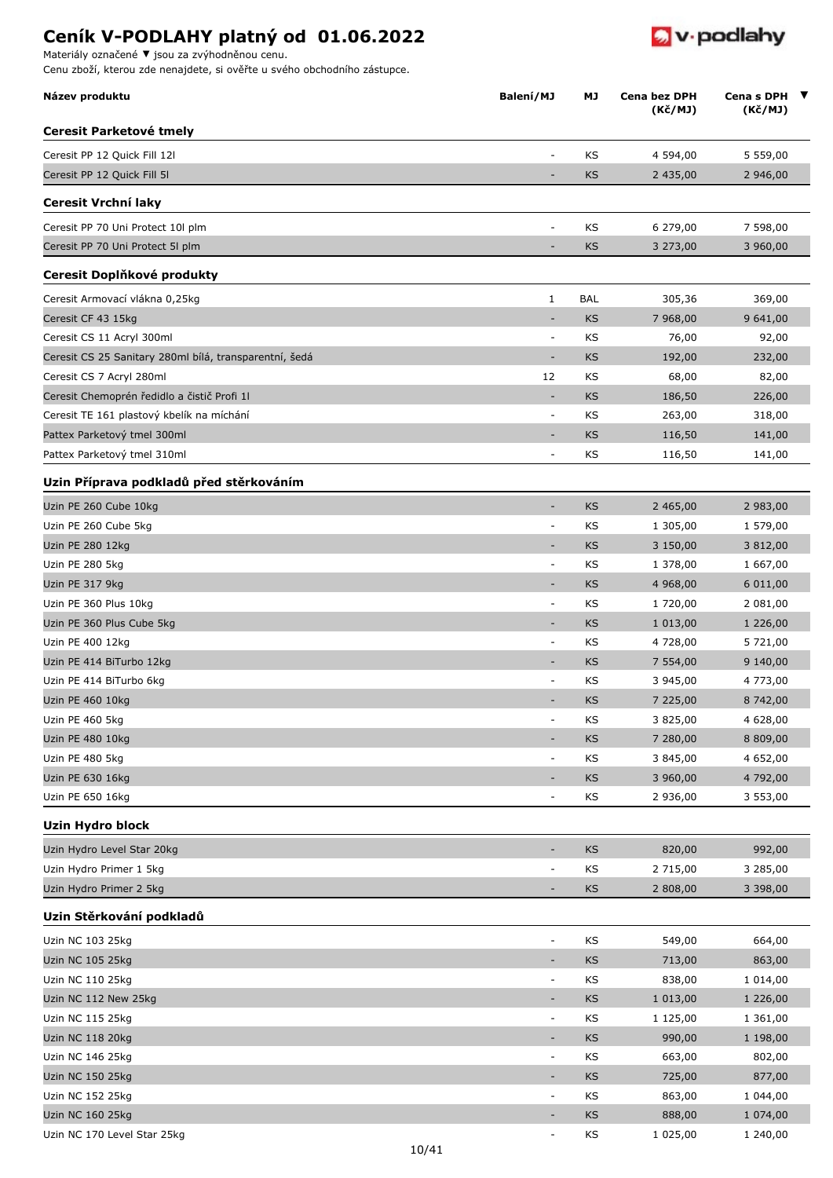Materiály označené **▼** jsou za zvýhodněnou cenu.

Cenu zboží, kterou zde nenajdete, si ověřte u svého obchodního zástupce.

| Název produktu                                         | Balení/MJ                | МJ                                                                | <b>Cena bez DPH</b><br>(Kč/MJ) | Cena s DPH $\blacktriangledown$<br>(Kč/MJ) |
|--------------------------------------------------------|--------------------------|-------------------------------------------------------------------|--------------------------------|--------------------------------------------|
| Ceresit Parketové tmely                                |                          |                                                                   |                                |                                            |
| Ceresit PP 12 Quick Fill 12l                           | $\overline{\phantom{a}}$ | KS                                                                | 4 594,00                       | 5 559,00                                   |
| Ceresit PP 12 Quick Fill 5I                            |                          | KS                                                                | 2 435,00                       | 2 946,00                                   |
| Ceresit Vrchní laky                                    |                          |                                                                   |                                |                                            |
| Ceresit PP 70 Uni Protect 10l plm                      | ٠                        | KS                                                                | 6 279,00                       | 7 598,00                                   |
| Ceresit PP 70 Uni Protect 5I plm                       |                          | KS                                                                | 3 273,00                       | 3 960,00                                   |
| Ceresit Doplňkové produkty                             |                          |                                                                   |                                |                                            |
| Ceresit Armovací vlákna 0,25kg                         | $\mathbf{1}$             | <b>BAL</b>                                                        | 305,36                         | 369,00                                     |
| Ceresit CF 43 15kg                                     | ٠                        | KS                                                                | 7 968,00                       | 9 641,00                                   |
| Ceresit CS 11 Acryl 300ml                              | $\overline{\phantom{a}}$ | KS                                                                | 76,00                          | 92,00                                      |
| Ceresit CS 25 Sanitary 280ml bílá, transparentní, šedá |                          | KS                                                                | 192,00                         | 232,00                                     |
| Ceresit CS 7 Acryl 280ml                               | 12                       | KS                                                                | 68,00                          | 82,00                                      |
| Ceresit Chemoprén ředidlo a čistič Profi 11            |                          | KS                                                                | 186,50                         | 226,00                                     |
| Ceresit TE 161 plastový kbelík na míchání              | ٠                        | KS                                                                | 263,00                         | 318,00                                     |
| Pattex Parketový tmel 300ml                            |                          | KS                                                                | 116,50                         | 141,00                                     |
| Pattex Parketový tmel 310ml                            | $\overline{\phantom{a}}$ | KS                                                                | 116,50                         | 141,00                                     |
| Uzin Příprava podkladů před stěrkováním                |                          |                                                                   |                                |                                            |
| Uzin PE 260 Cube 10kg                                  | $\overline{\phantom{a}}$ | KS                                                                | 2 465,00                       | 2 983,00                                   |
| Uzin PE 260 Cube 5kg                                   |                          | KS                                                                | 1 305,00                       | 1 579,00                                   |
| Uzin PE 280 12kg                                       | $\overline{\phantom{a}}$ | KS                                                                | 3 150,00                       | 3 812,00                                   |
| Uzin PE 280 5kg                                        | ٠                        | KS                                                                | 1 378,00                       | 1 667,00                                   |
| Uzin PE 317 9kg                                        | $\overline{\phantom{a}}$ | KS                                                                | 4 968,00                       | 6 011,00                                   |
| Uzin PE 360 Plus 10kg                                  | $\overline{\phantom{a}}$ | KS                                                                | 1 720,00                       | 2 081,00                                   |
| Uzin PE 360 Plus Cube 5kg                              | ٠                        | KS                                                                | 1 013,00                       | 1 226,00                                   |
| Uzin PE 400 12kg                                       | ٠                        | KS                                                                | 4 728,00                       | 5 721,00                                   |
| Uzin PE 414 BiTurbo 12kg                               |                          | KS                                                                | 7 554,00                       | 9 140,00                                   |
| Uzin PE 414 BiTurbo 6kg                                |                          | KS                                                                | 3 945,00                       | 4 773,00                                   |
| Uzin PE 460 10kg                                       |                          | KS                                                                | 7 225,00                       | 8 742,00                                   |
| Uzin PE 460 5kg                                        | $\overline{\phantom{a}}$ | KS                                                                | 3 825,00                       | 4 628,00                                   |
| Uzin PE 480 10kg                                       | $\overline{\phantom{a}}$ | KS                                                                | 7 280,00                       | 8 809,00                                   |
| Uzin PE 480 5kg                                        | $\overline{\phantom{a}}$ | KS                                                                | 3 845,00                       | 4 652,00                                   |
| Uzin PE 630 16kg                                       |                          | $\mathsf{KS}% _{\mathsf{K}}^{\mathsf{K}}\left( \mathsf{K}\right)$ | 3 960,00                       | 4 792,00                                   |
| Uzin PE 650 16kg                                       | $\blacksquare$           | KS                                                                | 2 936,00                       | 3 553,00                                   |
| <b>Uzin Hydro block</b>                                |                          |                                                                   |                                |                                            |
| Uzin Hydro Level Star 20kg                             | $\overline{\phantom{a}}$ | KS                                                                | 820,00                         | 992,00                                     |
| Uzin Hydro Primer 1 5kg                                | $\overline{\phantom{a}}$ | KS                                                                | 2 715,00                       | 3 285,00                                   |
| Uzin Hydro Primer 2 5kg                                | ÷                        | KS                                                                | 2 808,00                       | 3 3 9 8 , 0 0                              |
| Uzin Stěrkování podkladů                               |                          |                                                                   |                                |                                            |
| Uzin NC 103 25kg                                       | $\overline{\phantom{a}}$ | KS                                                                | 549,00                         | 664,00                                     |
| Uzin NC 105 25kg                                       | ÷                        | KS                                                                | 713,00                         | 863,00                                     |
| Uzin NC 110 25kg                                       | $\overline{\phantom{0}}$ | KS                                                                | 838,00                         | 1 014,00                                   |
| Uzin NC 112 New 25kg                                   | $\blacksquare$           | KS                                                                | 1 013,00                       | 1 226,00                                   |
| Uzin NC 115 25kg                                       | $\blacksquare$           | KS                                                                | 1 125,00                       | 1 361,00                                   |
| Uzin NC 118 20kg                                       | $\overline{\phantom{a}}$ | KS                                                                | 990,00                         | 1 198,00                                   |
| Uzin NC 146 25kg                                       | $\blacksquare$           | KS                                                                | 663,00                         | 802,00                                     |
| Uzin NC 150 25kg                                       | $\blacksquare$           | KS                                                                | 725,00                         | 877,00                                     |
| Uzin NC 152 25kg                                       | $\overline{\phantom{a}}$ | KS                                                                | 863,00                         | 1 044,00                                   |
| Uzin NC 160 25kg                                       | -                        | KS                                                                | 888,00                         | 1 074,00                                   |
| Uzin NC 170 Level Star 25kg                            | $\overline{\phantom{a}}$ | KS                                                                | 1 025,00                       | 1 240,00                                   |

 $\bullet$  v podlahy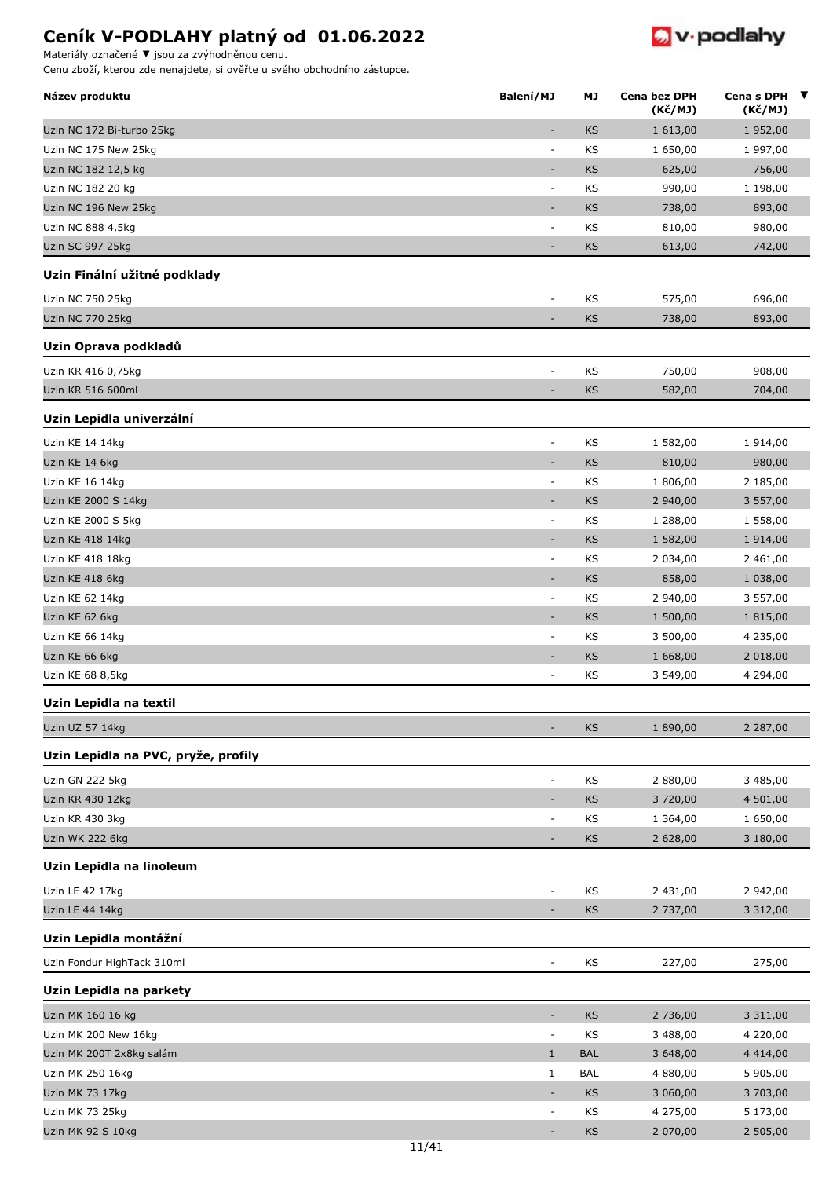

Materiály označené **▼** jsou za zvýhodněnou cenu.

| Název produktu                      | Balení/MJ                | МJ         | Cena bez DPH<br>(Kč/MJ) | Cena s DPH ▼<br>(Kč/MJ) |  |
|-------------------------------------|--------------------------|------------|-------------------------|-------------------------|--|
| Uzin NC 172 Bi-turbo 25kg           | ÷,                       | KS         | 1 613,00                | 1 952,00                |  |
| Uzin NC 175 New 25kg                | $\overline{\phantom{a}}$ | KS         | 1 650,00                | 1 997,00                |  |
| Uzin NC 182 12,5 kg                 | ٠                        | <b>KS</b>  | 625,00                  | 756,00                  |  |
| Uzin NC 182 20 kg                   | $\overline{\phantom{a}}$ | KS         | 990,00                  | 1 198,00                |  |
| Uzin NC 196 New 25kg                | $\overline{\phantom{a}}$ | KS         | 738,00                  | 893,00                  |  |
| Uzin NC 888 4,5kg                   | $\overline{\phantom{a}}$ | KS         | 810,00                  | 980,00                  |  |
| <b>Uzin SC 997 25kg</b>             | $\overline{\phantom{a}}$ | <b>KS</b>  | 613,00                  | 742,00                  |  |
| Uzin Finální užitné podklady        |                          |            |                         |                         |  |
| Uzin NC 750 25kg                    |                          | KS         | 575,00                  | 696,00                  |  |
| Uzin NC 770 25kg                    |                          | KS         | 738,00                  | 893,00                  |  |
| Uzin Oprava podkladů                |                          |            |                         |                         |  |
| Uzin KR 416 0,75kg                  | $\overline{\phantom{a}}$ | KS         | 750,00                  | 908,00                  |  |
| Uzin KR 516 600ml                   |                          | KS         | 582,00                  | 704,00                  |  |
| Uzin Lepidla univerzální            |                          |            |                         |                         |  |
| Uzin KE 14 14kg                     | $\overline{\phantom{a}}$ | KS         | 1 582,00                | 1 914,00                |  |
| Uzin KE 14 6kg                      | $\overline{\phantom{a}}$ | KS         | 810,00                  | 980,00                  |  |
| Uzin KE 16 14kg                     | $\overline{\phantom{a}}$ | KS         | 1 806,00                | 2 185,00                |  |
| Uzin KE 2000 S 14kg                 | $\overline{\phantom{a}}$ | KS         | 2 940,00                | 3 557,00                |  |
| Uzin KE 2000 S 5kg                  | $\overline{\phantom{a}}$ | KS         | 1 288,00                | 1 558,00                |  |
| Uzin KE 418 14kg                    | $\overline{\phantom{a}}$ | <b>KS</b>  | 1 582,00                | 1 914,00                |  |
| Uzin KE 418 18kg                    | $\overline{a}$           | KS         | 2 034,00                | 2 461,00                |  |
| Uzin KE 418 6kg                     | $\overline{\phantom{a}}$ | <b>KS</b>  | 858,00                  | 1 038,00                |  |
| Uzin KE 62 14kg                     | $\overline{\phantom{a}}$ | KS         | 2 940,00                | 3 557,00                |  |
| Uzin KE 62 6kg                      | $\overline{\phantom{a}}$ | KS         | 1 500,00                | 1 815,00                |  |
| Uzin KE 66 14kg                     | $\overline{\phantom{a}}$ | KS         | 3 500,00                | 4 235,00                |  |
| Uzin KE 66 6kg                      | $\overline{\phantom{a}}$ | <b>KS</b>  | 1 668,00                | 2 018,00                |  |
| Uzin KE 68 8,5kg                    | $\overline{a}$           | KS         | 3 549,00                | 4 294,00                |  |
| Uzin Lepidla na textil              |                          |            |                         |                         |  |
| Uzin UZ 57 14kg                     |                          | <b>KS</b>  | 1890,00                 | 2 287,00                |  |
| Uzin Lepidla na PVC, pryže, profily |                          |            |                         |                         |  |
| Uzin GN 222 5kg                     | $\overline{\phantom{a}}$ | KS         | 2 880,00                | 3 485,00                |  |
| Uzin KR 430 12kg                    | $\overline{\phantom{a}}$ | KS         | 3720,00                 | 4 501,00                |  |
| Uzin KR 430 3kg                     | ÷,                       | KS         | 1 364,00                | 1 650,00                |  |
| Uzin WK 222 6kg                     | $\overline{\phantom{a}}$ | KS         | 2 628,00                | 3 180,00                |  |
| Uzin Lepidla na linoleum            |                          |            |                         |                         |  |
| Uzin LE 42 17kg                     | $\overline{a}$           | KS         | 2 431,00                | 2 942,00                |  |
| Uzin LE 44 14kg                     |                          | KS         | 2 737,00                | 3 3 1 2 , 0 0           |  |
| Uzin Lepidla montážní               |                          |            |                         |                         |  |
| Uzin Fondur HighTack 310ml          | $\overline{\phantom{a}}$ | KS         | 227,00                  | 275,00                  |  |
| Uzin Lepidla na parkety             |                          |            |                         |                         |  |
| Uzin MK 160 16 kg                   | $\overline{\phantom{a}}$ | KS         | 2 736,00                | 3 3 1 1 , 0 0           |  |
| Uzin MK 200 New 16kg                | $\blacksquare$           | KS         | 3 488,00                | 4 220,00                |  |
| Uzin MK 200T 2x8kg salám            | $\mathbf{1}$             | <b>BAL</b> | 3 648,00                | 4 4 1 4 , 0 0           |  |
| Uzin MK 250 16kg                    | 1                        | <b>BAL</b> | 4 880,00                | 5 905,00                |  |
| Uzin MK 73 17kg                     | $\overline{\phantom{a}}$ | KS         | 3 060,00                | 3 703,00                |  |
| Uzin MK 73 25kg                     | $\overline{\phantom{a}}$ | KS         | 4 275,00                | 5 173,00                |  |
| Uzin MK 92 S 10kg                   |                          | KS         | 2 070,00                | 2 505,00                |  |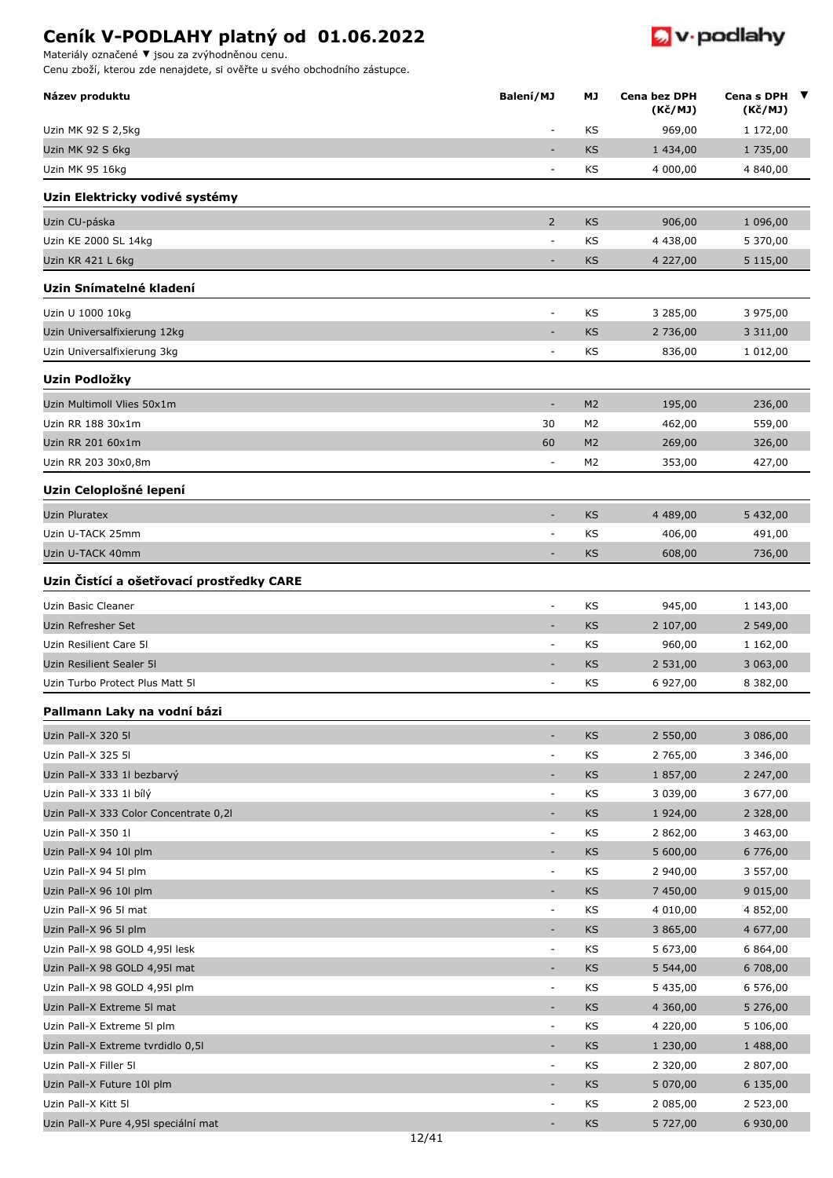Materiály označené **▼** jsou za zvýhodněnou cenu.



| Název produktu                                    | Balení/MJ                                            | МJ             | Cena bez DPH<br>(Kč/MJ) | Cena s DPH $\blacktriangledown$<br>(Kč/MJ) |
|---------------------------------------------------|------------------------------------------------------|----------------|-------------------------|--------------------------------------------|
| Uzin MK 92 S 2,5kg                                | $\overline{\phantom{a}}$                             | KS             | 969,00                  | 1 172,00                                   |
| Uzin MK 92 S 6kg                                  |                                                      | <b>KS</b>      | 1 434,00                | 1 735,00                                   |
| Uzin MK 95 16kg                                   | $\overline{\phantom{a}}$                             | KS             | 4 000,00                | 4 840,00                                   |
| Uzin Elektricky vodivé systémy                    |                                                      |                |                         |                                            |
| Uzin CU-páska                                     | $\overline{2}$                                       | <b>KS</b>      | 906,00                  | 1 096,00                                   |
| Uzin KE 2000 SL 14kg                              | $\overline{\phantom{a}}$                             | KS             | 4 4 38,00               | 5 370,00                                   |
| Uzin KR 421 L 6kg                                 | $\overline{\phantom{a}}$                             | KS             | 4 227,00                | 5 115,00                                   |
| Uzin Snímatelné kladení                           |                                                      |                |                         |                                            |
| Uzin U 1000 10kg                                  | $\overline{\phantom{a}}$                             | KS             | 3 285,00                | 3 975,00                                   |
| Uzin Universalfixierung 12kg                      | ٠                                                    | KS             | 2 736,00                | 3 3 1 1,00                                 |
| Uzin Universalfixierung 3kg                       | $\overline{a}$                                       | KS             | 836,00                  | 1 012,00                                   |
| Uzin Podložky                                     |                                                      |                |                         |                                            |
| Uzin Multimoll Vlies 50x1m                        | $\overline{\phantom{a}}$                             | M <sub>2</sub> | 195,00                  | 236,00                                     |
| Uzin RR 188 30x1m                                 | 30                                                   | M <sub>2</sub> | 462,00                  | 559,00                                     |
| Uzin RR 201 60x1m                                 | 60                                                   | M <sub>2</sub> | 269,00                  | 326,00                                     |
| Uzin RR 203 30x0,8m                               | $\overline{\phantom{a}}$                             | M2             | 353,00                  | 427,00                                     |
|                                                   |                                                      |                |                         |                                            |
| Uzin Celoplošné lepení                            | $\overline{\phantom{a}}$                             |                |                         |                                            |
| <b>Uzin Pluratex</b>                              |                                                      | <b>KS</b>      | 4 489,00                | 5 432,00                                   |
| Uzin U-TACK 25mm                                  | $\overline{\phantom{a}}$                             | KS             | 406,00                  | 491,00                                     |
| Uzin U-TACK 40mm                                  |                                                      | <b>KS</b>      | 608,00                  | 736,00                                     |
| Uzin Čistící a ošetřovací prostředky CARE         |                                                      |                |                         |                                            |
| Uzin Basic Cleaner                                | $\overline{\phantom{a}}$                             | KS             | 945,00                  | 1 143,00                                   |
| Uzin Refresher Set                                | $\overline{\phantom{a}}$                             | <b>KS</b>      | 2 107,00                | 2 549,00                                   |
| Uzin Resilient Care 51                            | $\overline{\phantom{a}}$                             | KS             | 960,00                  | 1 162,00                                   |
| Uzin Resilient Sealer 51                          |                                                      | <b>KS</b>      | 2 531,00                | 3 063,00                                   |
| Uzin Turbo Protect Plus Matt 51                   | $\overline{a}$                                       | ΚS             | 6 927,00                | 8 382,00                                   |
| Pallmann Laky na vodní bázi                       |                                                      |                |                         |                                            |
| Uzin Pall-X 320 5I                                | $\overline{\phantom{a}}$                             | <b>KS</b>      | 2 550,00                | 3 086,00                                   |
| Uzin Pall-X 325 5I                                | $\overline{\phantom{a}}$                             | KS             | 2 765,00                | 3 346,00                                   |
| Uzin Pall-X 333 1l bezbarvý                       | $\overline{\phantom{a}}$                             | KS             | 1 857,00                | 2 247,00                                   |
| Uzin Pall-X 333 1l bílý                           | $\overline{\phantom{a}}$                             | KS             | 3 039,00                | 3 677,00                                   |
| Uzin Pall-X 333 Color Concentrate 0,21            | $\overline{\phantom{a}}$                             | KS             | 1 924,00                | 2 3 2 8 , 0 0                              |
| Uzin Pall-X 350 1l                                | $\overline{\phantom{a}}$                             | KS             | 2 862,00                | 3 463,00                                   |
| Uzin Pall-X 94 10l plm                            | $\overline{\phantom{a}}$                             | KS             | 5 600,00                | 6 776,00                                   |
| Uzin Pall-X 94 5l plm                             | $\overline{\phantom{a}}$                             | KS             | 2 940,00                | 3 557,00                                   |
| Uzin Pall-X 96 10l plm                            | $\overline{\phantom{a}}$                             | KS             | 7 450,00                | 9 015,00                                   |
| Uzin Pall-X 96 5I mat                             | $\blacksquare$                                       | KS             | 4 010,00                | 4 852,00                                   |
| Uzin Pall-X 96 5l plm                             | ٠                                                    | KS             | 3 865,00                | 4 677,00                                   |
| Uzin Pall-X 98 GOLD 4,95l lesk                    | $\overline{\phantom{a}}$                             | KS             | 5 673,00                | 6 864,00                                   |
| Uzin Pall-X 98 GOLD 4,95I mat                     |                                                      | KS             | 5 544,00                | 6 708,00                                   |
| Uzin Pall-X 98 GOLD 4,95l plm                     | $\overline{\phantom{a}}$                             | KS             | 5 435,00                | 6 576,00                                   |
| Uzin Pall-X Extreme 5I mat                        | $\overline{\phantom{a}}$                             | KS             | 4 360,00                | 5 276,00                                   |
| Uzin Pall-X Extreme 5l plm                        | $\overline{\phantom{a}}$                             | KS             | 4 220,00                | 5 106,00                                   |
| Uzin Pall-X Extreme tvrdidlo 0,5l                 | $\overline{\phantom{a}}$                             | <b>KS</b>      | 1 230,00                | 1 488,00                                   |
| Uzin Pall-X Filler 5I                             | $\overline{\phantom{a}}$                             | KS             | 2 320,00                | 2 807,00                                   |
| Uzin Pall-X Future 10l plm<br>Uzin Pall-X Kitt 5I | $\overline{\phantom{a}}$<br>$\overline{\phantom{a}}$ | KS<br>KS       | 5 070,00<br>2 085,00    | 6 135,00<br>2 523,00                       |
| Uzin Pall-X Pure 4,95I speciální mat              |                                                      | KS             | 5 727,00                | 6 930,00                                   |
|                                                   |                                                      |                |                         |                                            |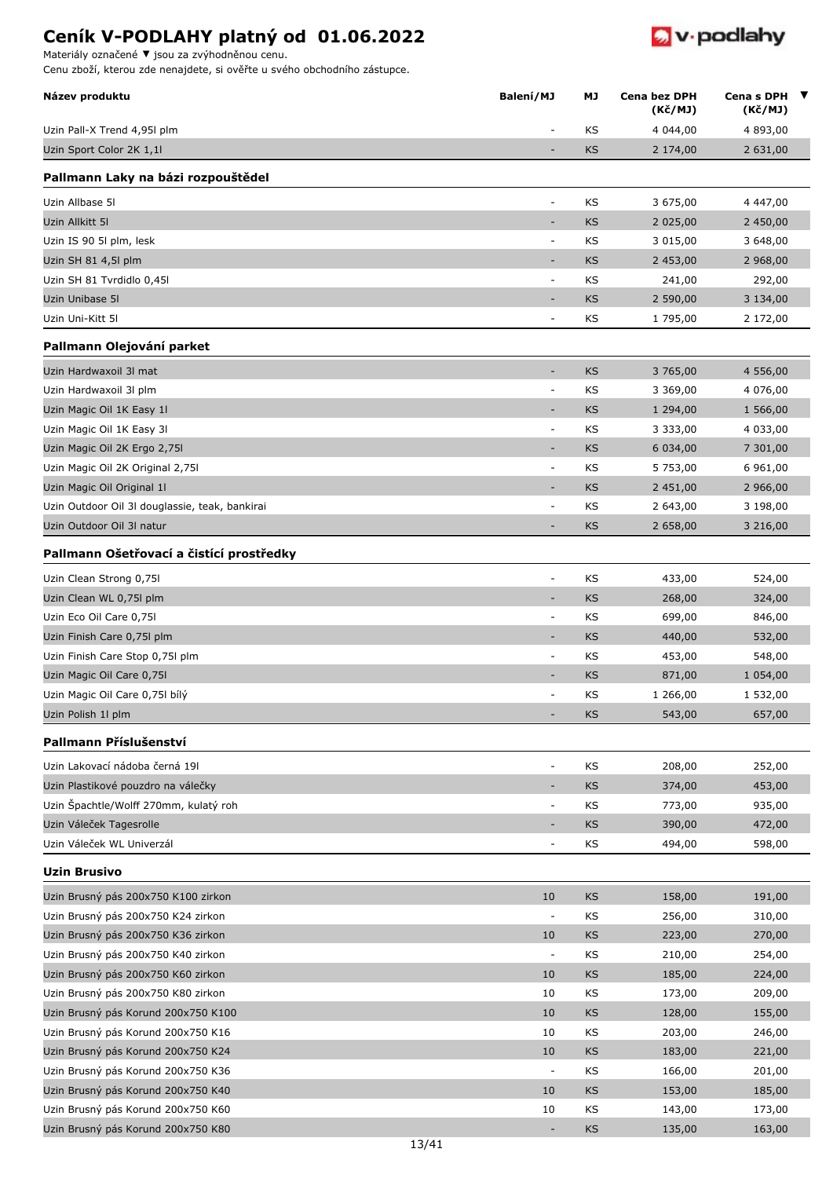Materiály označené **▼** jsou za zvýhodněnou cenu.

|  |  | <b>W</b> v podlahy |
|--|--|--------------------|
|--|--|--------------------|

| Název produktu                                 | Balení/MJ                | МJ        | Cena bez DPH<br>(Kč/MJ) | Cena s DPH<br>(Kč/MJ) | $\overline{\mathbf{v}}$ |
|------------------------------------------------|--------------------------|-----------|-------------------------|-----------------------|-------------------------|
| Uzin Pall-X Trend 4,95l plm                    |                          | KS        | 4 044,00                | 4 893,00              |                         |
| Uzin Sport Color 2K 1,1l                       | $\overline{\phantom{a}}$ | <b>KS</b> | 2 174,00                | 2 631,00              |                         |
| Pallmann Laky na bázi rozpouštědel             |                          |           |                         |                       |                         |
| Uzin Allbase 51                                |                          | KS        | 3 675,00                | 4 447,00              |                         |
| Uzin Allkitt 51                                | $\overline{\phantom{a}}$ | KS        | 2 0 2 5 , 0 0           | 2 450,00              |                         |
| Uzin IS 90 5l plm, lesk                        | $\overline{\phantom{a}}$ | KS        | 3 015,00                | 3 648,00              |                         |
| Uzin SH 81 4,5l plm                            |                          | KS        | 2 453,00                | 2 968,00              |                         |
| Uzin SH 81 Tvrdidlo 0,45l                      | $\overline{\phantom{a}}$ | ΚS        | 241,00                  | 292,00                |                         |
| Uzin Unibase 5I                                |                          | KS        | 2 590,00                | 3 134,00              |                         |
| Uzin Uni-Kitt 5I                               | $\overline{\phantom{a}}$ | KS        | 1 795,00                | 2 172,00              |                         |
| Pallmann Olejování parket                      |                          |           |                         |                       |                         |
| Uzin Hardwaxoil 3I mat                         | ٠                        | <b>KS</b> | 3 765,00                | 4 556,00              |                         |
| Uzin Hardwaxoil 3l plm                         | $\overline{a}$           | KS        | 3 369,00                | 4 076,00              |                         |
| Uzin Magic Oil 1K Easy 1l                      | ٠                        | KS        | 1 294,00                | 1 566,00              |                         |
| Uzin Magic Oil 1K Easy 3I                      | $\overline{\phantom{a}}$ | KS        | 3 3 3 3 , 0 0           | 4 033,00              |                         |
| Uzin Magic Oil 2K Ergo 2,75l                   | ٠                        | KS        | 6 0 34,00               | 7 301,00              |                         |
| Uzin Magic Oil 2K Original 2,75l               | $\overline{\phantom{a}}$ | KS        | 5 753,00                | 6 961,00              |                         |
| Uzin Magic Oil Original 1l                     |                          | KS        | 2 451,00                | 2 966,00              |                         |
| Uzin Outdoor Oil 3I douglassie, teak, bankirai | $\overline{\phantom{a}}$ | ΚS        | 2 643,00                | 3 198,00              |                         |
| Uzin Outdoor Oil 3I natur                      |                          | KS        | 2 658,00                | 3 216,00              |                         |
| Pallmann Ošetřovací a čistící prostředky       |                          |           |                         |                       |                         |
| Uzin Clean Strong 0,75l                        | $\overline{\phantom{a}}$ | KS        | 433,00                  | 524,00                |                         |
| Uzin Clean WL 0,75l plm                        | ٠                        | <b>KS</b> | 268,00                  | 324,00                |                         |
| Uzin Eco Oil Care 0,75l                        | $\overline{\phantom{a}}$ | KS        | 699,00                  | 846,00                |                         |
| Uzin Finish Care 0,75l plm                     | $\overline{\phantom{a}}$ | KS        | 440,00                  | 532,00                |                         |
| Uzin Finish Care Stop 0,75l plm                |                          | ΚS        | 453,00                  | 548,00                |                         |
| Uzin Magic Oil Care 0,75l                      |                          | KS        | 871,00                  | 1 054,00              |                         |
| Uzin Magic Oil Care 0,751 bílý                 | $\overline{\phantom{a}}$ | KS        | 1 266,00                | 1 532,00              |                         |
| Uzin Polish 1l plm                             |                          | KS        | 543,00                  | 657,00                |                         |
| Pallmann Příslušenství                         |                          |           |                         |                       |                         |
| Uzin Lakovací nádoba černá 191                 | $\overline{\phantom{a}}$ | KS        | 208,00                  | 252,00                |                         |
| Uzin Plastikové pouzdro na válečky             | $\overline{\phantom{a}}$ | KS        | 374,00                  | 453,00                |                         |
| Uzin Špachtle/Wolff 270mm, kulatý roh          | $\overline{\phantom{a}}$ | KS        | 773,00                  | 935,00                |                         |
| Uzin Váleček Tagesrolle                        | $\overline{\phantom{a}}$ | KS        | 390,00                  | 472,00                |                         |
| Uzin Váleček WL Univerzál                      | $\blacksquare$           | KS        | 494,00                  | 598,00                |                         |
| <b>Uzin Brusivo</b>                            |                          |           |                         |                       |                         |
| Uzin Brusný pás 200x750 K100 zirkon            | 10                       | KS        | 158,00                  | 191,00                |                         |
| Uzin Brusný pás 200x750 K24 zirkon             | $\blacksquare$           | KS        | 256,00                  | 310,00                |                         |
| Uzin Brusný pás 200x750 K36 zirkon             | 10                       | KS        | 223,00                  | 270,00                |                         |
| Uzin Brusný pás 200x750 K40 zirkon             | $\blacksquare$           | KS        | 210,00                  | 254,00                |                         |
| Uzin Brusný pás 200x750 K60 zirkon             | 10                       | KS        | 185,00                  | 224,00                |                         |
| Uzin Brusný pás 200x750 K80 zirkon             | 10                       | KS        | 173,00                  | 209,00                |                         |
| Uzin Brusný pás Korund 200x750 K100            | 10                       | KS        | 128,00                  | 155,00                |                         |
| Uzin Brusný pás Korund 200x750 K16             | 10                       | KS        | 203,00                  | 246,00                |                         |
| Uzin Brusný pás Korund 200x750 K24             | 10                       | KS        | 183,00                  | 221,00                |                         |
| Uzin Brusný pás Korund 200x750 K36             | $\overline{\phantom{a}}$ | KS        | 166,00                  | 201,00                |                         |
| Uzin Brusný pás Korund 200x750 K40             | 10                       | KS        | 153,00                  | 185,00                |                         |
| Uzin Brusný pás Korund 200x750 K60             | 10                       | KS        | 143,00                  | 173,00                |                         |
| Uzin Brusný pás Korund 200x750 K80             |                          | KS        | 135,00                  | 163,00                |                         |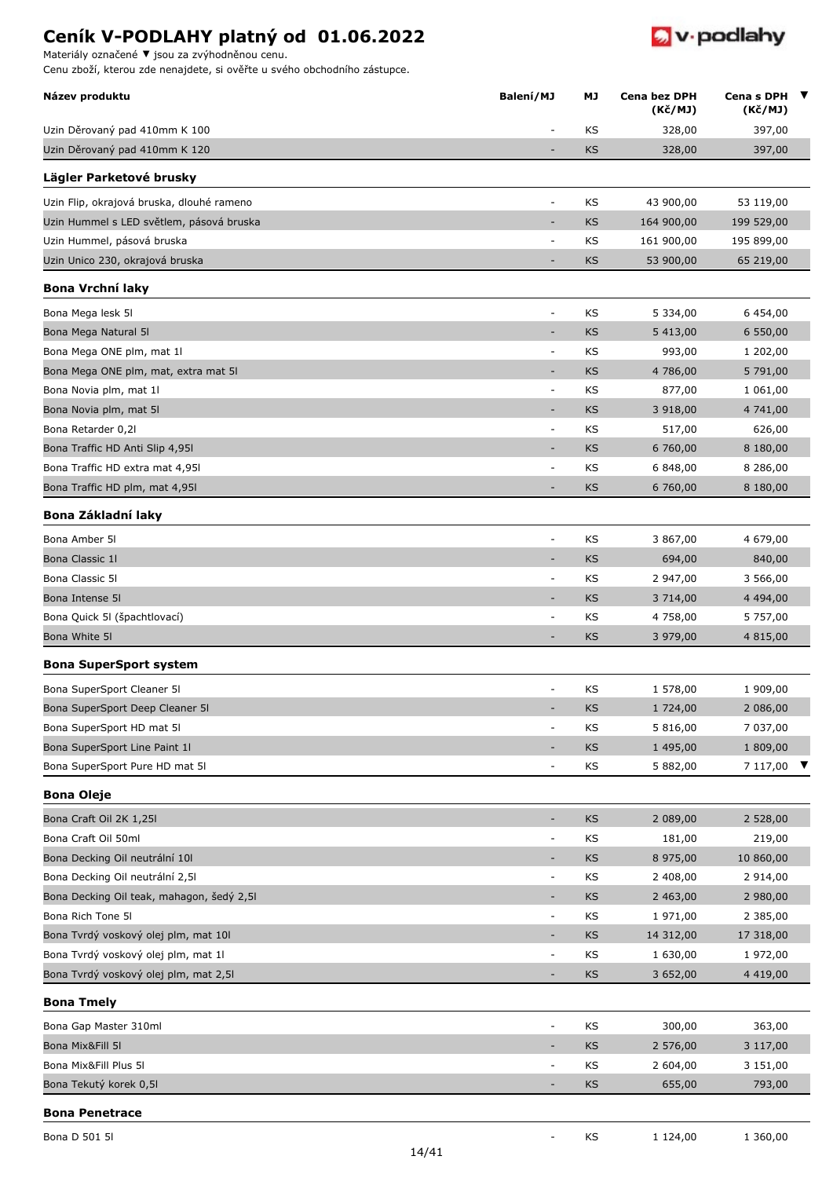

Materiály označené **▼** jsou za zvýhodněnou cenu.

| Název produktu                            | Balení/MJ                    | МJ        | Cena bez DPH<br>(Kč/MJ) | Cena s DPH<br>(Kč/MJ) |
|-------------------------------------------|------------------------------|-----------|-------------------------|-----------------------|
| Uzin Děrovaný pad 410mm K 100             | $\overline{\phantom{a}}$     | KS        | 328,00                  | 397,00                |
| Uzin Děrovaný pad 410mm K 120             |                              | <b>KS</b> | 328,00                  | 397,00                |
| Lägler Parketové brusky                   |                              |           |                         |                       |
| Uzin Flip, okrajová bruska, dlouhé rameno | $\overline{\phantom{a}}$     | KS        | 43 900,00               | 53 119,00             |
| Uzin Hummel s LED světlem, pásová bruska  | ÷,                           | KS        | 164 900,00              | 199 529,00            |
| Uzin Hummel, pásová bruska                | $\overline{\phantom{a}}$     | KS        | 161 900,00              | 195 899,00            |
| Uzin Unico 230, okrajová bruska           | ÷,                           | <b>KS</b> | 53 900,00               | 65 219,00             |
| <b>Bona Vrchní laky</b>                   |                              |           |                         |                       |
| Bona Mega lesk 5l                         | $\overline{\phantom{a}}$     | KS        | 5 334,00                | 6 454,00              |
| Bona Mega Natural 51                      | $\qquad \qquad \blacksquare$ | KS        | 5 413,00                | 6 550,00              |
| Bona Mega ONE plm, mat 1l                 | $\overline{\phantom{a}}$     | KS        | 993,00                  | 1 202,00              |
| Bona Mega ONE plm, mat, extra mat 5I      | ٠                            | KS        | 4 786,00                | 5 791,00              |
| Bona Novia plm, mat 1l                    | $\overline{\phantom{a}}$     | ΚS        | 877,00                  | 1 061,00              |
| Bona Novia plm, mat 5I                    | ۰                            | KS        | 3 918,00                | 4 741,00              |
| Bona Retarder 0,21                        | $\overline{\phantom{a}}$     | KS        | 517,00                  | 626,00                |
| Bona Traffic HD Anti Slip 4,951           |                              | KS        | 6 760,00                | 8 180,00              |
| Bona Traffic HD extra mat 4,951           | $\overline{\phantom{a}}$     | KS        | 6 848,00                | 8 286,00              |
| Bona Traffic HD plm, mat 4,95l            | ÷,                           | <b>KS</b> | 6 760,00                | 8 180,00              |
| Bona Základní laky                        |                              |           |                         |                       |
| Bona Amber 51                             | $\overline{\phantom{a}}$     | KS        | 3 867,00                | 4 679,00              |
| Bona Classic 11                           | $\overline{\phantom{a}}$     | KS        | 694,00                  | 840,00                |
| Bona Classic 5I                           | $\overline{\phantom{a}}$     | ΚS        | 2 947,00                | 3 566,00              |
| Bona Intense 51                           |                              | <b>KS</b> | 3 714,00                | 4 4 9 4 , 0 0         |
| Bona Quick 51 (špachtlovací)              | $\overline{\phantom{a}}$     | KS        | 4 758,00                | 5 757,00              |
| Bona White 5I                             |                              | KS        | 3 979,00                | 4 815,00              |
| <b>Bona SuperSport system</b>             |                              |           |                         |                       |
| Bona SuperSport Cleaner 51                | $\overline{a}$               | KS        | 1 578,00                | 1 909,00              |
| Bona SuperSport Deep Cleaner 5I           |                              | KS        | 1 724,00                | 2 086,00              |
| Bona SuperSport HD mat 51                 | $\overline{\phantom{a}}$     | KS        | 5 816,00                | 7 037,00              |
| Bona SuperSport Line Paint 11             | $\qquad \qquad \blacksquare$ | <b>KS</b> | 1 495,00                | 1809,00               |
| Bona SuperSport Pure HD mat 5I            | ÷,                           | KS        | 5 882,00                | 7 117,00 ▼            |
| <b>Bona Oleje</b>                         |                              |           |                         |                       |
| Bona Craft Oil 2K 1,25l                   | $\overline{\phantom{a}}$     | <b>KS</b> | 2 089,00                | 2 528,00              |
| Bona Craft Oil 50ml                       | $\overline{\phantom{a}}$     | KS        | 181,00                  | 219,00                |
| Bona Decking Oil neutrální 10l            |                              | KS        | 8 975,00                | 10 860,00             |
| Bona Decking Oil neutrální 2,51           | $\overline{\phantom{a}}$     | KS        | 2 408,00                | 2 914,00              |
| Bona Decking Oil teak, mahagon, šedý 2,5I | ۰                            | KS        | 2 463,00                | 2 980,00              |
| Bona Rich Tone 5I                         | $\overline{\phantom{a}}$     | KS        | 1 971,00                | 2 385,00              |
| Bona Tvrdý voskový olej plm, mat 10l      | $\overline{\phantom{a}}$     | KS        | 14 312,00               | 17 318,00             |
| Bona Tvrdý voskový olej plm, mat 1l       | $\overline{\phantom{a}}$     | KS        | 1 630,00                | 1 972,00              |
| Bona Tvrdý voskový olej plm, mat 2,51     | ٠                            | <b>KS</b> | 3 652,00                | 4 4 1 9 , 0 0         |
| <b>Bona Tmely</b>                         |                              |           |                         |                       |
| Bona Gap Master 310ml                     | $\overline{\phantom{a}}$     | KS        | 300,00                  | 363,00                |
| Bona Mix&Fill 5I                          | $\qquad \qquad \blacksquare$ | KS        | 2 576,00                | 3 117,00              |
| Bona Mix&Fill Plus 5l                     | $\overline{\phantom{a}}$     | ΚS        | 2 604,00                | 3 151,00              |
| Bona Tekutý korek 0,51                    | ÷                            | KS        | 655,00                  | 793,00                |
| <b>Bona Penetrace</b>                     |                              |           |                         |                       |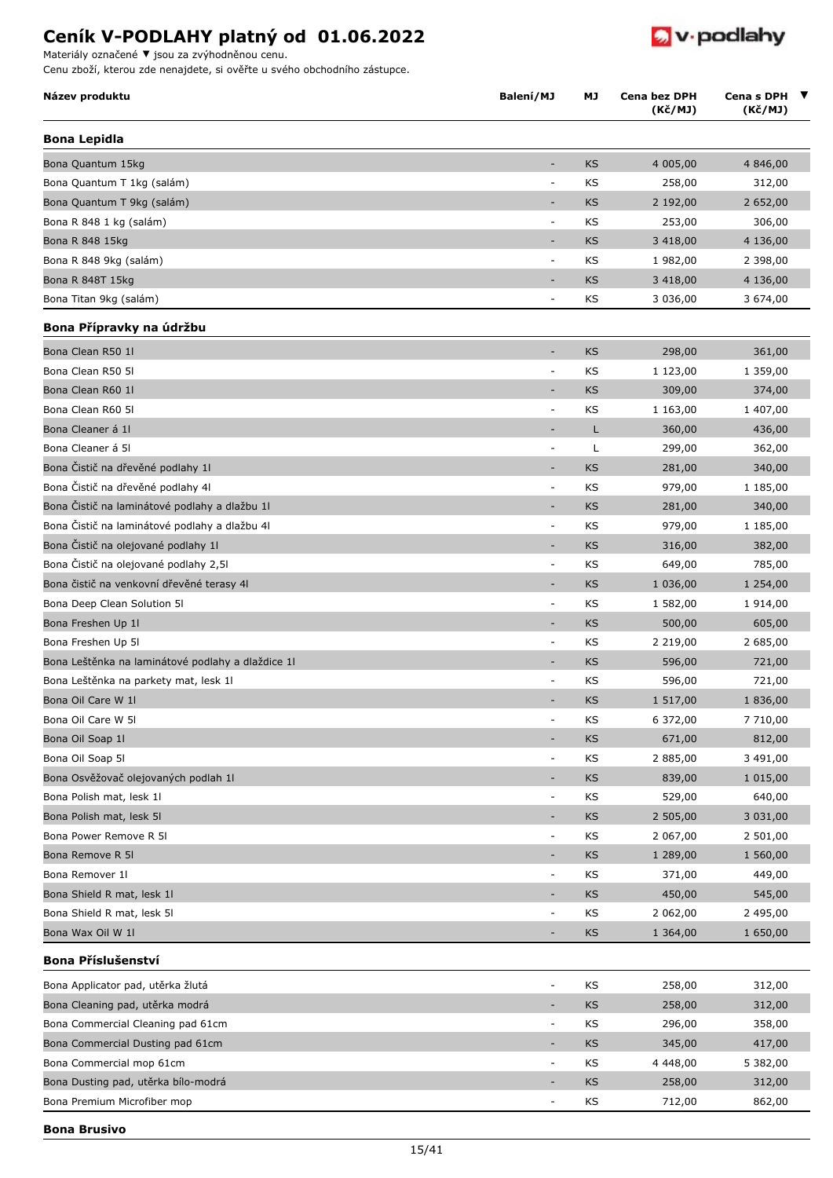Materiály označené **▼** jsou za zvýhodněnou cenu.

**Bona Brusivo**

|  |  |  | <b>W</b> podlahy |
|--|--|--|------------------|
|--|--|--|------------------|

| Název produktu                                    | Balení/MJ                    | МJ        | Cena bez DPH<br>(Kč/MJ) | Cena s DPH<br>(Kč/MJ) | ▼ |
|---------------------------------------------------|------------------------------|-----------|-------------------------|-----------------------|---|
| <b>Bona Lepidla</b>                               |                              |           |                         |                       |   |
| Bona Quantum 15kg                                 | ٠                            | <b>KS</b> | 4 005,00                | 4 846,00              |   |
| Bona Quantum T 1kg (salám)                        |                              | KS        | 258,00                  | 312,00                |   |
| Bona Quantum T 9kg (salám)                        |                              | KS        | 2 192,00                | 2 652,00              |   |
| Bona R 848 1 kg (salám)                           | $\overline{\phantom{a}}$     | KS        | 253,00                  | 306,00                |   |
| Bona R 848 15kg                                   | ٠                            | <b>KS</b> | 3 4 18,00               | 4 136,00              |   |
| Bona R 848 9kg (salám)                            | $\overline{\phantom{a}}$     | KS        | 1 982,00                | 2 398,00              |   |
| Bona R 848T 15kg                                  |                              | <b>KS</b> | 3 4 18,00               | 4 136,00              |   |
| Bona Titan 9kg (salám)                            | $\qquad \qquad \blacksquare$ | KS        | 3 036,00                | 3 674,00              |   |
| Bona Přípravky na údržbu                          |                              |           |                         |                       |   |
| Bona Clean R50 1l                                 | $\overline{\phantom{a}}$     | <b>KS</b> | 298,00                  | 361,00                |   |
| Bona Clean R50 51                                 | $\qquad \qquad \blacksquare$ | KS        | 1 123,00                | 1 359,00              |   |
| Bona Clean R60 1l                                 | ٠                            | <b>KS</b> | 309,00                  | 374,00                |   |
| Bona Clean R60 51                                 | $\overline{\phantom{a}}$     | KS        | 1 163,00                | 1 407,00              |   |
| Bona Cleaner á 11                                 |                              | Г         | 360,00                  | 436,00                |   |
| Bona Cleaner á 51                                 | $\overline{\phantom{a}}$     | L         | 299,00                  | 362,00                |   |
| Bona Čistič na dřevěné podlahy 1l                 | ٠                            | <b>KS</b> | 281,00                  | 340,00                |   |
| Bona Čistič na dřevěné podlahy 41                 | $\qquad \qquad \blacksquare$ | KS        | 979,00                  | 1 185,00              |   |
| Bona Čistič na laminátové podlahy a dlažbu 11     | $\qquad \qquad \blacksquare$ | <b>KS</b> | 281,00                  | 340,00                |   |
| Bona Čistič na laminátové podlahy a dlažbu 41     | ä,                           | KS        | 979,00                  | 1 185,00              |   |
| Bona Čistič na olejované podlahy 1l               | ٠                            | <b>KS</b> | 316,00                  | 382,00                |   |
| Bona Čistič na olejované podlahy 2,51             | $\blacksquare$               | KS        | 649,00                  | 785,00                |   |
| Bona čistič na venkovní dřevěné terasy 41         |                              | KS        | 1 036,00                | 1 254,00              |   |
| Bona Deep Clean Solution 51                       | $\overline{\phantom{a}}$     | KS        | 1 582,00                | 1 914,00              |   |
| Bona Freshen Up 11                                | ٠                            | <b>KS</b> | 500,00                  | 605,00                |   |
| Bona Freshen Up 51                                | $\qquad \qquad \blacksquare$ | KS        | 2 2 1 9 , 0 0           | 2 685,00              |   |
| Bona Leštěnka na laminátové podlahy a dlaždice 11 |                              | <b>KS</b> | 596,00                  | 721,00                |   |
| Bona Leštěnka na parkety mat, lesk 1l             | $\overline{\phantom{a}}$     | KS        | 596,00                  | 721,00                |   |
| Bona Oil Care W 11                                |                              | KS        | 1 517,00                | 1836,00               |   |
| Bona Oil Care W 5I                                | $\overline{\phantom{a}}$     | KS        | 6 372,00                | 7 710,00              |   |
| Bona Oil Soap 11                                  |                              | <b>KS</b> | 671,00                  | 812,00                |   |
| Bona Oil Soap 5I                                  | $\overline{\phantom{a}}$     | KS        | 2 885,00                | 3 491,00              |   |
| Bona Osvěžovač olejovaných podlah 1l              | ٠                            | <b>KS</b> | 839,00                  | 1 015,00              |   |
| Bona Polish mat, lesk 1l                          | $\qquad \qquad \blacksquare$ | KS        | 529,00                  | 640,00                |   |
| Bona Polish mat, lesk 5l                          | $\qquad \qquad \blacksquare$ | KS        | 2 505,00                | 3 031,00              |   |
| Bona Power Remove R 5I                            | ÷                            | KS        | 2 067,00                | 2 501,00              |   |
| Bona Remove R 5I                                  | $\overline{\phantom{a}}$     | <b>KS</b> | 1 289,00                | 1 560,00              |   |
| Bona Remover 1l                                   | $\overline{\phantom{a}}$     | KS        | 371,00                  | 449,00                |   |
| Bona Shield R mat, lesk 1l                        |                              | <b>KS</b> | 450,00                  | 545,00                |   |
| Bona Shield R mat, lesk 5l                        | $\qquad \qquad \blacksquare$ | KS        | 2 062,00                | 2 495,00              |   |
| Bona Wax Oil W 1l                                 |                              | KS        | 1 364,00                | 1 650,00              |   |
| Bona Příslušenství                                |                              |           |                         |                       |   |
| Bona Applicator pad, utěrka žlutá                 | $\overline{\phantom{a}}$     | KS        | 258,00                  | 312,00                |   |
| Bona Cleaning pad, utěrka modrá                   | -                            | <b>KS</b> | 258,00                  | 312,00                |   |
| Bona Commercial Cleaning pad 61cm                 | $\overline{\phantom{a}}$     | KS        | 296,00                  | 358,00                |   |
| Bona Commercial Dusting pad 61cm                  | $\qquad \qquad \blacksquare$ | <b>KS</b> | 345,00                  | 417,00                |   |
| Bona Commercial mop 61cm                          | $\qquad \qquad \blacksquare$ | KS        | 4 4 4 8 , 0 0           | 5 382,00              |   |
| Bona Dusting pad, utěrka bílo-modrá               |                              | KS        | 258,00                  | 312,00                |   |
| Bona Premium Microfiber mop                       | $\qquad \qquad \blacksquare$ | KS        | 712,00                  | 862,00                |   |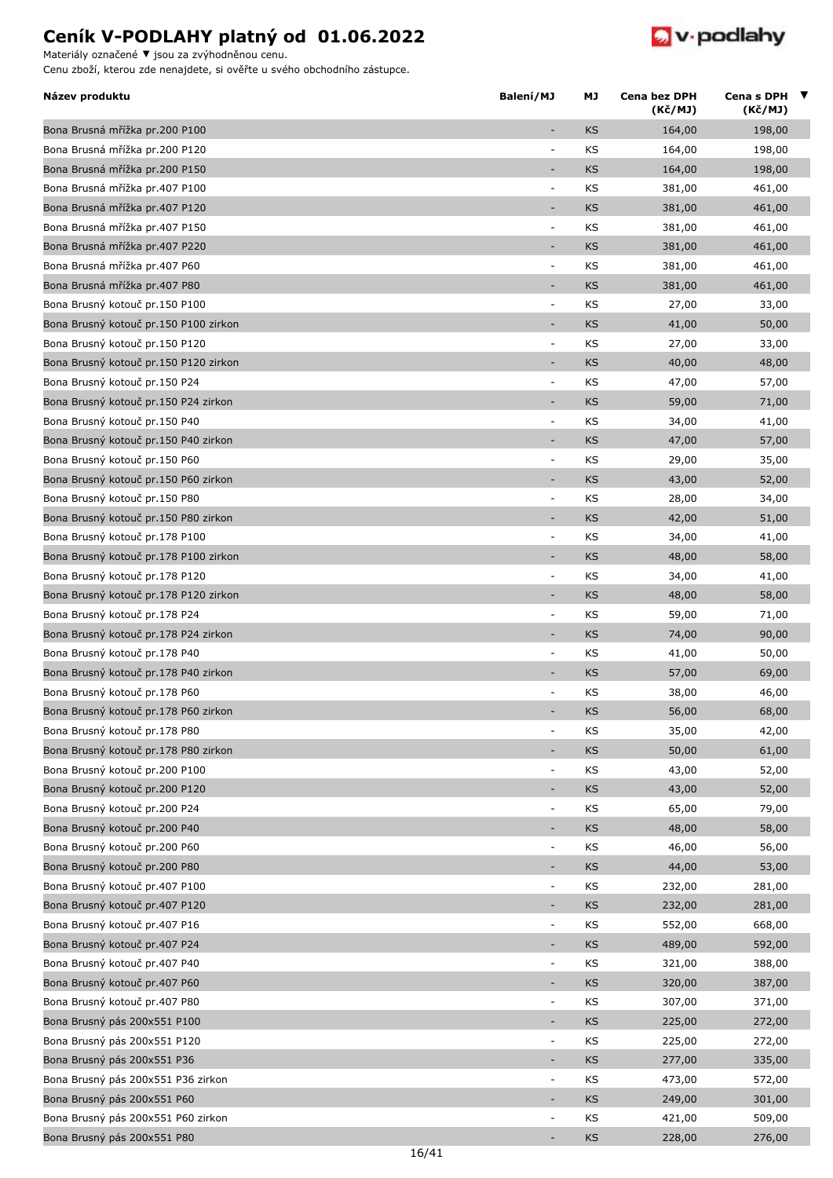

Materiály označené **▼** jsou za zvýhodněnou cenu.

| Název produktu                        | Balení/MJ                          | МJ        | Cena bez DPH<br>(Kč/MJ) | Cena s DPH $\blacktriangledown$<br>(Kč/MJ) |
|---------------------------------------|------------------------------------|-----------|-------------------------|--------------------------------------------|
| Bona Brusná mřížka pr.200 P100        |                                    | KS        | 164,00                  | 198,00                                     |
| Bona Brusná mřížka pr.200 P120        | $\overline{\phantom{a}}$           | KS        | 164,00                  | 198,00                                     |
| Bona Brusná mřížka pr.200 P150        | $\qquad \qquad \blacksquare$       | <b>KS</b> | 164,00                  | 198,00                                     |
| Bona Brusná mřížka pr.407 P100        | ÷                                  | KS        | 381,00                  | 461,00                                     |
| Bona Brusná mřížka pr.407 P120        |                                    | <b>KS</b> | 381,00                  | 461,00                                     |
| Bona Brusná mřížka pr.407 P150        | ÷                                  | KS        | 381,00                  | 461,00                                     |
| Bona Brusná mřížka pr.407 P220        | $\qquad \qquad \blacksquare$       | <b>KS</b> | 381,00                  | 461,00                                     |
| Bona Brusná mřížka pr.407 P60         | ÷,                                 | KS        | 381,00                  | 461,00                                     |
| Bona Brusná mřížka pr.407 P80         | $\overline{a}$                     | <b>KS</b> | 381,00                  | 461,00                                     |
| Bona Brusný kotouč pr.150 P100        | ÷                                  | KS        | 27,00                   | 33,00                                      |
| Bona Brusný kotouč pr.150 P100 zirkon | ٠                                  | <b>KS</b> | 41,00                   | 50,00                                      |
| Bona Brusný kotouč pr.150 P120        | $\overline{\phantom{a}}$           | KS        | 27,00                   | 33,00                                      |
| Bona Brusný kotouč pr.150 P120 zirkon | ÷,                                 | <b>KS</b> | 40,00                   | 48,00                                      |
| Bona Brusný kotouč pr.150 P24         | ÷                                  | KS        | 47,00                   | 57,00                                      |
| Bona Brusný kotouč pr.150 P24 zirkon  | $\overline{a}$                     | KS        | 59,00                   | 71,00                                      |
| Bona Brusný kotouč pr.150 P40         | ÷,                                 | KS        | 34,00                   | 41,00                                      |
| Bona Brusný kotouč pr.150 P40 zirkon  | ٠                                  | <b>KS</b> | 47,00                   | 57,00                                      |
| Bona Brusný kotouč pr.150 P60         | $\overline{\phantom{a}}$           | KS        | 29,00                   | 35,00                                      |
| Bona Brusný kotouč pr.150 P60 zirkon  | ÷,                                 | KS        | 43,00                   | 52,00                                      |
| Bona Brusný kotouč pr.150 P80         | ÷                                  | KS        | 28,00                   | 34,00                                      |
| Bona Brusný kotouč pr.150 P80 zirkon  | ÷,                                 | <b>KS</b> | 42,00                   | 51,00                                      |
| Bona Brusný kotouč pr.178 P100        | ÷                                  | KS        | 34,00                   | 41,00                                      |
| Bona Brusný kotouč pr.178 P100 zirkon | $\qquad \qquad \blacksquare$       | <b>KS</b> | 48,00                   | 58,00                                      |
| Bona Brusný kotouč pr.178 P120        | $\overline{\phantom{a}}$           | KS        | 34,00                   | 41,00                                      |
| Bona Brusný kotouč pr.178 P120 zirkon | ٠                                  | KS        | 48,00                   | 58,00                                      |
| Bona Brusný kotouč pr.178 P24         | ÷                                  | KS        | 59,00                   | 71,00                                      |
| Bona Brusný kotouč pr.178 P24 zirkon  | $\qquad \qquad \blacksquare$       | KS        | 74,00                   | 90,00                                      |
| Bona Brusný kotouč pr.178 P40         | $\overline{\phantom{a}}$           | KS        | 41,00                   | 50,00                                      |
| Bona Brusný kotouč pr.178 P40 zirkon  |                                    | <b>KS</b> | 57,00                   | 69,00                                      |
| Bona Brusný kotouč pr.178 P60         |                                    | KS        | 38,00                   | 46,00                                      |
| Bona Brusný kotouč pr.178 P60 zirkon  |                                    | KS        | 56,00                   | 68,00                                      |
| Bona Brusný kotouč pr.178 P80         | ÷                                  | KS        | 35,00                   | 42,00                                      |
| Bona Brusný kotouč pr.178 P80 zirkon  |                                    | KS        | 50,00                   | 61,00                                      |
| Bona Brusný kotouč pr.200 P100        | $\qquad \qquad \blacksquare$       | KS        | 43,00                   | 52,00                                      |
| Bona Brusný kotouč pr.200 P120        |                                    | KS        | 43,00                   | 52,00                                      |
| Bona Brusný kotouč pr.200 P24         | $\overline{\phantom{a}}$           | KS        | 65,00                   | 79,00                                      |
| Bona Brusný kotouč pr.200 P40         | $\qquad \qquad \blacksquare$       | KS        | 48,00                   | 58,00                                      |
| Bona Brusný kotouč pr.200 P60         | ÷                                  | KS        | 46,00                   |                                            |
| Bona Brusný kotouč pr.200 P80         | ÷,                                 | KS        | 44,00                   | 56,00<br>53,00                             |
| Bona Brusný kotouč pr.407 P100        | ÷,                                 |           |                         |                                            |
|                                       | ÷,                                 | KS        | 232,00                  | 281,00                                     |
| Bona Brusný kotouč pr.407 P120        | ÷,                                 | KS        | 232,00                  | 281,00                                     |
| Bona Brusný kotouč pr.407 P16         |                                    | KS        | 552,00                  | 668,00                                     |
| Bona Brusný kotouč pr.407 P24         | $\qquad \qquad \blacksquare$<br>÷, | KS        | 489,00                  | 592,00                                     |
| Bona Brusný kotouč pr.407 P40         |                                    | KS        | 321,00                  | 388,00                                     |
| Bona Brusný kotouč pr.407 P60         | $\overline{\phantom{a}}$           | KS        | 320,00                  | 387,00                                     |
| Bona Brusný kotouč pr.407 P80         | ÷                                  | KS        | 307,00                  | 371,00                                     |
| Bona Brusný pás 200x551 P100          | ÷,                                 | KS        | 225,00                  | 272,00                                     |
| Bona Brusný pás 200x551 P120          | ÷                                  | KS        | 225,00                  | 272,00                                     |
| Bona Brusný pás 200x551 P36           | ÷,                                 | KS        | 277,00                  | 335,00                                     |
| Bona Brusný pás 200x551 P36 zirkon    | ÷,                                 | KS        | 473,00                  | 572,00                                     |
| Bona Brusný pás 200x551 P60           |                                    | KS        | 249,00                  | 301,00                                     |
| Bona Brusný pás 200x551 P60 zirkon    | ÷                                  | KS        | 421,00                  | 509,00                                     |
| Bona Brusný pás 200x551 P80           |                                    | KS        | 228,00                  | 276,00                                     |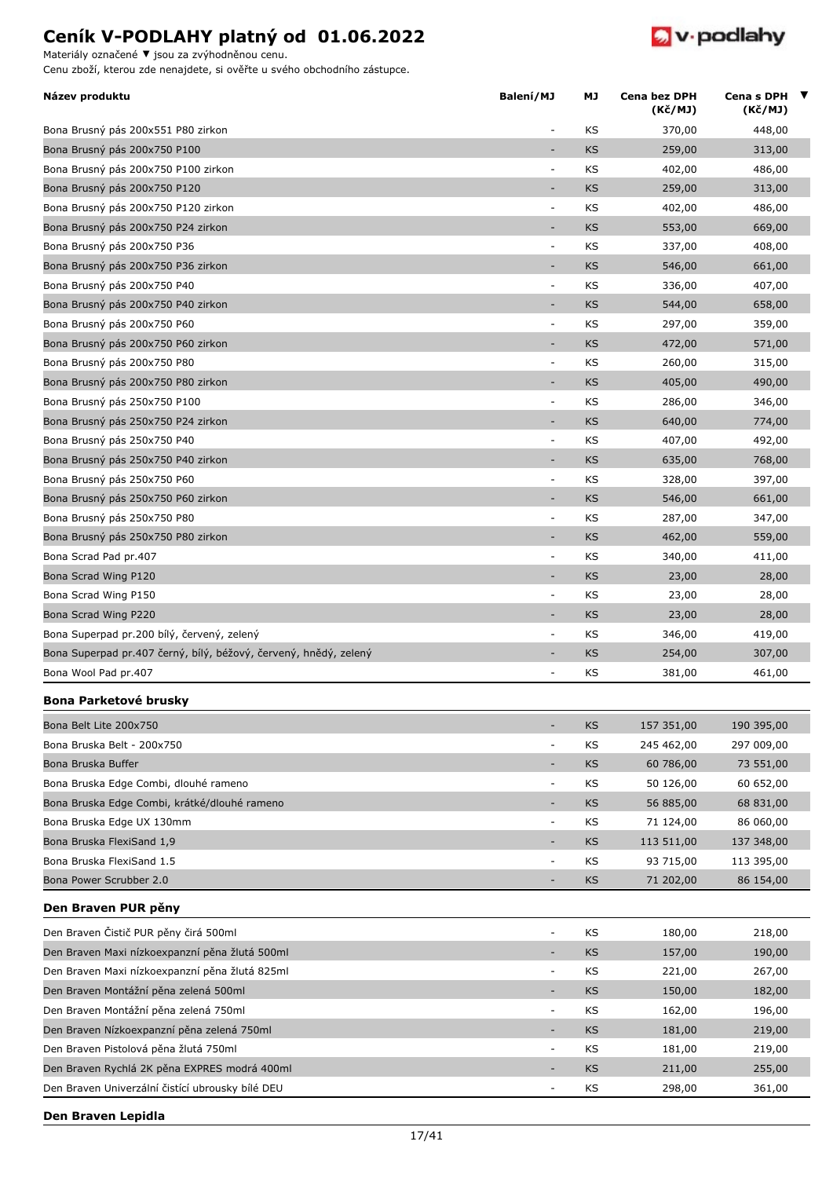

Materiály označené **▼** jsou za zvýhodněnou cenu.

Cenu zboží, kterou zde nenajdete, si ověřte u svého obchodního zástupce.

| Název produktu                                                   | Balení/MJ                | МJ        | <b>Cena bez DPH</b><br>(Kč/MJ) | Cena s DPH $\blacktriangledown$<br>(Kč/MJ) |  |
|------------------------------------------------------------------|--------------------------|-----------|--------------------------------|--------------------------------------------|--|
| Bona Brusný pás 200x551 P80 zirkon                               | $\overline{\phantom{a}}$ | KS        | 370,00                         | 448,00                                     |  |
| Bona Brusný pás 200x750 P100                                     | ÷,                       | <b>KS</b> | 259,00                         | 313,00                                     |  |
| Bona Brusný pás 200x750 P100 zirkon                              | $\overline{\phantom{a}}$ | ΚS        | 402,00                         | 486,00                                     |  |
| Bona Brusný pás 200x750 P120                                     | ٠                        | <b>KS</b> | 259,00                         | 313,00                                     |  |
| Bona Brusný pás 200x750 P120 zirkon                              | $\overline{\phantom{a}}$ | ΚS        | 402,00                         | 486,00                                     |  |
| Bona Brusný pás 200x750 P24 zirkon                               | $\overline{\phantom{a}}$ | <b>KS</b> | 553,00                         | 669,00                                     |  |
| Bona Brusný pás 200x750 P36                                      | ÷,                       | KS        | 337,00                         | 408,00                                     |  |
| Bona Brusný pás 200x750 P36 zirkon                               |                          | <b>KS</b> | 546,00                         | 661,00                                     |  |
| Bona Brusný pás 200x750 P40                                      | $\blacksquare$           | ΚS        | 336,00                         | 407,00                                     |  |
| Bona Brusný pás 200x750 P40 zirkon                               | Ξ                        | <b>KS</b> | 544,00                         | 658,00                                     |  |
| Bona Brusný pás 200x750 P60                                      | $\overline{\phantom{a}}$ | KS        | 297,00                         | 359,00                                     |  |
| Bona Brusný pás 200x750 P60 zirkon                               | ÷,                       | <b>KS</b> | 472,00                         | 571,00                                     |  |
| Bona Brusný pás 200x750 P80                                      | $\overline{\phantom{a}}$ | KS        | 260,00                         | 315,00                                     |  |
| Bona Brusný pás 200x750 P80 zirkon                               | ÷,                       | KS        | 405,00                         | 490,00                                     |  |
| Bona Brusný pás 250x750 P100                                     | $\overline{\phantom{a}}$ | ΚS        | 286,00                         | 346,00                                     |  |
| Bona Brusný pás 250x750 P24 zirkon                               | ٠                        | <b>KS</b> | 640,00                         | 774,00                                     |  |
| Bona Brusný pás 250x750 P40                                      | $\overline{\phantom{a}}$ | KS        | 407,00                         | 492,00                                     |  |
| Bona Brusný pás 250x750 P40 zirkon                               | ÷                        | <b>KS</b> | 635,00                         | 768,00                                     |  |
| Bona Brusný pás 250x750 P60                                      | $\overline{\phantom{a}}$ | KS        | 328,00                         | 397,00                                     |  |
| Bona Brusný pás 250x750 P60 zirkon                               | $\overline{\phantom{a}}$ | <b>KS</b> | 546,00                         | 661,00                                     |  |
| Bona Brusný pás 250x750 P80                                      | $\overline{\phantom{a}}$ | KS        | 287,00                         | 347,00                                     |  |
| Bona Brusný pás 250x750 P80 zirkon                               | $\overline{\phantom{a}}$ | <b>KS</b> | 462,00                         | 559,00                                     |  |
| Bona Scrad Pad pr.407                                            | $\overline{\phantom{a}}$ | KS        | 340,00                         | 411,00                                     |  |
| Bona Scrad Wing P120                                             | $\overline{\phantom{a}}$ | <b>KS</b> | 23,00                          | 28,00                                      |  |
| Bona Scrad Wing P150                                             | $\overline{\phantom{a}}$ | ΚS        | 23,00                          | 28,00                                      |  |
| Bona Scrad Wing P220                                             |                          | <b>KS</b> | 23,00                          | 28,00                                      |  |
| Bona Superpad pr.200 bílý, červený, zelený                       | $\overline{\phantom{a}}$ | ΚS        | 346,00                         | 419,00                                     |  |
| Bona Superpad pr.407 černý, bílý, béžový, červený, hnědý, zelený | ۰                        | <b>KS</b> | 254,00                         | 307,00                                     |  |
| Bona Wool Pad pr.407                                             | $\overline{a}$           | ΚS        | 381,00                         | 461,00                                     |  |
| Bona Parketové brusky                                            |                          |           |                                |                                            |  |
| Bona Belt Lite 200x750                                           | $\overline{\phantom{0}}$ | <b>KS</b> | 157 351,00                     | 190 395,00                                 |  |
| Bona Bruska Belt - 200x750                                       | ÷,                       | ΚS        | 245 462,00                     | 297 009,00                                 |  |
| Bona Bruska Buffer                                               | $\overline{\phantom{a}}$ | <b>KS</b> | 60 786,00                      | 73 551,00                                  |  |
| Bona Bruska Edge Combi, dlouhé rameno                            | $\overline{\phantom{a}}$ | ΚS        | 50 126,00                      | 60 652,00                                  |  |
| Bona Bruska Edge Combi, krátké/dlouhé rameno                     | ÷                        | <b>KS</b> | 56 885,00                      | 68 831,00                                  |  |
| Bona Bruska Edge UX 130mm                                        | $\blacksquare$           | ΚS        | 71 124,00                      | 86 060,00                                  |  |
| Bona Bruska FlexiSand 1,9                                        | ٠                        | KS        | 113 511,00                     | 137 348,00                                 |  |
| Bona Bruska FlexiSand 1.5                                        | $\overline{\phantom{a}}$ | ΚS        | 93 715,00                      | 113 395,00                                 |  |
| Bona Power Scrubber 2.0                                          | ÷                        | <b>KS</b> | 71 202,00                      | 86 154,00                                  |  |
| Den Braven PUR pěny                                              |                          |           |                                |                                            |  |
| Den Braven Čistič PUR pěny čirá 500ml                            | $\overline{\phantom{a}}$ | KS        | 180,00                         | 218,00                                     |  |
| Den Braven Maxi nízkoexpanzní pěna žlutá 500ml                   | ÷,                       | <b>KS</b> | 157,00                         | 190,00                                     |  |
| Den Braven Maxi nízkoexpanzní pěna žlutá 825ml                   | $\overline{\phantom{a}}$ | ΚS        | 221,00                         | 267,00                                     |  |
| Den Braven Montážní pěna zelená 500ml                            | ۰                        | <b>KS</b> | 150,00                         | 182,00                                     |  |
| Den Braven Montážní pěna zelená 750ml                            | $\blacksquare$           | ΚS        | 162,00                         | 196,00                                     |  |
| Den Braven Nízkoexpanzní pěna zelená 750ml                       |                          | <b>KS</b> | 181,00                         | 219,00                                     |  |
| Den Braven Pistolová pěna žlutá 750ml                            | $\overline{\phantom{a}}$ | ΚS        | 181,00                         | 219,00                                     |  |
| Den Braven Rychlá 2K pěna EXPRES modrá 400ml                     |                          | KS        | 211,00                         | 255,00                                     |  |
| Den Braven Univerzální čistící ubrousky bílé DEU                 |                          | KS        | 298,00                         | 361,00                                     |  |
|                                                                  |                          |           |                                |                                            |  |

**Den Braven Lepidla**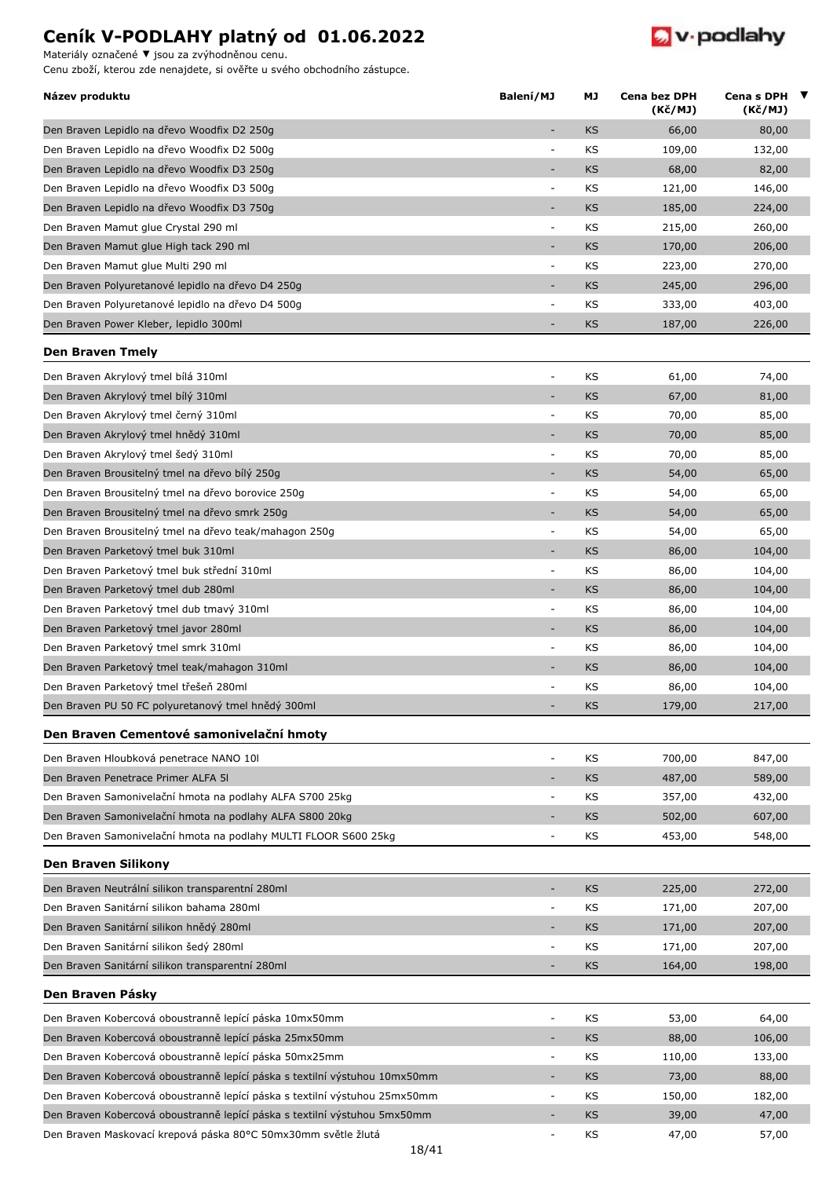Materiály označené **▼** jsou za zvýhodněnou cenu.



| Název produktu                                                             | Balení/MJ                | МJ        | Cena bez DPH<br>(Kč/MJ) | Cena s DPH $\blacktriangledown$<br>(Kč/MJ) |  |
|----------------------------------------------------------------------------|--------------------------|-----------|-------------------------|--------------------------------------------|--|
| Den Braven Lepidlo na dřevo Woodfix D2 250g                                |                          | <b>KS</b> | 66,00                   | 80,00                                      |  |
| Den Braven Lepidlo na dřevo Woodfix D2 500g                                | $\overline{\phantom{a}}$ | KS        | 109,00                  | 132,00                                     |  |
| Den Braven Lepidlo na dřevo Woodfix D3 250g                                | ٠                        | KS        | 68,00                   | 82,00                                      |  |
| Den Braven Lepidlo na dřevo Woodfix D3 500g                                | $\overline{\phantom{a}}$ | KS        | 121,00                  | 146,00                                     |  |
| Den Braven Lepidlo na dřevo Woodfix D3 750g                                |                          | <b>KS</b> | 185,00                  | 224,00                                     |  |
| Den Braven Mamut glue Crystal 290 ml                                       | $\overline{\phantom{a}}$ | KS        | 215,00                  | 260,00                                     |  |
| Den Braven Mamut glue High tack 290 ml                                     |                          | <b>KS</b> | 170,00                  | 206,00                                     |  |
| Den Braven Mamut glue Multi 290 ml                                         | $\overline{\phantom{a}}$ | KS        | 223,00                  | 270,00                                     |  |
| Den Braven Polyuretanové lepidlo na dřevo D4 250g                          | ÷,                       | KS        | 245,00                  | 296,00                                     |  |
| Den Braven Polyuretanové lepidlo na dřevo D4 500g                          | $\overline{a}$           | KS        | 333,00                  | 403,00                                     |  |
| Den Braven Power Kleber, lepidlo 300ml                                     | ٠                        | <b>KS</b> | 187,00                  | 226,00                                     |  |
| <b>Den Braven Tmely</b>                                                    |                          |           |                         |                                            |  |
| Den Braven Akrylový tmel bílá 310ml                                        | ÷,                       | KS        | 61,00                   | 74,00                                      |  |
| Den Braven Akrylový tmel bílý 310ml                                        | ٠                        | KS        | 67,00                   | 81,00                                      |  |
| Den Braven Akrylový tmel černý 310ml                                       | $\overline{\phantom{a}}$ | KS        | 70,00                   | 85,00                                      |  |
| Den Braven Akrylový tmel hnědý 310ml                                       | $\overline{a}$           | <b>KS</b> | 70,00                   | 85,00                                      |  |
| Den Braven Akrylový tmel šedý 310ml                                        | $\overline{\phantom{a}}$ | KS        | 70,00                   | 85,00                                      |  |
| Den Braven Brousitelný tmel na dřevo bílý 250g                             |                          | KS        | 54,00                   | 65,00                                      |  |
| Den Braven Brousitelný tmel na dřevo borovice 250g                         | $\overline{\phantom{a}}$ | KS        | 54,00                   | 65,00                                      |  |
| Den Braven Brousitelný tmel na dřevo smrk 250g                             | ٠                        | <b>KS</b> | 54,00                   | 65,00                                      |  |
| Den Braven Brousitelný tmel na dřevo teak/mahagon 250g                     | $\overline{\phantom{a}}$ | KS        | 54,00                   | 65,00                                      |  |
| Den Braven Parketový tmel buk 310ml                                        | ÷,                       | KS        | 86,00                   | 104,00                                     |  |
| Den Braven Parketový tmel buk střední 310ml                                | ÷,                       | ΚS        | 86,00                   | 104,00                                     |  |
| Den Braven Parketový tmel dub 280ml                                        | $\sim$                   | KS        | 86,00                   | 104,00                                     |  |
| Den Braven Parketový tmel dub tmavý 310ml                                  | ÷,                       | KS        | 86,00                   | 104,00                                     |  |
| Den Braven Parketový tmel javor 280ml                                      | $\overline{a}$           | <b>KS</b> | 86,00                   | 104,00                                     |  |
| Den Braven Parketový tmel smrk 310ml                                       | $\blacksquare$           | KS        | 86,00                   | 104,00                                     |  |
| Den Braven Parketový tmel teak/mahagon 310ml                               | ٠                        | KS        | 86,00                   | 104,00                                     |  |
| Den Braven Parketový tmel třešeň 280ml                                     | $\overline{\phantom{a}}$ | KS        | 86,00                   | 104,00                                     |  |
| Den Braven PU 50 FC polyuretanový tmel hnědý 300ml                         |                          | KS        | 179,00                  | 217,00                                     |  |
| Den Braven Cementové samonivelační hmoty                                   |                          |           |                         |                                            |  |
| Den Braven Hloubková penetrace NANO 101                                    | $\overline{\phantom{a}}$ | KS        | 700,00                  | 847,00                                     |  |
| Den Braven Penetrace Primer ALFA 51                                        |                          | <b>KS</b> | 487,00                  | 589,00                                     |  |
| Den Braven Samonivelační hmota na podlahy ALFA S700 25kg                   | $\overline{\phantom{a}}$ | KS        | 357,00                  | 432,00                                     |  |
| Den Braven Samonivelační hmota na podlahy ALFA S800 20kg                   |                          | KS        | 502,00                  | 607,00                                     |  |
| Den Braven Samonivelační hmota na podlahy MULTI FLOOR S600 25kg            | ÷,                       | KS        | 453,00                  | 548,00                                     |  |
| Den Braven Silikony                                                        |                          |           |                         |                                            |  |
| Den Braven Neutrální silikon transparentní 280ml                           | $\overline{\phantom{a}}$ | <b>KS</b> | 225,00                  | 272,00                                     |  |
| Den Braven Sanitární silikon bahama 280ml                                  | $\overline{\phantom{a}}$ | KS        | 171,00                  | 207,00                                     |  |
| Den Braven Sanitární silikon hnědý 280ml                                   |                          | KS        | 171,00                  | 207,00                                     |  |
| Den Braven Sanitární silikon šedý 280ml                                    | $\overline{\phantom{a}}$ | KS        | 171,00                  | 207,00                                     |  |
| Den Braven Sanitární silikon transparentní 280ml                           | ٠                        | KS        | 164,00                  | 198,00                                     |  |
| Den Braven Pásky                                                           |                          |           |                         |                                            |  |
| Den Braven Kobercová oboustranně lepící páska 10mx50mm                     | ÷,                       | KS        | 53,00                   | 64,00                                      |  |
| Den Braven Kobercová oboustranně lepící páska 25mx50mm                     |                          | <b>KS</b> | 88,00                   | 106,00                                     |  |
| Den Braven Kobercová oboustranně lepící páska 50mx25mm                     | $\overline{\phantom{a}}$ | KS        | 110,00                  | 133,00                                     |  |
| Den Braven Kobercová oboustranně lepící páska s textilní výstuhou 10mx50mm | ٠                        | KS        | 73,00                   | 88,00                                      |  |
| Den Braven Kobercová oboustranně lepící páska s textilní výstuhou 25mx50mm |                          | KS        | 150,00                  | 182,00                                     |  |
| Den Braven Kobercová oboustranně lepící páska s textilní výstuhou 5mx50mm  |                          | KS        | 39,00                   | 47,00                                      |  |
| Den Braven Maskovací krepová páska 80°C 50mx30mm světle žlutá              | $\overline{\phantom{a}}$ | ΚS        | 47,00                   | 57,00                                      |  |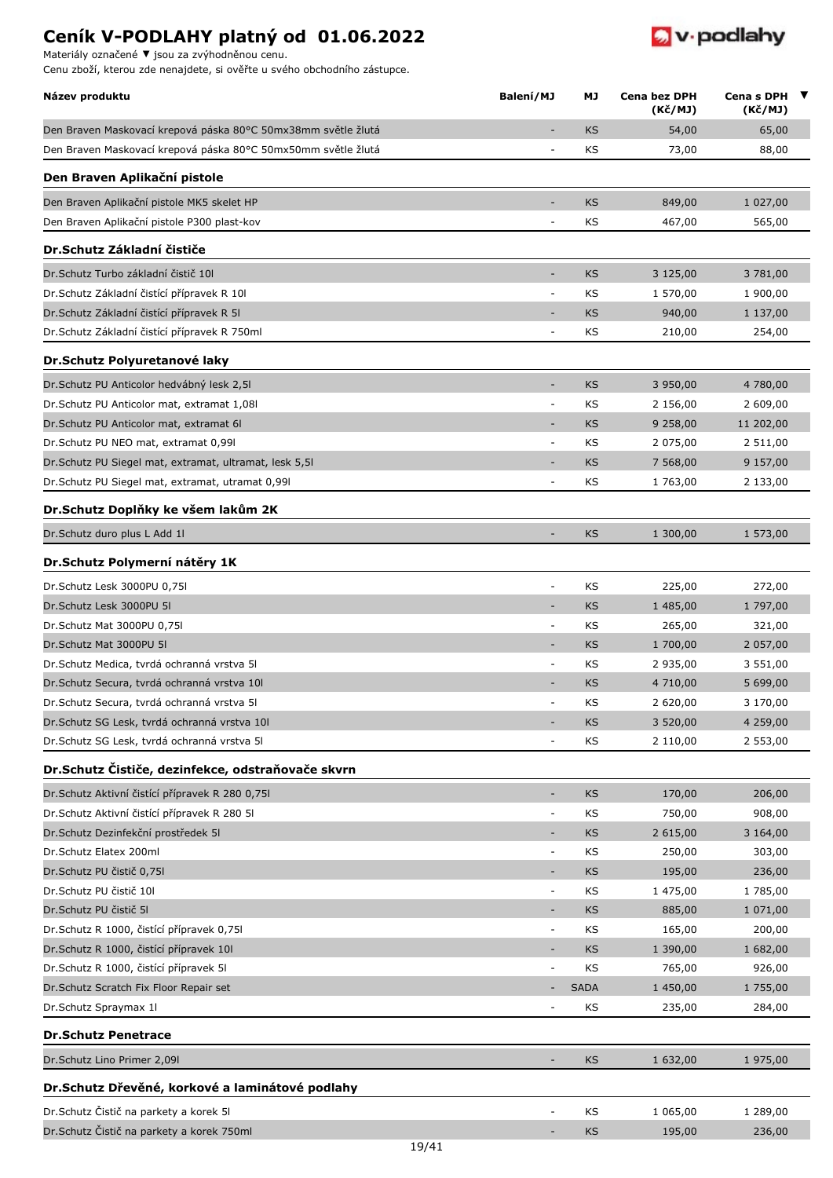Materiály označené **▼** jsou za zvýhodněnou cenu.



| Název produktu                                                | Balení/MJ                    | МJ          | <b>Cena bez DPH</b><br>(Kč/MJ) | Cena s DPH $\blacktriangledown$<br>(Kč/MJ) |  |
|---------------------------------------------------------------|------------------------------|-------------|--------------------------------|--------------------------------------------|--|
| Den Braven Maskovací krepová páska 80°C 50mx38mm světle žlutá | ٠                            | <b>KS</b>   | 54,00                          | 65,00                                      |  |
| Den Braven Maskovací krepová páska 80°C 50mx50mm světle žlutá | $\overline{a}$               | KS          | 73,00                          | 88,00                                      |  |
| Den Braven Aplikační pistole                                  |                              |             |                                |                                            |  |
| Den Braven Aplikační pistole MK5 skelet HP                    |                              | <b>KS</b>   | 849,00                         | 1 027,00                                   |  |
| Den Braven Aplikační pistole P300 plast-kov                   | $\overline{\phantom{a}}$     | ΚS          | 467,00                         | 565,00                                     |  |
| Dr. Schutz Základní čističe                                   |                              |             |                                |                                            |  |
| Dr. Schutz Turbo základní čistič 10                           | $\overline{\phantom{a}}$     | KS          | 3 125,00                       |                                            |  |
| Dr. Schutz Základní čistící přípravek R 10                    | $\overline{\phantom{a}}$     | KS          |                                | 3 781,00                                   |  |
| Dr. Schutz Základní čistící přípravek R 51                    | $\qquad \qquad \blacksquare$ | KS          | 1 570,00                       | 1 900,00                                   |  |
| Dr. Schutz Základní čistící přípravek R 750ml                 | $\overline{a}$               | ΚS          | 940,00<br>210,00               | 1 137,00<br>254,00                         |  |
|                                                               |                              |             |                                |                                            |  |
| Dr. Schutz Polyuretanové laky                                 |                              |             |                                |                                            |  |
| Dr. Schutz PU Anticolor hedvábný lesk 2,51                    | $\overline{\phantom{a}}$     | <b>KS</b>   | 3 950,00                       | 4 780,00                                   |  |
| Dr. Schutz PU Anticolor mat, extramat 1,08                    | $\overline{\phantom{a}}$     | ΚS          | 2 156,00                       | 2 609,00                                   |  |
| Dr. Schutz PU Anticolor mat, extramat 61                      | $\sim$                       | <b>KS</b>   | 9 258,00                       | 11 202,00                                  |  |
| Dr.Schutz PU NEO mat, extramat 0,991                          | ÷.                           | KS          | 2 075,00                       | 2 511,00                                   |  |
| Dr. Schutz PU Siegel mat, extramat, ultramat, lesk 5,51       |                              | <b>KS</b>   | 7 568,00                       | 9 157,00                                   |  |
| Dr. Schutz PU Siegel mat, extramat, utramat 0,991             | $\overline{\phantom{a}}$     | ΚS          | 1 763,00                       | 2 133,00                                   |  |
| Dr. Schutz Doplňky ke všem lakům 2K                           |                              |             |                                |                                            |  |
| Dr. Schutz duro plus L Add 11                                 |                              | KS          | 1 300,00                       | 1 573,00                                   |  |
| Dr.Schutz Polymerní nátěry 1K                                 |                              |             |                                |                                            |  |
| Dr.Schutz Lesk 3000PU 0,75I                                   | $\overline{\phantom{a}}$     | KS          | 225,00                         | 272,00                                     |  |
| Dr.Schutz Lesk 3000PU 5I                                      | ٠                            | <b>KS</b>   | 1 485,00                       | 1 797,00                                   |  |
| Dr.Schutz Mat 3000PU 0,75I                                    | $\overline{\phantom{a}}$     | KS          | 265,00                         | 321,00                                     |  |
| Dr.Schutz Mat 3000PU 5I                                       | ٠                            | <b>KS</b>   | 1 700,00                       | 2 057,00                                   |  |
| Dr. Schutz Medica, tvrdá ochranná vrstva 51                   | $\overline{\phantom{a}}$     | KS          | 2 935,00                       | 3 551,00                                   |  |
| Dr. Schutz Secura, tvrdá ochranná vrstva 101                  | ٠                            | KS          | 4 710,00                       | 5 699,00                                   |  |
| Dr. Schutz Secura, tvrdá ochranná vrstva 51                   | $\sim$                       | KS          | 2 620,00                       | 3 170,00                                   |  |
| Dr. Schutz SG Lesk, tvrdá ochranná vrstva 101                 |                              | <b>KS</b>   | 3 520,00                       | 4 259,00                                   |  |
| Dr. Schutz SG Lesk, tvrdá ochranná vrstva 51                  | $\overline{\phantom{a}}$     | ΚS          | 2 110,00                       | 2 553,00                                   |  |
| Dr.Schutz Čističe, dezinfekce, odstraňovače skvrn             |                              |             |                                |                                            |  |
| Dr. Schutz Aktivní čistící přípravek R 280 0,75l              | $\qquad \qquad \blacksquare$ | KS          | 170,00                         | 206,00                                     |  |
| Dr. Schutz Aktivní čistící přípravek R 280 51                 | $\overline{\phantom{a}}$     | KS          | 750,00                         | 908,00                                     |  |
| Dr. Schutz Dezinfekční prostředek 51                          | $\overline{\phantom{a}}$     | KS          | 2 615,00                       | 3 164,00                                   |  |
| Dr.Schutz Elatex 200ml                                        | $\overline{\phantom{a}}$     | KS          | 250,00                         | 303,00                                     |  |
| Dr.Schutz PU čistič 0,75l                                     | $\overline{\phantom{a}}$     | KS          | 195,00                         | 236,00                                     |  |
| Dr.Schutz PU čistič 10l                                       | $\overline{\phantom{a}}$     | KS          | 1 475,00                       | 1785,00                                    |  |
| Dr. Schutz PU čistič 51                                       | $\overline{\phantom{a}}$     | KS          | 885,00                         | 1 071,00                                   |  |
| Dr.Schutz R 1000, čistící přípravek 0,751                     | $\qquad \qquad \blacksquare$ | KS          | 165,00                         | 200,00                                     |  |
| Dr. Schutz R 1000, čistící přípravek 10l                      |                              | <b>KS</b>   | 1 390,00                       | 1 682,00                                   |  |
| Dr.Schutz R 1000, čistící přípravek 51                        | $\overline{\phantom{a}}$     | KS          | 765,00                         | 926,00                                     |  |
| Dr.Schutz Scratch Fix Floor Repair set                        |                              | <b>SADA</b> | 1 450,00                       | 1 755,00                                   |  |
| Dr.Schutz Spraymax 11                                         | $\sim$                       | KS          | 235,00                         | 284,00                                     |  |
| <b>Dr.Schutz Penetrace</b>                                    |                              |             |                                |                                            |  |
| Dr. Schutz Lino Primer 2,091                                  | ٠                            | <b>KS</b>   | 1 632,00                       | 1 975,00                                   |  |
| Dr.Schutz Dřevěné, korkové a laminátové podlahy               |                              |             |                                |                                            |  |
| Dr. Schutz Čistič na parkety a korek 51                       |                              | KS          | 1 065,00                       | 1 289,00                                   |  |
| Dr. Schutz Čistič na parkety a korek 750ml                    |                              | KS          | 195,00                         | 236,00                                     |  |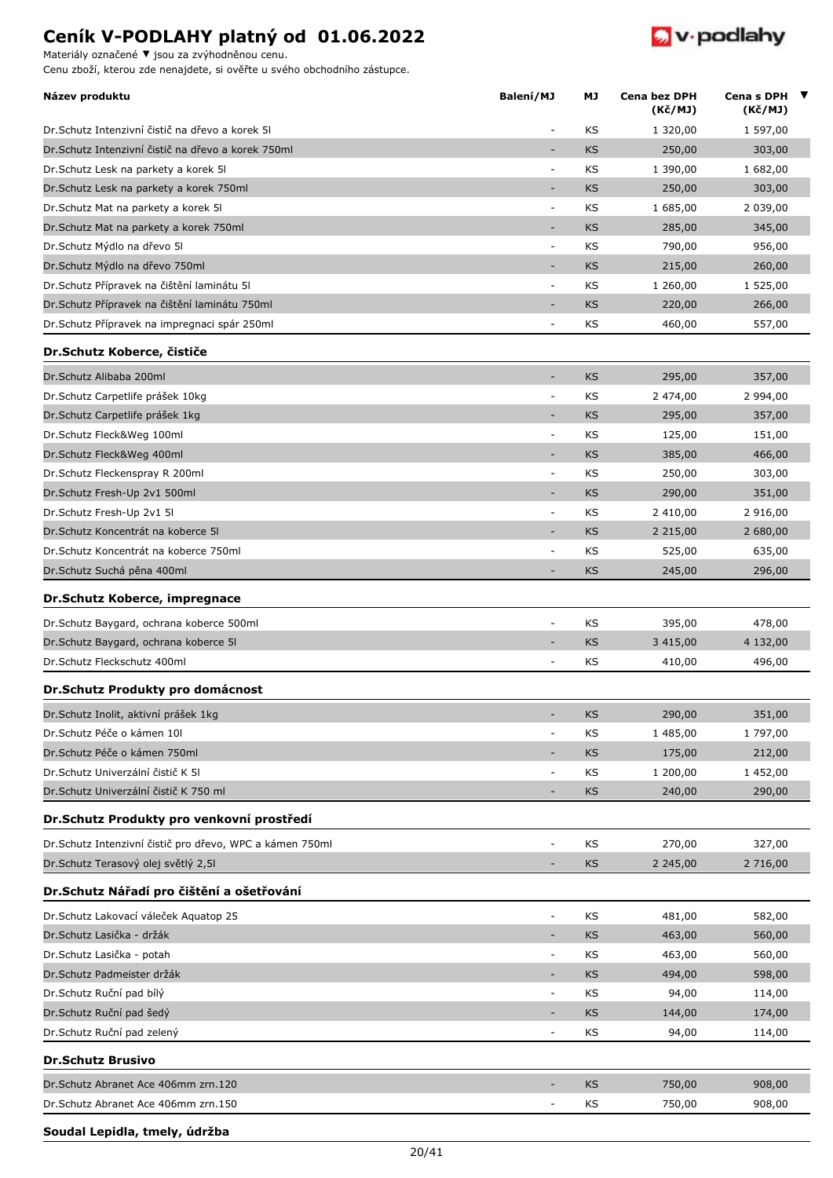Materiály označené **▼** jsou za zvýhodněnou cenu.

Cenu zboží, kterou zde nenajdete, si ověřte u svého obchodního zástupce.



| Název produktu                                            | Balení/MJ                    | МJ        | Cena bez DPH<br>(Kč/MJ) | Cena s DPH $\blacktriangledown$<br>(Kč/MJ) |
|-----------------------------------------------------------|------------------------------|-----------|-------------------------|--------------------------------------------|
| Dr. Schutz Intenzivní čistič na dřevo a korek 51          |                              | KS        | 1 320,00                | 1 597,00                                   |
| Dr. Schutz Intenzivní čistič na dřevo a korek 750ml       | $\overline{a}$               | <b>KS</b> | 250,00                  | 303,00                                     |
| Dr. Schutz Lesk na parkety a korek 51                     | $\overline{\phantom{a}}$     | KS        | 1 390,00                | 1 682,00                                   |
| Dr.Schutz Lesk na parkety a korek 750ml                   | ٠                            | <b>KS</b> | 250,00                  | 303,00                                     |
| Dr. Schutz Mat na parkety a korek 51                      | $\overline{\phantom{a}}$     | KS        | 1 685,00                | 2 039,00                                   |
| Dr. Schutz Mat na parkety a korek 750ml                   | ÷,                           | <b>KS</b> | 285,00                  | 345,00                                     |
| Dr.Schutz Mýdlo na dřevo 51                               | $\overline{\phantom{a}}$     | KS        | 790,00                  | 956,00                                     |
| Dr. Schutz Mýdlo na dřevo 750ml                           | ÷,                           | <b>KS</b> | 215,00                  | 260,00                                     |
| Dr. Schutz Přípravek na čištění laminátu 51               | $\overline{\phantom{a}}$     | KS        | 1 260,00                | 1 525,00                                   |
| Dr. Schutz Přípravek na čištění laminátu 750ml            | ٠                            | <b>KS</b> | 220,00                  | 266,00                                     |
| Dr. Schutz Přípravek na impregnaci spár 250ml             | $\overline{\phantom{a}}$     | KS        | 460,00                  | 557,00                                     |
| Dr.Schutz Koberce, čističe                                |                              |           |                         |                                            |
| Dr.Schutz Alibaba 200ml                                   | $\sim$                       | <b>KS</b> | 295,00                  | 357,00                                     |
| Dr. Schutz Carpetlife prášek 10kg                         | $\overline{\phantom{a}}$     | KS        | 2 474,00                | 2 994,00                                   |
| Dr. Schutz Carpetlife prášek 1kg                          | $\overline{\phantom{a}}$     | KS        | 295,00                  | 357,00                                     |
| Dr.Schutz Fleck&Weg 100ml                                 | $\overline{\phantom{a}}$     | KS        | 125,00                  | 151,00                                     |
| Dr.Schutz Fleck&Weg 400ml                                 | ÷,                           | <b>KS</b> | 385,00                  | 466,00                                     |
| Dr.Schutz Fleckenspray R 200ml                            | $\overline{\phantom{a}}$     | KS        | 250,00                  | 303,00                                     |
| Dr.Schutz Fresh-Up 2v1 500ml                              | $\overline{a}$               | <b>KS</b> | 290,00                  | 351,00                                     |
| Dr.Schutz Fresh-Up 2v1 5I                                 | $\overline{\phantom{a}}$     | KS        | 2 410,00                | 2 916,00                                   |
| Dr. Schutz Koncentrát na koberce 51                       | $\overline{\phantom{a}}$     | <b>KS</b> | 2 2 1 5 , 0 0           | 2 680,00                                   |
| Dr. Schutz Koncentrát na koberce 750ml                    | $\overline{\phantom{a}}$     | KS        | 525,00                  | 635,00                                     |
| Dr. Schutz Suchá pěna 400ml                               |                              | <b>KS</b> | 245,00                  | 296,00                                     |
| Dr.Schutz Koberce, impregnace                             |                              |           |                         |                                            |
| Dr. Schutz Baygard, ochrana koberce 500ml                 | $\overline{\phantom{a}}$     | KS        | 395,00                  | 478,00                                     |
| Dr.Schutz Baygard, ochrana koberce 5I                     |                              | <b>KS</b> | 3 4 1 5 , 0 0           | 4 132,00                                   |
| Dr.Schutz Fleckschutz 400ml                               | ٠                            | KS        | 410,00                  | 496,00                                     |
| Dr.Schutz Produkty pro domácnost                          |                              |           |                         |                                            |
| Dr. Schutz Inolit, aktivní prášek 1kg                     | ٠                            | KS        | 290,00                  | 351,00                                     |
| Dr.Schutz Péče o kámen 10l                                | $\overline{\phantom{a}}$     | KS        | 1 485,00                | 1 797,00                                   |
| Dr. Schutz Péče o kámen 750ml                             |                              | <b>KS</b> | 175,00                  | 212,00                                     |
| Dr. Schutz Univerzální čistič K 51                        | $\overline{\phantom{a}}$     | KS        | 1 200,00                | 1 452,00                                   |
| Dr. Schutz Univerzální čistič K 750 ml                    | ٠                            | <b>KS</b> | 240,00                  | 290,00                                     |
| Dr.Schutz Produkty pro venkovní prostředí                 |                              |           |                         |                                            |
| Dr. Schutz Intenzivní čistič pro dřevo, WPC a kámen 750ml |                              | KS        | 270,00                  | 327,00                                     |
| Dr.Schutz Terasový olej světlý 2,5l                       |                              | KS        | 2 2 4 5 , 0 0           | 2 716,00                                   |
| Dr.Schutz Nářadí pro čištění a ošetřování                 |                              |           |                         |                                            |
| Dr. Schutz Lakovací váleček Aguatop 25                    | $\overline{\phantom{a}}$     | KS        | 481,00                  | 582,00                                     |
| Dr. Schutz Lasička - držák                                | $\qquad \qquad \blacksquare$ | KS        | 463,00                  | 560,00                                     |
| Dr. Schutz Lasička - potah                                | $\overline{\phantom{a}}$     | KS        | 463,00                  | 560,00                                     |
| Dr. Schutz Padmeister držák                               | $\overline{\phantom{a}}$     | <b>KS</b> | 494,00                  | 598,00                                     |
| Dr.Schutz Ruční pad bílý                                  | $\overline{\phantom{a}}$     | KS        | 94,00                   | 114,00                                     |
| Dr. Schutz Ruční pad šedý                                 | $\overline{\phantom{a}}$     | KS        | 144,00                  | 174,00                                     |
| Dr. Schutz Ruční pad zelený                               | ÷,                           | KS        | 94,00                   | 114,00                                     |
| <b>Dr.Schutz Brusivo</b>                                  |                              |           |                         |                                            |
| Dr.Schutz Abranet Ace 406mm zrn.120                       | $\overline{\phantom{a}}$     | KS        | 750,00                  | 908,00                                     |
| Dr.Schutz Abranet Ace 406mm zrn.150                       | ÷                            | ΚS        | 750,00                  | 908,00                                     |

#### **Soudal Lepidla, tmely, údržba**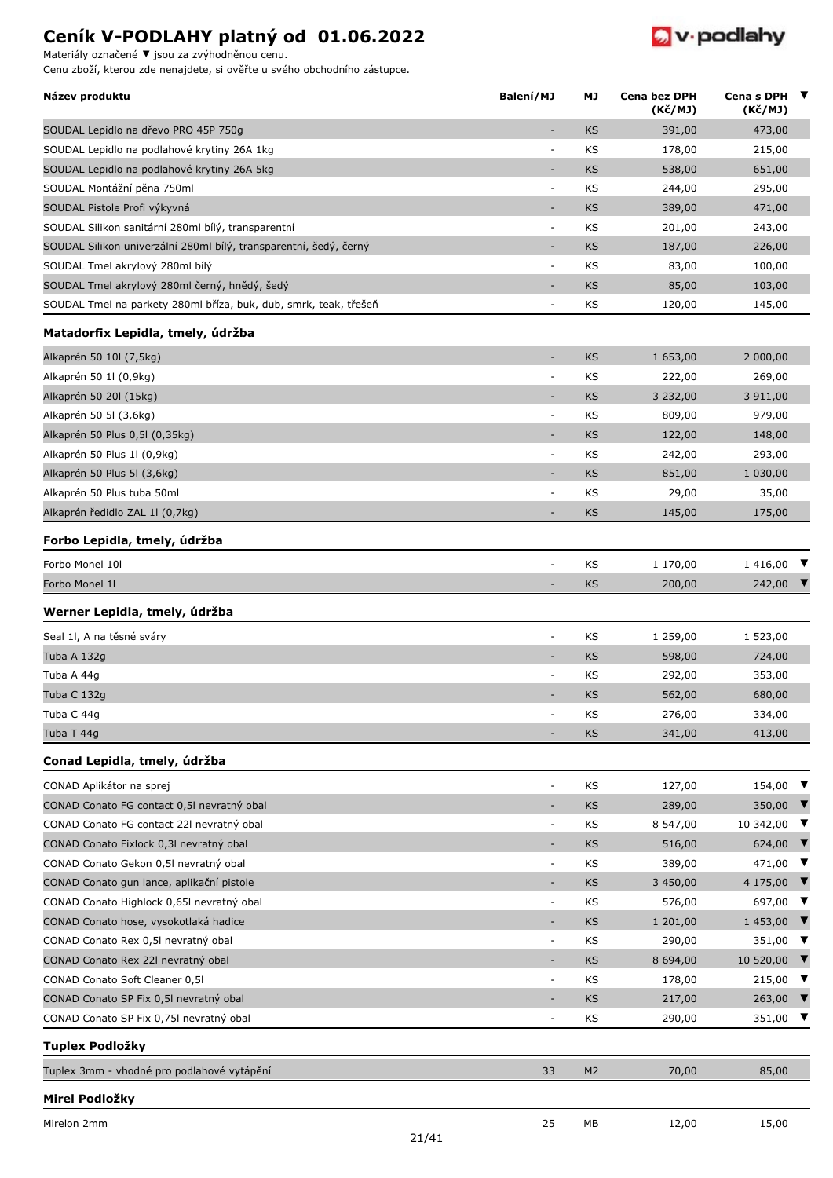Materiály označené **▼** jsou za zvýhodněnou cenu.

Cenu zboží, kterou zde nenajdete, si ověřte u svého obchodního zástupce.



| Název produktu                                                       | Balení/MJ                | МJ             | Cena bez DPH<br>(Kč/MJ) | Cena s DPH $\blacktriangledown$<br>(Kč/MJ) |                      |
|----------------------------------------------------------------------|--------------------------|----------------|-------------------------|--------------------------------------------|----------------------|
| SOUDAL Lepidlo na dřevo PRO 45P 750g                                 | $\sim$                   | KS             | 391,00                  | 473,00                                     |                      |
| SOUDAL Lepidlo na podlahové krytiny 26A 1kg                          | $\overline{\phantom{a}}$ | KS             | 178,00                  | 215,00                                     |                      |
| SOUDAL Lepidlo na podlahové krytiny 26A 5kg                          | $\overline{\phantom{a}}$ | KS             | 538,00                  | 651,00                                     |                      |
| SOUDAL Montážní pěna 750ml                                           | $\overline{\phantom{a}}$ | KS             | 244,00                  | 295,00                                     |                      |
| SOUDAL Pistole Profi výkyvná                                         | ٠                        | <b>KS</b>      | 389,00                  | 471,00                                     |                      |
| SOUDAL Silikon sanitární 280ml bílý, transparentní                   | $\overline{\phantom{a}}$ | KS             | 201,00                  | 243,00                                     |                      |
| SOUDAL Silikon univerzální 280ml bílý, transparentní, šedý, černý    | $\overline{\phantom{a}}$ | KS             | 187,00                  | 226,00                                     |                      |
| SOUDAL Tmel akrylový 280ml bílý                                      | $\overline{\phantom{a}}$ | KS             | 83,00                   | 100,00                                     |                      |
| SOUDAL Tmel akrylový 280ml černý, hnědý, šedý                        |                          | KS             | 85,00                   | 103,00                                     |                      |
| SOUDAL Tmel na parkety 280ml bříza, buk, dub, smrk, teak, třešeň     | $\overline{a}$           | KS             | 120,00                  | 145,00                                     |                      |
| Matadorfix Lepidla, tmely, údržba                                    |                          |                |                         |                                            |                      |
| Alkaprén 50 10l (7,5kg)                                              | $\overline{\phantom{a}}$ | KS             | 1 653,00                | 2 000,00                                   |                      |
| Alkaprén 50 1l (0,9kg)                                               | $\overline{\phantom{a}}$ | KS             | 222,00                  | 269,00                                     |                      |
| Alkaprén 50 20l (15kg)                                               | ٠                        | KS             | 3 232,00                | 3 911,00                                   |                      |
| Alkaprén 50 5l (3,6kg)                                               | $\overline{\phantom{a}}$ | KS             | 809,00                  | 979,00                                     |                      |
| Alkaprén 50 Plus 0,5l (0,35kg)                                       | $\overline{\phantom{a}}$ | <b>KS</b>      | 122,00                  | 148,00                                     |                      |
| Alkaprén 50 Plus 1l (0,9kg)                                          | $\overline{\phantom{a}}$ | KS             | 242,00                  | 293,00                                     |                      |
| Alkaprén 50 Plus 5l (3,6kg)                                          | $\sim$                   | KS             | 851,00                  | 1 030,00                                   |                      |
| Alkaprén 50 Plus tuba 50ml                                           | $\overline{\phantom{a}}$ | KS             | 29,00                   | 35,00                                      |                      |
| Alkaprén ředidlo ZAL 11 (0,7kg)                                      |                          | KS             | 145,00                  | 175,00                                     |                      |
| Forbo Lepidla, tmely, údržba                                         |                          |                |                         |                                            |                      |
| Forbo Monel 10I                                                      | $\overline{a}$           | KS             | 1 170,00                | 1 416,00                                   |                      |
| Forbo Monel 1I                                                       |                          | KS             | 200,00                  | 242,00                                     |                      |
| Werner Lepidla, tmely, údržba                                        |                          |                |                         |                                            |                      |
| Seal 1l, A na těsné sváry                                            | $\overline{\phantom{a}}$ | KS             | 1 259,00                | 1 523,00                                   |                      |
| Tuba A 132g                                                          | ٠                        | KS             | 598,00                  | 724,00                                     |                      |
| Tuba A 44g                                                           | $\overline{\phantom{a}}$ | KS             | 292,00                  | 353,00                                     |                      |
| Tuba C 132g                                                          | $\overline{\phantom{a}}$ | <b>KS</b>      | 562,00                  | 680,00                                     |                      |
| Tuba C 44g                                                           |                          | κs             | 276,00                  | 334,00                                     |                      |
| Tuba T 44g                                                           | ٠                        | KS             | 341,00                  | 413,00                                     |                      |
| Conad Lepidla, tmely, údržba                                         |                          |                |                         |                                            |                      |
| CONAD Aplikátor na sprej                                             | $\overline{a}$           | KS             | 127,00                  | 154,00                                     | ▼                    |
| CONAD Conato FG contact 0,5I nevratný obal                           |                          | KS             | 289,00                  | 350,00                                     | V                    |
| CONAD Conato FG contact 22I nevratný obal                            | $\overline{\phantom{a}}$ | KS             | 8 547,00                | 10 342,00                                  | ▼                    |
| CONAD Conato Fixlock 0,3I nevratný obal                              |                          | KS             | 516,00                  | 624,00                                     | V                    |
| CONAD Conato Gekon 0,5I nevratný obal                                | $\overline{\phantom{a}}$ | KS             | 389,00                  | 471,00                                     | ▼                    |
| CONAD Conato gun lance, aplikační pistole                            | $\overline{\phantom{a}}$ | KS             | 3 450,00                | 4 175,00                                   | V                    |
| CONAD Conato Highlock 0,65l nevratný obal                            | $\overline{\phantom{a}}$ | KS             | 576,00                  | 697,00                                     | ▼                    |
| CONAD Conato hose, vysokotlaká hadice                                | $\overline{\phantom{a}}$ | <b>KS</b>      | 1 201,00                | 1 453,00                                   | V                    |
| CONAD Conato Rex 0,5I nevratný obal                                  | $\overline{\phantom{a}}$ | KS             | 290,00                  | 351,00                                     | ▼                    |
| CONAD Conato Rex 22I nevratný obal                                   | $\overline{\phantom{a}}$ | KS             | 8 694,00                | 10 520,00                                  | V                    |
| CONAD Conato Soft Cleaner 0,51                                       | $\overline{\phantom{a}}$ | KS             | 178,00                  | 215,00                                     | V                    |
| CONAD Conato SP Fix 0,5I nevratný obal                               |                          | KS             | 217,00                  | 263,00                                     | V                    |
| CONAD Conato SP Fix 0,75I nevratný obal                              | $\overline{\phantom{a}}$ | KS             | 290,00                  | 351,00                                     | $\blacktriangledown$ |
|                                                                      |                          |                |                         |                                            |                      |
| <b>Tuplex Podložky</b><br>Tuplex 3mm - vhodné pro podlahové vytápění | 33                       | M <sub>2</sub> | 70,00                   | 85,00                                      |                      |
|                                                                      |                          |                |                         |                                            |                      |
| Mirel Podložky                                                       |                          |                |                         |                                            |                      |

21/41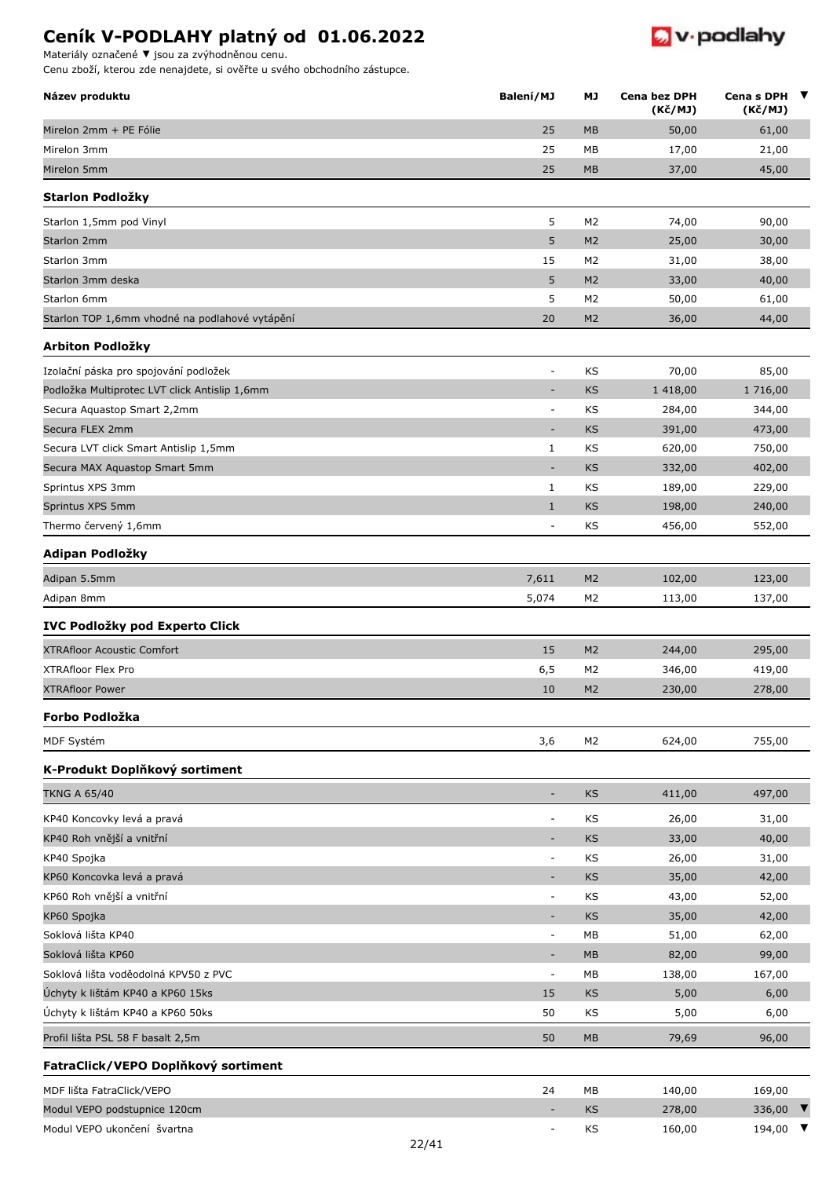Materiály označené **▼** jsou za zvýhodněnou cenu.



| Název produktu                                 | Balení/MJ                    | МJ             | Cena bez DPH<br>(Kč/MJ) | Cena s DPH $\blacktriangledown$<br>(Kč/MJ) |
|------------------------------------------------|------------------------------|----------------|-------------------------|--------------------------------------------|
| Mirelon 2mm + PE Fólie                         | 25                           | <b>MB</b>      | 50,00                   | 61,00                                      |
| Mirelon 3mm                                    | 25                           | MB             | 17,00                   | 21,00                                      |
| Mirelon 5mm                                    | 25                           | <b>MB</b>      | 37,00                   | 45,00                                      |
| Starlon Podložky                               |                              |                |                         |                                            |
| Starlon 1,5mm pod Vinyl                        | 5                            | M <sub>2</sub> | 74,00                   | 90,00                                      |
| Starlon 2mm                                    | 5                            | M <sub>2</sub> | 25,00                   | 30,00                                      |
| Starlon 3mm                                    | 15                           | M <sub>2</sub> | 31,00                   | 38,00                                      |
| Starlon 3mm deska                              | 5                            | M <sub>2</sub> | 33,00                   | 40,00                                      |
| Starlon 6mm                                    | 5                            | M <sub>2</sub> | 50,00                   | 61,00                                      |
| Starlon TOP 1,6mm vhodné na podlahové vytápění | 20                           | M <sub>2</sub> | 36,00                   | 44,00                                      |
| Arbiton Podložky                               |                              |                |                         |                                            |
| Izolační páska pro spojování podložek          | $\overline{\phantom{a}}$     | KS             | 70,00                   | 85,00                                      |
| Podložka Multiprotec LVT click Antislip 1,6mm  | ٠                            | <b>KS</b>      | 1 418,00                | 1 716,00                                   |
| Secura Aquastop Smart 2,2mm                    | $\overline{a}$               | KS             | 284,00                  | 344,00                                     |
| Secura FLEX 2mm                                | $\overline{\phantom{a}}$     | <b>KS</b>      | 391,00                  | 473,00                                     |
| Secura LVT click Smart Antislip 1,5mm          | $\mathbf{1}$                 | KS             | 620,00                  | 750,00                                     |
| Secura MAX Aquastop Smart 5mm                  | $\overline{a}$               | <b>KS</b>      | 332,00                  | 402,00                                     |
| Sprintus XPS 3mm                               | $\mathbf{1}$                 | KS             | 189,00                  | 229,00                                     |
| Sprintus XPS 5mm                               | $\mathbf{1}$                 | KS             | 198,00                  | 240,00                                     |
| Thermo červený 1,6mm                           | ÷,                           | ΚS             | 456,00                  | 552,00                                     |
| Adipan Podložky                                |                              |                |                         |                                            |
| Adipan 5.5mm                                   | 7,611                        | M <sub>2</sub> | 102,00                  | 123,00                                     |
| Adipan 8mm                                     | 5,074                        | M2             | 113,00                  | 137,00                                     |
| IVC Podložky pod Experto Click                 |                              |                |                         |                                            |
| <b>XTRAfloor Acoustic Comfort</b>              | 15                           | M <sub>2</sub> | 244,00                  | 295,00                                     |
| <b>XTRAfloor Flex Pro</b>                      | 6, 5                         | M <sub>2</sub> | 346,00                  | 419,00                                     |
| <b>XTRAfloor Power</b>                         | 10                           | M <sub>2</sub> | 230,00                  | 278,00                                     |
| Forbo Podložka                                 |                              |                |                         |                                            |
| MDF Systém                                     | 3,6                          | M2             | 624,00                  | 755,00                                     |
| K-Produkt Doplňkový sortiment                  |                              |                |                         |                                            |
| <b>TKNG A 65/40</b>                            | ÷                            | <b>KS</b>      | 411,00                  | 497,00                                     |
| KP40 Koncovky levá a pravá                     | $\overline{\phantom{a}}$     | KS             | 26,00                   | 31,00                                      |
| KP40 Roh vnější a vnitřní                      | $\qquad \qquad \blacksquare$ | <b>KS</b>      | 33,00                   | 40,00                                      |
| KP40 Spojka                                    | $\overline{\phantom{a}}$     | KS             | 26,00                   | 31,00                                      |
| KP60 Koncovka levá a pravá                     | ٠                            | <b>KS</b>      | 35,00                   | 42,00                                      |
| KP60 Roh vnější a vnitřní                      | $\overline{\phantom{a}}$     | KS             | 43,00                   | 52,00                                      |
| KP60 Spojka                                    | $\overline{\phantom{a}}$     | <b>KS</b>      | 35,00                   | 42,00                                      |
| Soklová lišta KP40                             | $\overline{\phantom{a}}$     | МB             | 51,00                   | 62,00                                      |
| Soklová lišta KP60                             | $\overline{a}$               | MB             | 82,00                   | 99,00                                      |
| Soklová lišta voděodolná KPV50 z PVC           | $\overline{\phantom{a}}$     | МB             | 138,00                  | 167,00                                     |
| Úchyty k lištám KP40 a KP60 15ks               | 15                           | <b>KS</b>      | 5,00                    | 6,00                                       |
| Úchyty k lištám KP40 a KP60 50ks               | 50                           | ΚS             | 5,00                    | 6,00                                       |
| Profil lišta PSL 58 F basalt 2,5m              | 50                           | <b>MB</b>      | 79,69                   | 96,00                                      |
| FatraClick/VEPO Doplňkový sortiment            |                              |                |                         |                                            |
| MDF lišta FatraClick/VEPO                      | 24                           | МB             | 140,00                  | 169,00                                     |
| Modul VEPO podstupnice 120cm                   | $\overline{\phantom{a}}$     | <b>KS</b>      | 278,00                  | 336,00 $\blacktriangledown$                |
| Modul VEPO ukončení švartna                    |                              | KS             | 160,00                  | $194,00$ ▼                                 |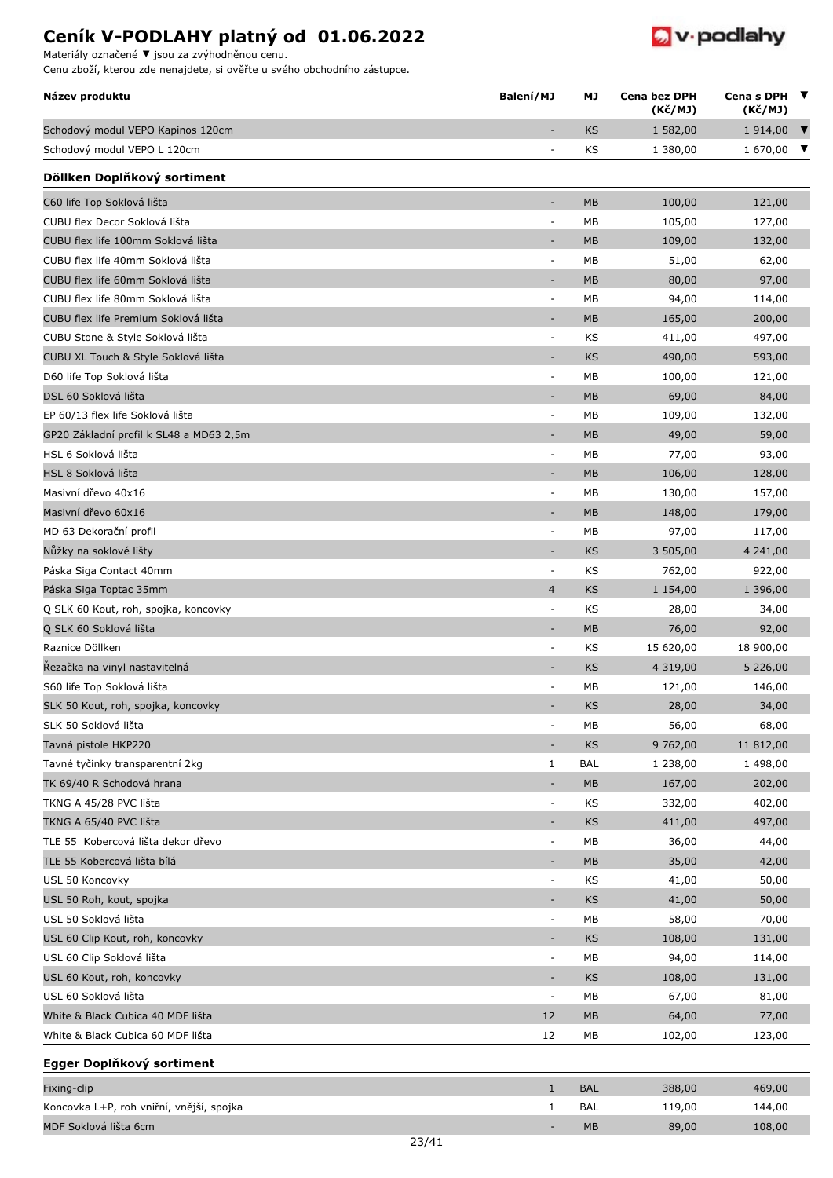**Název produktu MJ Cena bez DPH**

Schodový modul VEPO Kapinos 120cm - KS 1582,00 1914,00



**Balaenish** Cenas DPH ▼

**Cena s DPH (Kč/MJ)**

**(Kč/MJ)**

Materiály označené **▼** jsou za zvýhodněnou cenu.

| Schodový modul VEPO L 120cm                                  |                              | KS         | 1 380,00      | 1 670,00 $\blacktriangledown$ |
|--------------------------------------------------------------|------------------------------|------------|---------------|-------------------------------|
| Döllken Doplňkový sortiment                                  |                              |            |               |                               |
| C60 life Top Soklová lišta                                   | $\overline{\phantom{a}}$     | MB         | 100,00        | 121,00                        |
| CUBU flex Decor Soklová lišta                                | $\qquad \qquad \blacksquare$ | MB         | 105,00        | 127,00                        |
| CUBU flex life 100mm Soklová lišta                           | $\overline{\phantom{a}}$     | <b>MB</b>  | 109,00        | 132,00                        |
| CUBU flex life 40mm Soklová lišta                            | $\overline{\phantom{a}}$     | MB         | 51,00         | 62,00                         |
| CUBU flex life 60mm Soklová lišta                            | ٠                            | <b>MB</b>  | 80,00         | 97,00                         |
| CUBU flex life 80mm Soklová lišta                            | $\overline{\phantom{a}}$     | MB         | 94,00         | 114,00                        |
| CUBU flex life Premium Soklová lišta                         |                              | MB         | 165,00        | 200,00                        |
| CUBU Stone & Style Soklová lišta                             | $\blacksquare$               | KS         | 411,00        | 497,00                        |
| CUBU XL Touch & Style Soklová lišta                          | ÷,                           | KS         | 490,00        | 593,00                        |
| D60 life Top Soklová lišta                                   | $\overline{\phantom{a}}$     | MB         | 100,00        | 121,00                        |
| DSL 60 Soklová lišta                                         | $\qquad \qquad \blacksquare$ | <b>MB</b>  | 69,00         | 84,00                         |
| EP 60/13 flex life Soklová lišta                             | $\overline{\phantom{a}}$     | MB         | 109,00        | 132,00                        |
| GP20 Základní profil k SL48 a MD63 2,5m                      | $\overline{\phantom{a}}$     | <b>MB</b>  | 49,00         | 59,00                         |
| HSL 6 Soklová lišta                                          | $\overline{\phantom{a}}$     | МB         | 77,00         | 93,00                         |
| HSL 8 Soklová lišta                                          | ٠                            | <b>MB</b>  | 106,00        | 128,00                        |
| Masivní dřevo 40x16                                          | $\overline{\phantom{a}}$     | МB         | 130,00        | 157,00                        |
| Masivní dřevo 60x16                                          | $\overline{\phantom{a}}$     | <b>MB</b>  | 148,00        | 179,00                        |
| MD 63 Dekorační profil                                       | $\overline{\phantom{a}}$     | МB         | 97,00         | 117,00                        |
| Nůžky na soklové lišty                                       | $\overline{\phantom{a}}$     | KS         | 3 505,00      | 4 241,00                      |
| Páska Siga Contact 40mm                                      | $\overline{\phantom{a}}$     | KS         | 762,00        | 922,00                        |
| Páska Siga Toptac 35mm                                       | $\overline{4}$               | KS         | 1 154,00      | 1 396,00                      |
| Q SLK 60 Kout, roh, spojka, koncovky                         | $\overline{\phantom{a}}$     | KS         | 28,00         | 34,00                         |
| Q SLK 60 Soklová lišta                                       | ٠                            | <b>MB</b>  | 76,00         | 92,00                         |
| Raznice Döllken                                              | $\blacksquare$               | KS         | 15 620,00     | 18 900,00                     |
| Řezačka na vinyl nastavitelná                                | ٠                            | KS         | 4 3 1 9 , 0 0 | 5 226,00                      |
| S60 life Top Soklová lišta                                   | $\overline{\phantom{a}}$     | МB         | 121,00        | 146,00                        |
| SLK 50 Kout, roh, spojka, koncovky                           | ٠                            | <b>KS</b>  | 28,00         | 34,00                         |
| SLK 50 Soklová lišta                                         | $\overline{\phantom{a}}$     | МB         | 56,00         | 68,00                         |
| Tavná pistole HKP220                                         | ٠                            | KS         | 9 762,00      | 11 812,00                     |
|                                                              | 1                            | <b>BAL</b> | 1 238,00      | 1 498,00                      |
| Tavné tyčinky transparentní 2kg<br>TK 69/40 R Schodová hrana | $\overline{\phantom{a}}$     | MB         | 167,00        | 202,00                        |
|                                                              |                              | KS         |               |                               |
| TKNG A 45/28 PVC lišta                                       | ۰                            |            | 332,00        | 402,00                        |
| TKNG A 65/40 PVC lišta<br>TLE 55 Kobercová lišta dekor dřevo |                              | KS         | 411,00        | 497,00                        |
| TLE 55 Kobercová lišta bílá                                  | $\equiv$                     | МB<br>MB   | 36,00         | 44,00                         |
|                                                              | -                            |            | 35,00         | 42,00                         |
| USL 50 Koncovky                                              | $\overline{\phantom{a}}$     | KS         | 41,00         | 50,00                         |
| USL 50 Roh, kout, spojka                                     | $\overline{\phantom{a}}$     | <b>KS</b>  | 41,00         | 50,00                         |
| USL 50 Soklová lišta                                         | $\overline{\phantom{a}}$     | МB         | 58,00         | 70,00                         |
| USL 60 Clip Kout, roh, koncovky                              | $\overline{\phantom{a}}$     | KS         | 108,00        | 131,00                        |
| USL 60 Clip Soklová lišta                                    | $\overline{\phantom{a}}$     | МB         | 94,00         | 114,00                        |
| USL 60 Kout, roh, koncovky                                   | $\overline{\phantom{a}}$     | KS         | 108,00        | 131,00                        |
| USL 60 Soklová lišta                                         | $\blacksquare$               | МB         | 67,00         | 81,00                         |
| White & Black Cubica 40 MDF lišta                            | 12                           | MB         | 64,00         | 77,00                         |
| White & Black Cubica 60 MDF lišta                            | 12                           | МB         | 102,00        | 123,00                        |
| Egger Doplňkový sortiment                                    |                              |            |               |                               |
| Fixing-clip                                                  | $\mathbf{1}$                 | <b>BAL</b> | 388,00        | 469,00                        |
| Koncovka L+P, roh vniřní, vnější, spojka                     | $\mathbf{1}$                 | BAL        | 119,00        | 144,00                        |
| MDF Soklová lišta 6cm<br>23/41                               |                              | MB         | 89,00         | 108,00                        |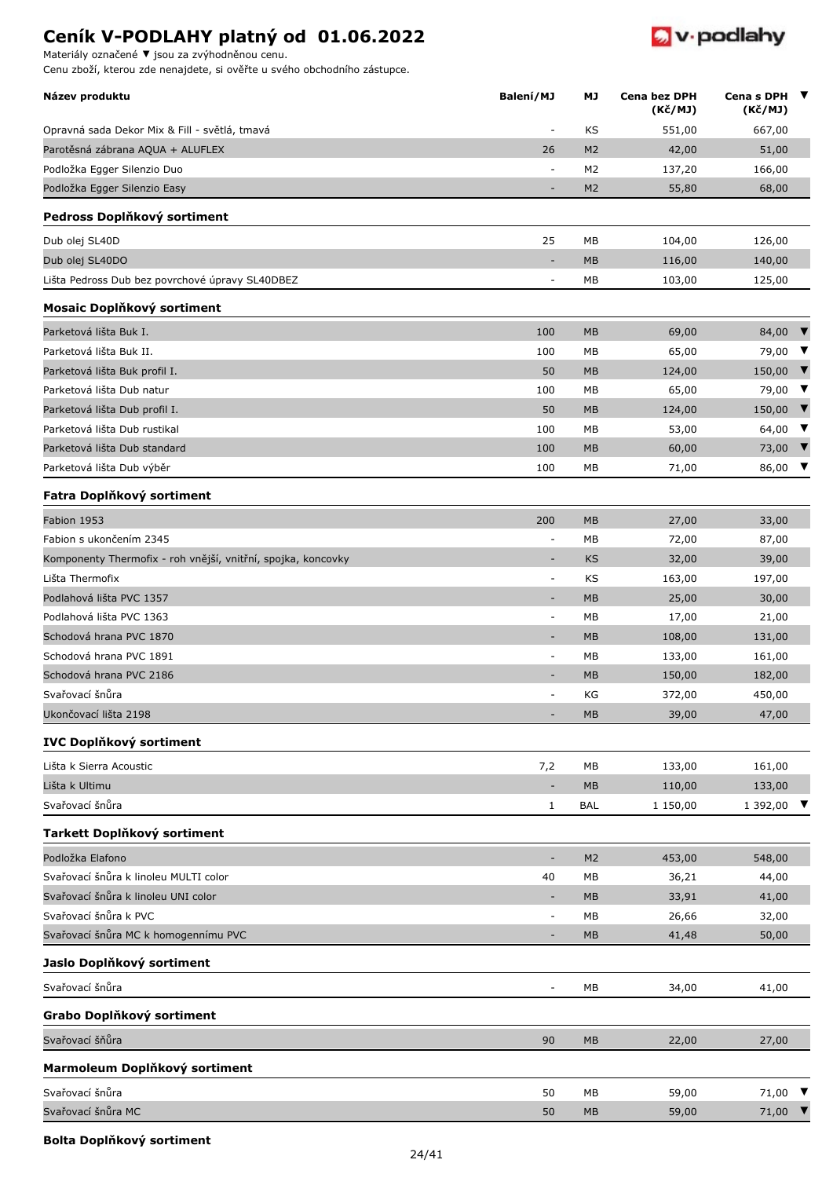Materiály označené **▼** jsou za zvýhodněnou cenu.

Cenu zboží, kterou zde nenajdete, si ověřte u svého obchodního zástupce.



| Název produktu                                               | Balení/MJ                    | МJ             | Cena bez DPH<br>(Kč/MJ) | Cena s DPH<br>(Kč/MJ)      | $\blacksquare$          |
|--------------------------------------------------------------|------------------------------|----------------|-------------------------|----------------------------|-------------------------|
| Opravná sada Dekor Mix & Fill - světlá, tmavá                | ٠                            | KS             | 551,00                  | 667,00                     |                         |
| Parotěsná zábrana AQUA + ALUFLEX                             | 26                           | M <sub>2</sub> | 42,00                   | 51,00                      |                         |
| Podložka Egger Silenzio Duo                                  | $\overline{a}$               | M <sub>2</sub> | 137,20                  | 166,00                     |                         |
| Podložka Egger Silenzio Easy                                 |                              | M <sub>2</sub> | 55,80                   | 68,00                      |                         |
| Pedross Doplňkový sortiment                                  |                              |                |                         |                            |                         |
| Dub olej SL40D                                               | 25                           | МB             | 104,00                  | 126,00                     |                         |
| Dub olej SL40DO                                              | $\qquad \qquad \blacksquare$ | <b>MB</b>      | 116,00                  | 140,00                     |                         |
| Lišta Pedross Dub bez povrchové úpravy SL40DBEZ              | $\qquad \qquad \blacksquare$ | МB             | 103,00                  | 125,00                     |                         |
| Mosaic Doplňkový sortiment                                   |                              |                |                         |                            |                         |
| Parketová lišta Buk I.                                       | 100                          | <b>MB</b>      | 69,00                   | 84,00                      | $\blacksquare$          |
| Parketová lišta Buk II.                                      | 100                          | МB             | 65,00                   | 79,00                      | $\overline{\mathbf{v}}$ |
| Parketová lišta Buk profil I.                                | 50                           | MB             | 124,00                  | 150,00                     | $\mathbf{v}$            |
| Parketová lišta Dub natur                                    | 100                          | MB             | 65,00                   | 79,00                      | $\blacksquare$          |
| Parketová lišta Dub profil I.                                | 50                           | <b>MB</b>      | 124,00                  | 150,00                     | $\blacksquare$          |
| Parketová lišta Dub rustikal                                 | 100                          | MB             | 53,00                   | 64,00                      | $\blacksquare$          |
| Parketová lišta Dub standard                                 | 100                          | <b>MB</b>      | 60,00                   | 73,00                      | $\mathbf{v}$            |
| Parketová lišta Dub výběr                                    | 100                          | МB             | 71,00                   | 86,00                      | $\overline{\mathbf{v}}$ |
| Fatra Doplňkový sortiment                                    |                              |                |                         |                            |                         |
| Fabion 1953                                                  | 200                          | <b>MB</b>      | 27,00                   | 33,00                      |                         |
| Fabion s ukončením 2345                                      | ÷,                           | МB             | 72,00                   | 87,00                      |                         |
| Komponenty Thermofix - roh vnější, vnitřní, spojka, koncovky | $\overline{a}$               | <b>KS</b>      | 32,00                   | 39,00                      |                         |
| Lišta Thermofix                                              | ÷                            | KS             | 163,00                  | 197,00                     |                         |
| Podlahová lišta PVC 1357                                     | ٠                            | <b>MB</b>      | 25,00                   | 30,00                      |                         |
| Podlahová lišta PVC 1363                                     | $\overline{\phantom{a}}$     | МB             | 17,00                   | 21,00                      |                         |
| Schodová hrana PVC 1870                                      | $\qquad \qquad \blacksquare$ | <b>MB</b>      | 108,00                  | 131,00                     |                         |
| Schodová hrana PVC 1891                                      | $\qquad \qquad \blacksquare$ | МB             | 133,00                  | 161,00                     |                         |
| Schodová hrana PVC 2186                                      |                              | <b>MB</b>      | 150,00                  | 182,00                     |                         |
| Svařovací šnůra                                              | ٠                            | КG             | 372,00                  | 450,00                     |                         |
| Ukončovací lišta 2198                                        |                              | <b>MB</b>      | 39,00                   | 47,00                      |                         |
| <b>IVC Doplňkový sortiment</b>                               |                              |                |                         |                            |                         |
| Lišta k Sierra Acoustic                                      | 7,2                          | MB             | 133,00                  | 161,00                     |                         |
| Lišta k Ultimu                                               |                              | MB             | 110,00                  | 133,00                     |                         |
| Svařovací šnůra                                              | 1                            | <b>BAL</b>     | 1 150,00                | 1 392,00                   |                         |
| Tarkett Doplňkový sortiment                                  |                              |                |                         |                            |                         |
| Podložka Elafono                                             | ÷,                           | M <sub>2</sub> | 453,00                  | 548,00                     |                         |
| Svařovací šnůra k linoleu MULTI color                        | 40                           | МB             | 36,21                   | 44,00                      |                         |
| Svařovací šnůra k linoleu UNI color                          | $\qquad \qquad \blacksquare$ | MB             | 33,91                   | 41,00                      |                         |
| Svařovací šnůra k PVC                                        | $\overline{\phantom{a}}$     | МB             | 26,66                   | 32,00                      |                         |
| Svařovací šnůra MC k homogennímu PVC                         |                              | <b>MB</b>      | 41,48                   | 50,00                      |                         |
| Jaslo Doplňkový sortiment                                    |                              |                |                         |                            |                         |
| Svařovací šnůra                                              | ÷                            | МB             | 34,00                   | 41,00                      |                         |
| Grabo Doplňkový sortiment                                    |                              |                |                         |                            |                         |
| Svařovací šňůra                                              | 90                           | <b>MB</b>      | 22,00                   | 27,00                      |                         |
| Marmoleum Doplňkový sortiment                                |                              |                |                         |                            |                         |
| Svařovací šnůra                                              | 50                           | МB             | 59,00                   | 71,00 $\blacktriangledown$ |                         |
| Svařovací šnůra MC                                           | 50                           | MB             | 59,00                   | 71,00 $\blacktriangledown$ |                         |

#### **Bolta Doplňkový sortiment**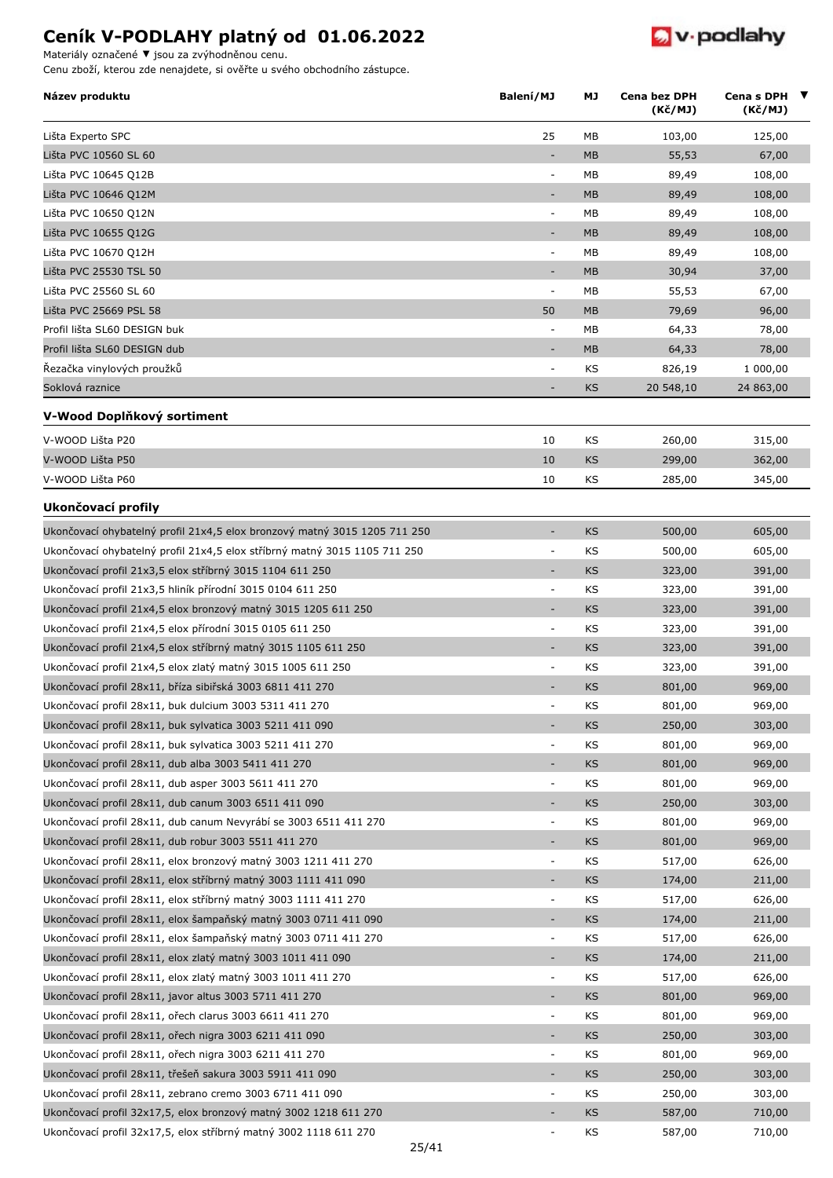$\bullet$  v podlahy

Materiály označené **▼** jsou za zvýhodněnou cenu.

| Název produktu                                                            | Balení/MJ                    | МJ        | Cena bez DPH<br>(Kč/MJ) | Cena s DPH $\blacktriangledown$<br>(Kč/MJ) |
|---------------------------------------------------------------------------|------------------------------|-----------|-------------------------|--------------------------------------------|
| Lišta Experto SPC                                                         | 25                           | МB        | 103,00                  | 125,00                                     |
| Lišta PVC 10560 SL 60                                                     | $\overline{\phantom{a}}$     | MB        | 55,53                   | 67,00                                      |
| Lišta PVC 10645 Q12B                                                      | ÷                            | МB        | 89,49                   | 108,00                                     |
| Lišta PVC 10646 Q12M                                                      | ٠                            | <b>MB</b> | 89,49                   | 108,00                                     |
| Lišta PVC 10650 Q12N                                                      | $\overline{\phantom{a}}$     | MВ        | 89,49                   | 108,00                                     |
| Lišta PVC 10655 Q12G                                                      | $\qquad \qquad \blacksquare$ | <b>MB</b> | 89,49                   | 108,00                                     |
| Lišta PVC 10670 Q12H                                                      | ÷                            | MB        | 89,49                   | 108,00                                     |
| Lišta PVC 25530 TSL 50                                                    | $\qquad \qquad \blacksquare$ | <b>MB</b> | 30,94                   | 37,00                                      |
| Lišta PVC 25560 SL 60                                                     | $\overline{\phantom{a}}$     | МB        | 55,53                   | 67,00                                      |
| Lišta PVC 25669 PSL 58                                                    | 50                           | <b>MB</b> | 79,69                   | 96,00                                      |
| Profil lišta SL60 DESIGN buk                                              | ÷                            | МB        | 64,33                   | 78,00                                      |
| Profil lišta SL60 DESIGN dub                                              |                              | MB        | 64,33                   | 78,00                                      |
| Řezačka vinylových proužků                                                | ÷                            | KS        | 826,19                  | 1 000,00                                   |
| Soklová raznice                                                           |                              | <b>KS</b> | 20 548,10               | 24 863,00                                  |
| V-Wood Doplňkový sortiment                                                |                              |           |                         |                                            |
| V-WOOD Lišta P20                                                          | 10                           | KS        | 260,00                  | 315,00                                     |
| V-WOOD Lišta P50                                                          | 10                           | <b>KS</b> | 299,00                  | 362,00                                     |
| V-WOOD Lišta P60                                                          | 10                           | KS        | 285,00                  | 345,00                                     |
| Ukončovací profily                                                        |                              |           |                         |                                            |
| Ukončovací ohybatelný profil 21x4,5 elox bronzový matný 3015 1205 711 250 | $\overline{\phantom{a}}$     | KS        | 500,00                  | 605,00                                     |
| Ukončovací ohybatelný profil 21x4,5 elox stříbrný matný 3015 1105 711 250 | $\overline{\phantom{a}}$     | KS        | 500,00                  | 605,00                                     |
| Ukončovací profil 21x3,5 elox stříbrný 3015 1104 611 250                  | $\qquad \qquad \blacksquare$ | <b>KS</b> | 323,00                  | 391,00                                     |
| Ukončovací profil 21x3,5 hliník přírodní 3015 0104 611 250                | $\overline{\phantom{a}}$     | KS        | 323,00                  | 391,00                                     |
| Ukončovací profil 21x4,5 elox bronzový matný 3015 1205 611 250            |                              | KS        | 323,00                  | 391,00                                     |
| Ukončovací profil 21x4,5 elox přírodní 3015 0105 611 250                  | ÷                            | KS        | 323,00                  | 391,00                                     |
| Ukončovací profil 21x4,5 elox stříbrný matný 3015 1105 611 250            | ٠                            | KS        | 323,00                  | 391,00                                     |
| Ukončovací profil 21x4,5 elox zlatý matný 3015 1005 611 250               | $\overline{\phantom{a}}$     | KS        | 323,00                  | 391,00                                     |
| Ukončovací profil 28x11, bříza sibiřská 3003 6811 411 270                 |                              | <b>KS</b> | 801,00                  | 969,00                                     |
| Ukončovací profil 28x11, buk dulcium 3003 5311 411 270                    | $\qquad \qquad \blacksquare$ | KS        | 801,00                  | 969,00                                     |
| Ukončovací profil 28x11, buk sylvatica 3003 5211 411 090                  |                              | KS        | 250,00                  | 303,00                                     |
| Ukončovací profil 28x11, buk sylvatica 3003 5211 411 270                  | ÷                            | KS        | 801,00                  | 969,00                                     |
| Ukončovací profil 28x11, dub alba 3003 5411 411 270                       | $\qquad \qquad \blacksquare$ | KS        | 801,00                  | 969,00                                     |
| Ukončovací profil 28x11, dub asper 3003 5611 411 270                      | ÷                            | KS        | 801,00                  | 969,00                                     |
| Ukončovací profil 28x11, dub canum 3003 6511 411 090                      | $\overline{\phantom{a}}$     | KS        | 250,00                  | 303,00                                     |
| Ukončovací profil 28x11, dub canum Nevyrábí se 3003 6511 411 270          | ÷                            | KS        | 801,00                  | 969,00                                     |
| Ukončovací profil 28x11, dub robur 3003 5511 411 270                      | ÷                            | KS        | 801,00                  | 969,00                                     |
| Ukončovací profil 28x11, elox bronzový matný 3003 1211 411 270            | ÷                            | KS        | 517,00                  | 626,00                                     |
| Ukončovací profil 28x11, elox stříbrný matný 3003 1111 411 090            | ٠                            | KS        | 174,00                  | 211,00                                     |
| Ukončovací profil 28x11, elox stříbrný matný 3003 1111 411 270            | $\blacksquare$               | KS        | 517,00                  | 626,00                                     |
| Ukončovací profil 28x11, elox šampaňský matný 3003 0711 411 090           | $\overline{\phantom{a}}$     | KS        | 174,00                  | 211,00                                     |
| Ukončovací profil 28x11, elox šampaňský matný 3003 0711 411 270           | ÷,                           | KS        | 517,00                  | 626,00                                     |
| Ukončovací profil 28x11, elox zlatý matný 3003 1011 411 090               | $\overline{\phantom{a}}$     | KS        | 174,00                  | 211,00                                     |
| Ukončovací profil 28x11, elox zlatý matný 3003 1011 411 270               | $\blacksquare$               | KS        | 517,00                  | 626,00                                     |
| Ukončovací profil 28x11, javor altus 3003 5711 411 270                    | ÷                            | KS        | 801,00                  | 969,00                                     |
| Ukončovací profil 28x11, ořech clarus 3003 6611 411 270                   | ÷,                           | KS        | 801,00                  | 969,00                                     |
| Ukončovací profil 28x11, ořech nigra 3003 6211 411 090                    | ÷,                           | KS        | 250,00                  | 303,00                                     |
| Ukončovací profil 28x11, ořech nigra 3003 6211 411 270                    | ÷,                           | KS        | 801,00                  | 969,00                                     |
| Ukončovací profil 28x11, třešeň sakura 3003 5911 411 090                  | ÷,                           | KS        | 250,00                  | 303,00                                     |
| Ukončovací profil 28x11, zebrano cremo 3003 6711 411 090                  | $\overline{a}$               | KS        | 250,00                  | 303,00                                     |
| Ukončovací profil 32x17,5, elox bronzový matný 3002 1218 611 270          |                              | KS        | 587,00                  | 710,00                                     |
| Ukončovací profil 32x17,5, elox stříbrný matný 3002 1118 611 270          | ÷,                           | KS        | 587,00                  | 710,00                                     |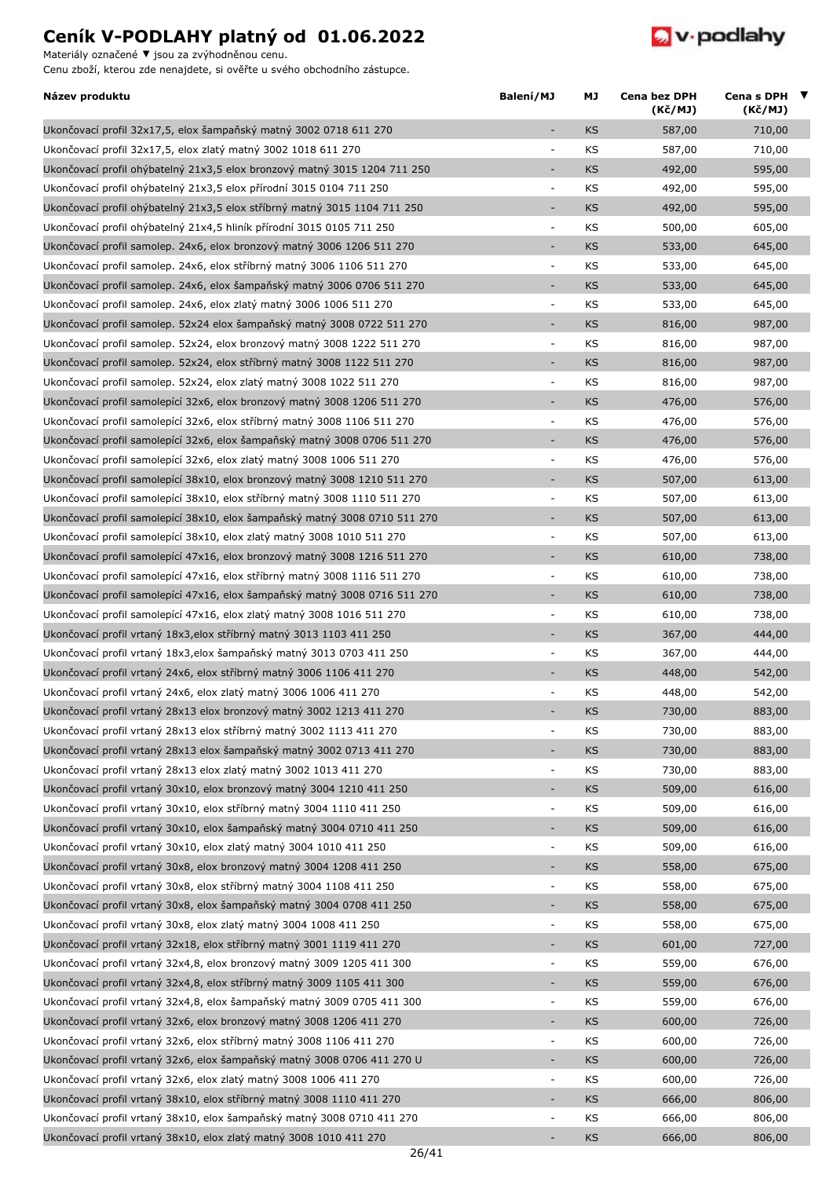Materiály označené **▼** jsou za zvýhodněnou cenu.



| Název produktu                                                                                                                             | Balení/MJ                | МJ        | Cena bez DPH<br>(Kč/MJ) | Cena s DPH<br>$\blacksquare$<br>(Kč/MJ) |
|--------------------------------------------------------------------------------------------------------------------------------------------|--------------------------|-----------|-------------------------|-----------------------------------------|
| Ukončovací profil 32x17,5, elox šampaňský matný 3002 0718 611 270                                                                          | $\sim$                   | KS        | 587,00                  | 710,00                                  |
| Ukončovací profil 32x17,5, elox zlatý matný 3002 1018 611 270                                                                              | $\overline{\phantom{a}}$ | KS        | 587,00                  | 710,00                                  |
| Ukončovací profil ohýbatelný 21x3,5 elox bronzový matný 3015 1204 711 250                                                                  | $\overline{\phantom{a}}$ | <b>KS</b> | 492,00                  | 595,00                                  |
| Ukončovací profil ohýbatelný 21x3,5 elox přírodní 3015 0104 711 250                                                                        | $\overline{\phantom{a}}$ | KS        | 492,00                  | 595,00                                  |
| Ukončovací profil ohýbatelný 21x3,5 elox stříbrný matný 3015 1104 711 250                                                                  | $\overline{\phantom{a}}$ | <b>KS</b> | 492,00                  | 595,00                                  |
| Ukončovací profil ohýbatelný 21x4,5 hliník přírodní 3015 0105 711 250                                                                      | $\overline{\phantom{a}}$ | KS        | 500,00                  | 605,00                                  |
| Ukončovací profil samolep. 24x6, elox bronzový matný 3006 1206 511 270                                                                     | $\sim$                   | KS        | 533,00                  | 645,00                                  |
| Ukončovací profil samolep. 24x6, elox stříbrný matný 3006 1106 511 270                                                                     | ÷,                       | KS        | 533,00                  | 645,00                                  |
| Ukončovací profil samolep. 24x6, elox šampaňský matný 3006 0706 511 270                                                                    | $\overline{\phantom{a}}$ | KS        | 533,00                  | 645,00                                  |
| Ukončovací profil samolep. 24x6, elox zlatý matný 3006 1006 511 270                                                                        | $\overline{\phantom{a}}$ | KS        | 533,00                  | 645,00                                  |
| Ukončovací profil samolep. 52x24 elox šampaňský matný 3008 0722 511 270                                                                    | $\sim$                   | KS        | 816,00                  | 987,00                                  |
| Ukončovací profil samolep. 52x24, elox bronzový matný 3008 1222 511 270                                                                    | $\overline{\phantom{a}}$ | KS        | 816,00                  | 987,00                                  |
| Ukončovací profil samolep. 52x24, elox stříbrný matný 3008 1122 511 270                                                                    | ÷                        | <b>KS</b> | 816,00                  | 987,00                                  |
| Ukončovací profil samolep. 52x24, elox zlatý matný 3008 1022 511 270                                                                       | $\overline{\phantom{a}}$ | KS        | 816,00                  | 987,00                                  |
| Ukončovací profil samolepící 32x6, elox bronzový matný 3008 1206 511 270                                                                   | $\overline{\phantom{a}}$ | KS        | 476,00                  | 576,00                                  |
| Ukončovací profil samolepící 32x6, elox stříbrný matný 3008 1106 511 270                                                                   | $\bar{a}$                | KS        | 476,00                  | 576,00                                  |
| Ukončovací profil samolepící 32x6, elox šampaňský matný 3008 0706 511 270                                                                  | $\sim$                   | KS        | 476,00                  | 576,00                                  |
| Ukončovací profil samolepící 32x6, elox zlatý matný 3008 1006 511 270                                                                      | $\overline{\phantom{a}}$ | KS        | 476,00                  | 576,00                                  |
| Ukončovací profil samolepící 38x10, elox bronzový matný 3008 1210 511 270                                                                  | $\sim$                   | KS        | 507,00                  | 613,00                                  |
| Ukončovací profil samolepící 38x10, elox stříbrný matný 3008 1110 511 270                                                                  | $\overline{\phantom{a}}$ | KS        | 507,00                  | 613,00                                  |
| Ukončovací profil samolepící 38x10, elox šampaňský matný 3008 0710 511 270                                                                 | $\overline{\phantom{a}}$ | <b>KS</b> | 507,00                  | 613,00                                  |
| Ukončovací profil samolepící 38x10, elox zlatý matný 3008 1010 511 270                                                                     | $\overline{\phantom{a}}$ | KS        | 507,00                  | 613,00                                  |
| Ukončovací profil samolepící 47x16, elox bronzový matný 3008 1216 511 270                                                                  | $\overline{\phantom{a}}$ | KS        | 610,00                  | 738,00                                  |
| Ukončovací profil samolepící 47x16, elox stříbrný matný 3008 1116 511 270                                                                  | ÷,                       | KS        | 610,00                  | 738,00                                  |
| Ukončovací profil samolepící 47x16, elox šampaňský matný 3008 0716 511 270                                                                 | $\overline{\phantom{a}}$ | KS        | 610,00                  | 738,00                                  |
| Ukončovací profil samolepící 47x16, elox zlatý matný 3008 1016 511 270                                                                     | $\overline{\phantom{a}}$ | KS        | 610,00                  | 738,00                                  |
| Ukončovací profil vrtaný 18x3, elox stříbrný matný 3013 1103 411 250                                                                       | $\sim$                   | KS        | 367,00                  | 444,00                                  |
| Ukončovací profil vrtaný 18x3, elox šampaňský matný 3013 0703 411 250                                                                      | $\overline{\phantom{a}}$ | KS        | 367,00                  | 444,00                                  |
| Ukončovací profil vrtaný 24x6, elox stříbrný matný 3006 1106 411 270                                                                       | $\overline{\phantom{a}}$ | KS        | 448,00                  | 542,00                                  |
| Ukončovací profil vrtaný 24x6, elox zlatý matný 3006 1006 411 270                                                                          | $\overline{\phantom{a}}$ | KS        | 448,00                  | 542,00                                  |
| Ukončovací profil vrtaný 28x13 elox bronzový matný 3002 1213 411 270                                                                       |                          | KS        | 730,00                  | 883,00                                  |
| Ukončovací profil vrtaný 28x13 elox stříbrný matný 3002 1113 411 270                                                                       | $\overline{\phantom{a}}$ | KS        |                         | 883,00                                  |
|                                                                                                                                            |                          |           | 730,00                  |                                         |
| Ukončovací profil vrtaný 28x13 elox šampaňský matný 3002 0713 411 270<br>Ukončovací profil vrtaný 28x13 elox zlatý matný 3002 1013 411 270 |                          | KS        | 730,00                  | 883,00                                  |
|                                                                                                                                            | $\overline{\phantom{a}}$ | KS        | 730,00                  | 883,00                                  |
| Ukončovací profil vrtaný 30x10, elox bronzový matný 3004 1210 411 250                                                                      |                          | KS        | 509,00                  | 616,00                                  |
| Ukončovací profil vrtaný 30x10, elox stříbrný matný 3004 1110 411 250                                                                      | $\overline{\phantom{a}}$ | KS        | 509,00                  | 616,00                                  |
| Ukončovací profil vrtaný 30x10, elox šampaňský matný 3004 0710 411 250                                                                     | $\overline{\phantom{a}}$ | KS        | 509,00                  | 616,00                                  |
| Ukončovací profil vrtaný 30x10, elox zlatý matný 3004 1010 411 250                                                                         | $\overline{\phantom{a}}$ | KS        | 509,00                  | 616,00                                  |
| Ukončovací profil vrtaný 30x8, elox bronzový matný 3004 1208 411 250                                                                       | $\overline{\phantom{a}}$ | KS        | 558,00                  | 675,00                                  |
| Ukončovací profil vrtaný 30x8, elox stříbrný matný 3004 1108 411 250                                                                       | $\overline{\phantom{a}}$ | KS        | 558,00                  | 675,00                                  |
| Ukončovací profil vrtaný 30x8, elox šampaňský matný 3004 0708 411 250                                                                      | $\overline{\phantom{a}}$ | KS        | 558,00                  | 675,00                                  |
| Ukončovací profil vrtaný 30x8, elox zlatý matný 3004 1008 411 250                                                                          | $\blacksquare$           | KS        | 558,00                  | 675,00                                  |
| Ukončovací profil vrtaný 32x18, elox stříbrný matný 3001 1119 411 270                                                                      | $\sim$                   | KS        | 601,00                  | 727,00                                  |
| Ukončovací profil vrtaný 32x4,8, elox bronzový matný 3009 1205 411 300                                                                     | $\overline{\phantom{a}}$ | KS        | 559,00                  | 676,00                                  |
| Ukončovací profil vrtaný 32x4,8, elox stříbrný matný 3009 1105 411 300                                                                     | $\overline{\phantom{a}}$ | KS        | 559,00                  | 676,00                                  |
| Ukončovací profil vrtaný 32x4,8, elox šampaňský matný 3009 0705 411 300                                                                    | $\overline{\phantom{a}}$ | KS        | 559,00                  | 676,00                                  |
| Ukončovací profil vrtaný 32x6, elox bronzový matný 3008 1206 411 270                                                                       | $\overline{\phantom{a}}$ | KS        | 600,00                  | 726,00                                  |
| Ukončovací profil vrtaný 32x6, elox stříbrný matný 3008 1106 411 270                                                                       | $\overline{\phantom{a}}$ | KS        | 600,00                  | 726,00                                  |
| Ukončovací profil vrtaný 32x6, elox šampaňský matný 3008 0706 411 270 U                                                                    | $\sim$                   | KS        | 600,00                  | 726,00                                  |
| Ukončovací profil vrtaný 32x6, elox zlatý matný 3008 1006 411 270                                                                          | $\blacksquare$           | KS        | 600,00                  | 726,00                                  |
| Ukončovací profil vrtaný 38x10, elox stříbrný matný 3008 1110 411 270                                                                      | $\overline{\phantom{a}}$ | KS        | 666,00                  | 806,00                                  |
| Ukončovací profil vrtaný 38x10, elox šampaňský matný 3008 0710 411 270                                                                     | $\overline{\phantom{a}}$ | KS        | 666,00                  | 806,00                                  |
| Ukončovací profil vrtaný 38x10, elox zlatý matný 3008 1010 411 270                                                                         |                          | KS        | 666,00                  | 806,00                                  |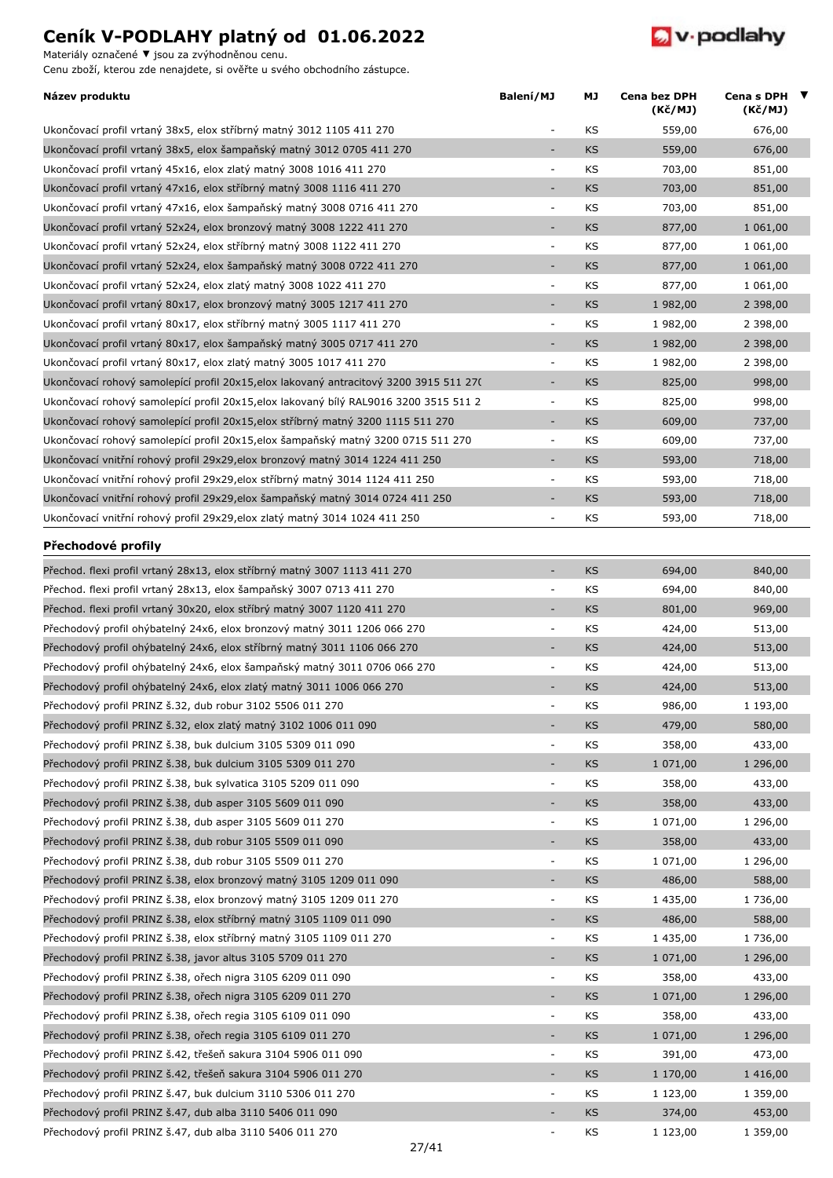Materiály označené **▼** jsou za zvýhodněnou cenu.



| Název produktu                                                                        | Balení/MJ                | МJ        | Cena bez DPH<br>(Kč/MJ) | Cena s DPH<br>(Kč/MJ) | $\overline{\mathbf{v}}$ |
|---------------------------------------------------------------------------------------|--------------------------|-----------|-------------------------|-----------------------|-------------------------|
| Ukončovací profil vrtaný 38x5, elox stříbrný matný 3012 1105 411 270                  |                          | KS        | 559,00                  | 676,00                |                         |
| Ukončovací profil vrtaný 38x5, elox šampaňský matný 3012 0705 411 270                 | $\sim$                   | <b>KS</b> | 559,00                  | 676,00                |                         |
| Ukončovací profil vrtaný 45x16, elox zlatý matný 3008 1016 411 270                    | $\overline{\phantom{a}}$ | KS        | 703,00                  | 851,00                |                         |
| Ukončovací profil vrtaný 47x16, elox stříbrný matný 3008 1116 411 270                 | $\sim$                   | KS        | 703,00                  | 851,00                |                         |
| Ukončovací profil vrtaný 47x16, elox šampaňský matný 3008 0716 411 270                | $\overline{\phantom{a}}$ | KS        | 703,00                  | 851,00                |                         |
| Ukončovací profil vrtaný 52x24, elox bronzový matný 3008 1222 411 270                 | $\overline{\phantom{a}}$ | KS        | 877,00                  | 1 061,00              |                         |
| Ukončovací profil vrtaný 52x24, elox stříbrný matný 3008 1122 411 270                 | ÷,                       | KS        | 877,00                  | 1 061,00              |                         |
| Ukončovací profil vrtaný 52x24, elox šampaňský matný 3008 0722 411 270                | $\sim$                   | KS        | 877,00                  | 1 061,00              |                         |
| Ukončovací profil vrtaný 52x24, elox zlatý matný 3008 1022 411 270                    | $\blacksquare$           | KS        | 877,00                  | 1 061,00              |                         |
| Ukončovací profil vrtaný 80x17, elox bronzový matný 3005 1217 411 270                 | $\overline{\phantom{a}}$ | KS        | 1 982,00                | 2 398,00              |                         |
| Ukončovací profil vrtaný 80x17, elox stříbrný matný 3005 1117 411 270                 | $\overline{\phantom{a}}$ | KS        | 1 982,00                | 2 398,00              |                         |
| Ukončovací profil vrtaný 80x17, elox šampaňský matný 3005 0717 411 270                | $\overline{\phantom{a}}$ | KS        | 1 982,00                | 2 398,00              |                         |
| Ukončovací profil vrtaný 80x17, elox zlatý matný 3005 1017 411 270                    | $\overline{\phantom{a}}$ | KS        | 1 982,00                | 2 398,00              |                         |
| Ukončovací rohový samolepící profil 20x15,elox lakovaný antracitový 3200 3915 511 27( | $\overline{\phantom{a}}$ | KS        | 825,00                  | 998,00                |                         |
| Ukončovací rohový samolepící profil 20x15,elox lakovaný bílý RAL9016 3200 3515 511 2  | $\overline{\phantom{a}}$ | KS        | 825,00                  | 998,00                |                         |
| Ukončovací rohový samolepící profil 20x15,elox stříbrný matný 3200 1115 511 270       | $\overline{\phantom{a}}$ | KS        | 609,00                  | 737,00                |                         |
| Ukončovací rohový samolepící profil 20x15,elox šampaňský matný 3200 0715 511 270      | $\overline{\phantom{a}}$ | KS        | 609,00                  | 737,00                |                         |
| Ukončovací vnitřní rohový profil 29x29,elox bronzový matný 3014 1224 411 250          | $\overline{\phantom{a}}$ | KS        | 593,00                  | 718,00                |                         |
| Ukončovací vnitřní rohový profil 29x29, elox stříbrný matný 3014 1124 411 250         | $\overline{\phantom{a}}$ | KS        | 593,00                  | 718,00                |                         |
| Ukončovací vnitřní rohový profil 29x29,elox šampaňský matný 3014 0724 411 250         | $\overline{\phantom{a}}$ | KS        | 593,00                  | 718,00                |                         |
| Ukončovací vnitřní rohový profil 29x29,elox zlatý matný 3014 1024 411 250             | $\overline{\phantom{a}}$ | KS        | 593,00                  | 718,00                |                         |
| Přechodové profily                                                                    |                          |           |                         |                       |                         |
| Přechod. flexi profil vrtaný 28x13, elox stříbrný matný 3007 1113 411 270             | $\overline{\phantom{a}}$ | KS        | 694,00                  | 840,00                |                         |
| Přechod. flexi profil vrtaný 28x13, elox šampaňský 3007 0713 411 270                  | $\bar{a}$                | KS        | 694,00                  | 840,00                |                         |
| Přechod. flexi profil vrtaný 30x20, elox stříbrý matný 3007 1120 411 270              | $\sim$                   | KS        | 801,00                  | 969,00                |                         |
| Přechodový profil ohýbatelný 24x6, elox bronzový matný 3011 1206 066 270              | $\overline{\phantom{a}}$ | KS        | 424,00                  | 513,00                |                         |
| Přechodový profil ohýbatelný 24x6, elox stříbrný matný 3011 1106 066 270              | $\sim$                   | KS        | 424,00                  | 513,00                |                         |
| Přechodový profil ohýbatelný 24x6, elox šampaňský matný 3011 0706 066 270             | $\overline{\phantom{a}}$ | KS        | 424,00                  | 513,00                |                         |
| Přechodový profil ohýbatelný 24x6, elox zlatý matný 3011 1006 066 270                 | $\overline{\phantom{a}}$ | <b>KS</b> | 424,00                  | 513,00                |                         |
| Přechodový profil PRINZ š.32, dub robur 3102 5506 011 270                             | $\overline{\phantom{a}}$ | KS        | 986,00                  | 1 193,00              |                         |
| Přechodový profil PRINZ š.32, elox zlatý matný 3102 1006 011 090                      |                          | KS        | 479,00                  | 580,00                |                         |
| Přechodový profil PRINZ š.38, buk dulcium 3105 5309 011 090                           | $\overline{\phantom{a}}$ | KS        | 358,00                  | 433,00                |                         |
| Přechodový profil PRINZ š.38, buk dulcium 3105 5309 011 270                           | $\overline{\phantom{a}}$ | KS        | 1 071,00                | 1 296,00              |                         |
| Přechodový profil PRINZ Š.38, buk sylvatica 3105 5209 011 090                         | ÷,                       | KS        | 358,00                  | 433,00                |                         |
| Přechodový profil PRINZ š.38, dub asper 3105 5609 011 090                             | $\sim$                   | KS        | 358,00                  | 433,00                |                         |
| Přechodový profil PRINZ š.38, dub asper 3105 5609 011 270                             | $\blacksquare$           | KS        | 1 071,00                | 1 296,00              |                         |
| Přechodový profil PRINZ š.38, dub robur 3105 5509 011 090                             | $\overline{\phantom{a}}$ | KS        | 358,00                  | 433,00                |                         |
| Přechodový profil PRINZ š.38, dub robur 3105 5509 011 270                             | ÷,                       | KS        | 1 071,00                | 1 296,00              |                         |
| Přechodový profil PRINZ š.38, elox bronzový matný 3105 1209 011 090                   | $\overline{\phantom{a}}$ | KS        | 486,00                  | 588,00                |                         |
| Přechodový profil PRINZ š.38, elox bronzový matný 3105 1209 011 270                   | $\blacksquare$           | KS        | 1 435,00                | 1 736,00              |                         |
| Přechodový profil PRINZ š.38, elox stříbrný matný 3105 1109 011 090                   | $\sim$                   | KS        | 486,00                  | 588,00                |                         |
| Přechodový profil PRINZ š.38, elox stříbrný matný 3105 1109 011 270                   | $\overline{\phantom{a}}$ | KS        | 1 435,00                | 1 736,00              |                         |
| Přechodový profil PRINZ š.38, javor altus 3105 5709 011 270                           | $\overline{\phantom{a}}$ | KS        | 1 071,00                | 1 296,00              |                         |
| Přechodový profil PRINZ š.38, ořech nigra 3105 6209 011 090                           | $\blacksquare$           | KS        | 358,00                  | 433,00                |                         |
| Přechodový profil PRINZ š.38, ořech nigra 3105 6209 011 270                           | $\overline{\phantom{a}}$ | KS        | 1 071,00                | 1 296,00              |                         |
| Přechodový profil PRINZ š.38, ořech regia 3105 6109 011 090                           | $\blacksquare$           | KS        | 358,00                  | 433,00                |                         |
| Přechodový profil PRINZ š.38, ořech regia 3105 6109 011 270                           | ÷                        | KS        | 1 071,00                | 1 296,00              |                         |
| Přechodový profil PRINZ š.42, třešeň sakura 3104 5906 011 090                         | $\overline{\phantom{a}}$ | KS        | 391,00                  | 473,00                |                         |
| Přechodový profil PRINZ š.42, třešeň sakura 3104 5906 011 270                         | $\overline{\phantom{a}}$ | KS        | 1 170,00                | 1 416,00              |                         |
| Přechodový profil PRINZ š.47, buk dulcium 3110 5306 011 270                           | $\Box$                   | KS        | 1 123,00                | 1 359,00              |                         |
| Přechodový profil PRINZ š.47, dub alba 3110 5406 011 090                              | $\overline{\phantom{a}}$ | KS        | 374,00                  | 453,00                |                         |
| Přechodový profil PRINZ š.47, dub alba 3110 5406 011 270                              | $\blacksquare$           | KS        | 1 123,00                | 1 359,00              |                         |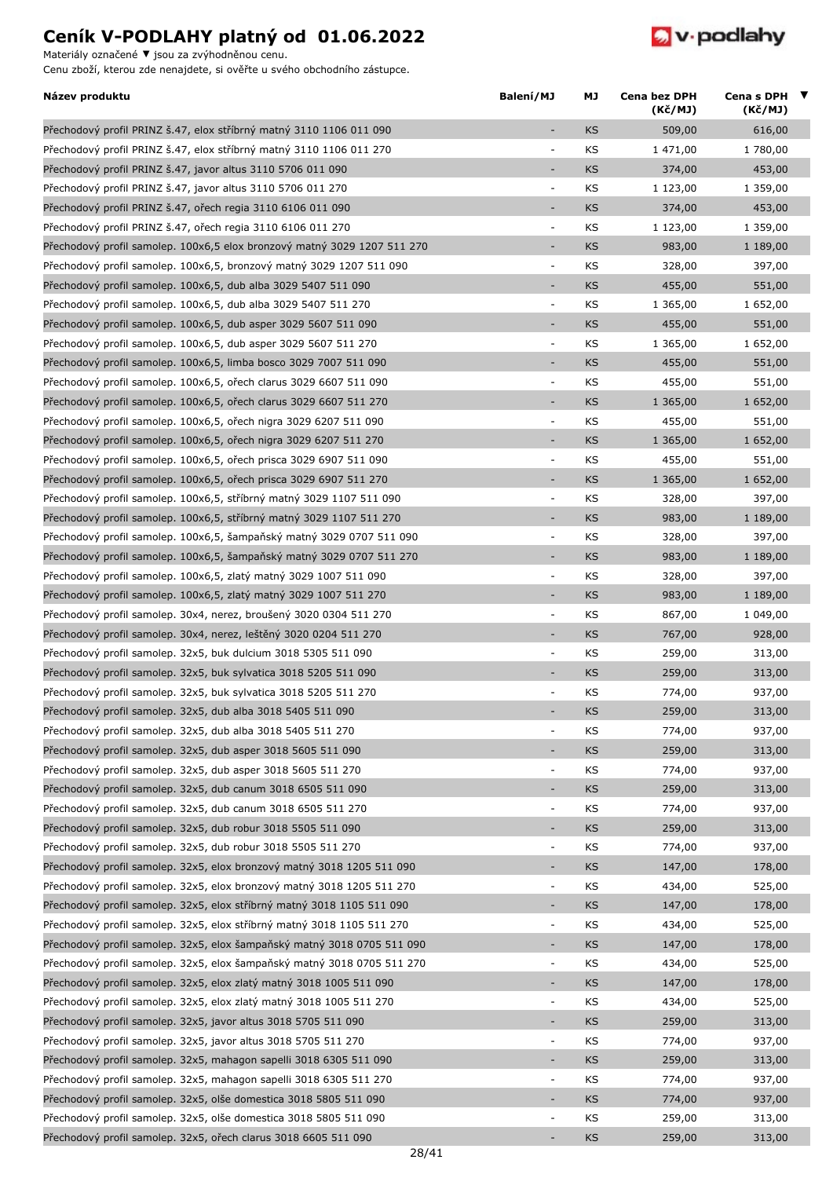Materiály označené **▼** jsou za zvýhodněnou cenu.



| Název produktu                                                           | Balení/MJ                    | МJ        | Cena bez DPH<br>(Kč/MJ) | Cena s DPH $\blacktriangledown$<br>(Kč/MJ) |  |
|--------------------------------------------------------------------------|------------------------------|-----------|-------------------------|--------------------------------------------|--|
| Přechodový profil PRINZ š.47, elox stříbrný matný 3110 1106 011 090      | L.                           | KS        | 509,00                  | 616,00                                     |  |
| Přechodový profil PRINZ š.47, elox stříbrný matný 3110 1106 011 270      | ÷,                           | KS        | 1 471,00                | 1 780,00                                   |  |
| Přechodový profil PRINZ š.47, javor altus 3110 5706 011 090              | $\qquad \qquad \blacksquare$ | <b>KS</b> | 374,00                  | 453,00                                     |  |
| Přechodový profil PRINZ š.47, javor altus 3110 5706 011 270              | ÷                            | KS        | 1 123,00                | 1 359,00                                   |  |
| Přechodový profil PRINZ š.47, ořech regia 3110 6106 011 090              | ÷,                           | KS        | 374,00                  | 453,00                                     |  |
| Přechodový profil PRINZ š.47, ořech regia 3110 6106 011 270              | $\overline{\phantom{a}}$     | KS        | 1 123,00                | 1 359,00                                   |  |
| Přechodový profil samolep. 100x6,5 elox bronzový matný 3029 1207 511 270 | ÷,                           | <b>KS</b> | 983,00                  | 1 189,00                                   |  |
| Přechodový profil samolep. 100x6,5, bronzový matný 3029 1207 511 090     | $\blacksquare$               | KS        | 328,00                  | 397,00                                     |  |
| Přechodový profil samolep. 100x6,5, dub alba 3029 5407 511 090           | ٠                            | <b>KS</b> | 455,00                  | 551,00                                     |  |
| Přechodový profil samolep. 100x6,5, dub alba 3029 5407 511 270           | $\overline{\phantom{a}}$     | KS        | 1 365,00                | 1 652,00                                   |  |
| Přechodový profil samolep. 100x6,5, dub asper 3029 5607 511 090          | $\overline{\phantom{a}}$     | KS        | 455,00                  | 551,00                                     |  |
| Přechodový profil samolep. 100x6,5, dub asper 3029 5607 511 270          | $\blacksquare$               | KS        | 1 365,00                | 1 652,00                                   |  |
| Přechodový profil samolep. 100x6,5, limba bosco 3029 7007 511 090        | ÷,                           | KS        | 455,00                  | 551,00                                     |  |
| Přechodový profil samolep. 100x6,5, ořech clarus 3029 6607 511 090       | ÷,                           | KS        | 455,00                  | 551,00                                     |  |
| Přechodový profil samolep. 100x6,5, ořech clarus 3029 6607 511 270       | ÷,                           | <b>KS</b> | 1 365,00                | 1 652,00                                   |  |
| Přechodový profil samolep. 100x6,5, ořech nigra 3029 6207 511 090        | $\overline{\phantom{a}}$     | KS        | 455,00                  | 551,00                                     |  |
| Přechodový profil samolep. 100x6,5, ořech nigra 3029 6207 511 270        | ÷,                           | KS        | 1 365,00                | 1 652,00                                   |  |
| Přechodový profil samolep. 100x6,5, ořech prisca 3029 6907 511 090       | $\overline{\phantom{a}}$     | KS        | 455,00                  | 551,00                                     |  |
| Přechodový profil samolep. 100x6,5, ořech prisca 3029 6907 511 270       | ÷,                           | KS        | 1 365,00                | 1 652,00                                   |  |
| Přechodový profil samolep. 100x6,5, stříbrný matný 3029 1107 511 090     | $\overline{a}$               | KS        | 328,00                  | 397,00                                     |  |
| Přechodový profil samolep. 100x6,5, stříbrný matný 3029 1107 511 270     | $\overline{\phantom{a}}$     | <b>KS</b> | 983,00                  | 1 189,00                                   |  |
| Přechodový profil samolep. 100x6,5, šampaňský matný 3029 0707 511 090    | $\overline{\phantom{a}}$     | KS        | 328,00                  | 397,00                                     |  |
| Přechodový profil samolep. 100x6,5, šampaňský matný 3029 0707 511 270    | ÷,                           | <b>KS</b> | 983,00                  | 1 189,00                                   |  |
| Přechodový profil samolep. 100x6,5, zlatý matný 3029 1007 511 090        | ÷                            | KS        | 328,00                  | 397,00                                     |  |
| Přechodový profil samolep. 100x6,5, zlatý matný 3029 1007 511 270        | ÷,                           | <b>KS</b> | 983,00                  | 1 189,00                                   |  |
| Přechodový profil samolep. 30x4, nerez, broušený 3020 0304 511 270       | $\overline{\phantom{a}}$     | KS        | 867,00                  | 1 049,00                                   |  |
| Přechodový profil samolep. 30x4, nerez, leštěný 3020 0204 511 270        | ÷,                           | <b>KS</b> | 767,00                  | 928,00                                     |  |
| Přechodový profil samolep. 32x5, buk dulcium 3018 5305 511 090           | $\blacksquare$               | KS        | 259,00                  | 313,00                                     |  |
| Přechodový profil samolep. 32x5, buk sylvatica 3018 5205 511 090         | ÷,                           | <b>KS</b> | 259,00                  | 313,00                                     |  |
| Přechodový profil samolep. 32x5, buk sylvatica 3018 5205 511 270         | ÷                            | KS        | 774,00                  | 937,00                                     |  |
| Přechodový profil samolep. 32x5, dub alba 3018 5405 511 090              | ٠                            | KS        | 259,00                  | 313,00                                     |  |
| Přechodový profil samolep. 32x5, dub alba 3018 5405 511 270              | ÷                            | KS        | 774,00                  | 937,00                                     |  |
| Přechodový profil samolep. 32x5, dub asper 3018 5605 511 090             | ÷,                           | <b>KS</b> | 259,00                  | 313,00                                     |  |
| Přechodový profil samolep. 32x5, dub asper 3018 5605 511 270             | ÷                            | KS        | 774,00                  | 937,00                                     |  |
| Přechodový profil samolep. 32x5, dub canum 3018 6505 511 090             | ÷,                           | <b>KS</b> | 259,00                  | 313,00                                     |  |
| Přechodový profil samolep. 32x5, dub canum 3018 6505 511 270             | $\overline{a}$               | KS        | 774,00                  | 937,00                                     |  |
| Přechodový profil samolep. 32x5, dub robur 3018 5505 511 090             | $\overline{\phantom{a}}$     | <b>KS</b> | 259,00                  | 313,00                                     |  |
| Přechodový profil samolep. 32x5, dub robur 3018 5505 511 270             | $\overline{\phantom{a}}$     | KS        | 774,00                  | 937,00                                     |  |
| Přechodový profil samolep. 32x5, elox bronzový matný 3018 1205 511 090   | $\qquad \qquad \blacksquare$ | <b>KS</b> | 147,00                  | 178,00                                     |  |
| Přechodový profil samolep. 32x5, elox bronzový matný 3018 1205 511 270   | ÷                            | KS        | 434,00                  | 525,00                                     |  |
| Přechodový profil samolep. 32x5, elox stříbrný matný 3018 1105 511 090   | ÷,                           | KS        | 147,00                  | 178,00                                     |  |
| Přechodový profil samolep. 32x5, elox stříbrný matný 3018 1105 511 270   | $\qquad \qquad \blacksquare$ | KS        | 434,00                  | 525,00                                     |  |
| Přechodový profil samolep. 32x5, elox šampaňský matný 3018 0705 511 090  | $\qquad \qquad \blacksquare$ | <b>KS</b> | 147,00                  | 178,00                                     |  |
| Přechodový profil samolep. 32x5, elox šampaňský matný 3018 0705 511 270  | ÷,                           | KS        | 434,00                  | 525,00                                     |  |
| Přechodový profil samolep. 32x5, elox zlatý matný 3018 1005 511 090      | $\qquad \qquad \blacksquare$ | <b>KS</b> | 147,00                  | 178,00                                     |  |
| Přechodový profil samolep. 32x5, elox zlatý matný 3018 1005 511 270      | ÷,                           | KS        | 434,00                  | 525,00                                     |  |
| Přechodový profil samolep. 32x5, javor altus 3018 5705 511 090           | $\overline{\phantom{a}}$     | <b>KS</b> | 259,00                  | 313,00                                     |  |
| Přechodový profil samolep. 32x5, javor altus 3018 5705 511 270           | $\overline{\phantom{a}}$     | KS        | 774,00                  | 937,00                                     |  |
| Přechodový profil samolep. 32x5, mahagon sapelli 3018 6305 511 090       | $\qquad \qquad \blacksquare$ | <b>KS</b> | 259,00                  | 313,00                                     |  |
| Přechodový profil samolep. 32x5, mahagon sapelli 3018 6305 511 270       | ÷                            | KS        | 774,00                  | 937,00                                     |  |
| Přechodový profil samolep. 32x5, olše domestica 3018 5805 511 090        | ٠                            | <b>KS</b> | 774,00                  | 937,00                                     |  |
| Přechodový profil samolep. 32x5, olše domestica 3018 5805 511 090        | ÷                            | KS        | 259,00                  | 313,00                                     |  |
| Přechodový profil samolep. 32x5, ořech clarus 3018 6605 511 090          |                              | KS        | 259,00                  | 313,00                                     |  |
|                                                                          |                              |           |                         |                                            |  |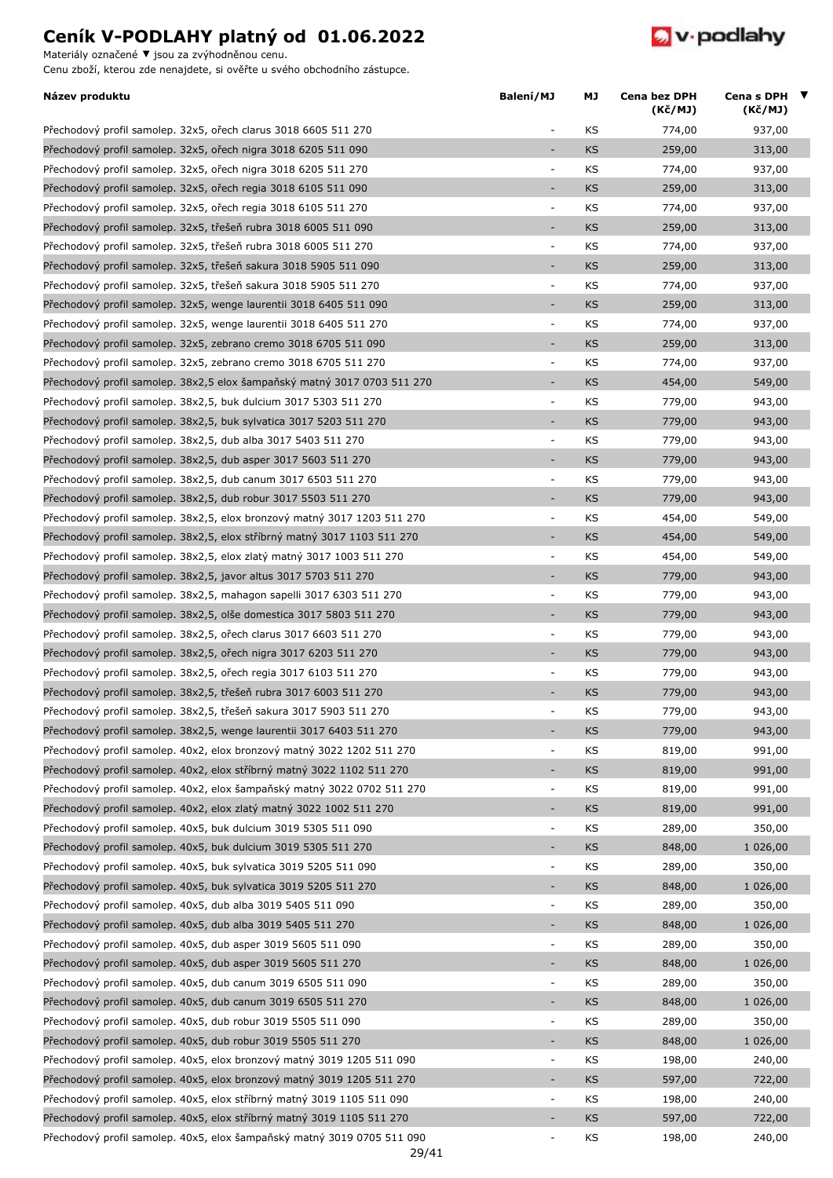Materiály označené **▼** jsou za zvýhodněnou cenu.



| Název produktu                                                           | Balení/MJ                | МJ        | Cena bez DPH<br>(Kč/MJ) | Cena s DPH $\blacktriangledown$<br>(Kč/MJ) |  |
|--------------------------------------------------------------------------|--------------------------|-----------|-------------------------|--------------------------------------------|--|
| Přechodový profil samolep. 32x5, ořech clarus 3018 6605 511 270          | $\overline{\phantom{a}}$ | KS        | 774,00                  | 937,00                                     |  |
| Přechodový profil samolep. 32x5, ořech nigra 3018 6205 511 090           | ÷,                       | <b>KS</b> | 259,00                  | 313,00                                     |  |
| Přechodový profil samolep. 32x5, ořech nigra 3018 6205 511 270           | $\overline{\phantom{a}}$ | KS        | 774,00                  | 937,00                                     |  |
| Přechodový profil samolep. 32x5, ořech regia 3018 6105 511 090           | $\overline{\phantom{a}}$ | KS        | 259,00                  | 313,00                                     |  |
| Přechodový profil samolep. 32x5, ořech regia 3018 6105 511 270           | $\Box$                   | KS        | 774,00                  | 937,00                                     |  |
| Přechodový profil samolep. 32x5, třešeň rubra 3018 6005 511 090          | ÷,                       | <b>KS</b> | 259,00                  | 313,00                                     |  |
| Přechodový profil samolep. 32x5, třešeň rubra 3018 6005 511 270          | $\overline{\phantom{a}}$ | KS        | 774,00                  | 937,00                                     |  |
| Přechodový profil samolep. 32x5, třešeň sakura 3018 5905 511 090         | ÷                        | <b>KS</b> | 259,00                  | 313,00                                     |  |
| Přechodový profil samolep. 32x5, třešeň sakura 3018 5905 511 270         | $\overline{\phantom{a}}$ | KS        | 774,00                  | 937,00                                     |  |
| Přechodový profil samolep. 32x5, wenge laurentii 3018 6405 511 090       | ÷,                       | <b>KS</b> | 259,00                  | 313,00                                     |  |
| Přechodový profil samolep. 32x5, wenge laurentii 3018 6405 511 270       | $\overline{\phantom{a}}$ | KS        | 774,00                  | 937,00                                     |  |
| Přechodový profil samolep. 32x5, zebrano cremo 3018 6705 511 090         | ÷,                       | <b>KS</b> | 259,00                  | 313,00                                     |  |
| Přechodový profil samolep. 32x5, zebrano cremo 3018 6705 511 270         | $\blacksquare$           | KS        | 774,00                  | 937,00                                     |  |
| Přechodový profil samolep. 38x2,5 elox šampaňský matný 3017 0703 511 270 | $\overline{\phantom{a}}$ | <b>KS</b> | 454,00                  | 549,00                                     |  |
| Přechodový profil samolep. 38x2,5, buk dulcium 3017 5303 511 270         | $\overline{\phantom{a}}$ | KS        | 779,00                  | 943,00                                     |  |
| Přechodový profil samolep. 38x2,5, buk sylvatica 3017 5203 511 270       | ÷                        | KS        | 779,00                  | 943,00                                     |  |
| Přechodový profil samolep. 38x2,5, dub alba 3017 5403 511 270            | $\overline{\phantom{a}}$ | KS        | 779,00                  | 943,00                                     |  |
| Přechodový profil samolep. 38x2,5, dub asper 3017 5603 511 270           | ÷,                       | <b>KS</b> | 779,00                  | 943,00                                     |  |
| Přechodový profil samolep. 38x2,5, dub canum 3017 6503 511 270           | $\overline{\phantom{a}}$ | KS        | 779,00                  | 943,00                                     |  |
| Přechodový profil samolep. 38x2,5, dub robur 3017 5503 511 270           | $\overline{\phantom{a}}$ | <b>KS</b> | 779,00                  | 943,00                                     |  |
| Přechodový profil samolep. 38x2,5, elox bronzový matný 3017 1203 511 270 | $\overline{\phantom{a}}$ | KS        | 454,00                  | 549,00                                     |  |
| Přechodový profil samolep. 38x2,5, elox stříbrný matný 3017 1103 511 270 | $\sim$                   | <b>KS</b> | 454,00                  | 549,00                                     |  |
|                                                                          | $\blacksquare$           | KS        | 454,00                  | 549,00                                     |  |
| Přechodový profil samolep. 38x2,5, elox zlatý matný 3017 1003 511 270    | ÷                        |           |                         |                                            |  |
| Přechodový profil samolep. 38x2,5, javor altus 3017 5703 511 270         |                          | <b>KS</b> | 779,00                  | 943,00                                     |  |
| Přechodový profil samolep. 38x2,5, mahagon sapelli 3017 6303 511 270     | $\overline{\phantom{a}}$ | KS        | 779,00                  | 943,00                                     |  |
| Přechodový profil samolep. 38x2,5, olše domestica 3017 5803 511 270      | ÷                        | <b>KS</b> | 779,00                  | 943,00                                     |  |
| Přechodový profil samolep. 38x2,5, ořech clarus 3017 6603 511 270        | $\overline{\phantom{a}}$ | KS        | 779,00                  | 943,00                                     |  |
| Přechodový profil samolep. 38x2,5, ořech nigra 3017 6203 511 270         | ÷,                       | <b>KS</b> | 779,00                  | 943,00                                     |  |
| Přechodový profil samolep. 38x2,5, ořech regia 3017 6103 511 270         | $\overline{\phantom{a}}$ | KS        | 779,00                  | 943,00                                     |  |
| Přechodový profil samolep. 38x2,5, třešeň rubra 3017 6003 511 270        | $\overline{\phantom{a}}$ | KS        | 779,00                  | 943,00                                     |  |
| Přechodový profil samolep. 38x2,5, třešeň sakura 3017 5903 511 270       |                          | KS        | 779,00                  | 943,00                                     |  |
| Přechodový profil samolep. 38x2,5, wenge laurentii 3017 6403 511 270     |                          | <b>KS</b> | 779,00                  | 943,00                                     |  |
| Přechodový profil samolep. 40x2, elox bronzový matný 3022 1202 511 270   | $\overline{\phantom{a}}$ | KS        | 819,00                  | 991,00                                     |  |
| Přechodový profil samolep. 40x2, elox stříbrný matný 3022 1102 511 270   | ÷,                       | <b>KS</b> | 819,00                  | 991,00                                     |  |
| Přechodový profil samolep. 40x2, elox šampaňský matný 3022 0702 511 270  | ÷,                       | KS        | 819,00                  | 991,00                                     |  |
| Přechodový profil samolep. 40x2, elox zlatý matný 3022 1002 511 270      | ÷                        | <b>KS</b> | 819,00                  | 991,00                                     |  |
| Přechodový profil samolep. 40x5, buk dulcium 3019 5305 511 090           | $\overline{\phantom{a}}$ | KS        | 289,00                  | 350,00                                     |  |
| Přechodový profil samolep. 40x5, buk dulcium 3019 5305 511 270           | ÷,                       | <b>KS</b> | 848,00                  | 1 026,00                                   |  |
| Přechodový profil samolep. 40x5, buk sylvatica 3019 5205 511 090         | $\overline{\phantom{a}}$ | KS        | 289,00                  | 350,00                                     |  |
| Přechodový profil samolep. 40x5, buk sylvatica 3019 5205 511 270         | ÷,                       | KS        | 848,00                  | 1 026,00                                   |  |
| Přechodový profil samolep. 40x5, dub alba 3019 5405 511 090              | $\Box$                   | KS        | 289,00                  | 350,00                                     |  |
| Přechodový profil samolep. 40x5, dub alba 3019 5405 511 270              | ÷,                       | <b>KS</b> | 848,00                  | 1 026,00                                   |  |
| Přechodový profil samolep. 40x5, dub asper 3019 5605 511 090             | $\overline{\phantom{a}}$ | KS        | 289,00                  | 350,00                                     |  |
| Přechodový profil samolep. 40x5, dub asper 3019 5605 511 270             | ÷,                       | <b>KS</b> | 848,00                  | 1 026,00                                   |  |
| Přechodový profil samolep. 40x5, dub canum 3019 6505 511 090             | $\overline{\phantom{a}}$ | KS        | 289,00                  | 350,00                                     |  |
| Přechodový profil samolep. 40x5, dub canum 3019 6505 511 270             | ÷                        | KS        | 848,00                  | 1 026,00                                   |  |
| Přechodový profil samolep. 40x5, dub robur 3019 5505 511 090             | $\blacksquare$           | KS        | 289,00                  | 350,00                                     |  |
| Přechodový profil samolep. 40x5, dub robur 3019 5505 511 270             | ÷                        | <b>KS</b> | 848,00                  | 1 026,00                                   |  |
| Přechodový profil samolep. 40x5, elox bronzový matný 3019 1205 511 090   | $\blacksquare$           | KS        | 198,00                  | 240,00                                     |  |
| Přechodový profil samolep. 40x5, elox bronzový matný 3019 1205 511 270   | ۰                        | <b>KS</b> | 597,00                  | 722,00                                     |  |
| Přechodový profil samolep. 40x5, elox stříbrný matný 3019 1105 511 090   | $\overline{\phantom{a}}$ | KS        | 198,00                  | 240,00                                     |  |
| Přechodový profil samolep. 40x5, elox stříbrný matný 3019 1105 511 270   | ٠                        | <b>KS</b> | 597,00                  | 722,00                                     |  |
| Přechodový profil samolep. 40x5, elox šampaňský matný 3019 0705 511 090  | $\overline{\phantom{a}}$ | KS        | 198,00                  | 240,00                                     |  |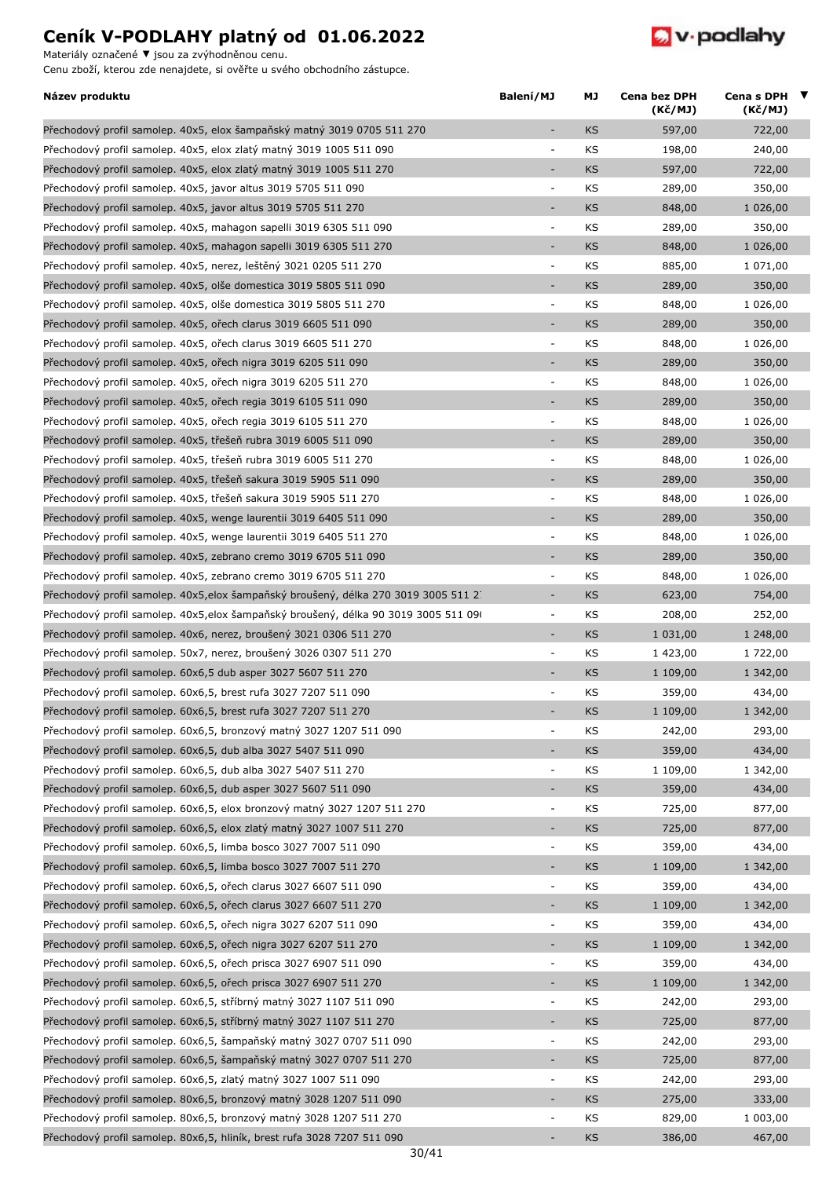Materiály označené **▼** jsou za zvýhodněnou cenu.



| Název produktu                                                                      | Balení/MJ                | МJ        | Cena bez DPH<br>(Kč/MJ) | Cena s DPH $\blacktriangledown$<br>(Kč/MJ) |  |
|-------------------------------------------------------------------------------------|--------------------------|-----------|-------------------------|--------------------------------------------|--|
| Přechodový profil samolep. 40x5, elox šampaňský matný 3019 0705 511 270             | ٠                        | <b>KS</b> | 597,00                  | 722,00                                     |  |
| Přechodový profil samolep. 40x5, elox zlatý matný 3019 1005 511 090                 | ÷,                       | KS        | 198,00                  | 240,00                                     |  |
| Přechodový profil samolep. 40x5, elox zlatý matný 3019 1005 511 270                 | ÷,                       | <b>KS</b> | 597,00                  | 722,00                                     |  |
| Přechodový profil samolep. 40x5, javor altus 3019 5705 511 090                      | $\overline{\phantom{a}}$ | KS        | 289,00                  | 350,00                                     |  |
| Přechodový profil samolep. 40x5, javor altus 3019 5705 511 270                      |                          | <b>KS</b> | 848,00                  | 1 026,00                                   |  |
| Přechodový profil samolep. 40x5, mahagon sapelli 3019 6305 511 090                  | $\overline{\phantom{a}}$ | KS        | 289,00                  | 350,00                                     |  |
| Přechodový profil samolep. 40x5, mahagon sapelli 3019 6305 511 270                  | $\overline{\phantom{a}}$ | <b>KS</b> | 848,00                  | 1 026,00                                   |  |
| Přechodový profil samolep. 40x5, nerez, leštěný 3021 0205 511 270                   | $\overline{\phantom{a}}$ | KS        | 885,00                  | 1 071,00                                   |  |
| Přechodový profil samolep. 40x5, olše domestica 3019 5805 511 090                   | $\overline{\phantom{a}}$ | <b>KS</b> | 289,00                  | 350,00                                     |  |
| Přechodový profil samolep. 40x5, olše domestica 3019 5805 511 270                   | ÷,                       | KS        | 848,00                  | 1 026,00                                   |  |
| Přechodový profil samolep. 40x5, ořech clarus 3019 6605 511 090                     | $\overline{\phantom{a}}$ | KS        | 289,00                  | 350,00                                     |  |
| Přechodový profil samolep. 40x5, ořech clarus 3019 6605 511 270                     | $\overline{\phantom{a}}$ | KS        | 848,00                  | 1 026,00                                   |  |
| Přechodový profil samolep. 40x5, ořech nigra 3019 6205 511 090                      | $\bar{\phantom{a}}$      | <b>KS</b> | 289,00                  | 350,00                                     |  |
| Přechodový profil samolep. 40x5, ořech nigra 3019 6205 511 270                      | $\overline{\phantom{a}}$ | KS        | 848,00                  | 1 026,00                                   |  |
| Přechodový profil samolep. 40x5, ořech regia 3019 6105 511 090                      | $\overline{\phantom{a}}$ | KS        | 289,00                  | 350,00                                     |  |
| Přechodový profil samolep. 40x5, ořech regia 3019 6105 511 270                      | $\overline{\phantom{a}}$ | KS        | 848,00                  | 1 026,00                                   |  |
| Přechodový profil samolep. 40x5, třešeň rubra 3019 6005 511 090                     | $\overline{\phantom{a}}$ | <b>KS</b> | 289,00                  | 350,00                                     |  |
| Přechodový profil samolep. 40x5, třešeň rubra 3019 6005 511 270                     | $\overline{\phantom{a}}$ | KS        | 848,00                  | 1 026,00                                   |  |
| Přechodový profil samolep. 40x5, třešeň sakura 3019 5905 511 090                    | ÷.                       | <b>KS</b> | 289,00                  | 350,00                                     |  |
| Přechodový profil samolep. 40x5, třešeň sakura 3019 5905 511 270                    | $\overline{\phantom{a}}$ | KS        | 848,00                  | 1 026,00                                   |  |
| Přechodový profil samolep. 40x5, wenge laurentii 3019 6405 511 090                  | $\overline{\phantom{a}}$ | <b>KS</b> | 289,00                  | 350,00                                     |  |
| Přechodový profil samolep. 40x5, wenge laurentii 3019 6405 511 270                  | $\overline{\phantom{a}}$ | KS        | 848,00                  | 1 026,00                                   |  |
|                                                                                     | ÷                        | <b>KS</b> |                         | 350,00                                     |  |
| Přechodový profil samolep. 40x5, zebrano cremo 3019 6705 511 090                    |                          |           | 289,00                  |                                            |  |
| Přechodový profil samolep. 40x5, zebrano cremo 3019 6705 511 270                    | $\overline{\phantom{a}}$ | KS        | 848,00                  | 1 026,00                                   |  |
| Přechodový profil samolep. 40x5, elox šampaňský broušený, délka 270 3019 3005 511 2 | $\overline{\phantom{a}}$ | <b>KS</b> | 623,00                  | 754,00                                     |  |
| Přechodový profil samolep. 40x5, elox šampaňský broušený, délka 90 3019 3005 511 09 | $\overline{\phantom{a}}$ | KS        | 208,00                  | 252,00                                     |  |
| Přechodový profil samolep. 40x6, nerez, broušený 3021 0306 511 270                  | $\overline{\phantom{a}}$ | <b>KS</b> | 1 031,00                | 1 248,00                                   |  |
| Přechodový profil samolep. 50x7, nerez, broušený 3026 0307 511 270                  | $\overline{\phantom{a}}$ | KS        | 1 423,00                | 1 722,00                                   |  |
| Přechodový profil samolep. 60x6,5 dub asper 3027 5607 511 270                       | $\overline{a}$           | <b>KS</b> | 1 109,00                | 1 342,00                                   |  |
| Přechodový profil samolep. 60x6,5, brest rufa 3027 7207 511 090                     | $\overline{\phantom{a}}$ | KS        | 359,00                  | 434,00                                     |  |
| Přechodový profil samolep. 60x6,5, brest rufa 3027 7207 511 270                     |                          | <b>KS</b> | 1 109,00                | 1 342,00                                   |  |
| Přechodový profil samolep. 60x6,5, bronzový matný 3027 1207 511 090                 | $\overline{\phantom{a}}$ | KS        | 242,00                  | 293,00                                     |  |
| Přechodový profil samolep. 60x6,5, dub alba 3027 5407 511 090                       | ÷                        | KS        | 359,00                  | 434,00                                     |  |
| Přechodový profil samolep. 60x6,5, dub alba 3027 5407 511 270                       | $\overline{\phantom{a}}$ | KS        | 1 109,00                | 1 342,00                                   |  |
| Přechodový profil samolep. 60x6,5, dub asper 3027 5607 511 090                      | $\overline{\phantom{a}}$ | <b>KS</b> | 359,00                  | 434,00                                     |  |
| Přechodový profil samolep. 60x6,5, elox bronzový matný 3027 1207 511 270            | $\blacksquare$           | KS        | 725,00                  | 877,00                                     |  |
| Přechodový profil samolep. 60x6,5, elox zlatý matný 3027 1007 511 270               | $\overline{\phantom{a}}$ | <b>KS</b> | 725,00                  | 877,00                                     |  |
| Přechodový profil samolep. 60x6,5, limba bosco 3027 7007 511 090                    | $\overline{\phantom{a}}$ | KS        | 359,00                  | 434,00                                     |  |
| Přechodový profil samolep. 60x6,5, limba bosco 3027 7007 511 270                    | ÷,                       | KS        | 1 109,00                | 1 342,00                                   |  |
| Přechodový profil samolep. 60x6,5, ořech clarus 3027 6607 511 090                   | $\overline{\phantom{a}}$ | KS        | 359,00                  | 434,00                                     |  |
| Přechodový profil samolep. 60x6,5, ořech clarus 3027 6607 511 270                   | ÷,                       | KS        | 1 109,00                | 1 342,00                                   |  |
| Přechodový profil samolep. 60x6,5, ořech nigra 3027 6207 511 090                    | $\overline{\phantom{a}}$ | KS        | 359,00                  | 434,00                                     |  |
| Přechodový profil samolep. 60x6,5, ořech nigra 3027 6207 511 270                    | $\overline{\phantom{a}}$ | <b>KS</b> | 1 109,00                | 1 342,00                                   |  |
| Přechodový profil samolep. 60x6,5, ořech prisca 3027 6907 511 090                   | $\overline{\phantom{a}}$ | KS        | 359,00                  | 434,00                                     |  |
| Přechodový profil samolep. 60x6,5, ořech prisca 3027 6907 511 270                   | $\bar{\phantom{a}}$      | KS        | 1 109,00                | 1 342,00                                   |  |
| Přechodový profil samolep. 60x6,5, stříbrný matný 3027 1107 511 090                 | $\overline{\phantom{a}}$ | KS        | 242,00                  | 293,00                                     |  |
| Přechodový profil samolep. 60x6,5, stříbrný matný 3027 1107 511 270                 | $\overline{\phantom{a}}$ | KS        | 725,00                  | 877,00                                     |  |
| Přechodový profil samolep. 60x6,5, šampaňský matný 3027 0707 511 090                | $\overline{\phantom{a}}$ | KS        | 242,00                  | 293,00                                     |  |
| Přechodový profil samolep. 60x6,5, šampaňský matný 3027 0707 511 270                | ÷,                       | KS        | 725,00                  | 877,00                                     |  |
| Přechodový profil samolep. 60x6,5, zlatý matný 3027 1007 511 090                    | $\overline{\phantom{a}}$ | KS        | 242,00                  | 293,00                                     |  |
| Přechodový profil samolep. 80x6,5, bronzový matný 3028 1207 511 090                 | $\overline{\phantom{a}}$ | <b>KS</b> | 275,00                  | 333,00                                     |  |
| Přechodový profil samolep. 80x6,5, bronzový matný 3028 1207 511 270                 | $\overline{\phantom{a}}$ | KS        | 829,00                  | 1 003,00                                   |  |
| Přechodový profil samolep. 80x6,5, hliník, brest rufa 3028 7207 511 090             | $\sim$                   | <b>KS</b> | 386,00                  | 467,00                                     |  |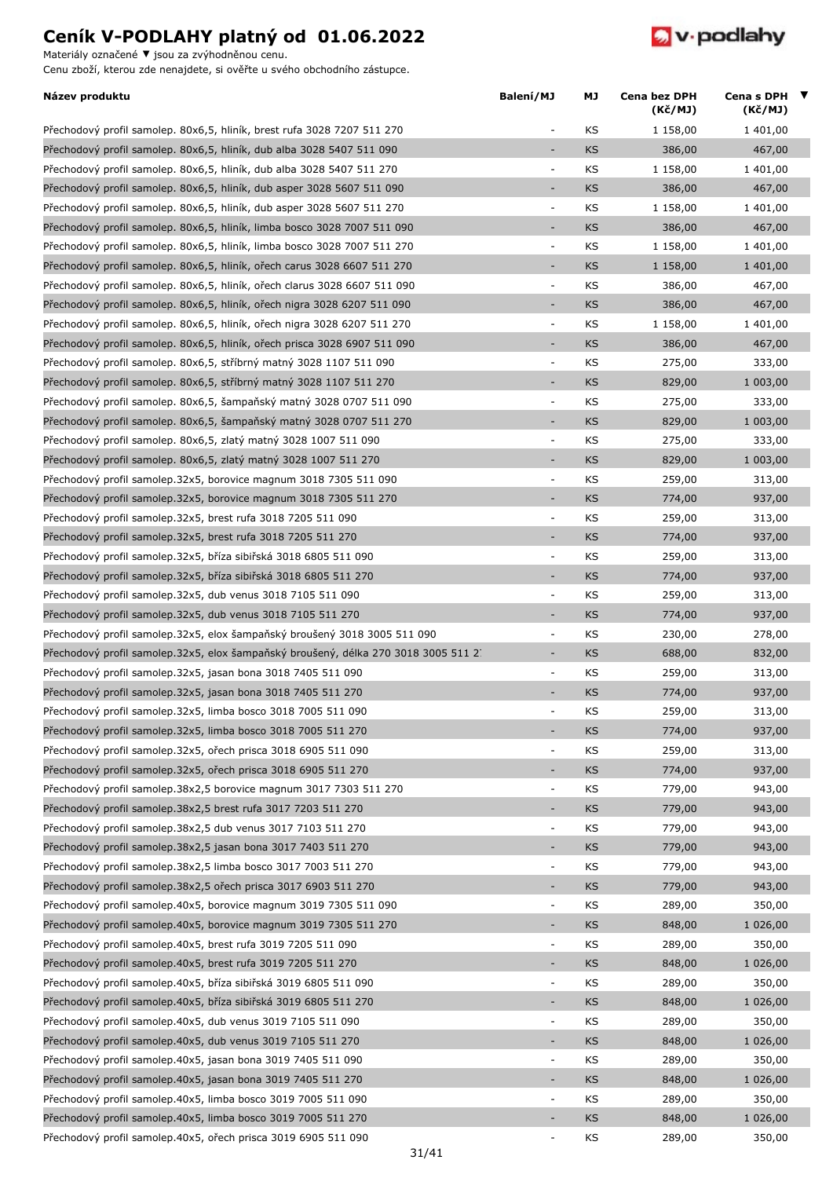Materiály označené **▼** jsou za zvýhodněnou cenu.



| Název produktu                                                                     | Balení/MJ                | МJ        | Cena bez DPH<br>(Kč/MJ) | Cena s DPH ▼<br>(Kč/MJ) |  |
|------------------------------------------------------------------------------------|--------------------------|-----------|-------------------------|-------------------------|--|
| Přechodový profil samolep. 80x6,5, hliník, brest rufa 3028 7207 511 270            | $\overline{a}$           | KS        | 1 158,00                | 1 401,00                |  |
| Přechodový profil samolep. 80x6,5, hliník, dub alba 3028 5407 511 090              | ÷,                       | <b>KS</b> | 386,00                  | 467,00                  |  |
| Přechodový profil samolep. 80x6,5, hliník, dub alba 3028 5407 511 270              | $\overline{\phantom{a}}$ | KS        | 1 158,00                | 1 401,00                |  |
| Přechodový profil samolep. 80x6,5, hliník, dub asper 3028 5607 511 090             | $\overline{a}$           | KS        | 386,00                  | 467,00                  |  |
| Přechodový profil samolep. 80x6,5, hliník, dub asper 3028 5607 511 270             | $\overline{\phantom{a}}$ | KS        | 1 158,00                | 1 401,00                |  |
| Přechodový profil samolep. 80x6,5, hliník, limba bosco 3028 7007 511 090           |                          | KS        | 386,00                  | 467,00                  |  |
| Přechodový profil samolep. 80x6,5, hliník, limba bosco 3028 7007 511 270           | $\overline{\phantom{a}}$ | KS        | 1 158,00                | 1 401,00                |  |
| Přechodový profil samolep. 80x6,5, hliník, ořech carus 3028 6607 511 270           | ÷,                       | <b>KS</b> | 1 158,00                | 1 401,00                |  |
| Přechodový profil samolep. 80x6,5, hliník, ořech clarus 3028 6607 511 090          | $\blacksquare$           | KS        | 386,00                  | 467,00                  |  |
| Přechodový profil samolep. 80x6,5, hliník, ořech nigra 3028 6207 511 090           | $\blacksquare$           | <b>KS</b> | 386,00                  | 467,00                  |  |
| Přechodový profil samolep. 80x6,5, hliník, ořech nigra 3028 6207 511 270           | $\overline{\phantom{a}}$ | KS        | 1 158,00                | 1 401,00                |  |
| Přechodový profil samolep. 80x6,5, hliník, ořech prisca 3028 6907 511 090          | $\overline{\phantom{a}}$ | <b>KS</b> | 386,00                  | 467,00                  |  |
| Přechodový profil samolep. 80x6,5, stříbrný matný 3028 1107 511 090                | $\overline{\phantom{a}}$ | KS        | 275,00                  | 333,00                  |  |
| Přechodový profil samolep. 80x6,5, stříbrný matný 3028 1107 511 270                | ÷,                       | <b>KS</b> | 829,00                  | 1 003,00                |  |
| Přechodový profil samolep. 80x6,5, šampaňský matný 3028 0707 511 090               | $\blacksquare$           | KS        | 275,00                  | 333,00                  |  |
| Přechodový profil samolep. 80x6,5, šampaňský matný 3028 0707 511 270               | $\sim$                   | <b>KS</b> | 829,00                  | 1 003,00                |  |
| Přechodový profil samolep. 80x6,5, zlatý matný 3028 1007 511 090                   | $\overline{\phantom{a}}$ | KS        | 275,00                  | 333,00                  |  |
| Přechodový profil samolep. 80x6,5, zlatý matný 3028 1007 511 270                   | $\overline{\phantom{a}}$ | <b>KS</b> | 829,00                  | 1 003,00                |  |
| Přechodový profil samolep.32x5, borovice magnum 3018 7305 511 090                  | $\overline{\phantom{a}}$ | KS        | 259,00                  | 313,00                  |  |
| Přechodový profil samolep.32x5, borovice magnum 3018 7305 511 270                  | ÷,                       | <b>KS</b> | 774,00                  | 937,00                  |  |
| Přechodový profil samolep.32x5, brest rufa 3018 7205 511 090                       | $\overline{\phantom{a}}$ | KS        | 259,00                  | 313,00                  |  |
| Přechodový profil samolep.32x5, brest rufa 3018 7205 511 270                       | $\overline{\phantom{a}}$ | <b>KS</b> | 774,00                  | 937,00                  |  |
| Přechodový profil samolep.32x5, bříza sibiřská 3018 6805 511 090                   | ÷                        | KS        | 259,00                  | 313,00                  |  |
| Přechodový profil samolep.32x5, bříza sibiřská 3018 6805 511 270                   | ÷,                       | <b>KS</b> | 774,00                  | 937,00                  |  |
| Přechodový profil samolep. 32x5, dub venus 3018 7105 511 090                       | $\overline{\phantom{a}}$ | KS        | 259,00                  | 313,00                  |  |
| Přechodový profil samolep.32x5, dub venus 3018 7105 511 270                        | ÷,                       | <b>KS</b> | 774,00                  | 937,00                  |  |
| Přechodový profil samolep.32x5, elox šampaňský broušený 3018 3005 511 090          | $\overline{\phantom{a}}$ | KS        | 230,00                  | 278,00                  |  |
| Přechodový profil samolep.32x5, elox šampaňský broušený, délka 270 3018 3005 511 2 | $\overline{\phantom{a}}$ | <b>KS</b> | 688,00                  | 832,00                  |  |
| Přechodový profil samolep. 32x5, jasan bona 3018 7405 511 090                      | $\overline{\phantom{a}}$ | KS        | 259,00                  | 313,00                  |  |
| Přechodový profil samolep.32x5, jasan bona 3018 7405 511 270                       | L.                       | <b>KS</b> | 774,00                  | 937,00                  |  |
| Přechodový profil samolep.32x5, limba bosco 3018 7005 511 090                      |                          | KS        | 259,00                  | 313,00                  |  |
| Přechodový profil samolep.32x5, limba bosco 3018 7005 511 270                      |                          | <b>KS</b> | 774,00                  | 937,00                  |  |
| Přechodový profil samolep.32x5, ořech prisca 3018 6905 511 090                     | $\overline{\phantom{a}}$ | KS        | 259,00                  | 313,00                  |  |
| Přechodový profil samolep.32x5, ořech prisca 3018 6905 511 270                     | ٠                        | <b>KS</b> | 774,00                  | 937,00                  |  |
| Přechodový profil samolep.38x2,5 borovice magnum 3017 7303 511 270                 | $\overline{\phantom{a}}$ | KS        | 779,00                  | 943,00                  |  |
| Přechodový profil samolep.38x2,5 brest rufa 3017 7203 511 270                      | ÷,                       | KS        | 779,00                  | 943,00                  |  |
| Přechodový profil samolep.38x2,5 dub venus 3017 7103 511 270                       | $\blacksquare$           | KS        | 779,00                  | 943,00                  |  |
| Přechodový profil samolep.38x2,5 jasan bona 3017 7403 511 270                      | $\overline{\phantom{a}}$ | KS        | 779,00                  | 943,00                  |  |
| Přechodový profil samolep.38x2,5 limba bosco 3017 7003 511 270                     | $\overline{\phantom{a}}$ | KS        | 779,00                  | 943,00                  |  |
| Přechodový profil samolep.38x2,5 ořech prisca 3017 6903 511 270                    |                          | <b>KS</b> | 779,00                  | 943,00                  |  |
| Přechodový profil samolep.40x5, borovice magnum 3019 7305 511 090                  | $\overline{\phantom{a}}$ | KS        | 289,00                  | 350,00                  |  |
| Přechodový profil samolep.40x5, borovice magnum 3019 7305 511 270                  | $\overline{\phantom{a}}$ | <b>KS</b> | 848,00                  | 1 026,00                |  |
| Přechodový profil samolep.40x5, brest rufa 3019 7205 511 090                       | $\overline{\phantom{a}}$ | KS        | 289,00                  | 350,00                  |  |
| Přechodový profil samolep.40x5, brest rufa 3019 7205 511 270                       | ٠                        | <b>KS</b> | 848,00                  | 1 026,00                |  |
| Přechodový profil samolep.40x5, bříza sibiřská 3019 6805 511 090                   | $\overline{\phantom{a}}$ | KS        | 289,00                  | 350,00                  |  |
| Přechodový profil samolep.40x5, bříza sibiřská 3019 6805 511 270                   | ÷,                       | <b>KS</b> | 848,00                  | 1 026,00                |  |
| Přechodový profil samolep.40x5, dub venus 3019 7105 511 090                        | $\overline{\phantom{a}}$ | KS        | 289,00                  | 350,00                  |  |
| Přechodový profil samolep.40x5, dub venus 3019 7105 511 270                        | $\overline{\phantom{a}}$ | <b>KS</b> | 848,00                  | 1 026,00                |  |
| Přechodový profil samolep.40x5, jasan bona 3019 7405 511 090                       | $\overline{\phantom{a}}$ | KS        | 289,00                  | 350,00                  |  |
| Přechodový profil samolep.40x5, jasan bona 3019 7405 511 270                       | $\overline{\phantom{a}}$ | KS        | 848,00                  | 1 026,00                |  |
| Přechodový profil samolep.40x5, limba bosco 3019 7005 511 090                      | $\overline{\phantom{a}}$ | KS        | 289,00                  | 350,00                  |  |
| Přechodový profil samolep.40x5, limba bosco 3019 7005 511 270                      | ÷                        | <b>KS</b> | 848,00                  | 1 026,00                |  |
| Přechodový profil samolep.40x5, ořech prisca 3019 6905 511 090                     |                          | KS        | 289,00                  | 350,00                  |  |
|                                                                                    |                          |           |                         |                         |  |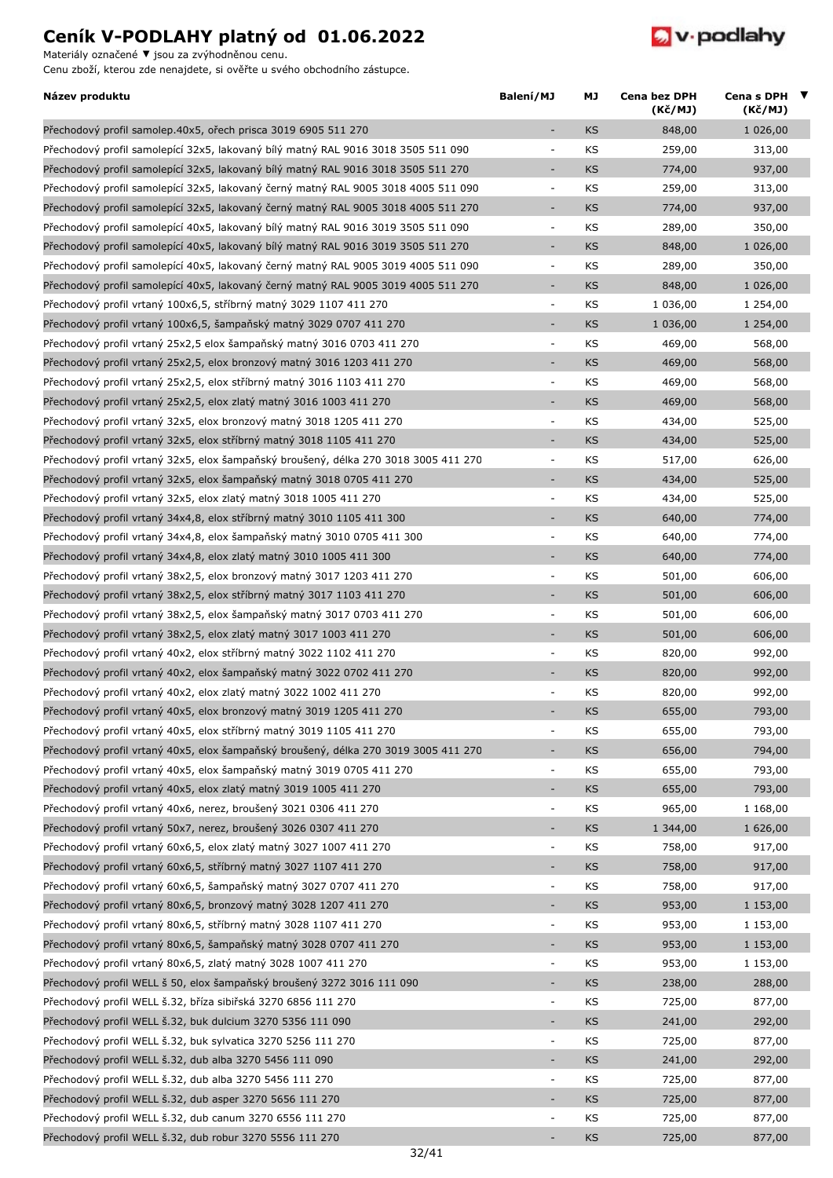Materiály označené **▼** jsou za zvýhodněnou cenu.



| Název produktu                                                                      | Balení/MJ                | МJ        | Cena bez DPH<br>(Kč/MJ) | Cena s DPH ▼<br>(Kč/MJ) |  |
|-------------------------------------------------------------------------------------|--------------------------|-----------|-------------------------|-------------------------|--|
| Přechodový profil samolep.40x5, ořech prisca 3019 6905 511 270                      |                          | KS        | 848,00                  | 1 026,00                |  |
| Přechodový profil samolepící 32x5, lakovaný bílý matný RAL 9016 3018 3505 511 090   | $\overline{\phantom{a}}$ | KS        | 259,00                  | 313,00                  |  |
| Přechodový profil samolepící 32x5, lakovaný bílý matný RAL 9016 3018 3505 511 270   | ÷,                       | <b>KS</b> | 774,00                  | 937,00                  |  |
| Přechodový profil samolepící 32x5, lakovaný černý matný RAL 9005 3018 4005 511 090  | $\overline{\phantom{a}}$ | KS        | 259,00                  | 313,00                  |  |
| Přechodový profil samolepící 32x5, lakovaný černý matný RAL 9005 3018 4005 511 270  | $\overline{\phantom{a}}$ | <b>KS</b> | 774,00                  | 937,00                  |  |
| Přechodový profil samolepící 40x5, lakovaný bílý matný RAL 9016 3019 3505 511 090   | $\overline{\phantom{a}}$ | KS        | 289,00                  | 350,00                  |  |
| Přechodový profil samolepící 40x5, lakovaný bílý matný RAL 9016 3019 3505 511 270   | ÷,                       | <b>KS</b> | 848,00                  | 1 026,00                |  |
| Přechodový profil samolepící 40x5, lakovaný černý matný RAL 9005 3019 4005 511 090  | $\overline{\phantom{a}}$ | KS        | 289,00                  | 350,00                  |  |
| Přechodový profil samolepící 40x5, lakovaný černý matný RAL 9005 3019 4005 511 270  | $\overline{\phantom{a}}$ | <b>KS</b> | 848,00                  | 1 026,00                |  |
| Přechodový profil vrtaný 100x6,5, stříbrný matný 3029 1107 411 270                  | $\overline{\phantom{a}}$ | KS        | 1 036,00                | 1 254,00                |  |
| Přechodový profil vrtaný 100x6,5, šampaňský matný 3029 0707 411 270                 | ÷,                       | <b>KS</b> | 1 036,00                | 1 254,00                |  |
| Přechodový profil vrtaný 25x2,5 elox šampaňský matný 3016 0703 411 270              | $\overline{\phantom{a}}$ | KS        | 469,00                  | 568,00                  |  |
| Přechodový profil vrtaný 25x2,5, elox bronzový matný 3016 1203 411 270              | $\overline{\phantom{a}}$ | <b>KS</b> | 469,00                  | 568,00                  |  |
| Přechodový profil vrtaný 25x2,5, elox stříbrný matný 3016 1103 411 270              | $\overline{\phantom{a}}$ | KS        | 469,00                  | 568,00                  |  |
| Přechodový profil vrtaný 25x2,5, elox zlatý matný 3016 1003 411 270                 | $\overline{\phantom{a}}$ | <b>KS</b> | 469,00                  | 568,00                  |  |
| Přechodový profil vrtaný 32x5, elox bronzový matný 3018 1205 411 270                | $\overline{\phantom{a}}$ | KS        | 434,00                  | 525,00                  |  |
| Přechodový profil vrtaný 32x5, elox stříbrný matný 3018 1105 411 270                | $\overline{\phantom{a}}$ | <b>KS</b> | 434,00                  | 525,00                  |  |
| Přechodový profil vrtaný 32x5, elox šampaňský broušený, délka 270 3018 3005 411 270 | $\overline{\phantom{a}}$ | KS        | 517,00                  | 626,00                  |  |
| Přechodový profil vrtaný 32x5, elox šampaňský matný 3018 0705 411 270               | $\sim$                   | <b>KS</b> | 434,00                  | 525,00                  |  |
| Přechodový profil vrtaný 32x5, elox zlatý matný 3018 1005 411 270                   | $\overline{\phantom{a}}$ | KS        | 434,00                  | 525,00                  |  |
| Přechodový profil vrtaný 34x4,8, elox stříbrný matný 3010 1105 411 300              | $\overline{\phantom{a}}$ | <b>KS</b> | 640,00                  | 774,00                  |  |
| Přechodový profil vrtaný 34x4,8, elox šampaňský matný 3010 0705 411 300             | $\overline{\phantom{a}}$ | KS        | 640,00                  | 774,00                  |  |
| Přechodový profil vrtaný 34x4,8, elox zlatý matný 3010 1005 411 300                 | $\blacksquare$           | <b>KS</b> | 640,00                  | 774,00                  |  |
| Přechodový profil vrtaný 38x2,5, elox bronzový matný 3017 1203 411 270              | $\overline{\phantom{a}}$ | KS        | 501,00                  | 606,00                  |  |
| Přechodový profil vrtaný 38x2,5, elox stříbrný matný 3017 1103 411 270              | $\overline{\phantom{a}}$ | <b>KS</b> | 501,00                  | 606,00                  |  |
| Přechodový profil vrtaný 38x2,5, elox šampaňský matný 3017 0703 411 270             | $\overline{\phantom{a}}$ | KS        | 501,00                  | 606,00                  |  |
| Přechodový profil vrtaný 38x2,5, elox zlatý matný 3017 1003 411 270                 | ÷,                       | <b>KS</b> | 501,00                  | 606,00                  |  |
| Přechodový profil vrtaný 40x2, elox stříbrný matný 3022 1102 411 270                | $\blacksquare$           | KS        | 820,00                  | 992,00                  |  |
| Přechodový profil vrtaný 40x2, elox šampaňský matný 3022 0702 411 270               | ÷,                       | <b>KS</b> | 820,00                  | 992,00                  |  |
| Přechodový profil vrtaný 40x2, elox zlatý matný 3022 1002 411 270                   | $\overline{\phantom{a}}$ | KS        | 820,00                  | 992,00                  |  |
| Přechodový profil vrtaný 40x5, elox bronzový matný 3019 1205 411 270                |                          |           | 655,00                  |                         |  |
| Přechodový profil vrtaný 40x5, elox stříbrný matný 3019 1105 411 270                | $\overline{\phantom{a}}$ | KS        | 655,00                  | 793,00                  |  |
|                                                                                     | ÷,                       | KS        |                         | 793,00                  |  |
| Přechodový profil vrtaný 40x5, elox šampaňský broušený, délka 270 3019 3005 411 270 |                          | KS        | 656,00                  | 794,00                  |  |
| Přechodový profil vrtaný 40x5, elox šampaňský matný 3019 0705 411 270               | $\overline{\phantom{a}}$ | KS        | 655,00                  | 793,00                  |  |
| Přechodový profil vrtaný 40x5, elox zlatý matný 3019 1005 411 270                   | ÷,                       | <b>KS</b> | 655,00                  | 793,00                  |  |
| Přechodový profil vrtaný 40x6, nerez, broušený 3021 0306 411 270                    | $\overline{\phantom{a}}$ | KS        | 965,00                  | 1 168,00                |  |
| Přechodový profil vrtaný 50x7, nerez, broušený 3026 0307 411 270                    | ٠                        | KS        | 1 344,00                | 1 626,00                |  |
| Přechodový profil vrtaný 60x6,5, elox zlatý matný 3027 1007 411 270                 | $\overline{\phantom{a}}$ | KS        | 758,00                  | 917,00                  |  |
| Přechodový profil vrtaný 60x6,5, stříbrný matný 3027 1107 411 270                   | $\overline{\phantom{a}}$ | <b>KS</b> | 758,00                  | 917,00                  |  |
| Přechodový profil vrtaný 60x6,5, šampaňský matný 3027 0707 411 270                  | $\blacksquare$           | KS        | 758,00                  | 917,00                  |  |
| Přechodový profil vrtaný 80x6,5, bronzový matný 3028 1207 411 270                   | $\overline{\phantom{a}}$ | <b>KS</b> | 953,00                  | 1 153,00                |  |
| Přechodový profil vrtaný 80x6,5, stříbrný matný 3028 1107 411 270                   | $\blacksquare$           | KS        | 953,00                  | 1 153,00                |  |
| Přechodový profil vrtaný 80x6,5, šampaňský matný 3028 0707 411 270                  | ÷,                       | KS        | 953,00                  | 1 153,00                |  |
| Přechodový profil vrtaný 80x6,5, zlatý matný 3028 1007 411 270                      | $\blacksquare$           | KS        | 953,00                  | 1 153,00                |  |
| Přechodový profil WELL š 50, elox šampaňský broušený 3272 3016 111 090              | ÷,                       | KS        | 238,00                  | 288,00                  |  |
| Přechodový profil WELL š.32, bříza sibiřská 3270 6856 111 270                       | $\overline{\phantom{a}}$ | KS        | 725,00                  | 877,00                  |  |
| Přechodový profil WELL š.32, buk dulcium 3270 5356 111 090                          | ٠                        | <b>KS</b> | 241,00                  | 292,00                  |  |
| Přechodový profil WELL š.32, buk sylvatica 3270 5256 111 270                        | $\blacksquare$           | KS        | 725,00                  | 877,00                  |  |
| Přechodový profil WELL š.32, dub alba 3270 5456 111 090                             | ÷,                       | KS        | 241,00                  | 292,00                  |  |
| Přechodový profil WELL š.32, dub alba 3270 5456 111 270                             | $\blacksquare$           | KS        | 725,00                  | 877,00                  |  |
| Přechodový profil WELL š.32, dub asper 3270 5656 111 270                            | ÷,                       | KS        | 725,00                  | 877,00                  |  |
| Přechodový profil WELL š.32, dub canum 3270 6556 111 270                            | $\overline{\phantom{a}}$ | KS        | 725,00                  | 877,00                  |  |
| Přechodový profil WELL š.32, dub robur 3270 5556 111 270                            |                          | KS        | 725,00                  | 877,00                  |  |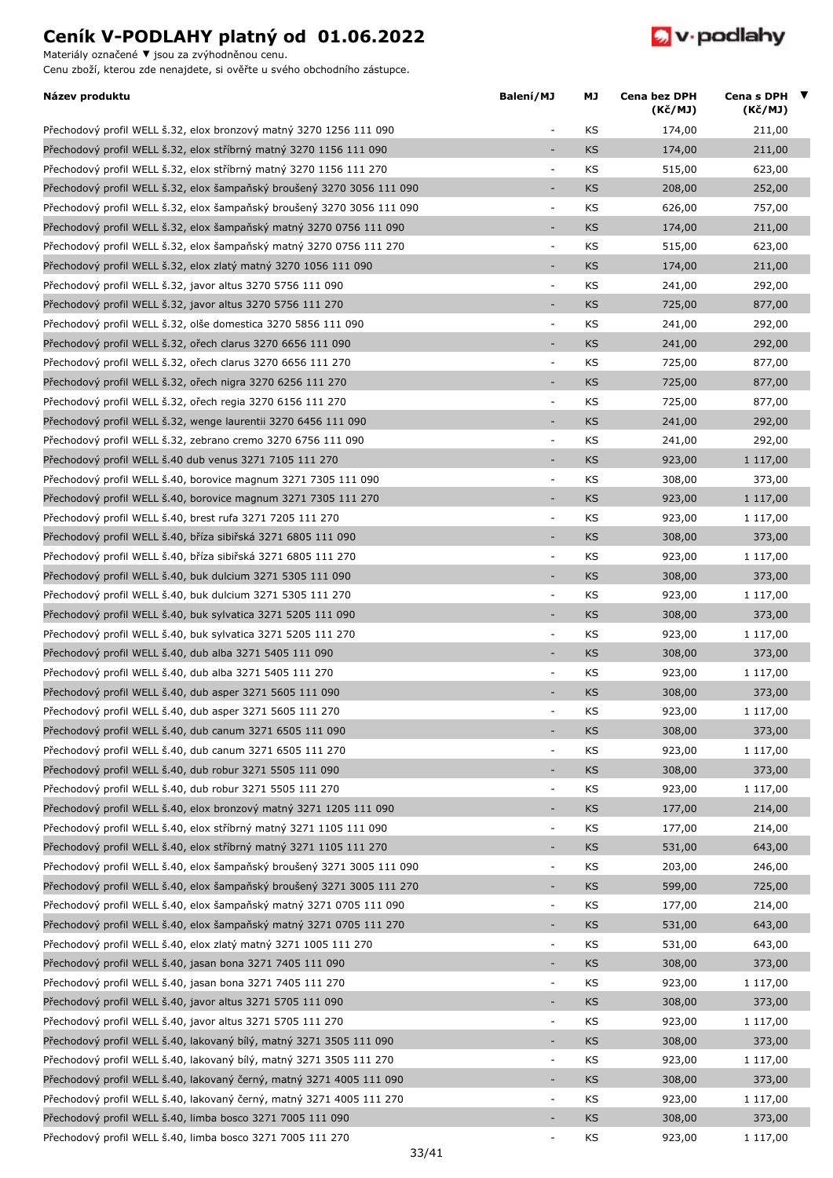Materiály označené **▼** jsou za zvýhodněnou cenu.



| Název produktu                                                         | Balení/MJ                    | МJ        | Cena bez DPH<br>(Kč/MJ) | Cena s DPH $\blacktriangledown$<br>(Kč/MJ) |
|------------------------------------------------------------------------|------------------------------|-----------|-------------------------|--------------------------------------------|
| Přechodový profil WELL š.32, elox bronzový matný 3270 1256 111 090     | ÷                            | KS        | 174,00                  | 211,00                                     |
| Přechodový profil WELL š.32, elox stříbrný matný 3270 1156 111 090     | $\overline{\phantom{a}}$     | <b>KS</b> | 174,00                  | 211,00                                     |
| Přechodový profil WELL š.32, elox stříbrný matný 3270 1156 111 270     | $\overline{\phantom{a}}$     | KS        | 515,00                  | 623,00                                     |
| Přechodový profil WELL š.32, elox šampaňský broušený 3270 3056 111 090 | ÷,                           | KS        | 208,00                  | 252,00                                     |
| Přechodový profil WELL š.32, elox šampaňský broušený 3270 3056 111 090 | $\overline{\phantom{a}}$     | KS        | 626,00                  | 757,00                                     |
| Přechodový profil WELL š.32, elox šampaňský matný 3270 0756 111 090    | $\overline{\phantom{a}}$     | <b>KS</b> | 174,00                  | 211,00                                     |
| Přechodový profil WELL š.32, elox šampaňský matný 3270 0756 111 270    | $\overline{\phantom{a}}$     | KS        | 515,00                  | 623,00                                     |
| Přechodový profil WELL š.32, elox zlatý matný 3270 1056 111 090        | ÷,                           | <b>KS</b> | 174,00                  | 211,00                                     |
| Přechodový profil WELL š.32, javor altus 3270 5756 111 090             | ÷,                           | KS        | 241,00                  | 292,00                                     |
| Přechodový profil WELL š.32, javor altus 3270 5756 111 270             | ÷,                           | <b>KS</b> | 725,00                  | 877,00                                     |
| Přechodový profil WELL š.32, olše domestica 3270 5856 111 090          | ÷                            | KS        | 241,00                  | 292,00                                     |
| Přechodový profil WELL š.32, ořech clarus 3270 6656 111 090            | $\overline{\phantom{a}}$     | <b>KS</b> | 241,00                  | 292,00                                     |
| Přechodový profil WELL Š.32, ořech clarus 3270 6656 111 270            | ÷                            | KS        | 725,00                  | 877,00                                     |
| Přechodový profil WELL š.32, ořech nigra 3270 6256 111 270             | ÷,                           | <b>KS</b> | 725,00                  | 877,00                                     |
| Přechodový profil WELL š.32, ořech regia 3270 6156 111 270             | ÷                            | KS        | 725,00                  | 877,00                                     |
| Přechodový profil WELL š.32, wenge laurentii 3270 6456 111 090         | ÷,                           | <b>KS</b> | 241,00                  | 292,00                                     |
| Přechodový profil WELL š.32, zebrano cremo 3270 6756 111 090           | ÷,                           | KS        | 241,00                  | 292,00                                     |
| Přechodový profil WELL š.40 dub venus 3271 7105 111 270                | ÷,                           | <b>KS</b> | 923,00                  | 1 117,00                                   |
| Přechodový profil WELL š.40, borovice magnum 3271 7305 111 090         | ÷,                           | KS        | 308,00                  | 373,00                                     |
| Přechodový profil WELL š.40, borovice magnum 3271 7305 111 270         | ÷,                           | <b>KS</b> | 923,00                  | 1 117,00                                   |
| Přechodový profil WELL š.40, brest rufa 3271 7205 111 270              | ÷                            | KS        | 923,00                  | 1 117,00                                   |
| Přechodový profil WELL š.40, bříza sibiřská 3271 6805 111 090          | ÷                            | <b>KS</b> | 308,00                  | 373,00                                     |
| Přechodový profil WELL š.40, bříza sibiřská 3271 6805 111 270          | ÷                            | KS        | 923,00                  | 1 117,00                                   |
| Přechodový profil WELL š.40, buk dulcium 3271 5305 111 090             | ÷,                           | <b>KS</b> | 308,00                  | 373,00                                     |
| Přechodový profil WELL š.40, buk dulcium 3271 5305 111 270             | $\blacksquare$               | KS        | 923,00                  |                                            |
|                                                                        | $\overline{\phantom{a}}$     | <b>KS</b> |                         | 1 117,00                                   |
| Přechodový profil WELL š.40, buk sylvatica 3271 5205 111 090           | $\Box$                       |           | 308,00                  | 373,00                                     |
| Přechodový profil WELL š.40, buk sylvatica 3271 5205 111 270           |                              | KS.       | 923,00                  | 1 117,00                                   |
| Přechodový profil WELL š.40, dub alba 3271 5405 111 090                | ÷,                           | <b>KS</b> | 308,00                  | 373,00                                     |
| Přechodový profil WELL š.40, dub alba 3271 5405 111 270                | $\overline{\phantom{a}}$     | KS        | 923,00                  | 1 117,00                                   |
| Přechodový profil WELL š.40, dub asper 3271 5605 111 090               | ÷,                           | <b>KS</b> | 308,00                  | 373,00                                     |
| Přechodový profil WELL š.40, dub asper 3271 5605 111 270               |                              | KS        | 923,00                  | 1 117,00                                   |
| Přechodový profil WELL š.40, dub canum 3271 6505 111 090               |                              | <b>KS</b> | 308,00                  | 373,00                                     |
| Přechodový profil WELL š.40, dub canum 3271 6505 111 270               | ÷                            | KS        | 923,00                  | 1 117,00                                   |
| Přechodový profil WELL š.40, dub robur 3271 5505 111 090               | ÷,                           | <b>KS</b> | 308,00                  | 373,00                                     |
| Přechodový profil WELL š.40, dub robur 3271 5505 111 270               | $\overline{a}$               | KS        | 923,00                  | 1 117,00                                   |
| Přechodový profil WELL š.40, elox bronzový matný 3271 1205 111 090     |                              | <b>KS</b> | 177,00                  | 214,00                                     |
| Přechodový profil WELL š.40, elox stříbrný matný 3271 1105 111 090     | $\blacksquare$               | KS        | 177,00                  | 214,00                                     |
| Přechodový profil WELL š.40, elox stříbrný matný 3271 1105 111 270     |                              | KS        | 531,00                  | 643,00                                     |
| Přechodový profil WELL š.40, elox šampaňský broušený 3271 3005 111 090 | ÷                            | KS        | 203,00                  | 246,00                                     |
| Přechodový profil WELL š.40, elox šampaňský broušený 3271 3005 111 270 |                              | KS        | 599,00                  | 725,00                                     |
| Přechodový profil WELL š.40, elox šampaňský matný 3271 0705 111 090    | ÷                            | KS        | 177,00                  | 214,00                                     |
| Přechodový profil WELL š.40, elox šampaňský matný 3271 0705 111 270    | ÷,                           | <b>KS</b> | 531,00                  | 643,00                                     |
| Přechodový profil WELL š.40, elox zlatý matný 3271 1005 111 270        | $\blacksquare$               | KS        | 531,00                  | 643,00                                     |
| Přechodový profil WELL š.40, jasan bona 3271 7405 111 090              | ÷,                           | <b>KS</b> | 308,00                  | 373,00                                     |
| Přechodový profil WELL š.40, jasan bona 3271 7405 111 270              | ÷                            | KS        | 923,00                  | 1 117,00                                   |
| Přechodový profil WELL š.40, javor altus 3271 5705 111 090             | ÷,                           | <b>KS</b> | 308,00                  | 373,00                                     |
| Přechodový profil WELL š.40, javor altus 3271 5705 111 270             | $\blacksquare$               | KS        | 923,00                  | 1 117,00                                   |
| Přechodový profil WELL š.40, lakovaný bílý, matný 3271 3505 111 090    | ÷                            | <b>KS</b> | 308,00                  | 373,00                                     |
| Přechodový profil WELL š.40, lakovaný bílý, matný 3271 3505 111 270    | ÷                            | KS        | 923,00                  | 1 117,00                                   |
| Přechodový profil WELL š.40, lakovaný černý, matný 3271 4005 111 090   | $\overline{\phantom{a}}$     | <b>KS</b> | 308,00                  | 373,00                                     |
| Přechodový profil WELL š.40, lakovaný černý, matný 3271 4005 111 270   | ÷,                           | KS        | 923,00                  | 1 117,00                                   |
| Přechodový profil WELL š.40, limba bosco 3271 7005 111 090             | $\overline{a}$               | <b>KS</b> | 308,00                  | 373,00                                     |
| Přechodový profil WELL š.40, limba bosco 3271 7005 111 270             | $\qquad \qquad \blacksquare$ | KS        | 923,00                  | 1 117,00                                   |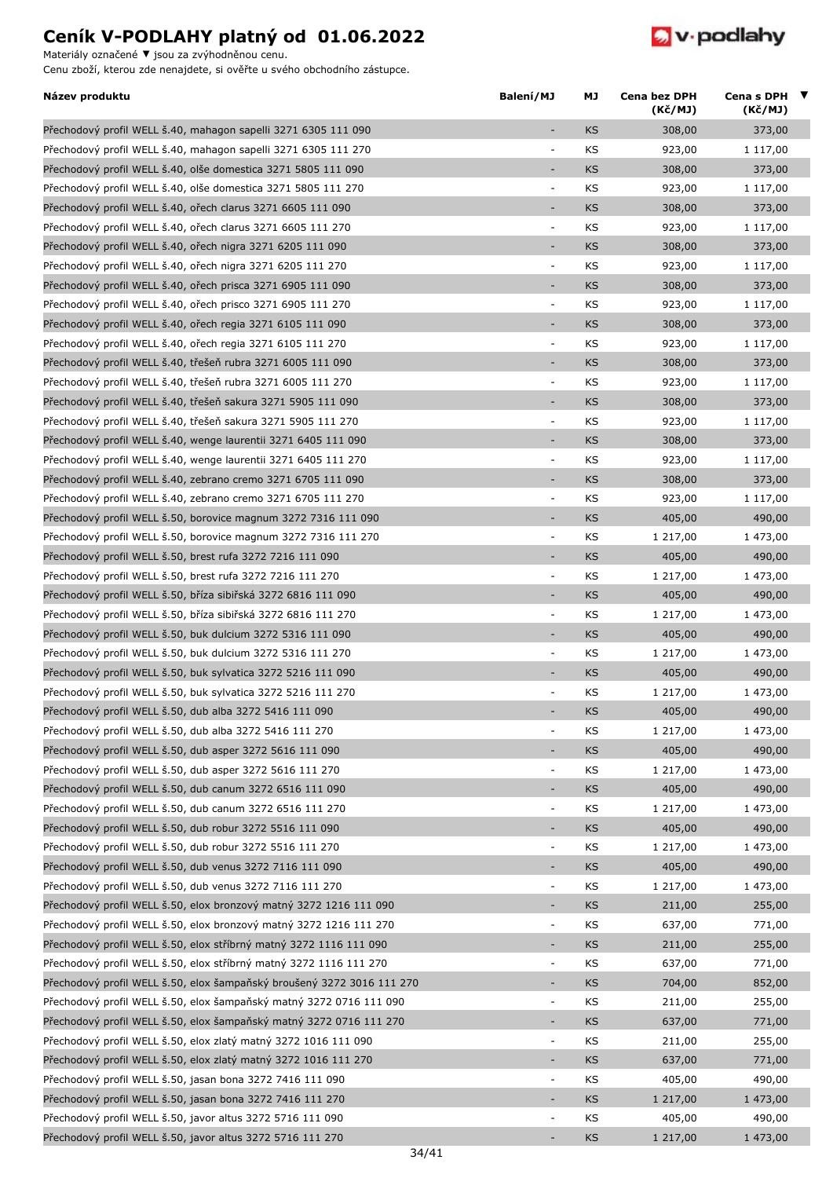Materiály označené **▼** jsou za zvýhodněnou cenu.



| Název produktu                                                         | Balení/MJ                | МJ        | Cena bez DPH<br>(Kč/MJ) | Cena s DPH $\blacktriangledown$<br>(Kč/MJ) |  |
|------------------------------------------------------------------------|--------------------------|-----------|-------------------------|--------------------------------------------|--|
| Přechodový profil WELL š.40, mahagon sapelli 3271 6305 111 090         | $\overline{\phantom{a}}$ | KS        | 308,00                  | 373,00                                     |  |
| Přechodový profil WELL š.40, mahagon sapelli 3271 6305 111 270         | ÷,                       | KS        | 923,00                  | 1 117,00                                   |  |
| Přechodový profil WELL Š.40, olše domestica 3271 5805 111 090          | $\overline{a}$           | KS        | 308,00                  | 373,00                                     |  |
| Přechodový profil WELL š.40, olše domestica 3271 5805 111 270          | $\overline{\phantom{a}}$ | KS        | 923,00                  | 1 117,00                                   |  |
| Přechodový profil WELL š.40, ořech clarus 3271 6605 111 090            | ÷,                       | <b>KS</b> | 308,00                  | 373,00                                     |  |
| Přechodový profil WELL Š.40, ořech clarus 3271 6605 111 270            | $\overline{\phantom{a}}$ | KS        | 923,00                  | 1 117,00                                   |  |
| Přechodový profil WELL š.40, ořech nigra 3271 6205 111 090             | $\overline{\phantom{a}}$ | KS        | 308,00                  | 373,00                                     |  |
| Přechodový profil WELL š.40, ořech nigra 3271 6205 111 270             | $\overline{\phantom{a}}$ | KS        | 923,00                  | 1 117,00                                   |  |
| Přechodový profil WELL š.40, ořech prisca 3271 6905 111 090            | ÷                        | <b>KS</b> | 308,00                  | 373,00                                     |  |
| Přechodový profil WELL š.40, ořech prisco 3271 6905 111 270            | $\overline{\phantom{a}}$ | KS        | 923,00                  | 1 117,00                                   |  |
| Přechodový profil WELL š.40, ořech regia 3271 6105 111 090             | $\overline{\phantom{a}}$ | <b>KS</b> | 308,00                  | 373,00                                     |  |
| Přechodový profil WELL š.40, ořech regia 3271 6105 111 270             | $\Box$                   | KS        | 923,00                  | 1 117,00                                   |  |
| Přechodový profil WELL š.40, třešeň rubra 3271 6005 111 090            | ÷,                       | <b>KS</b> | 308,00                  | 373,00                                     |  |
| Přechodový profil WELL š.40, třešeň rubra 3271 6005 111 270            | $\blacksquare$           | KS        | 923,00                  | 1 117,00                                   |  |
| Přechodový profil WELL š.40, třešeň sakura 3271 5905 111 090           | ÷,                       | <b>KS</b> | 308,00                  | 373,00                                     |  |
| Přechodový profil WELL š.40, třešeň sakura 3271 5905 111 270           | $\overline{\phantom{a}}$ | KS        | 923,00                  | 1 117,00                                   |  |
| Přechodový profil WELL š.40, wenge laurentii 3271 6405 111 090         | $\overline{\phantom{a}}$ | <b>KS</b> | 308,00                  | 373,00                                     |  |
| Přechodový profil WELL š.40, wenge laurentii 3271 6405 111 270         | $\overline{\phantom{a}}$ | KS        | 923,00                  | 1 117,00                                   |  |
| Přechodový profil WELL š.40, zebrano cremo 3271 6705 111 090           | ÷,                       | <b>KS</b> | 308,00                  | 373,00                                     |  |
| Přechodový profil WELL š.40, zebrano cremo 3271 6705 111 270           | $\overline{\phantom{a}}$ | KS        | 923,00                  | 1 117,00                                   |  |
| Přechodový profil WELL š.50, borovice magnum 3272 7316 111 090         | ÷,                       | <b>KS</b> | 405,00                  | 490,00                                     |  |
|                                                                        | $\overline{\phantom{a}}$ |           |                         |                                            |  |
| Přechodový profil WELL š.50, borovice magnum 3272 7316 111 270         | ÷,                       | KS<br>KS  | 1 217,00                | 1 473,00                                   |  |
| Přechodový profil WELL š.50, brest rufa 3272 7216 111 090              |                          |           | 405,00                  | 490,00                                     |  |
| Přechodový profil WELL š.50, brest rufa 3272 7216 111 270              | $\overline{\phantom{a}}$ | KS        | 1 217,00                | 1 473,00                                   |  |
| Přechodový profil WELL š.50, bříza sibiřská 3272 6816 111 090          | ÷                        | <b>KS</b> | 405,00                  | 490,00                                     |  |
| Přechodový profil WELL š.50, bříza sibiřská 3272 6816 111 270          | $\overline{\phantom{a}}$ | KS        | 1 217,00                | 1 473,00                                   |  |
| Přechodový profil WELL š.50, buk dulcium 3272 5316 111 090             | $\overline{\phantom{a}}$ | KS        | 405,00                  | 490,00                                     |  |
| Přechodový profil WELL Š.50, buk dulcium 3272 5316 111 270             | ÷,                       | KS        | 1 217,00                | 1 473,00                                   |  |
| Přechodový profil WELL š.50, buk sylvatica 3272 5216 111 090           | $\overline{a}$           | KS        | 405,00                  | 490,00                                     |  |
| Přechodový profil WELL š.50, buk sylvatica 3272 5216 111 270           | $\overline{\phantom{a}}$ | KS        | 1 217,00                | 1 473,00                                   |  |
| Přechodový profil WELL š.50, dub alba 3272 5416 111 090                |                          | KS        | 405,00                  | 490,00                                     |  |
| Přechodový profil WELL š.50, dub alba 3272 5416 111 270                | $\overline{\phantom{a}}$ | KS        | 1 217,00                | 1 473,00                                   |  |
| Přechodový profil WELL š.50, dub asper 3272 5616 111 090               | $\overline{\phantom{a}}$ | <b>KS</b> | 405,00                  | 490,00                                     |  |
| Přechodový profil WELL š.50, dub asper 3272 5616 111 270               | $\blacksquare$           | KS        | 1 217,00                | 1 473,00                                   |  |
| Přechodový profil WELL š.50, dub canum 3272 6516 111 090               | ÷,                       | <b>KS</b> | 405,00                  | 490,00                                     |  |
| Přechodový profil WELL š.50, dub canum 3272 6516 111 270               | $\blacksquare$           | KS        | 1 217,00                | 1 473,00                                   |  |
| Přechodový profil WELL š.50, dub robur 3272 5516 111 090               | $\overline{\phantom{a}}$ | KS        | 405,00                  | 490,00                                     |  |
| Přechodový profil WELL š.50, dub robur 3272 5516 111 270               | ÷,                       | KS        | 1 217,00                | 1 473,00                                   |  |
| Přechodový profil WELL š.50, dub venus 3272 7116 111 090               |                          | KS        | 405,00                  | 490,00                                     |  |
| Přechodový profil WELL š.50, dub venus 3272 7116 111 270               | $\blacksquare$           | KS        | 1 217,00                | 1 473,00                                   |  |
| Přechodový profil WELL š.50, elox bronzový matný 3272 1216 111 090     | $\overline{\phantom{a}}$ | KS        | 211,00                  | 255,00                                     |  |
| Přechodový profil WELL š.50, elox bronzový matný 3272 1216 111 270     | $\blacksquare$           | KS        | 637,00                  | 771,00                                     |  |
| Přechodový profil WELL š.50, elox stříbrný matný 3272 1116 111 090     | $\overline{\phantom{a}}$ | KS        | 211,00                  | 255,00                                     |  |
| Přechodový profil WELL š.50, elox stříbrný matný 3272 1116 111 270     | $\overline{\phantom{a}}$ | KS        | 637,00                  | 771,00                                     |  |
| Přechodový profil WELL š.50, elox šampaňský broušený 3272 3016 111 270 | ÷,                       | KS        | 704,00                  | 852,00                                     |  |
| Přechodový profil WELL š.50, elox šampaňský matný 3272 0716 111 090    | $\overline{\phantom{a}}$ | KS        | 211,00                  | 255,00                                     |  |
| Přechodový profil WELL š.50, elox šampaňský matný 3272 0716 111 270    | ÷                        | KS        | 637,00                  | 771,00                                     |  |
| Přechodový profil WELL š.50, elox zlatý matný 3272 1016 111 090        | $\overline{\phantom{a}}$ | KS        | 211,00                  | 255,00                                     |  |
| Přechodový profil WELL š.50, elox zlatý matný 3272 1016 111 270        | $\overline{\phantom{a}}$ | KS        | 637,00                  | 771,00                                     |  |
| Přechodový profil WELL š.50, jasan bona 3272 7416 111 090              | $\overline{\phantom{a}}$ | KS        | 405,00                  | 490,00                                     |  |
| Přechodový profil WELL š.50, jasan bona 3272 7416 111 270              | ÷                        | KS        | 1 217,00                | 1 473,00                                   |  |
| Přechodový profil WELL š.50, javor altus 3272 5716 111 090             | ÷,                       | KS        | 405,00                  | 490,00                                     |  |
| Přechodový profil WELL š.50, javor altus 3272 5716 111 270             | $\overline{\phantom{a}}$ | <b>KS</b> | 1 217,00                | 1 473,00                                   |  |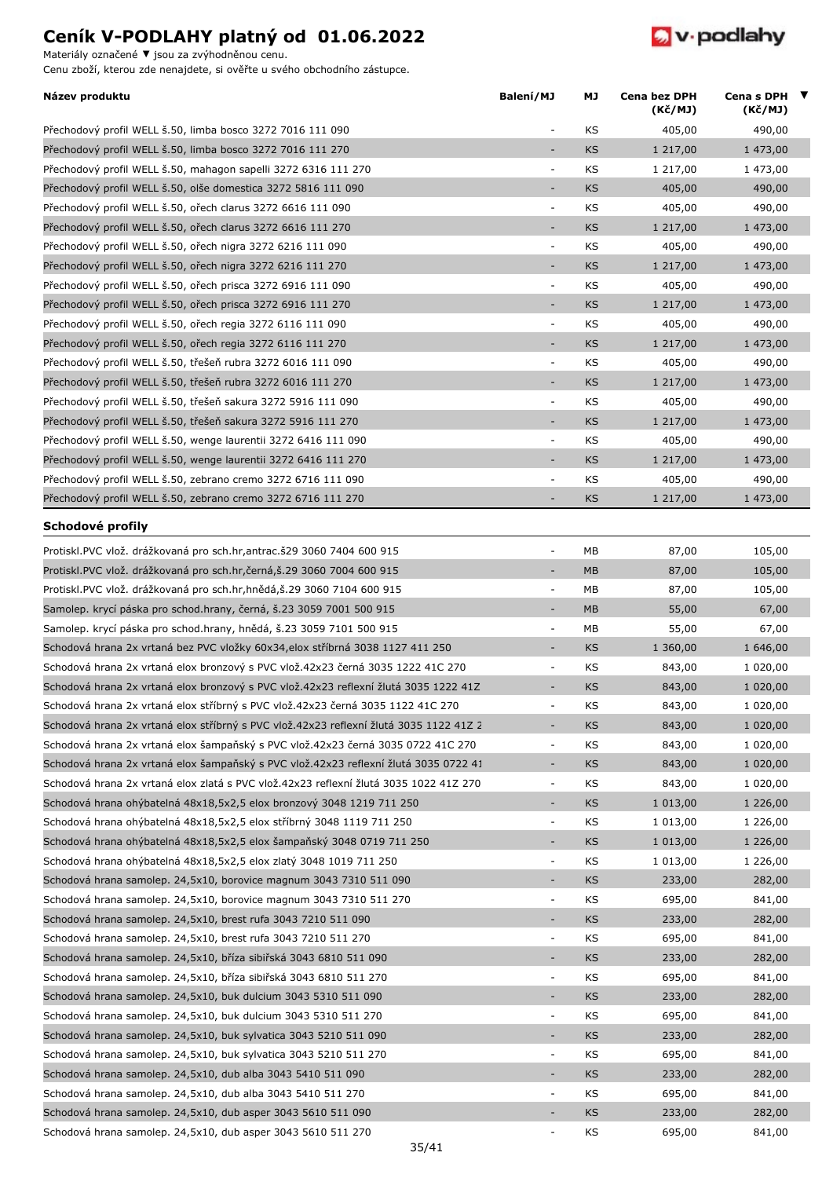Materiály označené **▼** jsou za zvýhodněnou cenu.



| Název produktu                                                                         | Balení/MJ                | МJ        | Cena bez DPH<br>(Kč/MJ) | Cena s DPH $\blacktriangledown$<br>(Kč/MJ) |  |
|----------------------------------------------------------------------------------------|--------------------------|-----------|-------------------------|--------------------------------------------|--|
| Přechodový profil WELL š.50, limba bosco 3272 7016 111 090                             | ٠                        | KS        | 405,00                  | 490,00                                     |  |
| Přechodový profil WELL š.50, limba bosco 3272 7016 111 270                             |                          | KS        | 1 217,00                | 1 473,00                                   |  |
| Přechodový profil WELL š.50, mahagon sapelli 3272 6316 111 270                         | ÷,                       | KS        | 1 217,00                | 1 473,00                                   |  |
| Přechodový profil WELL š.50, olše domestica 3272 5816 111 090                          | ٠                        | <b>KS</b> | 405,00                  | 490,00                                     |  |
| Přechodový profil WELL š.50, ořech clarus 3272 6616 111 090                            | $\bar{\phantom{a}}$      | KS        | 405,00                  | 490,00                                     |  |
| Přechodový profil WELL š.50, ořech clarus 3272 6616 111 270                            |                          | <b>KS</b> | 1 217,00                | 1 473,00                                   |  |
| Přechodový profil WELL š.50, ořech nigra 3272 6216 111 090                             | $\overline{\phantom{a}}$ | KS        | 405,00                  | 490,00                                     |  |
| Přechodový profil WELL š.50, ořech nigra 3272 6216 111 270                             | ٠                        | <b>KS</b> | 1 217,00                | 1 473,00                                   |  |
| Přechodový profil WELL š.50, ořech prisca 3272 6916 111 090                            | ÷,                       | KS        | 405,00                  | 490,00                                     |  |
| Přechodový profil WELL š.50, ořech prisca 3272 6916 111 270                            | $\overline{\phantom{m}}$ | <b>KS</b> | 1 217,00                | 1 473,00                                   |  |
| Přechodový profil WELL š.50, ořech regia 3272 6116 111 090                             | $\overline{\phantom{a}}$ | KS        | 405,00                  | 490,00                                     |  |
| Přechodový profil WELL š.50, ořech regia 3272 6116 111 270                             | $\bar{a}$                | <b>KS</b> | 1 217,00                | 1 473,00                                   |  |
| Přechodový profil WELL š.50, třešeň rubra 3272 6016 111 090                            | $\overline{\phantom{a}}$ | KS        | 405,00                  | 490,00                                     |  |
| Přechodový profil WELL š.50, třešeň rubra 3272 6016 111 270                            | $\overline{\phantom{m}}$ | <b>KS</b> | 1 217,00                | 1 473,00                                   |  |
| Přechodový profil WELL š.50, třešeň sakura 3272 5916 111 090                           | $\overline{\phantom{a}}$ | KS        | 405,00                  | 490,00                                     |  |
| Přechodový profil WELL š.50, třešeň sakura 3272 5916 111 270                           | ÷,                       | KS        | 1 217,00                | 1 473,00                                   |  |
| Přechodový profil WELL š.50, wenge laurentii 3272 6416 111 090                         | $\overline{\phantom{a}}$ | KS        | 405,00                  | 490,00                                     |  |
| Přechodový profil WELL š.50, wenge laurentii 3272 6416 111 270                         | ÷                        | <b>KS</b> | 1 217,00                | 1 473,00                                   |  |
| Přechodový profil WELL š.50, zebrano cremo 3272 6716 111 090                           | ÷                        | KS        | 405,00                  | 490,00                                     |  |
| Přechodový profil WELL š.50, zebrano cremo 3272 6716 111 270                           | ÷,                       | <b>KS</b> | 1 217,00                | 1 473,00                                   |  |
| Schodové profily                                                                       |                          |           |                         |                                            |  |
| Protiskl.PVC vlož. drážkovaná pro sch.hr, antrac. š29 3060 7404 600 915                | $\overline{\phantom{a}}$ | MB        | 87,00                   | 105,00                                     |  |
| Protiskl.PVC vlož. drážkovaná pro sch.hr,černá,š.29 3060 7004 600 915                  | ÷,                       | <b>MB</b> | 87,00                   | 105,00                                     |  |
| Protiskl. PVC vlož. drážkovaná pro sch. hr, hnědá, š. 29 3060 7104 600 915             | $\overline{\phantom{a}}$ | MB        | 87,00                   | 105,00                                     |  |
| Samolep. krycí páska pro schod.hrany, černá, š.23 3059 7001 500 915                    | ٠                        | <b>MB</b> | 55,00                   | 67,00                                      |  |
| Samolep. krycí páska pro schod.hrany, hnědá, š.23 3059 7101 500 915                    | ÷,                       | MB        | 55,00                   | 67,00                                      |  |
| Schodová hrana 2x vrtaná bez PVC vložky 60x34,elox stříbrná 3038 1127 411 250          | ٠                        | <b>KS</b> | 1 360,00                | 1 646,00                                   |  |
| Schodová hrana 2x vrtaná elox bronzový s PVC vlož.42x23 černá 3035 1222 41C 270        | $\overline{\phantom{a}}$ | KS        | 843,00                  | 1 020,00                                   |  |
| Schodová hrana 2x vrtaná elox bronzový s PVC vlož.42x23 reflexní žlutá 3035 1222 41Z   | ÷                        | <b>KS</b> | 843,00                  | 1 020,00                                   |  |
| Schodová hrana 2x vrtaná elox stříbrný s PVC vlož.42x23 černá 3035 1122 41C 270        | ÷,                       | KS        | 843,00                  | 1 020,00                                   |  |
| Schodová hrana 2x vrtaná elox stříbrný s PVC vlož.42x23 reflexní žlutá 3035 1122 41Z 2 | $\overline{\phantom{a}}$ | <b>KS</b> | 843,00                  | 1 020,00                                   |  |
| Schodová hrana 2x vrtaná elox šampaňský s PVC vlož.42x23 černá 3035 0722 41C 270       | ÷,                       | KS        |                         |                                            |  |
| Schodová hrana 2x vrtaná elox šampaňský s PVC vlož.42x23 reflexní žlutá 3035 0722 41   | $\bar{a}$                |           | 843,00                  | 1 020,00                                   |  |
|                                                                                        |                          | <b>KS</b> | 843,00                  | 1 020,00                                   |  |
| Schodová hrana 2x vrtaná elox zlatá s PVC vlož.42x23 reflexní žlutá 3035 1022 41Z 270  | $\overline{\phantom{a}}$ | KS        | 843,00                  | 1 020,00                                   |  |
| Schodová hrana ohýbatelná 48x18,5x2,5 elox bronzový 3048 1219 711 250                  | $\overline{\phantom{m}}$ | <b>KS</b> | 1 013,00                | 1 226,00                                   |  |
| Schodová hrana ohýbatelná 48x18,5x2,5 elox stříbrný 3048 1119 711 250                  | $\overline{\phantom{a}}$ | KS        | 1 013,00                | 1 226,00                                   |  |
| Schodová hrana ohýbatelná 48x18,5x2,5 elox šampaňský 3048 0719 711 250                 | ÷                        | <b>KS</b> | 1 013,00                | 1 226,00                                   |  |
| Schodová hrana ohýbatelná 48x18,5x2,5 elox zlatý 3048 1019 711 250                     | $\overline{\phantom{a}}$ | KS        | 1 013,00                | 1 226,00                                   |  |
| Schodová hrana samolep. 24,5x10, borovice magnum 3043 7310 511 090                     | $\bar{a}$                | <b>KS</b> | 233,00                  | 282,00                                     |  |
| Schodová hrana samolep. 24,5x10, borovice magnum 3043 7310 511 270                     | $\overline{\phantom{a}}$ | KS        | 695,00                  | 841,00                                     |  |
| Schodová hrana samolep. 24,5x10, brest rufa 3043 7210 511 090                          | $\overline{\phantom{m}}$ | <b>KS</b> | 233,00                  | 282,00                                     |  |
| Schodová hrana samolep. 24,5x10, brest rufa 3043 7210 511 270                          | ÷,                       | KS        | 695,00                  | 841,00                                     |  |
| Schodová hrana samolep. 24,5x10, bříza sibiřská 3043 6810 511 090                      | ٠                        | <b>KS</b> | 233,00                  | 282,00                                     |  |
| Schodová hrana samolep. 24,5x10, bříza sibiřská 3043 6810 511 270                      | $\blacksquare$           | KS        | 695,00                  | 841,00                                     |  |
| Schodová hrana samolep. 24,5x10, buk dulcium 3043 5310 511 090                         | ٠                        | <b>KS</b> | 233,00                  | 282,00                                     |  |
| Schodová hrana samolep. 24,5x10, buk dulcium 3043 5310 511 270                         | $\overline{\phantom{a}}$ | KS        | 695,00                  | 841,00                                     |  |
| Schodová hrana samolep. 24,5x10, buk sylvatica 3043 5210 511 090                       | ٠                        | <b>KS</b> | 233,00                  | 282,00                                     |  |
| Schodová hrana samolep. 24,5x10, buk sylvatica 3043 5210 511 270                       | $\blacksquare$           | KS        | 695,00                  | 841,00                                     |  |
| Schodová hrana samolep. 24,5x10, dub alba 3043 5410 511 090                            | ÷,                       | <b>KS</b> | 233,00                  | 282,00                                     |  |
| Schodová hrana samolep. 24,5x10, dub alba 3043 5410 511 270                            | $\blacksquare$           | KS        | 695,00                  | 841,00                                     |  |
| Schodová hrana samolep. 24,5x10, dub asper 3043 5610 511 090                           | ٠                        | <b>KS</b> | 233,00                  | 282,00                                     |  |
| Schodová hrana samolep. 24,5x10, dub asper 3043 5610 511 270                           | $\overline{\phantom{a}}$ | KS        | 695,00                  | 841,00                                     |  |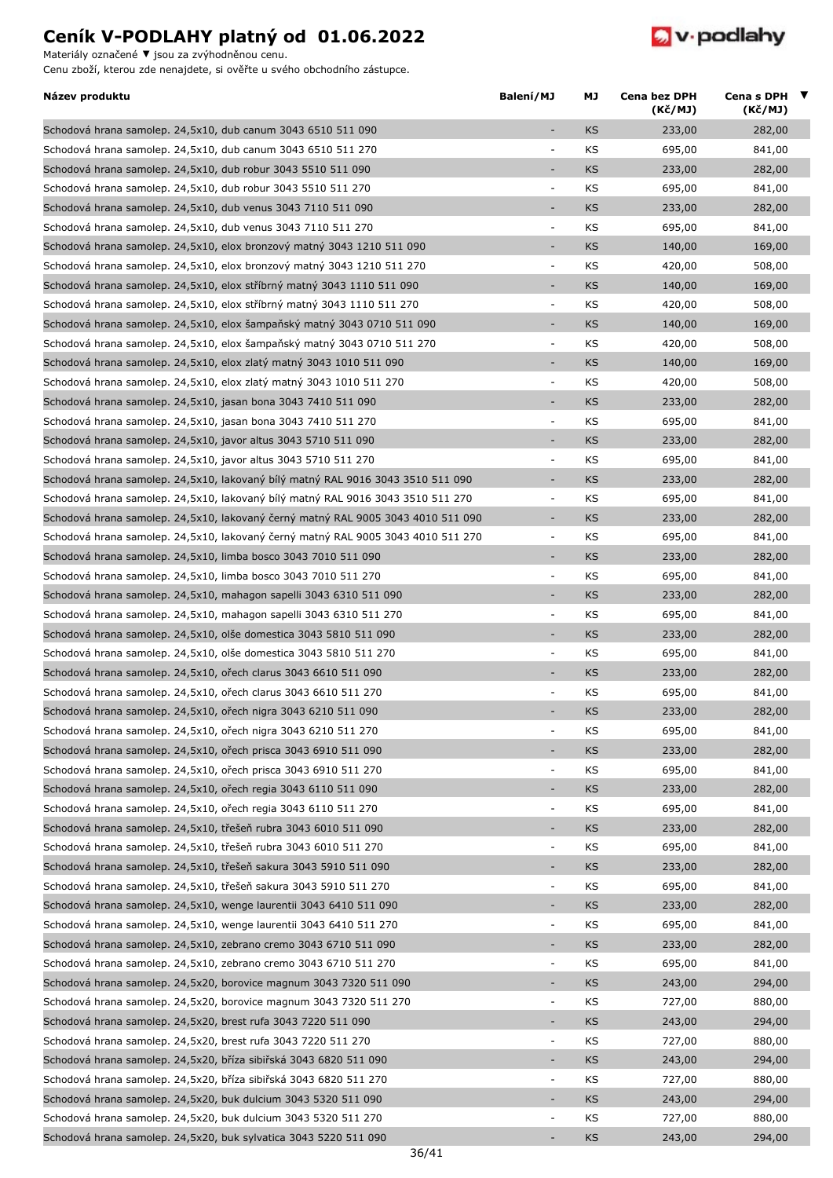Materiály označené **▼** jsou za zvýhodněnou cenu.



| Název produktu                                                                   | Balení/MJ                | МJ        | Cena bez DPH<br>(Kč/MJ) | Cena s DPH $\blacktriangledown$<br>(Kč/MJ) |  |
|----------------------------------------------------------------------------------|--------------------------|-----------|-------------------------|--------------------------------------------|--|
| Schodová hrana samolep. 24,5x10, dub canum 3043 6510 511 090                     | $\overline{\phantom{a}}$ | KS        | 233,00                  | 282,00                                     |  |
| Schodová hrana samolep. 24,5x10, dub canum 3043 6510 511 270                     |                          | KS        | 695,00                  | 841,00                                     |  |
| Schodová hrana samolep. 24,5x10, dub robur 3043 5510 511 090                     |                          | KS        | 233,00                  | 282,00                                     |  |
| Schodová hrana samolep. 24,5x10, dub robur 3043 5510 511 270                     | $\overline{\phantom{a}}$ | KS        | 695,00                  | 841,00                                     |  |
| Schodová hrana samolep. 24,5x10, dub venus 3043 7110 511 090                     |                          | KS        | 233,00                  | 282,00                                     |  |
| Schodová hrana samolep. 24,5x10, dub venus 3043 7110 511 270                     | $\overline{\phantom{a}}$ | KS        | 695,00                  | 841,00                                     |  |
| Schodová hrana samolep. 24,5x10, elox bronzový matný 3043 1210 511 090           | ٠                        | <b>KS</b> | 140,00                  | 169,00                                     |  |
| Schodová hrana samolep. 24,5x10, elox bronzový matný 3043 1210 511 270           | $\overline{\phantom{a}}$ | KS        | 420,00                  | 508,00                                     |  |
| Schodová hrana samolep. 24,5x10, elox stříbrný matný 3043 1110 511 090           | $\overline{\phantom{a}}$ | KS        | 140,00                  | 169,00                                     |  |
| Schodová hrana samolep. 24,5x10, elox stříbrný matný 3043 1110 511 270           | $\overline{\phantom{a}}$ | KS        | 420,00                  | 508,00                                     |  |
| Schodová hrana samolep. 24,5x10, elox šampaňský matný 3043 0710 511 090          | $\overline{\phantom{a}}$ | KS        | 140,00                  | 169,00                                     |  |
| Schodová hrana samolep. 24,5x10, elox šampaňský matný 3043 0710 511 270          | $\overline{\phantom{a}}$ | KS        | 420,00                  | 508,00                                     |  |
| Schodová hrana samolep. 24,5x10, elox zlatý matný 3043 1010 511 090              |                          | KS        | 140,00                  | 169,00                                     |  |
| Schodová hrana samolep. 24,5x10, elox zlatý matný 3043 1010 511 270              | $\overline{\phantom{a}}$ | KS        | 420,00                  | 508,00                                     |  |
| Schodová hrana samolep. 24,5x10, jasan bona 3043 7410 511 090                    | $\overline{\phantom{a}}$ | <b>KS</b> | 233,00                  | 282,00                                     |  |
| Schodová hrana samolep. 24,5x10, jasan bona 3043 7410 511 270                    | $\overline{\phantom{a}}$ | KS        | 695,00                  | 841,00                                     |  |
| Schodová hrana samolep. 24,5x10, javor altus 3043 5710 511 090                   | $\overline{\phantom{a}}$ | KS        | 233,00                  | 282,00                                     |  |
| Schodová hrana samolep. 24,5x10, javor altus 3043 5710 511 270                   | $\overline{\phantom{a}}$ | KS        | 695,00                  | 841,00                                     |  |
| Schodová hrana samolep. 24,5x10, lakovaný bílý matný RAL 9016 3043 3510 511 090  | $\overline{\phantom{a}}$ | <b>KS</b> | 233,00                  | 282,00                                     |  |
| Schodová hrana samolep. 24,5x10, lakovaný bílý matný RAL 9016 3043 3510 511 270  | $\overline{\phantom{a}}$ | KS        | 695,00                  | 841,00                                     |  |
| Schodová hrana samolep. 24,5x10, lakovaný černý matný RAL 9005 3043 4010 511 090 | $\overline{\phantom{a}}$ | KS        | 233,00                  | 282,00                                     |  |
| Schodová hrana samolep. 24,5x10, lakovaný černý matný RAL 9005 3043 4010 511 270 | $\overline{\phantom{a}}$ | KS        | 695,00                  | 841,00                                     |  |
|                                                                                  | $\sim$                   | KS        | 233,00                  | 282,00                                     |  |
| Schodová hrana samolep. 24,5x10, limba bosco 3043 7010 511 090                   |                          |           |                         |                                            |  |
| Schodová hrana samolep. 24,5x10, limba bosco 3043 7010 511 270                   | $\overline{\phantom{a}}$ | KS        | 695,00                  | 841,00                                     |  |
| Schodová hrana samolep. 24,5x10, mahagon sapelli 3043 6310 511 090               | $\overline{\phantom{a}}$ | <b>KS</b> | 233,00                  | 282,00                                     |  |
| Schodová hrana samolep. 24,5x10, mahagon sapelli 3043 6310 511 270               | $\overline{\phantom{a}}$ | KS        | 695,00                  | 841,00                                     |  |
| Schodová hrana samolep. 24,5x10, olše domestica 3043 5810 511 090                | $\overline{\phantom{a}}$ | KS        | 233,00                  | 282,00                                     |  |
| Schodová hrana samolep. 24,5x10, olše domestica 3043 5810 511 270                | $\sim$                   | KS        | 695,00                  | 841,00                                     |  |
| Schodová hrana samolep. 24,5x10, ořech clarus 3043 6610 511 090                  |                          | KS        | 233,00                  | 282,00                                     |  |
| Schodová hrana samolep. 24,5x10, ořech clarus 3043 6610 511 270                  | $\overline{\phantom{a}}$ | KS        | 695,00                  | 841,00                                     |  |
| Schodová hrana samolep. 24,5x10, ořech nigra 3043 6210 511 090                   |                          | KS        | 233,00                  | 282,00                                     |  |
| Schodová hrana samolep. 24,5x10, ořech nigra 3043 6210 511 270                   | $\overline{\phantom{a}}$ | ΚS        | 695,00                  | 841,00                                     |  |
| Schodová hrana samolep. 24,5x10, ořech prisca 3043 6910 511 090                  | $\overline{\phantom{a}}$ | KS        | 233,00                  | 282,00                                     |  |
| Schodová hrana samolep. 24,5x10, ořech prisca 3043 6910 511 270                  | $\overline{\phantom{a}}$ | KS        | 695,00                  | 841,00                                     |  |
| Schodová hrana samolep. 24,5x10, ořech regia 3043 6110 511 090                   | $\overline{\phantom{a}}$ | KS        | 233,00                  | 282,00                                     |  |
| Schodová hrana samolep. 24,5x10, ořech regia 3043 6110 511 270                   | $\blacksquare$           | KS        | 695,00                  | 841,00                                     |  |
| Schodová hrana samolep. 24,5x10, třešeň rubra 3043 6010 511 090                  | $\overline{\phantom{a}}$ | KS        | 233,00                  | 282,00                                     |  |
| Schodová hrana samolep. 24,5x10, třešeň rubra 3043 6010 511 270                  | $\overline{\phantom{a}}$ | KS        | 695,00                  | 841,00                                     |  |
| Schodová hrana samolep. 24,5x10, třešeň sakura 3043 5910 511 090                 |                          | KS        | 233,00                  | 282,00                                     |  |
| Schodová hrana samolep. 24,5x10, třešeň sakura 3043 5910 511 270                 | $\overline{\phantom{a}}$ | KS        | 695,00                  | 841,00                                     |  |
| Schodová hrana samolep. 24,5x10, wenge laurentii 3043 6410 511 090               | $\overline{\phantom{a}}$ | KS        | 233,00                  | 282,00                                     |  |
| Schodová hrana samolep. 24,5x10, wenge laurentii 3043 6410 511 270               | $\overline{\phantom{a}}$ | KS        | 695,00                  | 841,00                                     |  |
| Schodová hrana samolep. 24,5x10, zebrano cremo 3043 6710 511 090                 | $\overline{\phantom{a}}$ | KS        | 233,00                  | 282,00                                     |  |
| Schodová hrana samolep. 24,5x10, zebrano cremo 3043 6710 511 270                 | $\overline{\phantom{a}}$ | KS        | 695,00                  | 841,00                                     |  |
| Schodová hrana samolep. 24,5x20, borovice magnum 3043 7320 511 090               | $\sim$                   | KS        | 243,00                  | 294,00                                     |  |
| Schodová hrana samolep. 24,5x20, borovice magnum 3043 7320 511 270               | $\overline{\phantom{a}}$ | KS        | 727,00                  | 880,00                                     |  |
| Schodová hrana samolep. 24,5x20, brest rufa 3043 7220 511 090                    | $\overline{\phantom{a}}$ | KS        | 243,00                  | 294,00                                     |  |
| Schodová hrana samolep. 24,5x20, brest rufa 3043 7220 511 270                    | $\overline{\phantom{a}}$ | KS        | 727,00                  | 880,00                                     |  |
| Schodová hrana samolep. 24,5x20, bříza sibiřská 3043 6820 511 090                | $\overline{\phantom{a}}$ | KS        | 243,00                  | 294,00                                     |  |
| Schodová hrana samolep. 24,5x20, bříza sibiřská 3043 6820 511 270                | $\overline{\phantom{a}}$ | KS        | 727,00                  | 880,00                                     |  |
| Schodová hrana samolep. 24,5x20, buk dulcium 3043 5320 511 090                   | ÷                        | KS        | 243,00                  | 294,00                                     |  |
| Schodová hrana samolep. 24,5x20, buk dulcium 3043 5320 511 270                   | $\overline{\phantom{a}}$ | KS        | 727,00                  | 880,00                                     |  |
| Schodová hrana samolep. 24,5x20, buk sylvatica 3043 5220 511 090                 | ٠                        | <b>KS</b> | 243,00                  | 294,00                                     |  |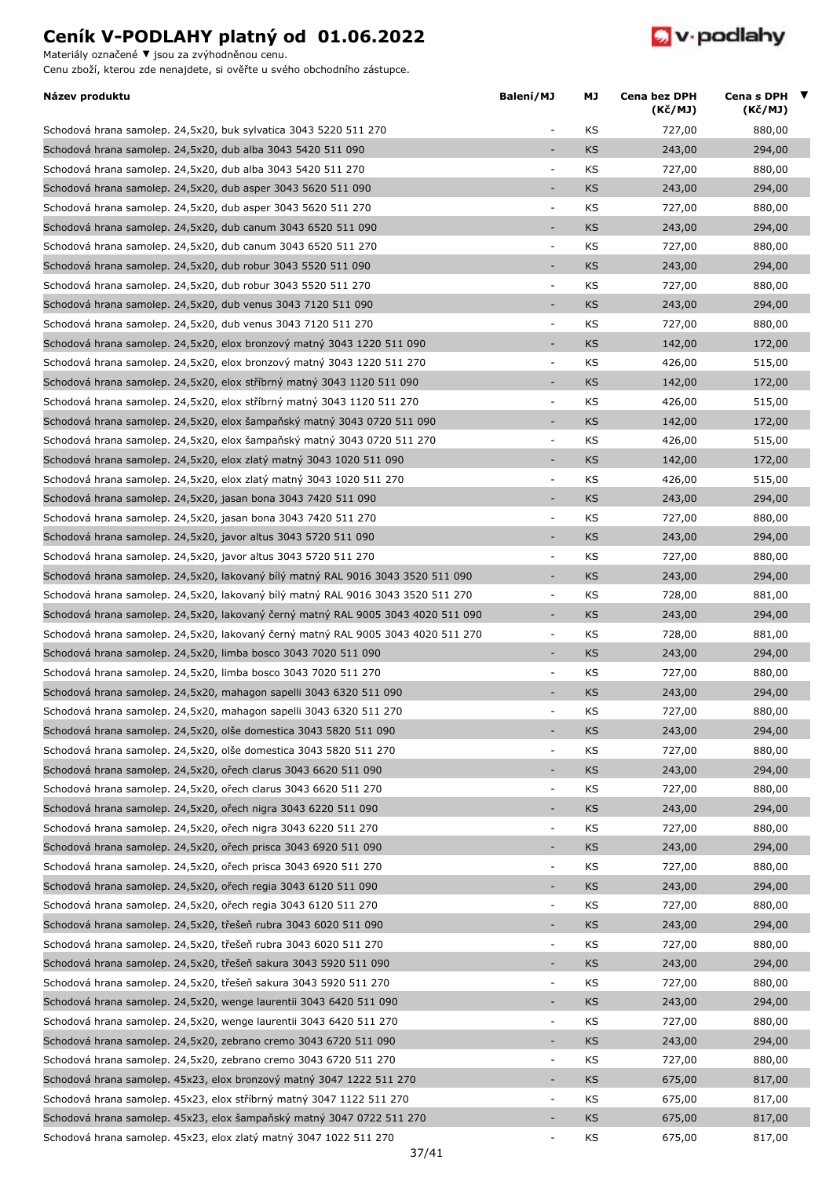Materiály označené **▼** jsou za zvýhodněnou cenu.



| KS<br>Schodová hrana samolep. 24,5x20, buk sylvatica 3043 5220 511 270<br>727,00<br>880,00<br>$\overline{\phantom{a}}$<br>Schodová hrana samolep. 24,5x20, dub alba 3043 5420 511 090<br><b>KS</b><br>294,00<br>243,00<br>Schodová hrana samolep. 24,5x20, dub alba 3043 5420 511 270<br>KS<br>727,00<br>880,00<br>$\qquad \qquad \blacksquare$<br><b>KS</b><br>Schodová hrana samolep. 24,5x20, dub asper 3043 5620 511 090<br>243,00<br>294,00<br>٠<br>Schodová hrana samolep. 24,5x20, dub asper 3043 5620 511 270<br>KS<br>880,00<br>$\blacksquare$<br>727,00<br>Schodová hrana samolep. 24,5x20, dub canum 3043 6520 511 090<br><b>KS</b><br>243,00<br>294,00<br>Schodová hrana samolep. 24,5x20, dub canum 3043 6520 511 270<br>KS<br>727,00<br>880,00<br>$\overline{\phantom{a}}$<br>Schodová hrana samolep. 24,5x20, dub robur 3043 5520 511 090<br><b>KS</b><br>294,00<br>243,00<br>÷<br>KS<br>Schodová hrana samolep. 24,5x20, dub robur 3043 5520 511 270<br>727,00<br>880,00<br>÷<br>KS<br>Schodová hrana samolep. 24,5x20, dub venus 3043 7120 511 090<br>243,00<br>294,00<br>÷,<br>Schodová hrana samolep. 24,5x20, dub venus 3043 7120 511 270<br>KS<br>880,00<br>727,00<br>$\overline{\phantom{a}}$<br>Schodová hrana samolep. 24,5x20, elox bronzový matný 3043 1220 511 090<br><b>KS</b><br>142,00<br>÷,<br>172,00<br>Schodová hrana samolep. 24,5x20, elox bronzový matný 3043 1220 511 270<br>KS<br>426,00<br>515,00<br>$\blacksquare$<br>Schodová hrana samolep. 24,5x20, elox stříbrný matný 3043 1120 511 090<br>KS<br>÷,<br>142,00<br>172,00<br>Schodová hrana samolep. 24,5x20, elox stříbrný matný 3043 1120 511 270<br>KS<br>515,00<br>$\overline{\phantom{a}}$<br>426,00<br>Schodová hrana samolep. 24,5x20, elox šampaňský matný 3043 0720 511 090<br><b>KS</b><br>142,00<br>172,00<br>÷,<br>KS<br>515,00<br>Schodová hrana samolep. 24,5x20, elox šampaňský matný 3043 0720 511 270<br>426,00<br>$\overline{\phantom{a}}$<br>Schodová hrana samolep. 24,5x20, elox zlatý matný 3043 1020 511 090<br>KS<br>142,00<br>172,00<br>$\overline{\phantom{a}}$<br>Schodová hrana samolep. 24,5x20, elox zlatý matný 3043 1020 511 270<br>KS<br>426,00<br>515,00<br>÷,<br>Schodová hrana samolep. 24,5x20, jasan bona 3043 7420 511 090<br><b>KS</b><br>243,00<br>294,00<br>÷,<br>Schodová hrana samolep. 24,5x20, jasan bona 3043 7420 511 270<br>KS<br>727,00<br>880,00<br>$\overline{\phantom{a}}$<br>Schodová hrana samolep. 24,5x20, javor altus 3043 5720 511 090<br>÷,<br>KS<br>294,00<br>243,00<br>KS<br>Schodová hrana samolep. 24,5x20, javor altus 3043 5720 511 270<br>727,00<br>880,00<br>÷<br>Schodová hrana samolep. 24,5x20, lakovaný bílý matný RAL 9016 3043 3520 511 090<br><b>KS</b><br>243,00<br>294,00<br>$\overline{\phantom{a}}$<br>KS<br>Schodová hrana samolep. 24,5x20, lakovaný bílý matný RAL 9016 3043 3520 511 270<br>728,00<br>881,00<br>÷<br>Schodová hrana samolep. 24,5x20, lakovaný černý matný RAL 9005 3043 4020 511 090<br><b>KS</b><br>243,00<br>294,00<br>÷,<br>Schodová hrana samolep. 24,5x20, lakovaný černý matný RAL 9005 3043 4020 511 270<br>KS<br>$\overline{\phantom{a}}$<br>728,00<br>881,00<br>Schodová hrana samolep. 24,5x20, limba bosco 3043 7020 511 090<br><b>KS</b><br>294,00<br>243,00<br>÷,<br>Schodová hrana samolep. 24,5x20, limba bosco 3043 7020 511 270<br>KS<br>727,00<br>880,00<br>$\qquad \qquad \blacksquare$<br>KS<br>243,00<br>Schodová hrana samolep. 24,5x20, mahagon sapelli 3043 6320 511 090<br>294,00<br>÷,<br>KS<br>727,00<br>880,00<br>Schodová hrana samolep. 24,5x20, mahagon sapelli 3043 6320 511 270<br>Schodová hrana samolep. 24,5x20, olše domestica 3043 5820 511 090<br>294,00<br><b>KS</b><br>243,00<br>Schodová hrana samolep. 24,5x20, olše domestica 3043 5820 511 270<br>KS<br>727,00<br>880,00<br>$\overline{\phantom{a}}$<br>Schodová hrana samolep. 24,5x20, ořech clarus 3043 6620 511 090<br>KS<br>243,00<br>294,00<br>÷,<br>Schodová hrana samolep. 24,5x20, ořech clarus 3043 6620 511 270<br>KS<br>727,00<br>880,00<br>$\blacksquare$<br>243,00<br>Schodová hrana samolep. 24,5x20, ořech nigra 3043 6220 511 090<br>KS<br>294,00<br>٠<br>Schodová hrana samolep. 24,5x20, ořech nigra 3043 6220 511 270<br>KS<br>727,00<br>880,00<br>$\blacksquare$<br>Schodová hrana samolep. 24,5x20, ořech prisca 3043 6920 511 090<br><b>KS</b><br>294,00<br>243,00<br>÷,<br>Schodová hrana samolep. 24,5x20, ořech prisca 3043 6920 511 270<br>KS<br>727,00<br>880,00<br>÷<br>Schodová hrana samolep. 24,5x20, ořech regia 3043 6120 511 090<br>KS<br>243,00<br>294,00<br>÷,<br>Schodová hrana samolep. 24,5x20, ořech regia 3043 6120 511 270<br>$\blacksquare$<br>KS<br>880,00<br>727,00<br>Schodová hrana samolep. 24,5x20, třešeň rubra 3043 6020 511 090<br>KS<br>243,00<br>294,00<br>÷,<br>Schodová hrana samolep. 24,5x20, třešeň rubra 3043 6020 511 270<br>KS<br>727,00<br>880,00<br>$\overline{\phantom{a}}$<br>Schodová hrana samolep. 24,5x20, třešeň sakura 3043 5920 511 090<br><b>KS</b><br>294,00<br>243,00<br>÷,<br>Schodová hrana samolep. 24,5x20, třešeň sakura 3043 5920 511 270<br>KS<br>727,00<br>880,00<br>÷<br>Schodová hrana samolep. 24,5x20, wenge laurentii 3043 6420 511 090<br>KS<br>243,00<br>294,00<br>٠<br>Schodová hrana samolep. 24,5x20, wenge laurentii 3043 6420 511 270<br>KS<br>727,00<br>880,00<br>$\overline{\phantom{a}}$<br>Schodová hrana samolep. 24,5x20, zebrano cremo 3043 6720 511 090<br><b>KS</b><br>$\overline{\phantom{a}}$<br>243,00<br>294,00<br>Schodová hrana samolep. 24,5x20, zebrano cremo 3043 6720 511 270<br>KS<br>727,00<br>880,00<br>$\blacksquare$<br>Schodová hrana samolep. 45x23, elox bronzový matný 3047 1222 511 270<br><b>KS</b><br>675,00<br>817,00<br>÷,<br>Schodová hrana samolep. 45x23, elox stříbrný matný 3047 1122 511 270<br>KS<br>675,00<br>817,00<br>$\overline{\phantom{a}}$<br>Schodová hrana samolep. 45x23, elox šampaňský matný 3047 0722 511 270<br><b>KS</b><br>675,00<br>817,00<br>÷, | Název produktu                                                    | Balení/MJ | МJ | Cena bez DPH<br>(Kč/MJ) | Cena s DPH ▼<br>(Kč/MJ) |  |
|--------------------------------------------------------------------------------------------------------------------------------------------------------------------------------------------------------------------------------------------------------------------------------------------------------------------------------------------------------------------------------------------------------------------------------------------------------------------------------------------------------------------------------------------------------------------------------------------------------------------------------------------------------------------------------------------------------------------------------------------------------------------------------------------------------------------------------------------------------------------------------------------------------------------------------------------------------------------------------------------------------------------------------------------------------------------------------------------------------------------------------------------------------------------------------------------------------------------------------------------------------------------------------------------------------------------------------------------------------------------------------------------------------------------------------------------------------------------------------------------------------------------------------------------------------------------------------------------------------------------------------------------------------------------------------------------------------------------------------------------------------------------------------------------------------------------------------------------------------------------------------------------------------------------------------------------------------------------------------------------------------------------------------------------------------------------------------------------------------------------------------------------------------------------------------------------------------------------------------------------------------------------------------------------------------------------------------------------------------------------------------------------------------------------------------------------------------------------------------------------------------------------------------------------------------------------------------------------------------------------------------------------------------------------------------------------------------------------------------------------------------------------------------------------------------------------------------------------------------------------------------------------------------------------------------------------------------------------------------------------------------------------------------------------------------------------------------------------------------------------------------------------------------------------------------------------------------------------------------------------------------------------------------------------------------------------------------------------------------------------------------------------------------------------------------------------------------------------------------------------------------------------------------------------------------------------------------------------------------------------------------------------------------------------------------------------------------------------------------------------------------------------------------------------------------------------------------------------------------------------------------------------------------------------------------------------------------------------------------------------------------------------------------------------------------------------------------------------------------------------------------------------------------------------------------------------------------------------------------------------------------------------------------------------------------------------------------------------------------------------------------------------------------------------------------------------------------------------------------------------------------------------------------------------------------------------------------------------------------------------------------------------------------------------------------------------------------------------------------------------------------------------------------------------------------------------------------------------------------------------------------------------------------------------------------------------------------------------------------------------------------------------------------------------------------------------------------------------------------------------------------------------------------------------------------------------------------------------------------------------------------------------------------------------------------------------------------------------------------------------------------------------------------------------------------------------------------------------------------------------------------------------------------------------------------------------------------------------------------------------------------------------------------------------------------------------------------------------------------------------------------------------------------------------------------------------------------------------------------------------------------------------------------------------------------------------------------------------------------------------------------|-------------------------------------------------------------------|-----------|----|-------------------------|-------------------------|--|
|                                                                                                                                                                                                                                                                                                                                                                                                                                                                                                                                                                                                                                                                                                                                                                                                                                                                                                                                                                                                                                                                                                                                                                                                                                                                                                                                                                                                                                                                                                                                                                                                                                                                                                                                                                                                                                                                                                                                                                                                                                                                                                                                                                                                                                                                                                                                                                                                                                                                                                                                                                                                                                                                                                                                                                                                                                                                                                                                                                                                                                                                                                                                                                                                                                                                                                                                                                                                                                                                                                                                                                                                                                                                                                                                                                                                                                                                                                                                                                                                                                                                                                                                                                                                                                                                                                                                                                                                                                                                                                                                                                                                                                                                                                                                                                                                                                                                                                                                                                                                                                                                                                                                                                                                                                                                                                                                                                                                                                                                                                                                                                                                                                                                                                                                                                                                                                                                                                                                                                                                        |                                                                   |           |    |                         |                         |  |
|                                                                                                                                                                                                                                                                                                                                                                                                                                                                                                                                                                                                                                                                                                                                                                                                                                                                                                                                                                                                                                                                                                                                                                                                                                                                                                                                                                                                                                                                                                                                                                                                                                                                                                                                                                                                                                                                                                                                                                                                                                                                                                                                                                                                                                                                                                                                                                                                                                                                                                                                                                                                                                                                                                                                                                                                                                                                                                                                                                                                                                                                                                                                                                                                                                                                                                                                                                                                                                                                                                                                                                                                                                                                                                                                                                                                                                                                                                                                                                                                                                                                                                                                                                                                                                                                                                                                                                                                                                                                                                                                                                                                                                                                                                                                                                                                                                                                                                                                                                                                                                                                                                                                                                                                                                                                                                                                                                                                                                                                                                                                                                                                                                                                                                                                                                                                                                                                                                                                                                                                        |                                                                   |           |    |                         |                         |  |
|                                                                                                                                                                                                                                                                                                                                                                                                                                                                                                                                                                                                                                                                                                                                                                                                                                                                                                                                                                                                                                                                                                                                                                                                                                                                                                                                                                                                                                                                                                                                                                                                                                                                                                                                                                                                                                                                                                                                                                                                                                                                                                                                                                                                                                                                                                                                                                                                                                                                                                                                                                                                                                                                                                                                                                                                                                                                                                                                                                                                                                                                                                                                                                                                                                                                                                                                                                                                                                                                                                                                                                                                                                                                                                                                                                                                                                                                                                                                                                                                                                                                                                                                                                                                                                                                                                                                                                                                                                                                                                                                                                                                                                                                                                                                                                                                                                                                                                                                                                                                                                                                                                                                                                                                                                                                                                                                                                                                                                                                                                                                                                                                                                                                                                                                                                                                                                                                                                                                                                                                        |                                                                   |           |    |                         |                         |  |
|                                                                                                                                                                                                                                                                                                                                                                                                                                                                                                                                                                                                                                                                                                                                                                                                                                                                                                                                                                                                                                                                                                                                                                                                                                                                                                                                                                                                                                                                                                                                                                                                                                                                                                                                                                                                                                                                                                                                                                                                                                                                                                                                                                                                                                                                                                                                                                                                                                                                                                                                                                                                                                                                                                                                                                                                                                                                                                                                                                                                                                                                                                                                                                                                                                                                                                                                                                                                                                                                                                                                                                                                                                                                                                                                                                                                                                                                                                                                                                                                                                                                                                                                                                                                                                                                                                                                                                                                                                                                                                                                                                                                                                                                                                                                                                                                                                                                                                                                                                                                                                                                                                                                                                                                                                                                                                                                                                                                                                                                                                                                                                                                                                                                                                                                                                                                                                                                                                                                                                                                        |                                                                   |           |    |                         |                         |  |
|                                                                                                                                                                                                                                                                                                                                                                                                                                                                                                                                                                                                                                                                                                                                                                                                                                                                                                                                                                                                                                                                                                                                                                                                                                                                                                                                                                                                                                                                                                                                                                                                                                                                                                                                                                                                                                                                                                                                                                                                                                                                                                                                                                                                                                                                                                                                                                                                                                                                                                                                                                                                                                                                                                                                                                                                                                                                                                                                                                                                                                                                                                                                                                                                                                                                                                                                                                                                                                                                                                                                                                                                                                                                                                                                                                                                                                                                                                                                                                                                                                                                                                                                                                                                                                                                                                                                                                                                                                                                                                                                                                                                                                                                                                                                                                                                                                                                                                                                                                                                                                                                                                                                                                                                                                                                                                                                                                                                                                                                                                                                                                                                                                                                                                                                                                                                                                                                                                                                                                                                        |                                                                   |           |    |                         |                         |  |
|                                                                                                                                                                                                                                                                                                                                                                                                                                                                                                                                                                                                                                                                                                                                                                                                                                                                                                                                                                                                                                                                                                                                                                                                                                                                                                                                                                                                                                                                                                                                                                                                                                                                                                                                                                                                                                                                                                                                                                                                                                                                                                                                                                                                                                                                                                                                                                                                                                                                                                                                                                                                                                                                                                                                                                                                                                                                                                                                                                                                                                                                                                                                                                                                                                                                                                                                                                                                                                                                                                                                                                                                                                                                                                                                                                                                                                                                                                                                                                                                                                                                                                                                                                                                                                                                                                                                                                                                                                                                                                                                                                                                                                                                                                                                                                                                                                                                                                                                                                                                                                                                                                                                                                                                                                                                                                                                                                                                                                                                                                                                                                                                                                                                                                                                                                                                                                                                                                                                                                                                        |                                                                   |           |    |                         |                         |  |
|                                                                                                                                                                                                                                                                                                                                                                                                                                                                                                                                                                                                                                                                                                                                                                                                                                                                                                                                                                                                                                                                                                                                                                                                                                                                                                                                                                                                                                                                                                                                                                                                                                                                                                                                                                                                                                                                                                                                                                                                                                                                                                                                                                                                                                                                                                                                                                                                                                                                                                                                                                                                                                                                                                                                                                                                                                                                                                                                                                                                                                                                                                                                                                                                                                                                                                                                                                                                                                                                                                                                                                                                                                                                                                                                                                                                                                                                                                                                                                                                                                                                                                                                                                                                                                                                                                                                                                                                                                                                                                                                                                                                                                                                                                                                                                                                                                                                                                                                                                                                                                                                                                                                                                                                                                                                                                                                                                                                                                                                                                                                                                                                                                                                                                                                                                                                                                                                                                                                                                                                        |                                                                   |           |    |                         |                         |  |
|                                                                                                                                                                                                                                                                                                                                                                                                                                                                                                                                                                                                                                                                                                                                                                                                                                                                                                                                                                                                                                                                                                                                                                                                                                                                                                                                                                                                                                                                                                                                                                                                                                                                                                                                                                                                                                                                                                                                                                                                                                                                                                                                                                                                                                                                                                                                                                                                                                                                                                                                                                                                                                                                                                                                                                                                                                                                                                                                                                                                                                                                                                                                                                                                                                                                                                                                                                                                                                                                                                                                                                                                                                                                                                                                                                                                                                                                                                                                                                                                                                                                                                                                                                                                                                                                                                                                                                                                                                                                                                                                                                                                                                                                                                                                                                                                                                                                                                                                                                                                                                                                                                                                                                                                                                                                                                                                                                                                                                                                                                                                                                                                                                                                                                                                                                                                                                                                                                                                                                                                        |                                                                   |           |    |                         |                         |  |
|                                                                                                                                                                                                                                                                                                                                                                                                                                                                                                                                                                                                                                                                                                                                                                                                                                                                                                                                                                                                                                                                                                                                                                                                                                                                                                                                                                                                                                                                                                                                                                                                                                                                                                                                                                                                                                                                                                                                                                                                                                                                                                                                                                                                                                                                                                                                                                                                                                                                                                                                                                                                                                                                                                                                                                                                                                                                                                                                                                                                                                                                                                                                                                                                                                                                                                                                                                                                                                                                                                                                                                                                                                                                                                                                                                                                                                                                                                                                                                                                                                                                                                                                                                                                                                                                                                                                                                                                                                                                                                                                                                                                                                                                                                                                                                                                                                                                                                                                                                                                                                                                                                                                                                                                                                                                                                                                                                                                                                                                                                                                                                                                                                                                                                                                                                                                                                                                                                                                                                                                        |                                                                   |           |    |                         |                         |  |
|                                                                                                                                                                                                                                                                                                                                                                                                                                                                                                                                                                                                                                                                                                                                                                                                                                                                                                                                                                                                                                                                                                                                                                                                                                                                                                                                                                                                                                                                                                                                                                                                                                                                                                                                                                                                                                                                                                                                                                                                                                                                                                                                                                                                                                                                                                                                                                                                                                                                                                                                                                                                                                                                                                                                                                                                                                                                                                                                                                                                                                                                                                                                                                                                                                                                                                                                                                                                                                                                                                                                                                                                                                                                                                                                                                                                                                                                                                                                                                                                                                                                                                                                                                                                                                                                                                                                                                                                                                                                                                                                                                                                                                                                                                                                                                                                                                                                                                                                                                                                                                                                                                                                                                                                                                                                                                                                                                                                                                                                                                                                                                                                                                                                                                                                                                                                                                                                                                                                                                                                        |                                                                   |           |    |                         |                         |  |
|                                                                                                                                                                                                                                                                                                                                                                                                                                                                                                                                                                                                                                                                                                                                                                                                                                                                                                                                                                                                                                                                                                                                                                                                                                                                                                                                                                                                                                                                                                                                                                                                                                                                                                                                                                                                                                                                                                                                                                                                                                                                                                                                                                                                                                                                                                                                                                                                                                                                                                                                                                                                                                                                                                                                                                                                                                                                                                                                                                                                                                                                                                                                                                                                                                                                                                                                                                                                                                                                                                                                                                                                                                                                                                                                                                                                                                                                                                                                                                                                                                                                                                                                                                                                                                                                                                                                                                                                                                                                                                                                                                                                                                                                                                                                                                                                                                                                                                                                                                                                                                                                                                                                                                                                                                                                                                                                                                                                                                                                                                                                                                                                                                                                                                                                                                                                                                                                                                                                                                                                        |                                                                   |           |    |                         |                         |  |
|                                                                                                                                                                                                                                                                                                                                                                                                                                                                                                                                                                                                                                                                                                                                                                                                                                                                                                                                                                                                                                                                                                                                                                                                                                                                                                                                                                                                                                                                                                                                                                                                                                                                                                                                                                                                                                                                                                                                                                                                                                                                                                                                                                                                                                                                                                                                                                                                                                                                                                                                                                                                                                                                                                                                                                                                                                                                                                                                                                                                                                                                                                                                                                                                                                                                                                                                                                                                                                                                                                                                                                                                                                                                                                                                                                                                                                                                                                                                                                                                                                                                                                                                                                                                                                                                                                                                                                                                                                                                                                                                                                                                                                                                                                                                                                                                                                                                                                                                                                                                                                                                                                                                                                                                                                                                                                                                                                                                                                                                                                                                                                                                                                                                                                                                                                                                                                                                                                                                                                                                        |                                                                   |           |    |                         |                         |  |
|                                                                                                                                                                                                                                                                                                                                                                                                                                                                                                                                                                                                                                                                                                                                                                                                                                                                                                                                                                                                                                                                                                                                                                                                                                                                                                                                                                                                                                                                                                                                                                                                                                                                                                                                                                                                                                                                                                                                                                                                                                                                                                                                                                                                                                                                                                                                                                                                                                                                                                                                                                                                                                                                                                                                                                                                                                                                                                                                                                                                                                                                                                                                                                                                                                                                                                                                                                                                                                                                                                                                                                                                                                                                                                                                                                                                                                                                                                                                                                                                                                                                                                                                                                                                                                                                                                                                                                                                                                                                                                                                                                                                                                                                                                                                                                                                                                                                                                                                                                                                                                                                                                                                                                                                                                                                                                                                                                                                                                                                                                                                                                                                                                                                                                                                                                                                                                                                                                                                                                                                        |                                                                   |           |    |                         |                         |  |
|                                                                                                                                                                                                                                                                                                                                                                                                                                                                                                                                                                                                                                                                                                                                                                                                                                                                                                                                                                                                                                                                                                                                                                                                                                                                                                                                                                                                                                                                                                                                                                                                                                                                                                                                                                                                                                                                                                                                                                                                                                                                                                                                                                                                                                                                                                                                                                                                                                                                                                                                                                                                                                                                                                                                                                                                                                                                                                                                                                                                                                                                                                                                                                                                                                                                                                                                                                                                                                                                                                                                                                                                                                                                                                                                                                                                                                                                                                                                                                                                                                                                                                                                                                                                                                                                                                                                                                                                                                                                                                                                                                                                                                                                                                                                                                                                                                                                                                                                                                                                                                                                                                                                                                                                                                                                                                                                                                                                                                                                                                                                                                                                                                                                                                                                                                                                                                                                                                                                                                                                        |                                                                   |           |    |                         |                         |  |
|                                                                                                                                                                                                                                                                                                                                                                                                                                                                                                                                                                                                                                                                                                                                                                                                                                                                                                                                                                                                                                                                                                                                                                                                                                                                                                                                                                                                                                                                                                                                                                                                                                                                                                                                                                                                                                                                                                                                                                                                                                                                                                                                                                                                                                                                                                                                                                                                                                                                                                                                                                                                                                                                                                                                                                                                                                                                                                                                                                                                                                                                                                                                                                                                                                                                                                                                                                                                                                                                                                                                                                                                                                                                                                                                                                                                                                                                                                                                                                                                                                                                                                                                                                                                                                                                                                                                                                                                                                                                                                                                                                                                                                                                                                                                                                                                                                                                                                                                                                                                                                                                                                                                                                                                                                                                                                                                                                                                                                                                                                                                                                                                                                                                                                                                                                                                                                                                                                                                                                                                        |                                                                   |           |    |                         |                         |  |
|                                                                                                                                                                                                                                                                                                                                                                                                                                                                                                                                                                                                                                                                                                                                                                                                                                                                                                                                                                                                                                                                                                                                                                                                                                                                                                                                                                                                                                                                                                                                                                                                                                                                                                                                                                                                                                                                                                                                                                                                                                                                                                                                                                                                                                                                                                                                                                                                                                                                                                                                                                                                                                                                                                                                                                                                                                                                                                                                                                                                                                                                                                                                                                                                                                                                                                                                                                                                                                                                                                                                                                                                                                                                                                                                                                                                                                                                                                                                                                                                                                                                                                                                                                                                                                                                                                                                                                                                                                                                                                                                                                                                                                                                                                                                                                                                                                                                                                                                                                                                                                                                                                                                                                                                                                                                                                                                                                                                                                                                                                                                                                                                                                                                                                                                                                                                                                                                                                                                                                                                        |                                                                   |           |    |                         |                         |  |
|                                                                                                                                                                                                                                                                                                                                                                                                                                                                                                                                                                                                                                                                                                                                                                                                                                                                                                                                                                                                                                                                                                                                                                                                                                                                                                                                                                                                                                                                                                                                                                                                                                                                                                                                                                                                                                                                                                                                                                                                                                                                                                                                                                                                                                                                                                                                                                                                                                                                                                                                                                                                                                                                                                                                                                                                                                                                                                                                                                                                                                                                                                                                                                                                                                                                                                                                                                                                                                                                                                                                                                                                                                                                                                                                                                                                                                                                                                                                                                                                                                                                                                                                                                                                                                                                                                                                                                                                                                                                                                                                                                                                                                                                                                                                                                                                                                                                                                                                                                                                                                                                                                                                                                                                                                                                                                                                                                                                                                                                                                                                                                                                                                                                                                                                                                                                                                                                                                                                                                                                        |                                                                   |           |    |                         |                         |  |
|                                                                                                                                                                                                                                                                                                                                                                                                                                                                                                                                                                                                                                                                                                                                                                                                                                                                                                                                                                                                                                                                                                                                                                                                                                                                                                                                                                                                                                                                                                                                                                                                                                                                                                                                                                                                                                                                                                                                                                                                                                                                                                                                                                                                                                                                                                                                                                                                                                                                                                                                                                                                                                                                                                                                                                                                                                                                                                                                                                                                                                                                                                                                                                                                                                                                                                                                                                                                                                                                                                                                                                                                                                                                                                                                                                                                                                                                                                                                                                                                                                                                                                                                                                                                                                                                                                                                                                                                                                                                                                                                                                                                                                                                                                                                                                                                                                                                                                                                                                                                                                                                                                                                                                                                                                                                                                                                                                                                                                                                                                                                                                                                                                                                                                                                                                                                                                                                                                                                                                                                        |                                                                   |           |    |                         |                         |  |
|                                                                                                                                                                                                                                                                                                                                                                                                                                                                                                                                                                                                                                                                                                                                                                                                                                                                                                                                                                                                                                                                                                                                                                                                                                                                                                                                                                                                                                                                                                                                                                                                                                                                                                                                                                                                                                                                                                                                                                                                                                                                                                                                                                                                                                                                                                                                                                                                                                                                                                                                                                                                                                                                                                                                                                                                                                                                                                                                                                                                                                                                                                                                                                                                                                                                                                                                                                                                                                                                                                                                                                                                                                                                                                                                                                                                                                                                                                                                                                                                                                                                                                                                                                                                                                                                                                                                                                                                                                                                                                                                                                                                                                                                                                                                                                                                                                                                                                                                                                                                                                                                                                                                                                                                                                                                                                                                                                                                                                                                                                                                                                                                                                                                                                                                                                                                                                                                                                                                                                                                        |                                                                   |           |    |                         |                         |  |
|                                                                                                                                                                                                                                                                                                                                                                                                                                                                                                                                                                                                                                                                                                                                                                                                                                                                                                                                                                                                                                                                                                                                                                                                                                                                                                                                                                                                                                                                                                                                                                                                                                                                                                                                                                                                                                                                                                                                                                                                                                                                                                                                                                                                                                                                                                                                                                                                                                                                                                                                                                                                                                                                                                                                                                                                                                                                                                                                                                                                                                                                                                                                                                                                                                                                                                                                                                                                                                                                                                                                                                                                                                                                                                                                                                                                                                                                                                                                                                                                                                                                                                                                                                                                                                                                                                                                                                                                                                                                                                                                                                                                                                                                                                                                                                                                                                                                                                                                                                                                                                                                                                                                                                                                                                                                                                                                                                                                                                                                                                                                                                                                                                                                                                                                                                                                                                                                                                                                                                                                        |                                                                   |           |    |                         |                         |  |
|                                                                                                                                                                                                                                                                                                                                                                                                                                                                                                                                                                                                                                                                                                                                                                                                                                                                                                                                                                                                                                                                                                                                                                                                                                                                                                                                                                                                                                                                                                                                                                                                                                                                                                                                                                                                                                                                                                                                                                                                                                                                                                                                                                                                                                                                                                                                                                                                                                                                                                                                                                                                                                                                                                                                                                                                                                                                                                                                                                                                                                                                                                                                                                                                                                                                                                                                                                                                                                                                                                                                                                                                                                                                                                                                                                                                                                                                                                                                                                                                                                                                                                                                                                                                                                                                                                                                                                                                                                                                                                                                                                                                                                                                                                                                                                                                                                                                                                                                                                                                                                                                                                                                                                                                                                                                                                                                                                                                                                                                                                                                                                                                                                                                                                                                                                                                                                                                                                                                                                                                        |                                                                   |           |    |                         |                         |  |
|                                                                                                                                                                                                                                                                                                                                                                                                                                                                                                                                                                                                                                                                                                                                                                                                                                                                                                                                                                                                                                                                                                                                                                                                                                                                                                                                                                                                                                                                                                                                                                                                                                                                                                                                                                                                                                                                                                                                                                                                                                                                                                                                                                                                                                                                                                                                                                                                                                                                                                                                                                                                                                                                                                                                                                                                                                                                                                                                                                                                                                                                                                                                                                                                                                                                                                                                                                                                                                                                                                                                                                                                                                                                                                                                                                                                                                                                                                                                                                                                                                                                                                                                                                                                                                                                                                                                                                                                                                                                                                                                                                                                                                                                                                                                                                                                                                                                                                                                                                                                                                                                                                                                                                                                                                                                                                                                                                                                                                                                                                                                                                                                                                                                                                                                                                                                                                                                                                                                                                                                        |                                                                   |           |    |                         |                         |  |
|                                                                                                                                                                                                                                                                                                                                                                                                                                                                                                                                                                                                                                                                                                                                                                                                                                                                                                                                                                                                                                                                                                                                                                                                                                                                                                                                                                                                                                                                                                                                                                                                                                                                                                                                                                                                                                                                                                                                                                                                                                                                                                                                                                                                                                                                                                                                                                                                                                                                                                                                                                                                                                                                                                                                                                                                                                                                                                                                                                                                                                                                                                                                                                                                                                                                                                                                                                                                                                                                                                                                                                                                                                                                                                                                                                                                                                                                                                                                                                                                                                                                                                                                                                                                                                                                                                                                                                                                                                                                                                                                                                                                                                                                                                                                                                                                                                                                                                                                                                                                                                                                                                                                                                                                                                                                                                                                                                                                                                                                                                                                                                                                                                                                                                                                                                                                                                                                                                                                                                                                        |                                                                   |           |    |                         |                         |  |
|                                                                                                                                                                                                                                                                                                                                                                                                                                                                                                                                                                                                                                                                                                                                                                                                                                                                                                                                                                                                                                                                                                                                                                                                                                                                                                                                                                                                                                                                                                                                                                                                                                                                                                                                                                                                                                                                                                                                                                                                                                                                                                                                                                                                                                                                                                                                                                                                                                                                                                                                                                                                                                                                                                                                                                                                                                                                                                                                                                                                                                                                                                                                                                                                                                                                                                                                                                                                                                                                                                                                                                                                                                                                                                                                                                                                                                                                                                                                                                                                                                                                                                                                                                                                                                                                                                                                                                                                                                                                                                                                                                                                                                                                                                                                                                                                                                                                                                                                                                                                                                                                                                                                                                                                                                                                                                                                                                                                                                                                                                                                                                                                                                                                                                                                                                                                                                                                                                                                                                                                        |                                                                   |           |    |                         |                         |  |
|                                                                                                                                                                                                                                                                                                                                                                                                                                                                                                                                                                                                                                                                                                                                                                                                                                                                                                                                                                                                                                                                                                                                                                                                                                                                                                                                                                                                                                                                                                                                                                                                                                                                                                                                                                                                                                                                                                                                                                                                                                                                                                                                                                                                                                                                                                                                                                                                                                                                                                                                                                                                                                                                                                                                                                                                                                                                                                                                                                                                                                                                                                                                                                                                                                                                                                                                                                                                                                                                                                                                                                                                                                                                                                                                                                                                                                                                                                                                                                                                                                                                                                                                                                                                                                                                                                                                                                                                                                                                                                                                                                                                                                                                                                                                                                                                                                                                                                                                                                                                                                                                                                                                                                                                                                                                                                                                                                                                                                                                                                                                                                                                                                                                                                                                                                                                                                                                                                                                                                                                        |                                                                   |           |    |                         |                         |  |
|                                                                                                                                                                                                                                                                                                                                                                                                                                                                                                                                                                                                                                                                                                                                                                                                                                                                                                                                                                                                                                                                                                                                                                                                                                                                                                                                                                                                                                                                                                                                                                                                                                                                                                                                                                                                                                                                                                                                                                                                                                                                                                                                                                                                                                                                                                                                                                                                                                                                                                                                                                                                                                                                                                                                                                                                                                                                                                                                                                                                                                                                                                                                                                                                                                                                                                                                                                                                                                                                                                                                                                                                                                                                                                                                                                                                                                                                                                                                                                                                                                                                                                                                                                                                                                                                                                                                                                                                                                                                                                                                                                                                                                                                                                                                                                                                                                                                                                                                                                                                                                                                                                                                                                                                                                                                                                                                                                                                                                                                                                                                                                                                                                                                                                                                                                                                                                                                                                                                                                                                        |                                                                   |           |    |                         |                         |  |
|                                                                                                                                                                                                                                                                                                                                                                                                                                                                                                                                                                                                                                                                                                                                                                                                                                                                                                                                                                                                                                                                                                                                                                                                                                                                                                                                                                                                                                                                                                                                                                                                                                                                                                                                                                                                                                                                                                                                                                                                                                                                                                                                                                                                                                                                                                                                                                                                                                                                                                                                                                                                                                                                                                                                                                                                                                                                                                                                                                                                                                                                                                                                                                                                                                                                                                                                                                                                                                                                                                                                                                                                                                                                                                                                                                                                                                                                                                                                                                                                                                                                                                                                                                                                                                                                                                                                                                                                                                                                                                                                                                                                                                                                                                                                                                                                                                                                                                                                                                                                                                                                                                                                                                                                                                                                                                                                                                                                                                                                                                                                                                                                                                                                                                                                                                                                                                                                                                                                                                                                        |                                                                   |           |    |                         |                         |  |
|                                                                                                                                                                                                                                                                                                                                                                                                                                                                                                                                                                                                                                                                                                                                                                                                                                                                                                                                                                                                                                                                                                                                                                                                                                                                                                                                                                                                                                                                                                                                                                                                                                                                                                                                                                                                                                                                                                                                                                                                                                                                                                                                                                                                                                                                                                                                                                                                                                                                                                                                                                                                                                                                                                                                                                                                                                                                                                                                                                                                                                                                                                                                                                                                                                                                                                                                                                                                                                                                                                                                                                                                                                                                                                                                                                                                                                                                                                                                                                                                                                                                                                                                                                                                                                                                                                                                                                                                                                                                                                                                                                                                                                                                                                                                                                                                                                                                                                                                                                                                                                                                                                                                                                                                                                                                                                                                                                                                                                                                                                                                                                                                                                                                                                                                                                                                                                                                                                                                                                                                        |                                                                   |           |    |                         |                         |  |
|                                                                                                                                                                                                                                                                                                                                                                                                                                                                                                                                                                                                                                                                                                                                                                                                                                                                                                                                                                                                                                                                                                                                                                                                                                                                                                                                                                                                                                                                                                                                                                                                                                                                                                                                                                                                                                                                                                                                                                                                                                                                                                                                                                                                                                                                                                                                                                                                                                                                                                                                                                                                                                                                                                                                                                                                                                                                                                                                                                                                                                                                                                                                                                                                                                                                                                                                                                                                                                                                                                                                                                                                                                                                                                                                                                                                                                                                                                                                                                                                                                                                                                                                                                                                                                                                                                                                                                                                                                                                                                                                                                                                                                                                                                                                                                                                                                                                                                                                                                                                                                                                                                                                                                                                                                                                                                                                                                                                                                                                                                                                                                                                                                                                                                                                                                                                                                                                                                                                                                                                        |                                                                   |           |    |                         |                         |  |
|                                                                                                                                                                                                                                                                                                                                                                                                                                                                                                                                                                                                                                                                                                                                                                                                                                                                                                                                                                                                                                                                                                                                                                                                                                                                                                                                                                                                                                                                                                                                                                                                                                                                                                                                                                                                                                                                                                                                                                                                                                                                                                                                                                                                                                                                                                                                                                                                                                                                                                                                                                                                                                                                                                                                                                                                                                                                                                                                                                                                                                                                                                                                                                                                                                                                                                                                                                                                                                                                                                                                                                                                                                                                                                                                                                                                                                                                                                                                                                                                                                                                                                                                                                                                                                                                                                                                                                                                                                                                                                                                                                                                                                                                                                                                                                                                                                                                                                                                                                                                                                                                                                                                                                                                                                                                                                                                                                                                                                                                                                                                                                                                                                                                                                                                                                                                                                                                                                                                                                                                        |                                                                   |           |    |                         |                         |  |
|                                                                                                                                                                                                                                                                                                                                                                                                                                                                                                                                                                                                                                                                                                                                                                                                                                                                                                                                                                                                                                                                                                                                                                                                                                                                                                                                                                                                                                                                                                                                                                                                                                                                                                                                                                                                                                                                                                                                                                                                                                                                                                                                                                                                                                                                                                                                                                                                                                                                                                                                                                                                                                                                                                                                                                                                                                                                                                                                                                                                                                                                                                                                                                                                                                                                                                                                                                                                                                                                                                                                                                                                                                                                                                                                                                                                                                                                                                                                                                                                                                                                                                                                                                                                                                                                                                                                                                                                                                                                                                                                                                                                                                                                                                                                                                                                                                                                                                                                                                                                                                                                                                                                                                                                                                                                                                                                                                                                                                                                                                                                                                                                                                                                                                                                                                                                                                                                                                                                                                                                        |                                                                   |           |    |                         |                         |  |
|                                                                                                                                                                                                                                                                                                                                                                                                                                                                                                                                                                                                                                                                                                                                                                                                                                                                                                                                                                                                                                                                                                                                                                                                                                                                                                                                                                                                                                                                                                                                                                                                                                                                                                                                                                                                                                                                                                                                                                                                                                                                                                                                                                                                                                                                                                                                                                                                                                                                                                                                                                                                                                                                                                                                                                                                                                                                                                                                                                                                                                                                                                                                                                                                                                                                                                                                                                                                                                                                                                                                                                                                                                                                                                                                                                                                                                                                                                                                                                                                                                                                                                                                                                                                                                                                                                                                                                                                                                                                                                                                                                                                                                                                                                                                                                                                                                                                                                                                                                                                                                                                                                                                                                                                                                                                                                                                                                                                                                                                                                                                                                                                                                                                                                                                                                                                                                                                                                                                                                                                        |                                                                   |           |    |                         |                         |  |
|                                                                                                                                                                                                                                                                                                                                                                                                                                                                                                                                                                                                                                                                                                                                                                                                                                                                                                                                                                                                                                                                                                                                                                                                                                                                                                                                                                                                                                                                                                                                                                                                                                                                                                                                                                                                                                                                                                                                                                                                                                                                                                                                                                                                                                                                                                                                                                                                                                                                                                                                                                                                                                                                                                                                                                                                                                                                                                                                                                                                                                                                                                                                                                                                                                                                                                                                                                                                                                                                                                                                                                                                                                                                                                                                                                                                                                                                                                                                                                                                                                                                                                                                                                                                                                                                                                                                                                                                                                                                                                                                                                                                                                                                                                                                                                                                                                                                                                                                                                                                                                                                                                                                                                                                                                                                                                                                                                                                                                                                                                                                                                                                                                                                                                                                                                                                                                                                                                                                                                                                        |                                                                   |           |    |                         |                         |  |
|                                                                                                                                                                                                                                                                                                                                                                                                                                                                                                                                                                                                                                                                                                                                                                                                                                                                                                                                                                                                                                                                                                                                                                                                                                                                                                                                                                                                                                                                                                                                                                                                                                                                                                                                                                                                                                                                                                                                                                                                                                                                                                                                                                                                                                                                                                                                                                                                                                                                                                                                                                                                                                                                                                                                                                                                                                                                                                                                                                                                                                                                                                                                                                                                                                                                                                                                                                                                                                                                                                                                                                                                                                                                                                                                                                                                                                                                                                                                                                                                                                                                                                                                                                                                                                                                                                                                                                                                                                                                                                                                                                                                                                                                                                                                                                                                                                                                                                                                                                                                                                                                                                                                                                                                                                                                                                                                                                                                                                                                                                                                                                                                                                                                                                                                                                                                                                                                                                                                                                                                        |                                                                   |           |    |                         |                         |  |
|                                                                                                                                                                                                                                                                                                                                                                                                                                                                                                                                                                                                                                                                                                                                                                                                                                                                                                                                                                                                                                                                                                                                                                                                                                                                                                                                                                                                                                                                                                                                                                                                                                                                                                                                                                                                                                                                                                                                                                                                                                                                                                                                                                                                                                                                                                                                                                                                                                                                                                                                                                                                                                                                                                                                                                                                                                                                                                                                                                                                                                                                                                                                                                                                                                                                                                                                                                                                                                                                                                                                                                                                                                                                                                                                                                                                                                                                                                                                                                                                                                                                                                                                                                                                                                                                                                                                                                                                                                                                                                                                                                                                                                                                                                                                                                                                                                                                                                                                                                                                                                                                                                                                                                                                                                                                                                                                                                                                                                                                                                                                                                                                                                                                                                                                                                                                                                                                                                                                                                                                        |                                                                   |           |    |                         |                         |  |
|                                                                                                                                                                                                                                                                                                                                                                                                                                                                                                                                                                                                                                                                                                                                                                                                                                                                                                                                                                                                                                                                                                                                                                                                                                                                                                                                                                                                                                                                                                                                                                                                                                                                                                                                                                                                                                                                                                                                                                                                                                                                                                                                                                                                                                                                                                                                                                                                                                                                                                                                                                                                                                                                                                                                                                                                                                                                                                                                                                                                                                                                                                                                                                                                                                                                                                                                                                                                                                                                                                                                                                                                                                                                                                                                                                                                                                                                                                                                                                                                                                                                                                                                                                                                                                                                                                                                                                                                                                                                                                                                                                                                                                                                                                                                                                                                                                                                                                                                                                                                                                                                                                                                                                                                                                                                                                                                                                                                                                                                                                                                                                                                                                                                                                                                                                                                                                                                                                                                                                                                        |                                                                   |           |    |                         |                         |  |
|                                                                                                                                                                                                                                                                                                                                                                                                                                                                                                                                                                                                                                                                                                                                                                                                                                                                                                                                                                                                                                                                                                                                                                                                                                                                                                                                                                                                                                                                                                                                                                                                                                                                                                                                                                                                                                                                                                                                                                                                                                                                                                                                                                                                                                                                                                                                                                                                                                                                                                                                                                                                                                                                                                                                                                                                                                                                                                                                                                                                                                                                                                                                                                                                                                                                                                                                                                                                                                                                                                                                                                                                                                                                                                                                                                                                                                                                                                                                                                                                                                                                                                                                                                                                                                                                                                                                                                                                                                                                                                                                                                                                                                                                                                                                                                                                                                                                                                                                                                                                                                                                                                                                                                                                                                                                                                                                                                                                                                                                                                                                                                                                                                                                                                                                                                                                                                                                                                                                                                                                        |                                                                   |           |    |                         |                         |  |
|                                                                                                                                                                                                                                                                                                                                                                                                                                                                                                                                                                                                                                                                                                                                                                                                                                                                                                                                                                                                                                                                                                                                                                                                                                                                                                                                                                                                                                                                                                                                                                                                                                                                                                                                                                                                                                                                                                                                                                                                                                                                                                                                                                                                                                                                                                                                                                                                                                                                                                                                                                                                                                                                                                                                                                                                                                                                                                                                                                                                                                                                                                                                                                                                                                                                                                                                                                                                                                                                                                                                                                                                                                                                                                                                                                                                                                                                                                                                                                                                                                                                                                                                                                                                                                                                                                                                                                                                                                                                                                                                                                                                                                                                                                                                                                                                                                                                                                                                                                                                                                                                                                                                                                                                                                                                                                                                                                                                                                                                                                                                                                                                                                                                                                                                                                                                                                                                                                                                                                                                        |                                                                   |           |    |                         |                         |  |
|                                                                                                                                                                                                                                                                                                                                                                                                                                                                                                                                                                                                                                                                                                                                                                                                                                                                                                                                                                                                                                                                                                                                                                                                                                                                                                                                                                                                                                                                                                                                                                                                                                                                                                                                                                                                                                                                                                                                                                                                                                                                                                                                                                                                                                                                                                                                                                                                                                                                                                                                                                                                                                                                                                                                                                                                                                                                                                                                                                                                                                                                                                                                                                                                                                                                                                                                                                                                                                                                                                                                                                                                                                                                                                                                                                                                                                                                                                                                                                                                                                                                                                                                                                                                                                                                                                                                                                                                                                                                                                                                                                                                                                                                                                                                                                                                                                                                                                                                                                                                                                                                                                                                                                                                                                                                                                                                                                                                                                                                                                                                                                                                                                                                                                                                                                                                                                                                                                                                                                                                        |                                                                   |           |    |                         |                         |  |
|                                                                                                                                                                                                                                                                                                                                                                                                                                                                                                                                                                                                                                                                                                                                                                                                                                                                                                                                                                                                                                                                                                                                                                                                                                                                                                                                                                                                                                                                                                                                                                                                                                                                                                                                                                                                                                                                                                                                                                                                                                                                                                                                                                                                                                                                                                                                                                                                                                                                                                                                                                                                                                                                                                                                                                                                                                                                                                                                                                                                                                                                                                                                                                                                                                                                                                                                                                                                                                                                                                                                                                                                                                                                                                                                                                                                                                                                                                                                                                                                                                                                                                                                                                                                                                                                                                                                                                                                                                                                                                                                                                                                                                                                                                                                                                                                                                                                                                                                                                                                                                                                                                                                                                                                                                                                                                                                                                                                                                                                                                                                                                                                                                                                                                                                                                                                                                                                                                                                                                                                        |                                                                   |           |    |                         |                         |  |
|                                                                                                                                                                                                                                                                                                                                                                                                                                                                                                                                                                                                                                                                                                                                                                                                                                                                                                                                                                                                                                                                                                                                                                                                                                                                                                                                                                                                                                                                                                                                                                                                                                                                                                                                                                                                                                                                                                                                                                                                                                                                                                                                                                                                                                                                                                                                                                                                                                                                                                                                                                                                                                                                                                                                                                                                                                                                                                                                                                                                                                                                                                                                                                                                                                                                                                                                                                                                                                                                                                                                                                                                                                                                                                                                                                                                                                                                                                                                                                                                                                                                                                                                                                                                                                                                                                                                                                                                                                                                                                                                                                                                                                                                                                                                                                                                                                                                                                                                                                                                                                                                                                                                                                                                                                                                                                                                                                                                                                                                                                                                                                                                                                                                                                                                                                                                                                                                                                                                                                                                        |                                                                   |           |    |                         |                         |  |
|                                                                                                                                                                                                                                                                                                                                                                                                                                                                                                                                                                                                                                                                                                                                                                                                                                                                                                                                                                                                                                                                                                                                                                                                                                                                                                                                                                                                                                                                                                                                                                                                                                                                                                                                                                                                                                                                                                                                                                                                                                                                                                                                                                                                                                                                                                                                                                                                                                                                                                                                                                                                                                                                                                                                                                                                                                                                                                                                                                                                                                                                                                                                                                                                                                                                                                                                                                                                                                                                                                                                                                                                                                                                                                                                                                                                                                                                                                                                                                                                                                                                                                                                                                                                                                                                                                                                                                                                                                                                                                                                                                                                                                                                                                                                                                                                                                                                                                                                                                                                                                                                                                                                                                                                                                                                                                                                                                                                                                                                                                                                                                                                                                                                                                                                                                                                                                                                                                                                                                                                        |                                                                   |           |    |                         |                         |  |
|                                                                                                                                                                                                                                                                                                                                                                                                                                                                                                                                                                                                                                                                                                                                                                                                                                                                                                                                                                                                                                                                                                                                                                                                                                                                                                                                                                                                                                                                                                                                                                                                                                                                                                                                                                                                                                                                                                                                                                                                                                                                                                                                                                                                                                                                                                                                                                                                                                                                                                                                                                                                                                                                                                                                                                                                                                                                                                                                                                                                                                                                                                                                                                                                                                                                                                                                                                                                                                                                                                                                                                                                                                                                                                                                                                                                                                                                                                                                                                                                                                                                                                                                                                                                                                                                                                                                                                                                                                                                                                                                                                                                                                                                                                                                                                                                                                                                                                                                                                                                                                                                                                                                                                                                                                                                                                                                                                                                                                                                                                                                                                                                                                                                                                                                                                                                                                                                                                                                                                                                        |                                                                   |           |    |                         |                         |  |
|                                                                                                                                                                                                                                                                                                                                                                                                                                                                                                                                                                                                                                                                                                                                                                                                                                                                                                                                                                                                                                                                                                                                                                                                                                                                                                                                                                                                                                                                                                                                                                                                                                                                                                                                                                                                                                                                                                                                                                                                                                                                                                                                                                                                                                                                                                                                                                                                                                                                                                                                                                                                                                                                                                                                                                                                                                                                                                                                                                                                                                                                                                                                                                                                                                                                                                                                                                                                                                                                                                                                                                                                                                                                                                                                                                                                                                                                                                                                                                                                                                                                                                                                                                                                                                                                                                                                                                                                                                                                                                                                                                                                                                                                                                                                                                                                                                                                                                                                                                                                                                                                                                                                                                                                                                                                                                                                                                                                                                                                                                                                                                                                                                                                                                                                                                                                                                                                                                                                                                                                        |                                                                   |           |    |                         |                         |  |
|                                                                                                                                                                                                                                                                                                                                                                                                                                                                                                                                                                                                                                                                                                                                                                                                                                                                                                                                                                                                                                                                                                                                                                                                                                                                                                                                                                                                                                                                                                                                                                                                                                                                                                                                                                                                                                                                                                                                                                                                                                                                                                                                                                                                                                                                                                                                                                                                                                                                                                                                                                                                                                                                                                                                                                                                                                                                                                                                                                                                                                                                                                                                                                                                                                                                                                                                                                                                                                                                                                                                                                                                                                                                                                                                                                                                                                                                                                                                                                                                                                                                                                                                                                                                                                                                                                                                                                                                                                                                                                                                                                                                                                                                                                                                                                                                                                                                                                                                                                                                                                                                                                                                                                                                                                                                                                                                                                                                                                                                                                                                                                                                                                                                                                                                                                                                                                                                                                                                                                                                        |                                                                   |           |    |                         |                         |  |
|                                                                                                                                                                                                                                                                                                                                                                                                                                                                                                                                                                                                                                                                                                                                                                                                                                                                                                                                                                                                                                                                                                                                                                                                                                                                                                                                                                                                                                                                                                                                                                                                                                                                                                                                                                                                                                                                                                                                                                                                                                                                                                                                                                                                                                                                                                                                                                                                                                                                                                                                                                                                                                                                                                                                                                                                                                                                                                                                                                                                                                                                                                                                                                                                                                                                                                                                                                                                                                                                                                                                                                                                                                                                                                                                                                                                                                                                                                                                                                                                                                                                                                                                                                                                                                                                                                                                                                                                                                                                                                                                                                                                                                                                                                                                                                                                                                                                                                                                                                                                                                                                                                                                                                                                                                                                                                                                                                                                                                                                                                                                                                                                                                                                                                                                                                                                                                                                                                                                                                                                        |                                                                   |           |    |                         |                         |  |
|                                                                                                                                                                                                                                                                                                                                                                                                                                                                                                                                                                                                                                                                                                                                                                                                                                                                                                                                                                                                                                                                                                                                                                                                                                                                                                                                                                                                                                                                                                                                                                                                                                                                                                                                                                                                                                                                                                                                                                                                                                                                                                                                                                                                                                                                                                                                                                                                                                                                                                                                                                                                                                                                                                                                                                                                                                                                                                                                                                                                                                                                                                                                                                                                                                                                                                                                                                                                                                                                                                                                                                                                                                                                                                                                                                                                                                                                                                                                                                                                                                                                                                                                                                                                                                                                                                                                                                                                                                                                                                                                                                                                                                                                                                                                                                                                                                                                                                                                                                                                                                                                                                                                                                                                                                                                                                                                                                                                                                                                                                                                                                                                                                                                                                                                                                                                                                                                                                                                                                                                        |                                                                   |           |    |                         |                         |  |
|                                                                                                                                                                                                                                                                                                                                                                                                                                                                                                                                                                                                                                                                                                                                                                                                                                                                                                                                                                                                                                                                                                                                                                                                                                                                                                                                                                                                                                                                                                                                                                                                                                                                                                                                                                                                                                                                                                                                                                                                                                                                                                                                                                                                                                                                                                                                                                                                                                                                                                                                                                                                                                                                                                                                                                                                                                                                                                                                                                                                                                                                                                                                                                                                                                                                                                                                                                                                                                                                                                                                                                                                                                                                                                                                                                                                                                                                                                                                                                                                                                                                                                                                                                                                                                                                                                                                                                                                                                                                                                                                                                                                                                                                                                                                                                                                                                                                                                                                                                                                                                                                                                                                                                                                                                                                                                                                                                                                                                                                                                                                                                                                                                                                                                                                                                                                                                                                                                                                                                                                        |                                                                   |           |    |                         |                         |  |
|                                                                                                                                                                                                                                                                                                                                                                                                                                                                                                                                                                                                                                                                                                                                                                                                                                                                                                                                                                                                                                                                                                                                                                                                                                                                                                                                                                                                                                                                                                                                                                                                                                                                                                                                                                                                                                                                                                                                                                                                                                                                                                                                                                                                                                                                                                                                                                                                                                                                                                                                                                                                                                                                                                                                                                                                                                                                                                                                                                                                                                                                                                                                                                                                                                                                                                                                                                                                                                                                                                                                                                                                                                                                                                                                                                                                                                                                                                                                                                                                                                                                                                                                                                                                                                                                                                                                                                                                                                                                                                                                                                                                                                                                                                                                                                                                                                                                                                                                                                                                                                                                                                                                                                                                                                                                                                                                                                                                                                                                                                                                                                                                                                                                                                                                                                                                                                                                                                                                                                                                        |                                                                   |           |    |                         |                         |  |
|                                                                                                                                                                                                                                                                                                                                                                                                                                                                                                                                                                                                                                                                                                                                                                                                                                                                                                                                                                                                                                                                                                                                                                                                                                                                                                                                                                                                                                                                                                                                                                                                                                                                                                                                                                                                                                                                                                                                                                                                                                                                                                                                                                                                                                                                                                                                                                                                                                                                                                                                                                                                                                                                                                                                                                                                                                                                                                                                                                                                                                                                                                                                                                                                                                                                                                                                                                                                                                                                                                                                                                                                                                                                                                                                                                                                                                                                                                                                                                                                                                                                                                                                                                                                                                                                                                                                                                                                                                                                                                                                                                                                                                                                                                                                                                                                                                                                                                                                                                                                                                                                                                                                                                                                                                                                                                                                                                                                                                                                                                                                                                                                                                                                                                                                                                                                                                                                                                                                                                                                        |                                                                   |           |    |                         |                         |  |
|                                                                                                                                                                                                                                                                                                                                                                                                                                                                                                                                                                                                                                                                                                                                                                                                                                                                                                                                                                                                                                                                                                                                                                                                                                                                                                                                                                                                                                                                                                                                                                                                                                                                                                                                                                                                                                                                                                                                                                                                                                                                                                                                                                                                                                                                                                                                                                                                                                                                                                                                                                                                                                                                                                                                                                                                                                                                                                                                                                                                                                                                                                                                                                                                                                                                                                                                                                                                                                                                                                                                                                                                                                                                                                                                                                                                                                                                                                                                                                                                                                                                                                                                                                                                                                                                                                                                                                                                                                                                                                                                                                                                                                                                                                                                                                                                                                                                                                                                                                                                                                                                                                                                                                                                                                                                                                                                                                                                                                                                                                                                                                                                                                                                                                                                                                                                                                                                                                                                                                                                        |                                                                   |           |    |                         |                         |  |
|                                                                                                                                                                                                                                                                                                                                                                                                                                                                                                                                                                                                                                                                                                                                                                                                                                                                                                                                                                                                                                                                                                                                                                                                                                                                                                                                                                                                                                                                                                                                                                                                                                                                                                                                                                                                                                                                                                                                                                                                                                                                                                                                                                                                                                                                                                                                                                                                                                                                                                                                                                                                                                                                                                                                                                                                                                                                                                                                                                                                                                                                                                                                                                                                                                                                                                                                                                                                                                                                                                                                                                                                                                                                                                                                                                                                                                                                                                                                                                                                                                                                                                                                                                                                                                                                                                                                                                                                                                                                                                                                                                                                                                                                                                                                                                                                                                                                                                                                                                                                                                                                                                                                                                                                                                                                                                                                                                                                                                                                                                                                                                                                                                                                                                                                                                                                                                                                                                                                                                                                        |                                                                   |           |    |                         |                         |  |
|                                                                                                                                                                                                                                                                                                                                                                                                                                                                                                                                                                                                                                                                                                                                                                                                                                                                                                                                                                                                                                                                                                                                                                                                                                                                                                                                                                                                                                                                                                                                                                                                                                                                                                                                                                                                                                                                                                                                                                                                                                                                                                                                                                                                                                                                                                                                                                                                                                                                                                                                                                                                                                                                                                                                                                                                                                                                                                                                                                                                                                                                                                                                                                                                                                                                                                                                                                                                                                                                                                                                                                                                                                                                                                                                                                                                                                                                                                                                                                                                                                                                                                                                                                                                                                                                                                                                                                                                                                                                                                                                                                                                                                                                                                                                                                                                                                                                                                                                                                                                                                                                                                                                                                                                                                                                                                                                                                                                                                                                                                                                                                                                                                                                                                                                                                                                                                                                                                                                                                                                        |                                                                   |           |    |                         |                         |  |
|                                                                                                                                                                                                                                                                                                                                                                                                                                                                                                                                                                                                                                                                                                                                                                                                                                                                                                                                                                                                                                                                                                                                                                                                                                                                                                                                                                                                                                                                                                                                                                                                                                                                                                                                                                                                                                                                                                                                                                                                                                                                                                                                                                                                                                                                                                                                                                                                                                                                                                                                                                                                                                                                                                                                                                                                                                                                                                                                                                                                                                                                                                                                                                                                                                                                                                                                                                                                                                                                                                                                                                                                                                                                                                                                                                                                                                                                                                                                                                                                                                                                                                                                                                                                                                                                                                                                                                                                                                                                                                                                                                                                                                                                                                                                                                                                                                                                                                                                                                                                                                                                                                                                                                                                                                                                                                                                                                                                                                                                                                                                                                                                                                                                                                                                                                                                                                                                                                                                                                                                        | Schodová hrana samolep. 45x23, elox zlatý matný 3047 1022 511 270 | ÷         | KS | 675,00                  | 817,00                  |  |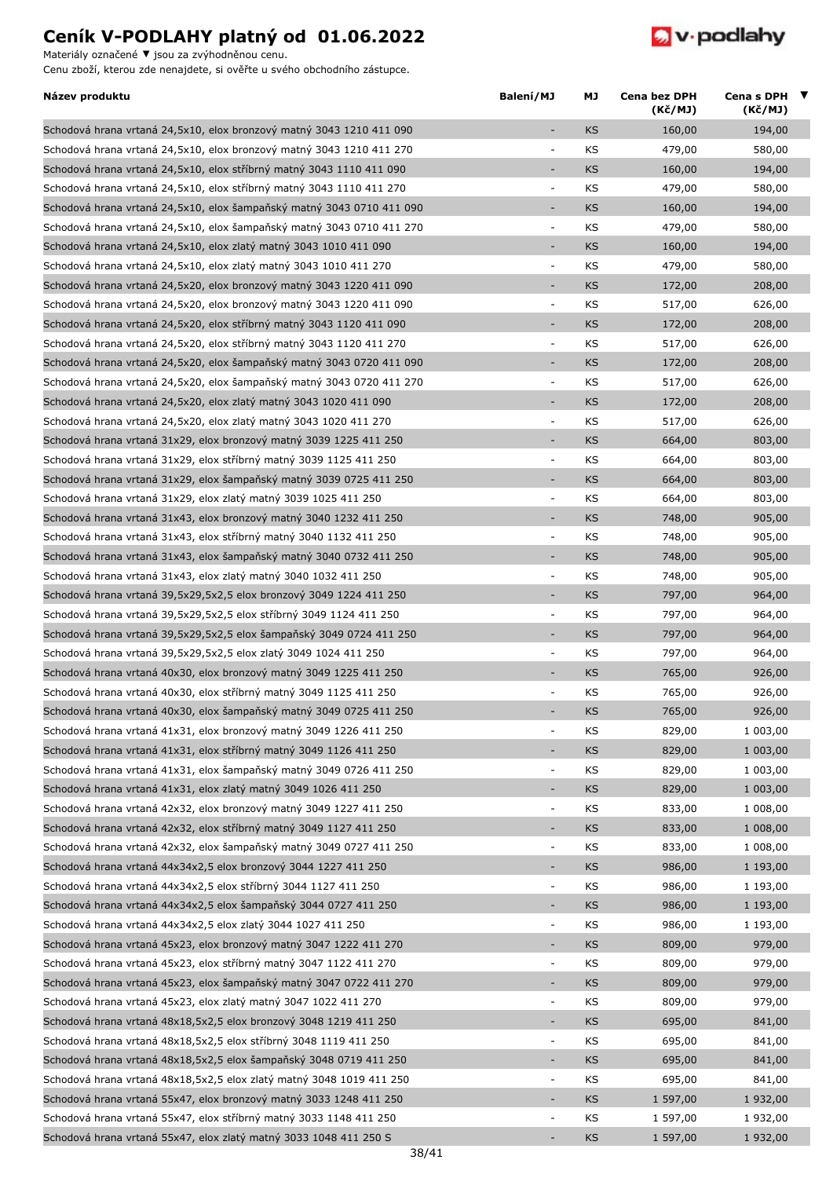Materiály označené **▼** jsou za zvýhodněnou cenu.



| Název produktu                                                                                                                          | Balení/MJ                          | МJ        | <b>Cena bez DPH</b><br>(Kč/MJ) | Cena s DPH $\blacktriangledown$<br>(Kč/MJ) |  |
|-----------------------------------------------------------------------------------------------------------------------------------------|------------------------------------|-----------|--------------------------------|--------------------------------------------|--|
| Schodová hrana vrtaná 24,5x10, elox bronzový matný 3043 1210 411 090                                                                    |                                    | KS        | 160,00                         | 194,00                                     |  |
| Schodová hrana vrtaná 24,5x10, elox bronzový matný 3043 1210 411 270                                                                    | ÷,                                 | KS        | 479,00                         | 580,00                                     |  |
| Schodová hrana vrtaná 24,5x10, elox stříbrný matný 3043 1110 411 090                                                                    |                                    | <b>KS</b> | 160,00                         | 194,00                                     |  |
| Schodová hrana vrtaná 24,5x10, elox stříbrný matný 3043 1110 411 270                                                                    | $\blacksquare$                     | KS        | 479,00                         | 580,00                                     |  |
| Schodová hrana vrtaná 24,5x10, elox šampaňský matný 3043 0710 411 090                                                                   | $\qquad \qquad \blacksquare$       | <b>KS</b> | 160,00                         | 194,00                                     |  |
| Schodová hrana vrtaná 24,5x10, elox šampaňský matný 3043 0710 411 270                                                                   | $\overline{\phantom{a}}$           | KS        | 479,00                         | 580,00                                     |  |
| Schodová hrana vrtaná 24,5x10, elox zlatý matný 3043 1010 411 090                                                                       | $\overline{\phantom{a}}$           | <b>KS</b> | 160,00                         | 194,00                                     |  |
| Schodová hrana vrtaná 24,5x10, elox zlatý matný 3043 1010 411 270                                                                       | $\overline{\phantom{a}}$           | KS        | 479,00                         | 580,00                                     |  |
| Schodová hrana vrtaná 24,5x20, elox bronzový matný 3043 1220 411 090                                                                    | ÷,                                 | <b>KS</b> | 172,00                         | 208,00                                     |  |
| Schodová hrana vrtaná 24,5x20, elox bronzový matný 3043 1220 411 090                                                                    | $\overline{\phantom{a}}$           | KS        | 517,00                         | 626,00                                     |  |
| Schodová hrana vrtaná 24,5x20, elox stříbrný matný 3043 1120 411 090                                                                    | ٠                                  | <b>KS</b> | 172,00                         | 208,00                                     |  |
| Schodová hrana vrtaná 24,5x20, elox stříbrný matný 3043 1120 411 270                                                                    | $\blacksquare$                     | KS        | 517,00                         | 626,00                                     |  |
| Schodová hrana vrtaná 24,5x20, elox šampaňský matný 3043 0720 411 090                                                                   | ٠                                  | <b>KS</b> | 172,00                         | 208,00                                     |  |
| Schodová hrana vrtaná 24,5x20, elox šampaňský matný 3043 0720 411 270                                                                   | $\overline{\phantom{a}}$           | KS        | 517,00                         | 626,00                                     |  |
| Schodová hrana vrtaná 24,5x20, elox zlatý matný 3043 1020 411 090                                                                       | ÷                                  | <b>KS</b> | 172,00                         | 208,00                                     |  |
| Schodová hrana vrtaná 24,5x20, elox zlatý matný 3043 1020 411 270                                                                       | ÷,                                 | KS        | 517,00                         | 626,00                                     |  |
| Schodová hrana vrtaná 31x29, elox bronzový matný 3039 1225 411 250                                                                      | $\overline{\phantom{a}}$           | <b>KS</b> | 664,00                         | 803,00                                     |  |
| Schodová hrana vrtaná 31x29, elox stříbrný matný 3039 1125 411 250                                                                      | $\overline{\phantom{a}}$           | KS        | 664,00                         | 803,00                                     |  |
| Schodová hrana vrtaná 31x29, elox šampaňský matný 3039 0725 411 250                                                                     | $\overline{a}$                     | <b>KS</b> | 664,00                         | 803,00                                     |  |
| Schodová hrana vrtaná 31x29, elox zlatý matný 3039 1025 411 250                                                                         | $\overline{\phantom{a}}$           | KS        | 664,00                         | 803,00                                     |  |
| Schodová hrana vrtaná 31x43, elox bronzový matný 3040 1232 411 250                                                                      | $\overline{\phantom{a}}$           | <b>KS</b> | 748,00                         | 905,00                                     |  |
| Schodová hrana vrtaná 31x43, elox stříbrný matný 3040 1132 411 250                                                                      | $\overline{\phantom{a}}$           | KS        | 748,00                         | 905,00                                     |  |
| Schodová hrana vrtaná 31x43, elox šampaňský matný 3040 0732 411 250                                                                     | $\qquad \qquad \blacksquare$       | <b>KS</b> | 748,00                         | 905,00                                     |  |
| Schodová hrana vrtaná 31x43, elox zlatý matný 3040 1032 411 250                                                                         | $\overline{\phantom{a}}$           | KS        | 748,00                         | 905,00                                     |  |
| Schodová hrana vrtaná 39,5x29,5x2,5 elox bronzový 3049 1224 411 250                                                                     | ÷                                  | <b>KS</b> | 797,00                         | 964,00                                     |  |
| Schodová hrana vrtaná 39,5x29,5x2,5 elox stříbrný 3049 1124 411 250                                                                     | $\overline{\phantom{a}}$           | KS        | 797,00                         | 964,00                                     |  |
| Schodová hrana vrtaná 39,5x29,5x2,5 elox šampaňský 3049 0724 411 250                                                                    | $\overline{\phantom{a}}$           | <b>KS</b> | 797,00                         | 964,00                                     |  |
| Schodová hrana vrtaná 39,5x29,5x2,5 elox zlatý 3049 1024 411 250                                                                        | $\overline{\phantom{a}}$           | KS        | 797,00                         | 964,00                                     |  |
| Schodová hrana vrtaná 40x30, elox bronzový matný 3049 1225 411 250                                                                      |                                    | <b>KS</b> | 765,00                         | 926,00                                     |  |
| Schodová hrana vrtaná 40x30, elox stříbrný matný 3049 1125 411 250                                                                      | $\overline{\phantom{a}}$           | KS        | 765,00                         | 926,00                                     |  |
| Schodová hrana vrtaná 40x30, elox šampaňský matný 3049 0725 411 250                                                                     |                                    | KS        | 765,00                         | 926,00                                     |  |
| Schodová hrana vrtaná 41x31, elox bronzový matný 3049 1226 411 250                                                                      | $\overline{\phantom{a}}$           | KS        | 829,00                         | 1 003,00                                   |  |
| Schodová hrana vrtaná 41x31, elox stříbrný matný 3049 1126 411 250                                                                      | ÷                                  | <b>KS</b> | 829,00                         | 1 003,00                                   |  |
| Schodová hrana vrtaná 41x31, elox šampaňský matný 3049 0726 411 250                                                                     | $\overline{\phantom{a}}$           | KS        | 829,00                         | 1 003,00                                   |  |
| Schodová hrana vrtaná 41x31, elox zlatý matný 3049 1026 411 250                                                                         | ÷,                                 | KS        | 829,00                         | 1 003,00                                   |  |
| Schodová hrana vrtaná 42x32, elox bronzový matný 3049 1227 411 250                                                                      | $\blacksquare$                     | KS        | 833,00                         | 1 008,00                                   |  |
| Schodová hrana vrtaná 42x32, elox stříbrný matný 3049 1127 411 250                                                                      | $\qquad \qquad \blacksquare$       | <b>KS</b> | 833,00                         | 1 008,00                                   |  |
| Schodová hrana vrtaná 42x32, elox šampaňský matný 3049 0727 411 250                                                                     | $\overline{\phantom{a}}$           | KS        | 833,00                         | 1 008,00                                   |  |
| Schodová hrana vrtaná 44x34x2,5 elox bronzový 3044 1227 411 250                                                                         | ÷                                  | <b>KS</b> | 986,00                         | 1 193,00                                   |  |
| Schodová hrana vrtaná 44x34x2,5 elox stříbrný 3044 1127 411 250                                                                         | $\overline{\phantom{a}}$           | KS        | 986,00                         | 1 193,00                                   |  |
| Schodová hrana vrtaná 44x34x2,5 elox šampaňský 3044 0727 411 250                                                                        | $\overline{\phantom{a}}$           | <b>KS</b> | 986,00                         | 1 193,00                                   |  |
| Schodová hrana vrtaná 44x34x2,5 elox zlatý 3044 1027 411 250                                                                            | $\blacksquare$                     | KS        | 986,00                         | 1 193,00                                   |  |
| Schodová hrana vrtaná 45x23, elox bronzový matný 3047 1222 411 270                                                                      | $\overline{\phantom{a}}$           | KS        | 809,00                         | 979,00                                     |  |
| Schodová hrana vrtaná 45x23, elox stříbrný matný 3047 1122 411 270                                                                      | $\overline{\phantom{a}}$           | KS        | 809,00                         | 979,00                                     |  |
| Schodová hrana vrtaná 45x23, elox šampaňský matný 3047 0722 411 270                                                                     | $\overline{\phantom{a}}$           | <b>KS</b> | 809,00                         | 979,00                                     |  |
| Schodová hrana vrtaná 45x23, elox zlatý matný 3047 1022 411 270                                                                         | $\overline{\phantom{a}}$           | KS        | 809,00                         | 979,00                                     |  |
| Schodová hrana vrtaná 48x18,5x2,5 elox bronzový 3048 1219 411 250                                                                       | $\overline{\phantom{a}}$           | <b>KS</b> | 695,00                         | 841,00                                     |  |
|                                                                                                                                         |                                    |           |                                |                                            |  |
| Schodová hrana vrtaná 48x18,5x2,5 elox stříbrný 3048 1119 411 250                                                                       | $\overline{\phantom{a}}$           | KS        | 695,00                         | 841,00                                     |  |
| Schodová hrana vrtaná 48x18,5x2,5 elox šampaňský 3048 0719 411 250                                                                      | $\overline{\phantom{a}}$           | <b>KS</b> | 695,00                         | 841,00                                     |  |
| Schodová hrana vrtaná 48x18,5x2,5 elox zlatý matný 3048 1019 411 250                                                                    | $\overline{\phantom{a}}$<br>÷,     | KS        | 695,00                         | 841,00                                     |  |
| Schodová hrana vrtaná 55x47, elox bronzový matný 3033 1248 411 250                                                                      |                                    | KS        | 1 597,00                       | 1 932,00                                   |  |
| Schodová hrana vrtaná 55x47, elox stříbrný matný 3033 1148 411 250<br>Schodová hrana vrtaná 55x47, elox zlatý matný 3033 1048 411 250 S | $\overline{\phantom{a}}$<br>$\sim$ | KS<br>KS  | 1 597,00<br>1 597,00           | 1 932,00<br>1 932,00                       |  |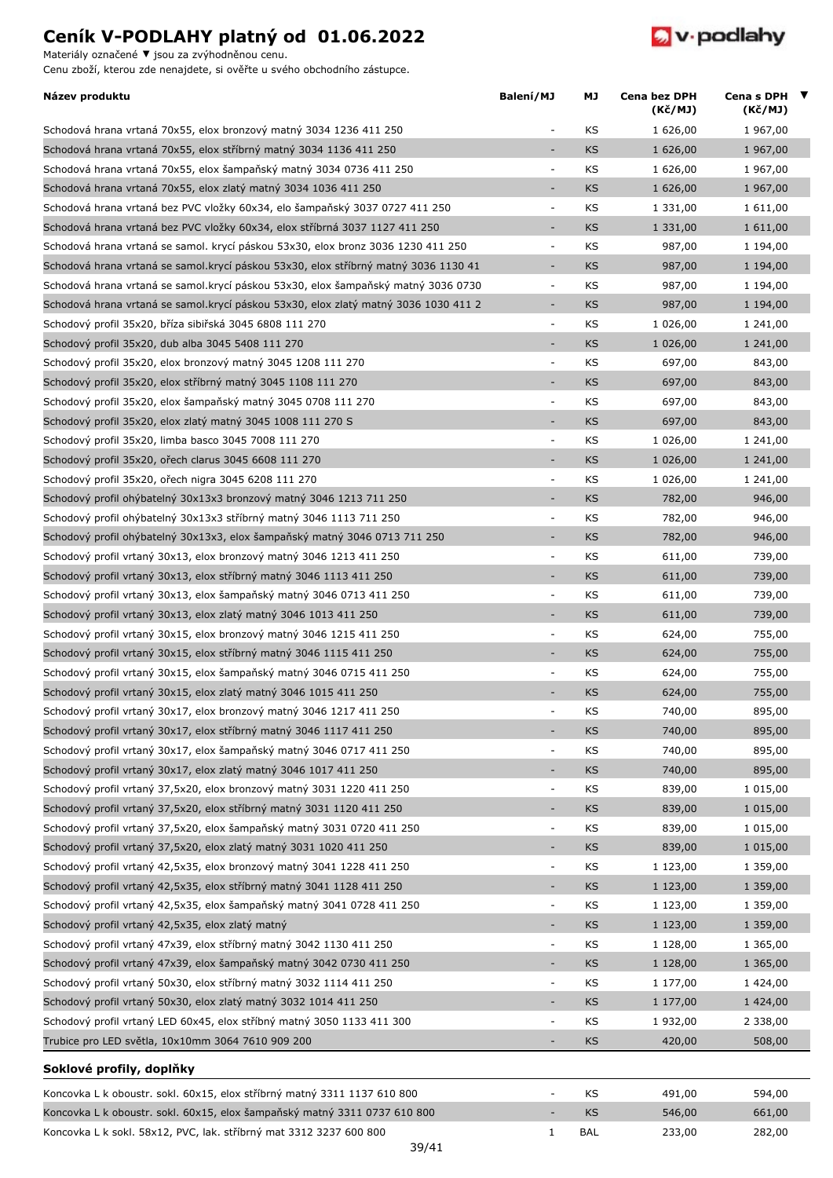Materiály označené **▼** jsou za zvýhodněnou cenu.



| Název produktu                                                                       | Balení/MJ                | МJ         | Cena bez DPH<br>(Kč/MJ) | Cena s DPH $\blacktriangledown$<br>(Kč/MJ) |  |
|--------------------------------------------------------------------------------------|--------------------------|------------|-------------------------|--------------------------------------------|--|
| Schodová hrana vrtaná 70x55, elox bronzový matný 3034 1236 411 250                   | ä,                       | KS         | 1 626,00                | 1 967,00                                   |  |
| Schodová hrana vrtaná 70x55, elox stříbrný matný 3034 1136 411 250                   | ÷,                       | <b>KS</b>  | 1 626,00                | 1 967,00                                   |  |
| Schodová hrana vrtaná 70x55, elox šampaňský matný 3034 0736 411 250                  | $\overline{\phantom{a}}$ | KS         | 1 626,00                | 1 967,00                                   |  |
| Schodová hrana vrtaná 70x55, elox zlatý matný 3034 1036 411 250                      | ÷,                       | <b>KS</b>  | 1 626,00                | 1 967,00                                   |  |
| Schodová hrana vrtaná bez PVC vložky 60x34, elo šampaňský 3037 0727 411 250          | $\overline{\phantom{a}}$ | KS         | 1 331,00                | 1 611,00                                   |  |
| Schodová hrana vrtaná bez PVC vložky 60x34, elox stříbrná 3037 1127 411 250          | $\overline{\phantom{a}}$ | <b>KS</b>  | 1 331,00                | 1 611,00                                   |  |
| Schodová hrana vrtaná se samol. krycí páskou 53x30, elox bronz 3036 1230 411 250     | $\overline{\phantom{a}}$ | KS         | 987,00                  | 1 194,00                                   |  |
| Schodová hrana vrtaná se samol.krycí páskou 53x30, elox stříbrný matný 3036 1130 41  | ÷,                       | <b>KS</b>  | 987,00                  | 1 194,00                                   |  |
| Schodová hrana vrtaná se samol.krycí páskou 53x30, elox šampaňský matný 3036 0730    | $\overline{\phantom{a}}$ | KS         | 987,00                  | 1 194,00                                   |  |
| Schodová hrana vrtaná se samol. krycí páskou 53x30, elox zlatý matný 3036 1030 411 2 | $\sim$                   | <b>KS</b>  | 987,00                  | 1 194,00                                   |  |
| Schodový profil 35x20, bříza sibiřská 3045 6808 111 270                              | $\sim$                   | KS         | 1 026,00                | 1 241,00                                   |  |
| Schodový profil 35x20, dub alba 3045 5408 111 270                                    | ÷,                       | <b>KS</b>  | 1 026,00                | 1 241,00                                   |  |
| Schodový profil 35x20, elox bronzový matný 3045 1208 111 270                         | $\overline{\phantom{a}}$ | KS         | 697,00                  | 843,00                                     |  |
| Schodový profil 35x20, elox stříbrný matný 3045 1108 111 270                         | ÷,                       | <b>KS</b>  | 697,00                  | 843,00                                     |  |
| Schodový profil 35x20, elox šampaňský matný 3045 0708 111 270                        | $\Box$                   | KS         | 697,00                  | 843,00                                     |  |
| Schodový profil 35x20, elox zlatý matný 3045 1008 111 270 S                          | $\overline{\phantom{a}}$ | <b>KS</b>  | 697,00                  | 843,00                                     |  |
| Schodový profil 35x20, limba basco 3045 7008 111 270                                 | $\overline{\phantom{a}}$ | KS         | 1 026,00                | 1 241,00                                   |  |
| Schodový profil 35x20, ořech clarus 3045 6608 111 270                                | ÷,                       | KS         | 1 026,00                | 1 241,00                                   |  |
| Schodový profil 35x20, ořech nigra 3045 6208 111 270                                 | $\overline{\phantom{a}}$ | KS         | 1 026,00                | 1 241,00                                   |  |
| Schodový profil ohýbatelný 30x13x3 bronzový matný 3046 1213 711 250                  | ÷,                       | <b>KS</b>  | 782,00                  | 946,00                                     |  |
| Schodový profil ohýbatelný 30x13x3 stříbrný matný 3046 1113 711 250                  | $\overline{\phantom{a}}$ | KS         | 782,00                  | 946,00                                     |  |
| Schodový profil ohýbatelný 30x13x3, elox šampaňský matný 3046 0713 711 250           | $\overline{\phantom{a}}$ | <b>KS</b>  | 782,00                  | 946,00                                     |  |
| Schodový profil vrtaný 30x13, elox bronzový matný 3046 1213 411 250                  | $\overline{\phantom{a}}$ | KS         | 611,00                  | 739,00                                     |  |
| Schodový profil vrtaný 30x13, elox stříbrný matný 3046 1113 411 250                  | $\overline{\phantom{a}}$ | <b>KS</b>  | 611,00                  | 739,00                                     |  |
| Schodový profil vrtaný 30x13, elox šampaňský matný 3046 0713 411 250                 | $\overline{\phantom{a}}$ | KS         | 611,00                  | 739,00                                     |  |
| Schodový profil vrtaný 30x13, elox zlatý matný 3046 1013 411 250                     | ٠                        | <b>KS</b>  | 611,00                  | 739,00                                     |  |
| Schodový profil vrtaný 30x15, elox bronzový matný 3046 1215 411 250                  | $\overline{\phantom{a}}$ | KS         | 624,00                  | 755,00                                     |  |
| Schodový profil vrtaný 30x15, elox stříbrný matný 3046 1115 411 250                  | ÷,                       | <b>KS</b>  | 624,00                  | 755,00                                     |  |
| Schodový profil vrtaný 30x15, elox šampaňský matný 3046 0715 411 250                 | $\overline{\phantom{a}}$ | KS         | 624,00                  | 755,00                                     |  |
| Schodový profil vrtaný 30x15, elox zlatý matný 3046 1015 411 250                     | ÷,                       | <b>KS</b>  | 624,00                  | 755,00                                     |  |
| Schodový profil vrtaný 30x17, elox bronzový matný 3046 1217 411 250                  | $\sim$                   | KS         | 740,00                  | 895,00                                     |  |
| Schodový profil vrtaný 30x17, elox stříbrný matný 3046 1117 411 250                  | $\overline{\phantom{0}}$ | <b>KS</b>  | 740,00                  | 895,00                                     |  |
| Schodový profil vrtaný 30x17, elox šampaňský matný 3046 0717 411 250                 |                          | KS         | 740,00                  | 895,00                                     |  |
| Schodový profil vrtaný 30x17, elox zlatý matný 3046 1017 411 250                     | ÷,                       | KS         | 740,00                  | 895,00                                     |  |
| Schodový profil vrtaný 37,5x20, elox bronzový matný 3031 1220 411 250                | $\blacksquare$           | KS         | 839,00                  | 1 015,00                                   |  |
| Schodový profil vrtaný 37,5x20, elox stříbrný matný 3031 1120 411 250                | ÷,                       | <b>KS</b>  | 839,00                  | 1 015,00                                   |  |
| Schodový profil vrtaný 37,5x20, elox šampaňský matný 3031 0720 411 250               | $\overline{\phantom{a}}$ | KS         | 839,00                  | 1 015,00                                   |  |
| Schodový profil vrtaný 37,5x20, elox zlatý matný 3031 1020 411 250                   | ÷                        | <b>KS</b>  | 839,00                  | 1 015,00                                   |  |
| Schodový profil vrtaný 42,5x35, elox bronzový matný 3041 1228 411 250                | $\overline{\phantom{a}}$ | KS         | 1 123,00                | 1 359,00                                   |  |
| Schodový profil vrtaný 42,5x35, elox stříbrný matný 3041 1128 411 250                | ÷,                       | <b>KS</b>  | 1 123,00                | 1 359,00                                   |  |
| Schodový profil vrtaný 42,5x35, elox šampaňský matný 3041 0728 411 250               | $\blacksquare$           | KS         | 1 123,00                | 1 359,00                                   |  |
| Schodový profil vrtaný 42,5x35, elox zlatý matný                                     | ÷,                       | <b>KS</b>  | 1 123,00                | 1 359,00                                   |  |
| Schodový profil vrtaný 47x39, elox stříbrný matný 3042 1130 411 250                  | $\overline{\phantom{a}}$ | KS         | 1 128,00                | 1 365,00                                   |  |
| Schodový profil vrtaný 47x39, elox šampaňský matný 3042 0730 411 250                 | ÷,                       | <b>KS</b>  | 1 128,00                | 1 365,00                                   |  |
| Schodový profil vrtaný 50x30, elox stříbrný matný 3032 1114 411 250                  | $\overline{\phantom{a}}$ | KS         | 1 177,00                | 1 424,00                                   |  |
| Schodový profil vrtaný 50x30, elox zlatý matný 3032 1014 411 250                     | ÷,                       | <b>KS</b>  | 1 177,00                | 1 424,00                                   |  |
| Schodový profil vrtaný LED 60x45, elox stříbný matný 3050 1133 411 300               | $\overline{\phantom{a}}$ | KS         | 1 932,00                | 2 338,00                                   |  |
| Trubice pro LED světla, 10x10mm 3064 7610 909 200                                    | ÷,                       | <b>KS</b>  | 420,00                  | 508,00                                     |  |
|                                                                                      |                          |            |                         |                                            |  |
| Soklové profily, doplňky                                                             |                          |            |                         |                                            |  |
| Koncovka L k oboustr. sokl. 60x15, elox stříbrný matný 3311 1137 610 800             | ÷,                       | KS         | 491,00                  | 594,00                                     |  |
| Koncovka L k oboustr. sokl. 60x15, elox šampaňský matný 3311 0737 610 800            |                          | <b>KS</b>  | 546,00                  | 661,00                                     |  |
| Koncovka L k sokl. 58x12, PVC, lak. stříbrný mat 3312 3237 600 800                   | $1\,$                    | <b>BAL</b> | 233,00                  | 282,00                                     |  |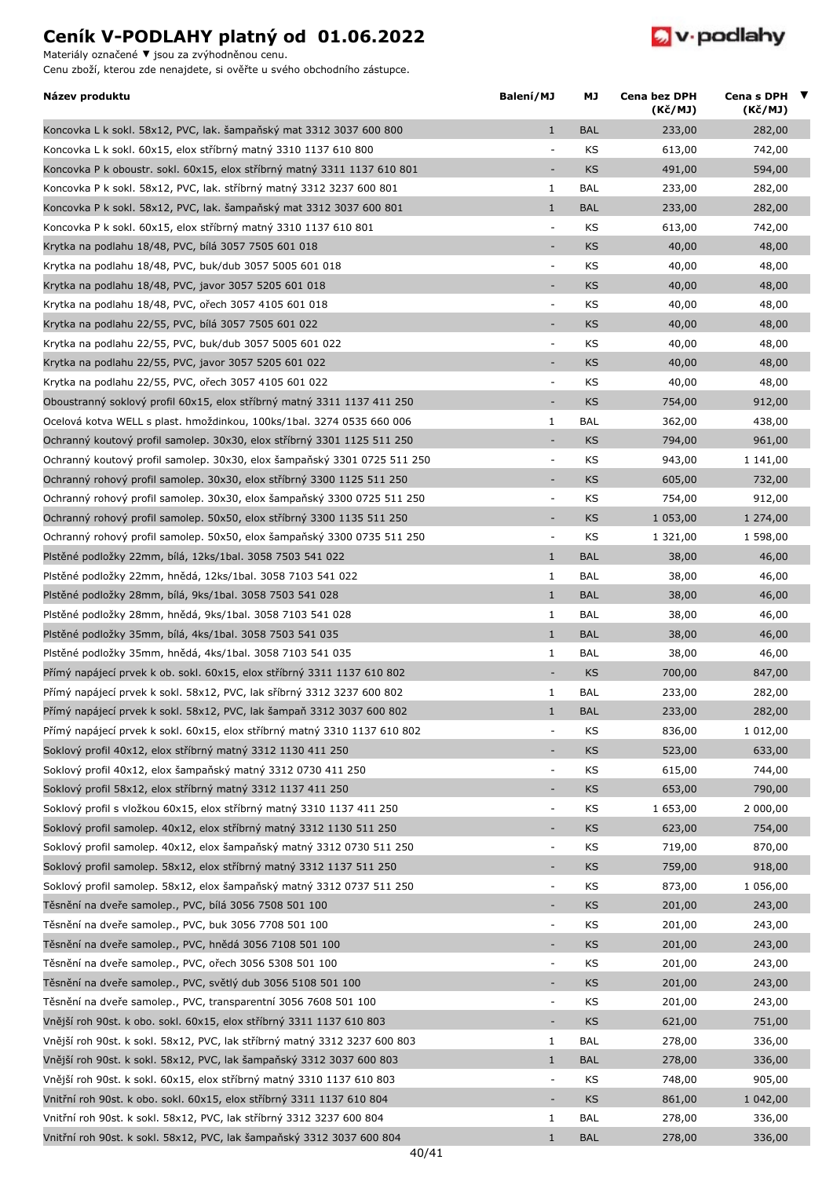Materiály označené **▼** jsou za zvýhodněnou cenu.



| Název produktu                                                            | Balení/MJ                | МJ         | Cena bez DPH<br>(Kč/MJ) | Cena s DPH $\blacktriangledown$<br>(Kč/MJ) |  |
|---------------------------------------------------------------------------|--------------------------|------------|-------------------------|--------------------------------------------|--|
| Koncovka L k sokl. 58x12, PVC, lak. šampaňský mat 3312 3037 600 800       | $\mathbf{1}$             | <b>BAL</b> | 233,00                  | 282,00                                     |  |
| Koncovka L k sokl. 60x15, elox stříbrný matný 3310 1137 610 800           | $\overline{\phantom{a}}$ | KS         | 613,00                  | 742,00                                     |  |
| Koncovka P k oboustr. sokl. 60x15, elox stříbrný matný 3311 1137 610 801  | $\overline{\phantom{a}}$ | KS         | 491,00                  | 594,00                                     |  |
| Koncovka P k sokl. 58x12, PVC, lak. stříbrný matný 3312 3237 600 801      | 1                        | <b>BAL</b> | 233,00                  | 282,00                                     |  |
| Koncovka P k sokl. 58x12, PVC, lak. šampaňský mat 3312 3037 600 801       | $\mathbf{1}$             | <b>BAL</b> | 233,00                  | 282,00                                     |  |
| Koncovka P k sokl. 60x15, elox stříbrný matný 3310 1137 610 801           | $\overline{\phantom{a}}$ | KS         | 613,00                  | 742,00                                     |  |
| Krytka na podlahu 18/48, PVC, bílá 3057 7505 601 018                      | $\sim$                   | KS         | 40,00                   | 48,00                                      |  |
| Krytka na podlahu 18/48, PVC, buk/dub 3057 5005 601 018                   | $\overline{\phantom{a}}$ | KS         | 40,00                   | 48,00                                      |  |
| Krytka na podlahu 18/48, PVC, javor 3057 5205 601 018                     | $\overline{\phantom{a}}$ | <b>KS</b>  | 40,00                   | 48,00                                      |  |
| Krytka na podlahu 18/48, PVC, ořech 3057 4105 601 018                     | $\overline{\phantom{a}}$ | KS         | 40,00                   | 48,00                                      |  |
| Krytka na podlahu 22/55, PVC, bílá 3057 7505 601 022                      | $\overline{\phantom{a}}$ | KS         | 40,00                   | 48,00                                      |  |
| Krytka na podlahu 22/55, PVC, buk/dub 3057 5005 601 022                   | $\overline{\phantom{a}}$ | KS         | 40,00                   | 48,00                                      |  |
| Krytka na podlahu 22/55, PVC, javor 3057 5205 601 022                     | $\overline{\phantom{a}}$ | KS         | 40,00                   | 48,00                                      |  |
| Krytka na podlahu 22/55, PVC, ořech 3057 4105 601 022                     | ÷,                       | KS         | 40,00                   | 48,00                                      |  |
| Oboustranný soklový profil 60x15, elox stříbrný matný 3311 1137 411 250   | $\overline{\phantom{a}}$ | KS         | 754,00                  | 912,00                                     |  |
| Ocelová kotva WELL s plast. hmoždinkou, 100ks/1bal. 3274 0535 660 006     | 1                        | <b>BAL</b> | 362,00                  | 438,00                                     |  |
| Ochranný koutový profil samolep. 30x30, elox stříbrný 3301 1125 511 250   | $\overline{\phantom{a}}$ | <b>KS</b>  | 794,00                  | 961,00                                     |  |
| Ochranný koutový profil samolep. 30x30, elox šampaňský 3301 0725 511 250  | $\overline{\phantom{a}}$ | KS         | 943,00                  | 1 141,00                                   |  |
| Ochranný rohový profil samolep. 30x30, elox stříbrný 3300 1125 511 250    | $\overline{\phantom{a}}$ | KS         | 605,00                  | 732,00                                     |  |
| Ochranný rohový profil samolep. 30x30, elox šampaňský 3300 0725 511 250   | $\overline{\phantom{a}}$ | KS         | 754,00                  | 912,00                                     |  |
| Ochranný rohový profil samolep. 50x50, elox stříbrný 3300 1135 511 250    | $\sim$                   | KS         | 1 053,00                | 1 274,00                                   |  |
| Ochranný rohový profil samolep. 50x50, elox šampaňský 3300 0735 511 250   | $\overline{\phantom{a}}$ | KS         | 1 321,00                | 1 598,00                                   |  |
| Plstěné podložky 22mm, bílá, 12ks/1bal. 3058 7503 541 022                 | $\mathbf{1}$             | <b>BAL</b> | 38,00                   | 46,00                                      |  |
| Plstěné podložky 22mm, hnědá, 12ks/1bal. 3058 7103 541 022                | 1                        | <b>BAL</b> | 38,00                   | 46,00                                      |  |
| Plstěné podložky 28mm, bílá, 9ks/1bal. 3058 7503 541 028                  | $\mathbf{1}$             | <b>BAL</b> | 38,00                   | 46,00                                      |  |
| Plstěné podložky 28mm, hnědá, 9ks/1bal. 3058 7103 541 028                 | 1                        | <b>BAL</b> | 38,00                   | 46,00                                      |  |
| Plstěné podložky 35mm, bílá, 4ks/1bal. 3058 7503 541 035                  | $\mathbf{1}$             | <b>BAL</b> | 38,00                   | 46,00                                      |  |
| Plstěné podložky 35mm, hnědá, 4ks/1bal. 3058 7103 541 035                 | $\mathbf{1}$             | <b>BAL</b> | 38,00                   | 46,00                                      |  |
| Přímý napájecí prvek k ob. sokl. 60x15, elox stříbrný 3311 1137 610 802   | $\overline{\phantom{a}}$ | KS         | 700,00                  | 847,00                                     |  |
| Přímý napájecí prvek k sokl. 58x12, PVC, lak sříbrný 3312 3237 600 802    | $\mathbf{1}$             | <b>BAL</b> | 233,00                  | 282,00                                     |  |
| Přímý napájecí prvek k sokl. 58x12, PVC, lak šampaň 3312 3037 600 802     | $\mathbf{1}$             | <b>BAL</b> | 233,00                  | 282,00                                     |  |
| Přímý napájecí prvek k sokl. 60x15, elox stříbrný matný 3310 1137 610 802 | $\overline{\phantom{a}}$ | KS         | 836,00                  | 1 012,00                                   |  |
| Soklový profil 40x12, elox stříbrný matný 3312 1130 411 250               |                          | KS         | 523,00                  | 633,00                                     |  |
| Soklový profil 40x12, elox šampaňský matný 3312 0730 411 250              | $\overline{\phantom{a}}$ | KS         | 615,00                  | 744,00                                     |  |
| Soklový profil 58x12, elox stříbrný matný 3312 1137 411 250               | $\overline{\phantom{a}}$ | KS         | 653,00                  | 790,00                                     |  |
| Soklový profil s vložkou 60x15, elox stříbrný matný 3310 1137 411 250     | $\overline{\phantom{a}}$ | KS         | 1 653,00                | 2 000,00                                   |  |
| Soklový profil samolep. 40x12, elox stříbrný matný 3312 1130 511 250      | $\overline{\phantom{a}}$ | KS         | 623,00                  | 754,00                                     |  |
| Soklový profil samolep. 40x12, elox šampaňský matný 3312 0730 511 250     | $\blacksquare$           | KS         | 719,00                  | 870,00                                     |  |
| Soklový profil samolep. 58x12, elox stříbrný matný 3312 1137 511 250      | $\overline{\phantom{a}}$ | KS         | 759,00                  | 918,00                                     |  |
| Soklový profil samolep. 58x12, elox šampaňský matný 3312 0737 511 250     | $\overline{\phantom{a}}$ | KS         | 873,00                  | 1 056,00                                   |  |
| Těsnění na dveře samolep., PVC, bílá 3056 7508 501 100                    |                          | KS         | 201,00                  | 243,00                                     |  |
| Těsnění na dveře samolep., PVC, buk 3056 7708 501 100                     | $\overline{\phantom{a}}$ | KS         | 201,00                  | 243,00                                     |  |
| Těsnění na dveře samolep., PVC, hnědá 3056 7108 501 100                   | $\overline{\phantom{a}}$ | KS         | 201,00                  | 243,00                                     |  |
| Těsnění na dveře samolep., PVC, ořech 3056 5308 501 100                   | $\overline{\phantom{a}}$ | KS         | 201,00                  | 243,00                                     |  |
| Těsnění na dveře samolep., PVC, světlý dub 3056 5108 501 100              | $\overline{\phantom{a}}$ | KS         | 201,00                  | 243,00                                     |  |
| Těsnění na dveře samolep., PVC, transparentní 3056 7608 501 100           | $\blacksquare$           | KS         | 201,00                  | 243,00                                     |  |
| Vnější roh 90st. k obo. sokl. 60x15, elox stříbrný 3311 1137 610 803      | $\overline{\phantom{a}}$ | KS         | 621,00                  | 751,00                                     |  |
| Vnější roh 90st. k sokl. 58x12, PVC, lak stříbrný matný 3312 3237 600 803 | $\mathbf{1}$             | <b>BAL</b> | 278,00                  | 336,00                                     |  |
| Vnější roh 90st. k sokl. 58x12, PVC, lak šampaňský 3312 3037 600 803      | $\mathbf{1}$             | <b>BAL</b> | 278,00                  | 336,00                                     |  |
| Vnější roh 90st. k sokl. 60x15, elox stříbrný matný 3310 1137 610 803     | $\overline{\phantom{a}}$ | KS         | 748,00                  | 905,00                                     |  |
| Vnitřní roh 90st. k obo. sokl. 60x15, elox stříbrný 3311 1137 610 804     | $\blacksquare$           | KS         | 861,00                  | 1 042,00                                   |  |
| Vnitřní roh 90st. k sokl. 58x12, PVC, lak stříbrný 3312 3237 600 804      | $\mathbf{1}$             | <b>BAL</b> | 278,00                  | 336,00                                     |  |
| Vnitřní roh 90st. k sokl. 58x12, PVC, lak šampaňský 3312 3037 600 804     | $\mathbf{1}$             | <b>BAL</b> | 278,00                  | 336,00                                     |  |